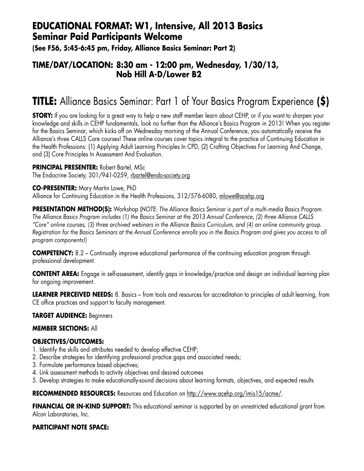## **EDUCATIONAL FORMAT: W1, Intensive, All 2013 Basics Seminar Paid Participants Welcome**

**(See F56, 5:45-6:45 pm, Friday, Alliance Basics Seminar: Part 2)**

### **TIME/DAY/LOCATION: 8:30 am - 12:00 pm, Wednesday, 1/30/13, Nob Hill A-D/Lower B2**

# **TITLE:** Alliance Basics Seminar: Part 1 of Your Basics Program Experience **(\$)**

**STORY:** If you are looking for a great way to help a new staff member learn about CEHP, or if you want to sharpen your knowledge and skills in CEHP fundamentals, look no further than the Alliance's Basics Program in 2013! When you register for the Basics Seminar, which kicks off on Wednesday morning of the Annual Conference, you automatically receive the Alliance's *three* CALLS Core courses! These online courses cover topics integral to the practice of Continuing Education in the Health Professions: (1) Applying Adult Learning Principles In CPD, (2) Crafting Objectives For Learning And Change, and (3) Core Principles In Assessment And Evaluation.

### **PRINCIPAL PRESENTER:** Robert Bartel, MSc

The Endocrine Society, 301/941-0259, rbartel@endo-society.org

#### **CO-PRESENTER:** Mary Martin Lowe, PhD

Alliance for Continuing Education in the Health Professions, 312/576-6080, mlowe@acehp.org

**PRESENTATION METHOD(S):** Workshop (*NOTE: The Alliance Basics Seminar is part of a multi-media Basics Program. The Alliance Basics Program includes (1) the Basics Seminar at the 2013 Annual Conference, (2) three Alliance CALLS "Core" online courses, (3) three archived webinars in the Alliance Basics Curriculum, and (4) an online community group. Registration for the Basics Seminars at the Annual Conference enrolls you in the Basics Program and gives you access to all program components!)*

**COMPETENCY:** 8.2 – Continually improve educational performance of the continuing education program through professional development.

**CONTENT AREA:** Engage in self-assessment, identify gaps in knowledge/practice and design an individual learning plan for ongoing improvement.

**LEARNER PERCEIVED NEEDS:** 8. Basics – from tools and resources for accreditation to principles of adult learning, from CE office practices and support to faculty management.

### **TARGET AUDIENCE:** Beginners

### **MEMBER SECTIONS:** All

### **OBJECTIVES/OUTCOMES:**

- 1. Identify the skills and attributes needed to develop effective CEHP;
- 2. Describe strategies for identifying professional practice gaps and associated needs;
- 3. Formulate performance based objectives;
- 4. Link assessment methods to activity objectives and desired outcomes
- 5. Develop strategies to make educationally-sound decisions about learning formats, objectives, and expected results

**RECOMMENDED RESOURCES:** Resources and Education on http://www.acehp.org/imis15/acme/.

**FINANCIAL OR IN-KIND SUPPORT:** This educational seminar is supported by an unrestricted educational grant from Alcon Laboratories, Inc.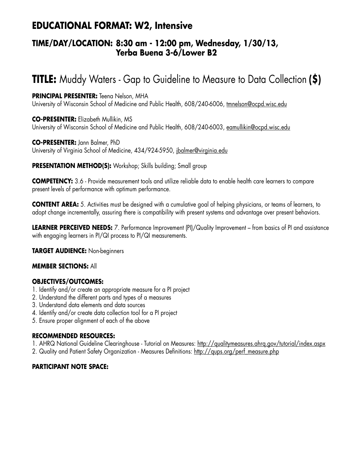## **EDUCATIONAL FORMAT: W2, Intensive**

### **TIME/DAY/LOCATION: 8:30 am - 12:00 pm, Wednesday, 1/30/13, Yerba Buena 3-6/Lower B2**

# **TITLE:** Muddy Waters - Gap to Guideline to Measure to Data Collection **(\$)**

### **PRINCIPAL PRESENTER:** Teena Nelson, MHA

University of Wisconsin School of Medicine and Public Health, 608/240-6006, tmnelson@ocpd.wisc.edu

**CO-PRESENTER:** Elizabeth Mullikin, MS University of Wisconsin School of Medicine and Public Health, 608/240-6003, eamullikin@ocpd.wisc.edu

#### **CO-PRESENTER:** Jann Balmer, PhD

University of Virginia School of Medicine, 434/924-5950, jbalmer@virginia.edu

### **PRESENTATION METHOD(S):** Workshop; Skills building; Small group

**COMPETENCY:** 3.6 - Provide measurement tools and utilize reliable data to enable health care learners to compare present levels of performance with optimum performance.

**CONTENT AREA:** 5. Activities must be designed with a cumulative goal of helping physicians, or teams of learners, to adopt change incrementally, assuring there is compatibility with present systems and advantage over present behaviors.

**LEARNER PERCEIVED NEEDS:** 7. Performance Improvement (PI)/Quality Improvement – from basics of PI and assistance with engaging learners in PI/QI process to PI/QI measurements.

### **TARGET AUDIENCE:** Non-beginners

### **MEMBER SECTIONS:** All

### **OBJECTIVES/OUTCOMES:**

- 1. Identify and/or create an appropriate measure for a PI project
- 2. Understand the different parts and types of a measures
- 3. Understand data elements and data sources
- 4. Identify and/or create data collection tool for a PI project
- 5. Ensure proper alignment of each of the above

#### **RECOMMENDED RESOURCES:**

1. AHRQ National Guideline Clearinghouse - Tutorial on Measures: http://qualitymeasures.ahrq.gov/tutorial/index.aspx

2. Quality and Patient Safety Organization - Measures Definitions: http://qups.org/perf\_measure.php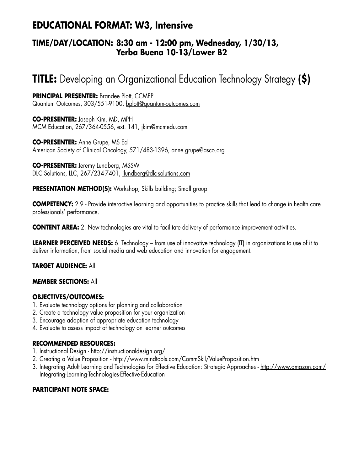# **EDUCATIONAL FORMAT: W3, Intensive**

### **TIME/DAY/LOCATION: 8:30 am - 12:00 pm, Wednesday, 1/30/13, Yerba Buena 10-13/Lower B2**

# **TITLE:** Developing an Organizational Education Technology Strategy **(\$)**

**PRINCIPAL PRESENTER:** Brandee Plott, CCMEP Quantum Outcomes, 303/551-9100, bplott@quantum-outcomes.com

**CO-PRESENTER:** Joseph Kim, MD, MPH MCM Education, 267/364-0556, ext. 141, jkim@mcmedu.com

**CO-PRESENTER:** Anne Grupe, MS Ed American Society of Clinical Oncology, 571/483-1396, anne.grupe@asco.org

**CO-PRESENTER:** Jeremy Lundberg, MSSW DLC Solutions, LLC, 267/234-7401, jlundberg@dlc-solutions.com

### **PRESENTATION METHOD(S):** Workshop; Skills building; Small group

**COMPETENCY:** 2.9 - Provide interactive learning and opportunities to practice skills that lead to change in health care professionals' performance.

**CONTENT AREA:** 2. New technologies are vital to facilitate delivery of performance improvement activities.

**LEARNER PERCEIVED NEEDS:** 6. Technology – from use of innovative technology (IT) in organizations to use of it to deliver information, from social media and web education and innovation for engagement.

### **TARGET AUDIENCE:** All

#### **MEMBER SECTIONS:** All

### **OBJECTIVES/OUTCOMES:**

- 1. Evaluate technology options for planning and collaboration
- 2. Create a technology value proposition for your organization
- 3. Encourage adoption of appropriate education technology
- 4. Evaluate to assess impact of technology on learner outcomes

#### **RECOMMENDED RESOURCES:**

- 1. Instructional Design http://instructionaldesign.org/
- 2. Creating a Value Proposition http://www.mindtools.com/CommSkll/ValueProposition.htm
- 3. Integrating Adult Learning and Technologies for Effective Education: Strategic Approaches http://www.amazon.com/ Integrating-Learning-Technologies-Effective-Education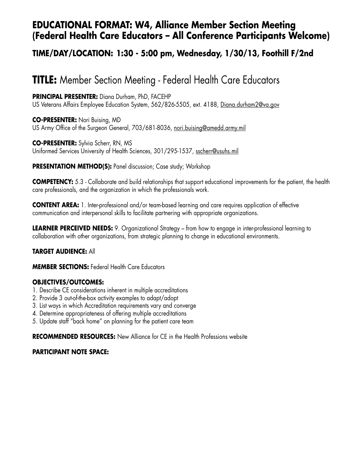## **EDUCATIONAL FORMAT: W4, Alliance Member Section Meeting (Federal Health Care Educators – All Conference Participants Welcome)**

## **TIME/DAY/LOCATION: 1:30 - 5:00 pm, Wednesday, 1/30/13, Foothill F/2nd**

# **TITLE:** Member Section Meeting - Federal Health Care Educators

**PRINCIPAL PRESENTER:** Diana Durham, PhD, FACEHP US Veterans Affairs Employee Education System, 562/826-5505, ext. 4188, Diana.durham2@va.gov

**CO-PRESENTER:** Nori Buising, MD US Army Office of the Surgeon General, 703/681-8036, nori.buising@amedd.army.mil

**CO-PRESENTER:** Sylvia Scherr, RN, MS Uniformed Services University of Health Sciences, 301/295-1537, sscherr@usuhs.mil

#### **PRESENTATION METHOD(S):** Panel discussion; Case study; Workshop

**COMPETENCY:** 5.3 - Collaborate and build relationships that support educational improvements for the patient, the health care professionals, and the organization in which the professionals work.

**CONTENT AREA:** 1. Inter-professional and/or team-based learning and care requires application of effective communication and interpersonal skills to facilitate partnering with appropriate organizations.

**LEARNER PERCEIVED NEEDS:** 9. Organizational Strategy – from how to engage in inter-professional learning to collaboration with other organizations, from strategic planning to change in educational environments.

### **TARGET AUDIENCE:** All

**MEMBER SECTIONS:** Federal Health Care Educators

### **OBJECTIVES/OUTCOMES:**

- 1. Describe CE considerations inherent in multiple accreditations
- 2. Provide 3 out-of-the-box activity examples to adapt/adopt
- 3. List ways in which Accreditation requirements vary and converge
- 4. Determine appropriateness of offering multiple accreditations
- 5. Update staff "back home" on planning for the patient care team

**RECOMMENDED RESOURCES:** New Alliance for CE in the Health Professions website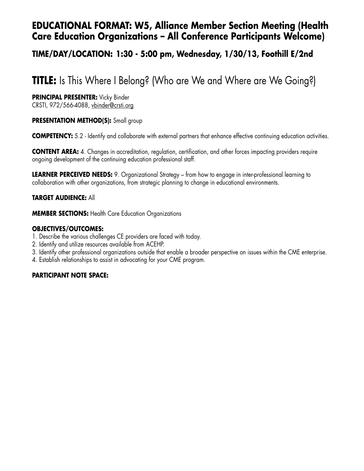## **EDUCATIONAL FORMAT: W5, Alliance Member Section Meeting (Health Care Education Organizations – All Conference Participants Welcome)**

### **TIME/DAY/LOCATION: 1:30 - 5:00 pm, Wednesday, 1/30/13, Foothill E/2nd**

# **TITLE:** Is This Where I Belong? (Who are We and Where are We Going?)

**PRINCIPAL PRESENTER:** Vicky Binder

CRSTI, 972/566-4088, vbinder@crsti.org

### **PRESENTATION METHOD(S):** Small group

**COMPETENCY:** 5.2 - Identify and collaborate with external partners that enhance effective continuing education activities.

**CONTENT AREA:** 4. Changes in accreditation, regulation, certification, and other forces impacting providers require ongoing development of the continuing education professional staff.

**LEARNER PERCEIVED NEEDS:** 9. Organizational Strategy – from how to engage in inter-professional learning to collaboration with other organizations, from strategic planning to change in educational environments.

### **TARGET AUDIENCE:** All

**MEMBER SECTIONS:** Health Care Education Organizations

### **OBJECTIVES/OUTCOMES:**

- 1. Describe the various challenges CE providers are faced with today.
- 2. Identify and utilize resources available from ACEHP.
- 3. Identify other professional organizations outside that enable a broader perspective on issues within the CME enterprise.
- 4. Establish relationships to assist in advocating for your CME program.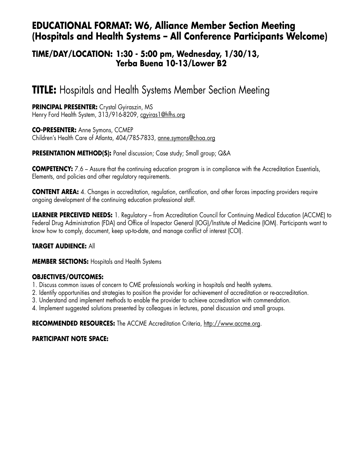## **EDUCATIONAL FORMAT: W6, Alliance Member Section Meeting (Hospitals and Health Systems – All Conference Participants Welcome)**

### **TIME/DAY/LOCATION: 1:30 - 5:00 pm, Wednesday, 1/30/13, Yerba Buena 10-13/Lower B2**

# **TITLE:** Hospitals and Health Systems Member Section Meeting

**PRINCIPAL PRESENTER:** Crystal Gyiraszin, MS Henry Ford Health System, 313/916-8209, cayiras1@hfhs.org

**CO-PRESENTER:** Anne Symons, CCMEP Children's Health Care of Atlanta, 404/785-7833, anne.symons@choa.org

**PRESENTATION METHOD(S):** Panel discussion; Case study; Small group; Q&A

**COMPETENCY:** 7.6 – Assure that the continuing education program is in compliance with the Accreditation Essentials, Elements, and policies and other regulatory requirements.

**CONTENT AREA:** 4. Changes in accreditation, regulation, certification, and other forces impacting providers require ongoing development of the continuing education professional staff.

**LEARNER PERCEIVED NEEDS:** 1. Regulatory – from Accreditation Council for Continuing Medical Education (ACCME) to Federal Drug Administration (FDA) and Office of Inspector General (IOG)/Institute of Medicine (IOM). Participants want to know how to comply, document, keep up-to-date, and manage conflict of interest (COI).

### **TARGET AUDIENCE:** All

**MEMBER SECTIONS:** Hospitals and Health Systems

### **OBJECTIVES/OUTCOMES:**

- 1. Discuss common issues of concern to CME professionals working in hospitals and health systems.
- 2. Identify opportunities and strategies to position the provider for achievement of accreditation or re-accreditation.
- 3. Understand and implement methods to enable the provider to achieve accreditation with commendation.
- 4. Implement suggested solutions presented by colleagues in lectures, panel discussion and small groups.

**RECOMMENDED RESOURCES:** The ACCME Accreditation Criteria, http://www.accme.org.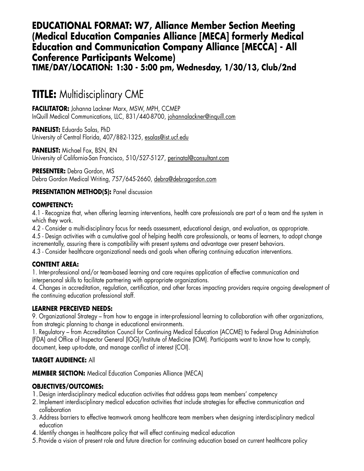## **EDUCATIONAL FORMAT: W7, Alliance Member Section Meeting (Medical Education Companies Alliance [MECA] formerly Medical Education and Communication Company Alliance [MECCA] - All Conference Participants Welcome) TIME/DAY/LOCATION: 1:30 - 5:00 pm, Wednesday, 1/30/13, Club/2nd**

# **TITLE:** Multidisciplinary CME

**FACILITATOR:** Johanna Lackner Marx, MSW, MPH, CCMEP InQuill Medical Communications, LLC, 831/440-8700, johannalackner@inquill.com

**PANELIST:** Eduardo Salas, PhD University of Central Florida, 407/882-1325, esalas@ist.ucf.edu

**PANELIST:** Michael Fox, BSN, RN University of California-San Francisco, 510/527-5127, perinatal@consultant.com

**PRESENTER:** Debra Gordon, MS Debra Gordon Medical Writing, 757/645-2660, debra@debragordon.com

### **PRESENTATION METHOD(S):** Panel discussion

#### **COMPETENCY:**

4.1 - Recognize that, when offering learning interventions, health care professionals are part of a team and the system in which they work.

4.2 - Consider a multi-disciplinary focus for needs assessment, educational design, and evaluation, as appropriate.

4.5 - Design activities with a cumulative goal of helping health care professionals, or teams of learners, to adopt change incrementally, assuring there is compatibility with present systems and advantage over present behaviors.

4.3 - Consider healthcare organizational needs and goals when offering continuing education interventions.

### **CONTENT AREA:**

1. Inter-professional and/or team-based learning and care requires application of effective communication and interpersonal skills to facilitate partnering with appropriate organizations.

4. Changes in accreditation, regulation, certification, and other forces impacting providers require ongoing development of the continuing education professional staff.

### **LEARNER PERCEIVED NEEDS:**

9. Organizational Strategy – from how to engage in inter-professional learning to collaboration with other organizations, from strategic planning to change in educational environments.

1. Regulatory – from Accreditation Council for Continuing Medical Education (ACCME) to Federal Drug Administration (FDA) and Office of Inspector General (IOG)/Institute of Medicine (IOM). Participants want to know how to comply, document, keep up-to-date, and manage conflict of interest (COI).

### **TARGET AUDIENCE:** All

**MEMBER SECTION:** Medical Education Companies Alliance (MECA)

### **OBJECTIVES/OUTCOMES:**

- 1. Design interdisciplinary medical education activities that address gaps team members' competency
- 2. Implement interdisciplinary medical education activities that include strategies for effective communication and collaboration
- 3. Address barriers to effective teamwork among healthcare team members when designing interdisciplinary medical education
- 4. Identify changes in healthcare policy that will effect continuing medical education
- 5.Provide a vision of present role and future direction for continuing education based on current healthcare policy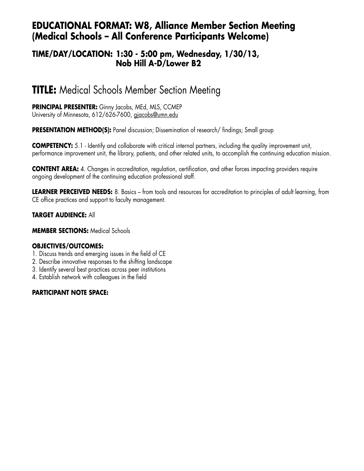## **EDUCATIONAL FORMAT: W8, Alliance Member Section Meeting (Medical Schools – All Conference Participants Welcome)**

### **TIME/DAY/LOCATION: 1:30 - 5:00 pm, Wednesday, 1/30/13, Nob Hill A-D/Lower B2**

# **TITLE:** Medical Schools Member Section Meeting

#### **PRINCIPAL PRESENTER:** Ginny Jacobs, MEd, MLS, CCMEP University of Minnesota, 612/626-7600, gjacobs@umn.edu

**PRESENTATION METHOD(S):** Panel discussion; Dissemination of research/findings; Small group

**COMPETENCY:** 5.1 - Identify and collaborate with critical internal partners, including the quality improvement unit, performance improvement unit, the library, patients, and other related units, to accomplish the continuing education mission.

**CONTENT AREA:** 4. Changes in accreditation, regulation, certification, and other forces impacting providers require ongoing development of the continuing education professional staff.

**LEARNER PERCEIVED NEEDS:** 8. Basics – from tools and resources for accreditation to principles of adult learning, from CE office practices and support to faculty management.

### **TARGET AUDIENCE:** All

**MEMBER SECTIONS:** Medical Schools

### **OBJECTIVES/OUTCOMES:**

- 1. Discuss trends and emerging issues in the field of CE
- 2. Describe innovative responses to the shifting landscape
- 3. Identify several best practices across peer institutions
- 4. Establish network with colleagues in the field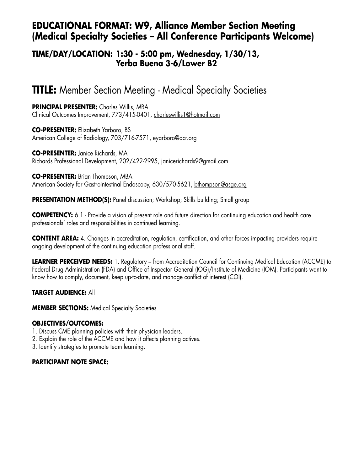## **EDUCATIONAL FORMAT: W9, Alliance Member Section Meeting (Medical Specialty Societies – All Conference Participants Welcome)**

### **TIME/DAY/LOCATION: 1:30 - 5:00 pm, Wednesday, 1/30/13, Yerba Buena 3-6/Lower B2**

# **TITLE:** Member Section Meeting - Medical Specialty Societies

**PRINCIPAL PRESENTER:** Charles Willis, MBA Clinical Outcomes Improvement, 773/415-0401, charleswillis1@hotmail.com

**CO-PRESENTER:** Elizabeth Yarboro, BS American College of Radiology, 703/716-7571, eyarboro@acr.org

**CO-PRESENTER:** Janice Richards, MA Richards Professional Development, 202/422-2995, janicerichards9@gmail.com

**CO-PRESENTER:** Brian Thompson, MBA American Society for Gastrointestinal Endoscopy, 630/570-5621, bthompson@asge.org

**PRESENTATION METHOD(S):** Panel discussion; Workshop; Skills building; Small group

**COMPETENCY:** 6.1 - Provide a vision of present role and future direction for continuing education and health care professionals' roles and responsibilities in continued learning.

**CONTENT AREA:** 4. Changes in accreditation, regulation, certification, and other forces impacting providers require ongoing development of the continuing education professional staff.

**LEARNER PERCEIVED NEEDS:** 1. Regulatory – from Accreditation Council for Continuing Medical Education (ACCME) to Federal Drug Administration (FDA) and Office of Inspector General (IOG)/Institute of Medicine (IOM). Participants want to know how to comply, document, keep up-to-date, and manage conflict of interest (COI).

### **TARGET AUDIENCE:** All

**MEMBER SECTIONS: Medical Specialty Societies** 

### **OBJECTIVES/OUTCOMES:**

- 1. Discuss CME planning policies with their physician leaders.
- 2. Explain the role of the ACCME and how it affects planning actives.
- 3. Identify strategies to promote team learning.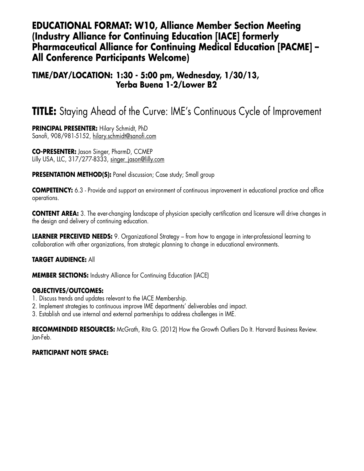## **EDUCATIONAL FORMAT: W10, Alliance Member Section Meeting (Industry Alliance for Continuing Education [IACE] formerly Pharmaceutical Alliance for Continuing Medical Education [PACME] – All Conference Participants Welcome)**

### **TIME/DAY/LOCATION: 1:30 - 5:00 pm, Wednesday, 1/30/13, Yerba Buena 1-2/Lower B2**

# **TITLE:** Staying Ahead of the Curve: IME's Continuous Cycle of Improvement

**PRINCIPAL PRESENTER:** Hilary Schmidt, PhD Sanofi, 908/981-5152, hilary.schmidt@sanofi.com

**CO-PRESENTER:** Jason Singer, PharmD, CCMEP Lilly USA, LLC, 317/277-8333, singer\_jason@lilly.com

**PRESENTATION METHOD(S):** Panel discussion; Case study; Small group

**COMPETENCY:** 6.3 - Provide and support an environment of continuous improvement in educational practice and office operations.

**CONTENT AREA:** 3. The ever-changing landscape of physician specialty certification and licensure will drive changes in the design and delivery of continuing education.

**LEARNER PERCEIVED NEEDS:** 9. Organizational Strategy – from how to engage in inter-professional learning to collaboration with other organizations, from strategic planning to change in educational environments.

### **TARGET AUDIENCE:** All

**MEMBER SECTIONS:** Industry Alliance for Continuing Education (IACE)

#### **OBJECTIVES/OUTCOMES:**

- 1. Discuss trends and updates relevant to the IACE Membership.
- 2. Implement strategies to continuous improve IME departments' deliverables and impact.
- 3. Establish and use internal and external partnerships to address challenges in IME.

**RECOMMENDED RESOURCES:** McGrath, Rita G. (2012) How the Growth Outliers Do It. Harvard Business Review. Jan-Feb.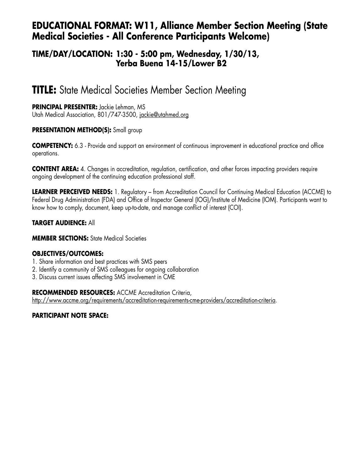## **EDUCATIONAL FORMAT: W11, Alliance Member Section Meeting (State Medical Societies - All Conference Participants Welcome)**

### **TIME/DAY/LOCATION: 1:30 - 5:00 pm, Wednesday, 1/30/13, Yerba Buena 14-15/Lower B2**

# **TITLE:** State Medical Societies Member Section Meeting

### **PRINCIPAL PRESENTER:** Jackie Lehman, MS

Utah Medical Association, 801/747-3500, jackie@utahmed.org

### **PRESENTATION METHOD(S):** Small group

**COMPETENCY:** 6.3 - Provide and support an environment of continuous improvement in educational practice and office operations.

**CONTENT AREA:** 4. Changes in accreditation, regulation, certification, and other forces impacting providers require ongoing development of the continuing education professional staff.

**LEARNER PERCEIVED NEEDS:** 1. Regulatory – from Accreditation Council for Continuing Medical Education (ACCME) to Federal Drug Administration (FDA) and Office of Inspector General (IOG)/Institute of Medicine (IOM). Participants want to know how to comply, document, keep up-to-date, and manage conflict of interest (COI).

### **TARGET AUDIENCE:** All

#### **MEMBER SECTIONS:** State Medical Societies

### **OBJECTIVES/OUTCOMES:**

- 1. Share information and best practices with SMS peers
- 2. Identify a community of SMS colleagues for ongoing collaboration
- 3. Discuss current issues affecting SMS involvement in CME

**RECOMMENDED RESOURCES:** ACCME Accreditation Criteria,

http://www.accme.org/requirements/accreditation-requirements-cme-providers/accreditation-criteria.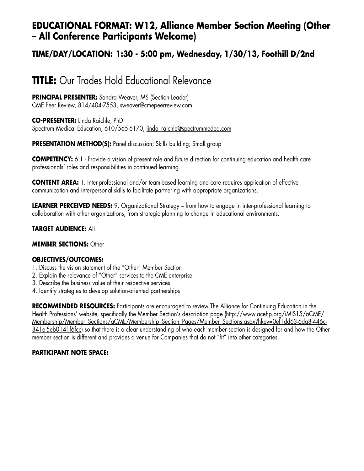## **EDUCATIONAL FORMAT: W12, Alliance Member Section Meeting (Other – All Conference Participants Welcome)**

## **TIME/DAY/LOCATION: 1:30 - 5:00 pm, Wednesday, 1/30/13, Foothill D/2nd**

# **TITLE:** Our Trades Hold Educational Relevance

**PRINCIPAL PRESENTER:** Sandra Weaver, MS (Section Leader) CME Peer Review, 814/404-7553, sweaver@cmepeerreview.com

**CO-PRESENTER:** Linda Raichle, PhD Spectrum Medical Education, 610/565-6170, linda\_raichle@spectrummeded.com

**PRESENTATION METHOD(S):** Panel discussion; Skills building; Small group

**COMPETENCY:** 6.1 - Provide a vision of present role and future direction for continuing education and health care professionals' roles and responsibilities in continued learning.

**CONTENT AREA:** 1. Inter-professional and/or team-based learning and care requires application of effective communication and interpersonal skills to facilitate partnering with appropriate organizations.

**LEARNER PERCEIVED NEEDS:** 9. Organizational Strategy – from how to engage in inter-professional learning to collaboration with other organizations, from strategic planning to change in educational environments.

#### **TARGET AUDIENCE:** All

#### **MEMBER SECTIONS:** Other

#### **OBJECTIVES/OUTCOMES:**

- 1. Discuss the vision statement of the "Other" Member Section
- 2. Explain the relevance of "Other" services to the CME enterprise
- 3. Describe the business value of their respective services
- 4. Identify strategies to develop solution-oriented partnerships

**RECOMMENDED RESOURCES:** Participants are encouraged to review The Alliance for Continuing Education in the Health Professions' website, specifically the Member Section's description page (http://www.acehp.org/iMIS15/aCME/ Membership/Member\_Sections/aCME/Membership\_Section\_Pages/Member\_Sections.aspx?hkey=0ef1dd63-6da8-446c-841e-5eb0141f6fcc) so that there is a clear understanding of who each member section is designed for and how the Other member section is different and provides a venue for Companies that do not "fit" into other categories.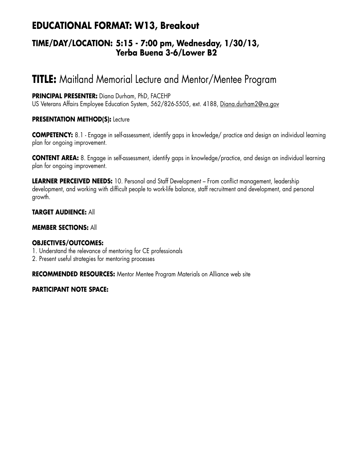## **EDUCATIONAL FORMAT: W13, Breakout**

### **TIME/DAY/LOCATION: 5:15 - 7:00 pm, Wednesday, 1/30/13, Yerba Buena 3-6/Lower B2**

# **TITLE:** Maitland Memorial Lecture and Mentor/Mentee Program

### **PRINCIPAL PRESENTER:** Diana Durham, PhD, FACEHP

US Veterans Affairs Employee Education System, 562/826-5505, ext. 4188, Diana.durham2@va.gov

### **PRESENTATION METHOD(S): Lecture**

**COMPETENCY:** 8.1 - Engage in self-assessment, identify gaps in knowledge/ practice and design an individual learning plan for ongoing improvement.

**CONTENT AREA:** 8. Engage in self-assessment, identify gaps in knowledge/practice, and design an individual learning plan for ongoing improvement.

**LEARNER PERCEIVED NEEDS:** 10. Personal and Staff Development – From conflict management, leadership development, and working with difficult people to work-life balance, staff recruitment and development, and personal growth.

### **TARGET AUDIENCE:** All

### **MEMBER SECTIONS:** All

### **OBJECTIVES/OUTCOMES:**

- 1. Understand the relevance of mentoring for CE professionals
- 2. Present useful strategies for mentoring processes

**RECOMMENDED RESOURCES:** Mentor Mentee Program Materials on Alliance web site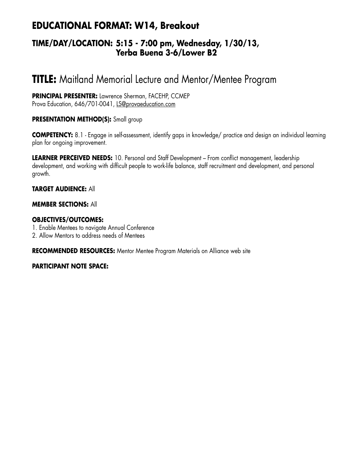# **EDUCATIONAL FORMAT: W14, Breakout**

### **TIME/DAY/LOCATION: 5:15 - 7:00 pm, Wednesday, 1/30/13, Yerba Buena 3-6/Lower B2**

# **TITLE:** Maitland Memorial Lecture and Mentor/Mentee Program

**PRINCIPAL PRESENTER:** Lawrence Sherman, FACEHP, CCMEP Prova Education, 646/701-0041, LS@provaeducation.com

### **PRESENTATION METHOD(S):** Small group

**COMPETENCY:** 8.1 - Engage in self-assessment, identify gaps in knowledge/ practice and design an individual learning plan for ongoing improvement.

**LEARNER PERCEIVED NEEDS:** 10. Personal and Staff Development – From conflict management, leadership development, and working with difficult people to work-life balance, staff recruitment and development, and personal growth.

### **TARGET AUDIENCE:** All

#### **MEMBER SECTIONS:** All

#### **OBJECTIVES/OUTCOMES:**

- 1. Enable Mentees to navigate Annual Conference
- 2. Allow Mentors to address needs of Mentees

**RECOMMENDED RESOURCES:** Mentor Mentee Program Materials on Alliance web site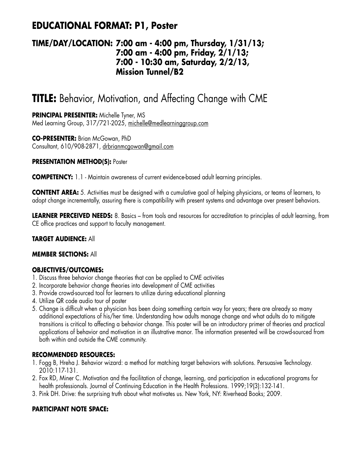# **EDUCATIONAL FORMAT: P1, Poster**

### **TIME/DAY/LOCATION: 7:00 am - 4:00 pm, Thursday, 1/31/13; 7:00 am - 4:00 pm, Friday, 2/1/13; 7:00 - 10:30 am, Saturday, 2/2/13, Mission Tunnel/B2**

# **TITLE:** Behavior, Motivation, and Affecting Change with CME

**PRINCIPAL PRESENTER:** Michelle Tyner, MS Med Learning Group, 317/721-2025, michelle@medlearninggroup.com

**CO-PRESENTER:** Brian McGowan, PhD Consultant, 610/908-2871, drbrianmcgowan@gmail.com

### **PRESENTATION METHOD(S): Poster**

**COMPETENCY:** 1.1 - Maintain awareness of current evidence-based adult learning principles.

**CONTENT AREA:** 5. Activities must be designed with a cumulative goal of helping physicians, or teams of learners, to adopt change incrementally, assuring there is compatibility with present systems and advantage over present behaviors.

LEARNER PERCEIVED NEEDS: 8. Basics – from tools and resources for accreditation to principles of adult learning, from CE office practices and support to faculty management.

#### **TARGET AUDIENCE:** All

#### **MEMBER SECTIONS:** All

### **OBJECTIVES/OUTCOMES:**

- 1. Discuss three behavior change theories that can be applied to CME activities
- 2. Incorporate behavior change theories into development of CME activities
- 3. Provide crowd-sourced tool for learners to utilize during educational planning
- 4. Utilize QR code audio tour of poster
- 5. Change is difficult when a physician has been doing something certain way for years; there are already so many additional expectations of his/her time. Understanding how adults manage change and what adults do to mitigate transitions is critical to affecting a behavior change. This poster will be an introductory primer of theories and practical applications of behavior and motivation in an illustrative manor. The information presented will be crowd-sourced from both within and outside the CME community.

### **RECOMMENDED RESOURCES:**

- 1. Fogg B, Hreha J. Behavior wizard: a method for matching target behaviors with solutions. Persuasive Technology. 2010:117-131.
- 2. Fox RD, Miner C. Motivation and the facilitation of change, learning, and participation in educational programs for health professionals. Journal of Continuing Education in the Health Professions. 1999;19(3):132-141.
- 3. Pink DH. Drive: the surprising truth about what motivates us. New York, NY: Riverhead Books; 2009.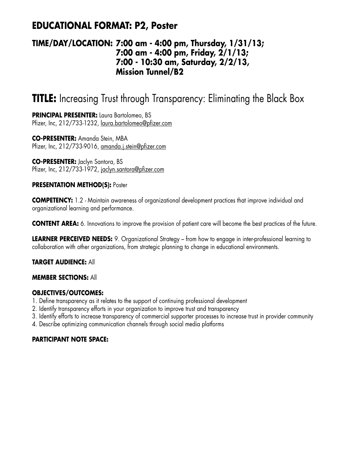## **EDUCATIONAL FORMAT: P2, Poster**

### **TIME/DAY/LOCATION: 7:00 am - 4:00 pm, Thursday, 1/31/13; 7:00 am - 4:00 pm, Friday, 2/1/13; 7:00 - 10:30 am, Saturday, 2/2/13, Mission Tunnel/B2**

# **TITLE:** Increasing Trust through Transparency: Eliminating the Black Box

**PRINCIPAL PRESENTER:** Laura Bartolomeo, BS Pfizer, Inc, 212/733-1232, laura.bartolomeo@pfizer.com

**CO-PRESENTER:** Amanda Stein, MBA Pfizer, Inc, 212/733-9016, amanda.j.stein@pfizer.com

**CO-PRESENTER:** Jaclyn Santora, BS Pfizer, Inc, 212/733-1972, jaclyn.santora@pfizer.com

#### **PRESENTATION METHOD(S):** Poster

**COMPETENCY:** 1.2 - Maintain awareness of organizational development practices that improve individual and organizational learning and performance.

**CONTENT AREA:** 6. Innovations to improve the provision of patient care will become the best practices of the future.

**LEARNER PERCEIVED NEEDS:** 9. Organizational Strategy – from how to engage in inter-professional learning to collaboration with other organizations, from strategic planning to change in educational environments.

### **TARGET AUDIENCE:** All

#### **MEMBER SECTIONS:** All

### **OBJECTIVES/OUTCOMES:**

- 1. Define transparency as it relates to the support of continuing professional development
- 2. Identify transparency efforts in your organization to improve trust and transparency
- 3. Identify efforts to increase transparency of commercial supporter processes to increase trust in provider community
- 4. Describe optimizing communication channels through social media platforms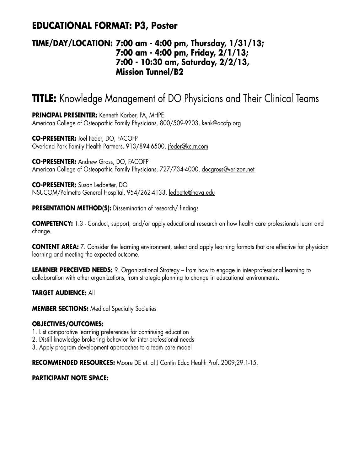## **EDUCATIONAL FORMAT: P3, Poster**

### **TIME/DAY/LOCATION: 7:00 am - 4:00 pm, Thursday, 1/31/13; 7:00 am - 4:00 pm, Friday, 2/1/13; 7:00 - 10:30 am, Saturday, 2/2/13, Mission Tunnel/B2**

# **TITLE:** Knowledge Management of DO Physicians and Their Clinical Teams

**PRINCIPAL PRESENTER:** Kenneth Korber, PA, MHPE American College of Osteopathic Family Physicians, 800/509-9203, kenk@acofp.org

**CO-PRESENTER:** Joel Feder, DO, FACOFP Overland Park Family Health Partners, 913/894-6500, jfeder@kc.rr.com

**CO-PRESENTER:** Andrew Gross, DO, FACOFP American College of Osteopathic Family Physicians, 727/734-4000, docgross@verizon.net

**CO-PRESENTER:** Susan Ledbetter, DO NSUCOM/Palmetto General Hospital, 954/262-4133, ledbette@nova.edu

**PRESENTATION METHOD(S):** Dissemination of research/ findings

**COMPETENCY:** 1.3 - Conduct, support, and/or apply educational research on how health care professionals learn and change.

**CONTENT AREA:** 7. Consider the learning environment, select and apply learning formats that are effective for physician learning and meeting the expected outcome.

**LEARNER PERCEIVED NEEDS:** 9. Organizational Strategy – from how to engage in inter-professional learning to collaboration with other organizations, from strategic planning to change in educational environments.

**TARGET AUDIENCE:** All

**MEMBER SECTIONS:** Medical Specialty Societies

### **OBJECTIVES/OUTCOMES:**

- 1. List comparative learning preferences for continuing education
- 2. Distill knowledge brokering behavior for inter-professional needs
- 3. Apply program development approaches to a team care model

**RECOMMENDED RESOURCES:** Moore DE et. al J Contin Educ Health Prof. 2009;29:1-15.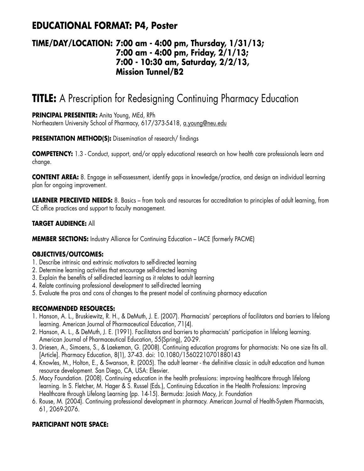## **EDUCATIONAL FORMAT: P4, Poster**

### **TIME/DAY/LOCATION: 7:00 am - 4:00 pm, Thursday, 1/31/13; 7:00 am - 4:00 pm, Friday, 2/1/13; 7:00 - 10:30 am, Saturday, 2/2/13, Mission Tunnel/B2**

# **TITLE:** A Prescription for Redesigning Continuing Pharmacy Education

### **PRINCIPAL PRESENTER:** Anita Young, MEd, RPh

Northeastern University School of Pharmacy, 617/373-5418, a.young@neu.edu

### **PRESENTATION METHOD(S):** Dissemination of research/ findings

**COMPETENCY:** 1.3 - Conduct, support, and/or apply educational research on how health care professionals learn and change.

**CONTENT AREA:** 8. Engage in self-assessment, identify gaps in knowledge/practice, and design an individual learning plan for ongoing improvement.

**LEARNER PERCEIVED NEEDS:** 8. Basics – from tools and resources for accreditation to principles of adult learning, from CE office practices and support to faculty management.

### **TARGET AUDIENCE:** All

**MEMBER SECTIONS:** Industry Alliance for Continuing Education – IACE (formerly PACME)

### **OBJECTIVES/OUTCOMES:**

- 1. Describe intrinsic and extrinsic motivators to self-directed learning
- 2. Determine learning activities that encourage self-directed learning
- 3. Explain the benefits of self-directed learning as it relates to adult learning
- 4. Relate continuing professional development to self-directed learning
- 5. Evaluate the pros and cons of changes to the present model of continuing pharmacy education

### **RECOMMENDED RESOURCES:**

- 1. Hanson, A. L., Bruskiewitz, R. H., & DeMuth, J. E. (2007). Pharmacists' perceptions of facilitators and barriers to lifelong learning. American Journal of Pharmaceutical Education, 71(4).
- 2. Hanson, A. L., & DeMuth, J. E. (1991). Facilitators and barriers to pharmacists' participation in lifelong learning. American Journal of Pharmaceutical Education, 55(Spring), 20-29.
- 3. Driesen, A., Simoens, S., & Laekeman, G. (2008). Continuing education programs for pharmacists: No one size fits all. [Article]. Pharmacy Education, 8(1), 37-43. doi: 10.1080/15602210701880143
- 4. Knowles, M., Holton, E., & Swanson, R. (2005). The adult learner the definitive classic in adult education and human resource development. San Diego, CA, USA: Elesvier.
- 5. Macy Foundation. (2008). Continuing education in the health professions: improving healthcare through lifelong learning. In S. Fletcher, M. Hager & S. Russel (Eds.), Continuing Education in the Health Professions: Improving Healthcare through Lifelong Learning (pp. 14-15). Bermuda: Josiah Macy, Jr. Foundation
- 6. Rouse, M. (2004). Continuing professional development in pharmacy. American Journal of Health-System Pharmacists, 61, 2069-2076.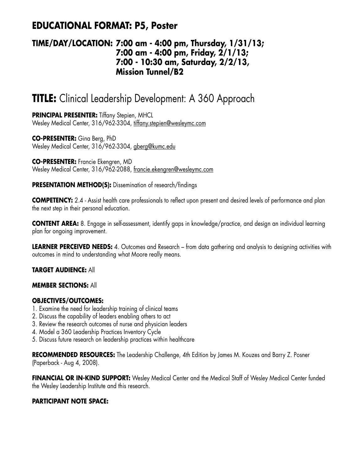## **EDUCATIONAL FORMAT: P5, Poster**

### **TIME/DAY/LOCATION: 7:00 am - 4:00 pm, Thursday, 1/31/13; 7:00 am - 4:00 pm, Friday, 2/1/13; 7:00 - 10:30 am, Saturday, 2/2/13, Mission Tunnel/B2**

# **TITLE:** Clinical Leadership Development: A 360 Approach

**PRINCIPAL PRESENTER:** Tiffany Stepien, MHCL Wesley Medical Center, 316/962-3304, tiffany.stepien@wesleymc.com

**CO-PRESENTER:** Gina Berg, PhD Wesley Medical Center, 316/962-3304, gberg@kumc.edu

**CO-PRESENTER:** Francie Ekengren, MD Wesley Medical Center, 316/962-2088, francie.ekengren@wesleymc.com

**PRESENTATION METHOD(S):** Dissemination of research/findings

**COMPETENCY:** 2.4 - Assist health care professionals to reflect upon present and desired levels of performance and plan the next step in their personal education.

**CONTENT AREA:** 8. Engage in self-assessment, identify gaps in knowledge/practice, and design an individual learning plan for ongoing improvement.

**LEARNER PERCEIVED NEEDS:** 4. Outcomes and Research – from data gathering and analysis to designing activities with outcomes in mind to understanding what Moore really means.

### **TARGET AUDIENCE:** All

### **MEMBER SECTIONS:** All

### **OBJECTIVES/OUTCOMES:**

- 1. Examine the need for leadership training of clinical teams
- 2. Discuss the capability of leaders enabling others to act
- 3. Review the research outcomes of nurse and physician leaders
- 4. Model a 360 Leadership Practices Inventory Cycle
- 5. Discuss future research on leadership practices within healthcare

**RECOMMENDED RESOURCES:** The Leadership Challenge, 4th Edition by James M. Kouzes and Barry Z. Posner (Paperback - Aug 4, 2008).

**FINANCIAL OR IN-KIND SUPPORT:** Wesley Medical Center and the Medical Staff of Wesley Medical Center funded the Wesley Leadership Institute and this research.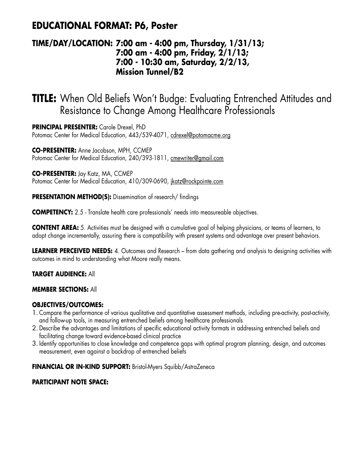## **EDUCATIONAL FORMAT: P6, Poster**

### **TIME/DAY/LOCATION: 7:00 am - 4:00 pm, Thursday, 1/31/13; 7:00 am - 4:00 pm, Friday, 2/1/13; 7:00 - 10:30 am, Saturday, 2/2/13, Mission Tunnel/B2**

# **TITLE:** When Old Beliefs Won't Budge: Evaluating Entrenched Attitudes and Resistance to Change Among Healthcare Professionals

**PRINCIPAL PRESENTER:** Carole Drexel, PhD Potomac Center for Medical Education, 443/539-4071, cdrexel@potomacme.org

**CO-PRESENTER:** Anne Jacobson, MPH, CCMEP Potomac Center for Medical Education, 240/393-1811, cmewriter@gmail.com

**CO-PRESENTER:** Jay Katz, MA, CCMEP Potomac Center for Medical Education, 410/309-0690, jkatz@rockpointe.com

**PRESENTATION METHOD(S):** Dissemination of research/ findings

**COMPETENCY:** 2.5 - Translate health care professionals' needs into measureable objectives.

**CONTENT AREA:** 5. Activities must be designed with a cumulative goal of helping physicians, or teams of learners, to adopt change incrementally, assuring there is compatibility with present systems and advantage over present behaviors.

**LEARNER PERCEIVED NEEDS:** 4. Outcomes and Research – from data gathering and analysis to designing activities with outcomes in mind to understanding what Moore really means.

### **TARGET AUDIENCE:** All

### **MEMBER SECTIONS:** All

### **OBJECTIVES/OUTCOMES:**

- 1. Compare the performance of various qualitative and quantitative assessment methods, including pre-activity, post-activity, and follow-up tools, in measuring entrenched beliefs among healthcare professionals
- 2. Describe the advantages and limitations of specific educational activity formats in addressing entrenched beliefs and facilitating change toward evidence-based clinical practice
- 3. Identify opportunities to close knowledge and competence gaps with optimal program planning, design, and outcomes measurement, even against a backdrop of entrenched beliefs

### **FINANCIAL OR IN-KIND SUPPORT:** Bristol-Myers Squibb/AstraZeneca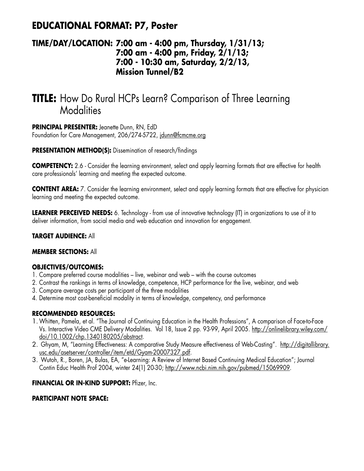## **EDUCATIONAL FORMAT: P7, Poster**

### **TIME/DAY/LOCATION: 7:00 am - 4:00 pm, Thursday, 1/31/13; 7:00 am - 4:00 pm, Friday, 2/1/13; 7:00 - 10:30 am, Saturday, 2/2/13, Mission Tunnel/B2**

# **TITLE:** How Do Rural HCPs Learn? Comparison of Three Learning **Modalities**

**PRINCIPAL PRESENTER:** Jeanette Dunn, RN, EdD Foundation for Care Management, 206/274-5722, jdunn@fcmcme.org

**PRESENTATION METHOD(S):** Dissemination of research/findings

**COMPETENCY:** 2.6 - Consider the learning environment, select and apply learning formats that are effective for health care professionals' learning and meeting the expected outcome.

**CONTENT AREA:** 7. Consider the learning environment, select and apply learning formats that are effective for physician learning and meeting the expected outcome.

**LEARNER PERCEIVED NEEDS:** 6. Technology - from use of innovative technology (IT) in organizations to use of it to deliver information, from social media and web education and innovation for engagement.

### **TARGET AUDIENCE:** All

### **MEMBER SECTIONS:** All

### **OBJECTIVES/OUTCOMES:**

- 1. Compare preferred course modalities live, webinar and web with the course outcomes
- 2. Contrast the rankings in terms of knowledge, competence, HCP performance for the live, webinar, and web
- 3. Compare average costs per participant of the three modalities
- 4. Determine most cost-beneficial modality in terms of knowledge, competency, and performance

### **RECOMMENDED RESOURCES:**

- 1.Whitten, Pamela, et al. "The Journal of Continuing Education in the Health Professions", A comparison of Face-to-Face Vs. Interactive Video CME Delivery Modalities. Vol 18, Issue 2 pp. 93-99, April 2005. http://onlinelibrary.wiley.com/ doi/10.1002/chp.1340180205/abstract.
- 2. Ghyam, M, "Learning Effectiveness: A comparative Study Measure effectiveness of Web-Casting". http://digitallibrary. usc.edu/asetserver/controller/item/etd/Gyam-20007327.pdf.
- 3. Wutoh, R., Boren, JA, Bulas, EA, "e-Learning: A Review of Internet Based Continuing Medical Education"; Journal Contin Educ Health Prof 2004, winter 24(1) 20-30; http://www.ncbi.nim.nih.gov/pubmed/15069909.

### **FINANCIAL OR IN-KIND SUPPORT:** Pfizer, Inc.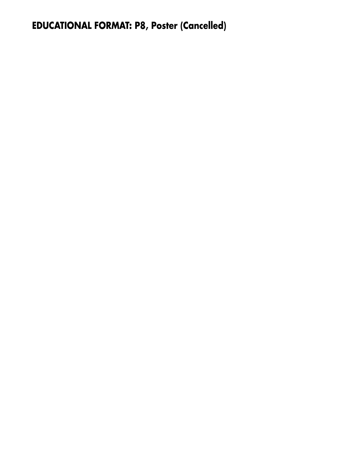# **EDUCATIONAL FORMAT: P8, Poster (Cancelled)**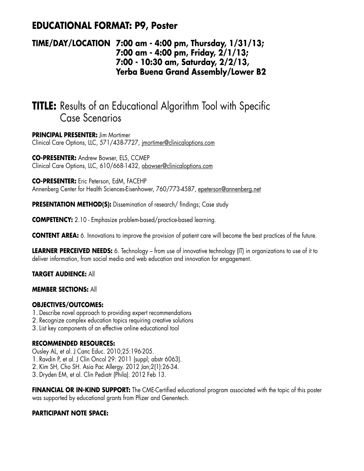## **EDUCATIONAL FORMAT: P9, Poster**

### **TIME/DAY/LOCATION 7:00 am - 4:00 pm, Thursday, 1/31/13; 7:00 am - 4:00 pm, Friday, 2/1/13; 7:00 - 10:30 am, Saturday, 2/2/13, Yerba Buena Grand Assembly/Lower B2**

# **TITLE:** Results of an Educational Algorithm Tool with Specific Case Scenarios

**PRINCIPAL PRESENTER:** Jim Mortimer Clinical Care Options, LLC, 571/438-7727, jmortimer@clinicaloptions.com

**CO-PRESENTER:** Andrew Bowser, ELS, CCMEP Clinical Care Options, LLC, 610/668-1432, abowser@clinicaloptions.com

**CO-PRESENTER:** Eric Peterson, EdM, FACEHP Annenberg Center for Health Sciences-Eisenhower, 760/773-4587, epeterson@annenberg.net

**PRESENTATION METHOD(S):** Dissemination of research/findings; Case study

**COMPETENCY:** 2.10 - Emphasize problem-based/practice-based learning.

**CONTENT AREA:** 6. Innovations to improve the provision of patient care will become the best practices of the future.

**LEARNER PERCEIVED NEEDS:** 6. Technology – from use of innovative technology (IT) in organizations to use of it to deliver information, from social media and web education and innovation for engagement.

**TARGET AUDIENCE:** All

### **MEMBER SECTIONS:** All

### **OBJECTIVES/OUTCOMES:**

- 1. Describe novel approach to providing expert recommendations
- 2. Recognize complex education topics requiring creative solutions
- 3.List key components of an effective online educational tool

### **RECOMMENDED RESOURCES:**

- Ousley AL, et al. J Canc Educ. 2010;25:196-205.
- 1. Ravdin P, et al. J Clin Oncol 29: 2011 (suppl; abstr 6063).
- 2. Kim SH, Cho SH. Asia Pac Allergy. 2012 Jan;2(1):26-34.
- 3. Dryden EM, et al. Clin Pediatr (Phila). 2012 Feb 13.

**FINANCIAL OR IN-KIND SUPPORT:** The CME-Certified educational program associated with the topic of this poster was supported by educational grants from Pfizer and Genentech.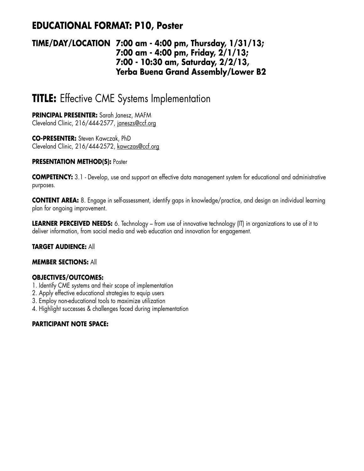## **EDUCATIONAL FORMAT: P10, Poster**

### **TIME/DAY/LOCATION 7:00 am - 4:00 pm, Thursday, 1/31/13; 7:00 am - 4:00 pm, Friday, 2/1/13; 7:00 - 10:30 am, Saturday, 2/2/13, Yerba Buena Grand Assembly/Lower B2**

# **TITLE:** Effective CME Systems Implementation

**PRINCIPAL PRESENTER:** Sarah Janesz, MAFM Cleveland Clinic, 216/444-2577, janeszs@ccf.org

**CO-PRESENTER:** Steven Kawczak, PhD Cleveland Clinic, 216/444-2572, kawczas@ccf.org

#### **PRESENTATION METHOD(S): Poster**

**COMPETENCY:** 3.1 - Develop, use and support an effective data management system for educational and administrative purposes.

**CONTENT AREA:** 8. Engage in self-assessment, identify gaps in knowledge/practice, and design an individual learning plan for ongoing improvement.

**LEARNER PERCEIVED NEEDS:** 6. Technology – from use of innovative technology (IT) in organizations to use of it to deliver information, from social media and web education and innovation for engagement.

### **TARGET AUDIENCE:** All

#### **MEMBER SECTIONS:** All

### **OBJECTIVES/OUTCOMES:**

- 1. Identify CME systems and their scope of implementation
- 2. Apply effective educational strategies to equip users
- 3. Employ non-educational tools to maximize utilization
- 4. Highlight successes & challenges faced during implementation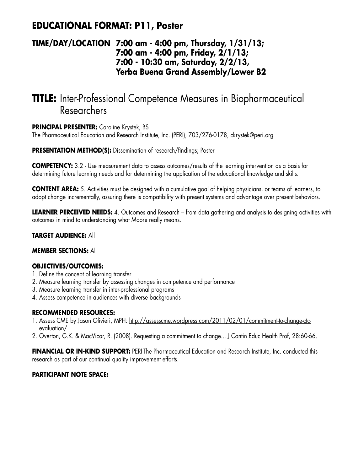## **EDUCATIONAL FORMAT: P11, Poster**

### **TIME/DAY/LOCATION 7:00 am - 4:00 pm, Thursday, 1/31/13; 7:00 am - 4:00 pm, Friday, 2/1/13; 7:00 - 10:30 am, Saturday, 2/2/13, Yerba Buena Grand Assembly/Lower B2**

# **TITLE:** Inter-Professional Competence Measures in Biopharmaceutical Researchers

### **PRINCIPAL PRESENTER:** Caroline Krystek, BS

The Pharmaceutical Education and Research Institute, Inc. (PERI), 703/276-0178, ckrystek@peri.org

**PRESENTATION METHOD(S):** Dissemination of research/findings; Poster

**COMPETENCY:** 3.2 - Use measurement data to assess outcomes/results of the learning intervention as a basis for determining future learning needs and for determining the application of the educational knowledge and skills.

**CONTENT AREA:** 5. Activities must be designed with a cumulative goal of helping physicians, or teams of learners, to adopt change incrementally, assuring there is compatibility with present systems and advantage over present behaviors.

**LEARNER PERCEIVED NEEDS:** 4. Outcomes and Research – from data gathering and analysis to designing activities with outcomes in mind to understanding what Moore really means.

### **TARGET AUDIENCE:** All

### **MEMBER SECTIONS:** All

### **OBJECTIVES/OUTCOMES:**

- 1. Define the concept of learning transfer
- 2. Measure learning transfer by assessing changes in competence and performance
- 3. Measure learning transfer in inter-professional programs
- 4. Assess competence in audiences with diverse backgrounds

### **RECOMMENDED RESOURCES:**

- 1. Assess CME by Jason Olivieri, MPH: http://assesscme.wordpress.com/2011/02/01/commitment-to-change-ctcevaluation/.
- 2. Overton, G.K. & MacVicar, R. (2008). Requesting a commitment to change... J Contin Educ Health Prof, 28:60-66.

**FINANCIAL OR IN-KIND SUPPORT:** PERI-The Pharmaceutical Education and Research Institute, Inc. conducted this research as part of our continual quality improvement efforts.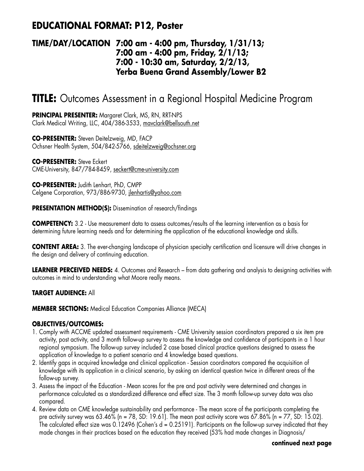## **EDUCATIONAL FORMAT: P12, Poster**

### **TIME/DAY/LOCATION 7:00 am - 4:00 pm, Thursday, 1/31/13; 7:00 am - 4:00 pm, Friday, 2/1/13; 7:00 - 10:30 am, Saturday, 2/2/13, Yerba Buena Grand Assembly/Lower B2**

# **TITLE:** Outcomes Assessment in a Regional Hospital Medicine Program

**PRINCIPAL PRESENTER:** Margaret Clark, MS, RN, RRT-NPS Clark Medical Writing, LLC, 404/386-3533, mavclark@bellsouth.net

**CO-PRESENTER:** Steven Deitelzweig, MD, FACP Ochsner Health System, 504/842-5766, sdeitelzweig@ochsner.org

**CO-PRESENTER:** Steve Eckert CME-University, 847/784-8459, seckert@cme-university.com

**CO-PRESENTER:** Judith Lenhart, PhD, CMPP Celgene Corporation, 973/886-9730, jlenhartis@yahoo.com

**PRESENTATION METHOD(S):** Dissemination of research/findings

**COMPETENCY:** 3.2 - Use measurement data to assess outcomes/results of the learning intervention as a basis for determining future learning needs and for determining the application of the educational knowledge and skills.

**CONTENT AREA:** 3. The ever-changing landscape of physician specialty certification and licensure will drive changes in the design and delivery of continuing education.

**LEARNER PERCEIVED NEEDS:** 4. Outcomes and Research – from data gathering and analysis to designing activities with outcomes in mind to understanding what Moore really means.

### **TARGET AUDIENCE:** All

**MEMBER SECTIONS:** Medical Education Companies Alliance (MECA)

### **OBJECTIVES/OUTCOMES:**

- 1. Comply with ACCME updated assessment requirements CME University session coordinators prepared a six item pre activity, post activity, and 3 month follow-up survey to assess the knowledge and confidence of participants in a 1 hour regional symposium. The follow-up survey included 2 case based clinical practice questions designed to assess the application of knowledge to a patient scenario and 4 knowledge based questions.
- 2. Identify gaps in acquired knowledge and clinical application Session coordinators compared the acquisition of knowledge with its application in a clinical scenario, by asking an identical question twice in different areas of the follow-up survey.
- 3. Assess the impact of the Education Mean scores for the pre and post activity were determined and changes in performance calculated as a standardized difference and effect size. The 3 month follow-up survey data was also compared.
- 4. Review data on CME knowledge sustainability and performance The mean score of the participants completing the pre activity survey was  $63.46\%$  (n = 78, SD: 19.61). The mean post activity score was  $67.86\%$  (n = 77, SD: 15.02). The calculated effect size was 0.12496 (Cohen's  $d = 0.25191$ ). Participants on the follow-up survey indicated that they made changes in their practices based on the education they received (53% had made changes in Diagnosis/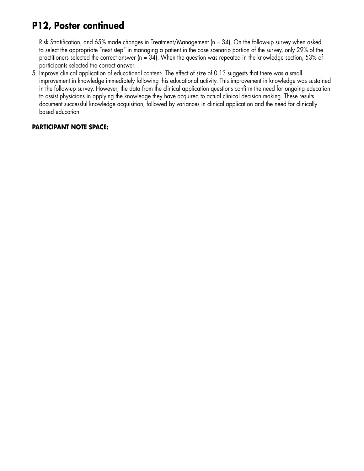# **P12, Poster continued**

Risk Stratification, and 65% made changes in Treatment/Management (n = 34). On the follow-up survey when asked to select the appropriate "next step" in managing a patient in the case scenario portion of the survey, only 29% of the practitioners selected the correct answer (n = 34). When the question was repeated in the knowledge section, 53% of participants selected the correct answer.

5. Improve clinical application of educational content-. The effect of size of 0.13 suggests that there was a small improvement in knowledge immediately following this educational activity. This improvement in knowledge was sustained in the follow-up survey. However, the data from the clinical application questions confirm the need for ongoing education to assist physicians in applying the knowledge they have acquired to actual clinical decision making. These results document successful knowledge acquisition, followed by variances in clinical application and the need for clinically based education.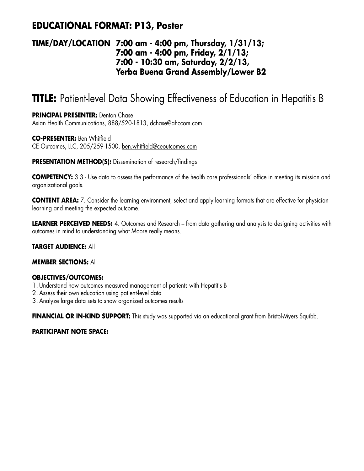## **EDUCATIONAL FORMAT: P13, Poster**

### **TIME/DAY/LOCATION 7:00 am - 4:00 pm, Thursday, 1/31/13; 7:00 am - 4:00 pm, Friday, 2/1/13; 7:00 - 10:30 am, Saturday, 2/2/13, Yerba Buena Grand Assembly/Lower B2**

# **TITLE:** Patient-level Data Showing Effectiveness of Education in Hepatitis B

#### **PRINCIPAL PRESENTER:** Denton Chase

Asian Health Communications, 888/520-1813, dchase@ahccom.com

#### **CO-PRESENTER:** Ben Whitfield CE Outcomes, LLC, 205/259-1500, ben.whitfield@ceoutcomes.com

**PRESENTATION METHOD(S):** Dissemination of research/findings

**COMPETENCY:** 3.3 - Use data to assess the performance of the health care professionals' office in meeting its mission and organizational goals.

**CONTENT AREA:** 7. Consider the learning environment, select and apply learning formats that are effective for physician learning and meeting the expected outcome.

**LEARNER PERCEIVED NEEDS:** 4. Outcomes and Research – from data gathering and analysis to designing activities with outcomes in mind to understanding what Moore really means.

#### **TARGET AUDIENCE:** All

#### **MEMBER SECTIONS:** All

### **OBJECTIVES/OUTCOMES:**

- 1. Understand how outcomes measured management of patients with Hepatitis B
- 2. Assess their own education using patient-level data
- 3. Analyze large data sets to show organized outcomes results

**FINANCIAL OR IN-KIND SUPPORT:** This study was supported via an educational grant from Bristol-Myers Squibb.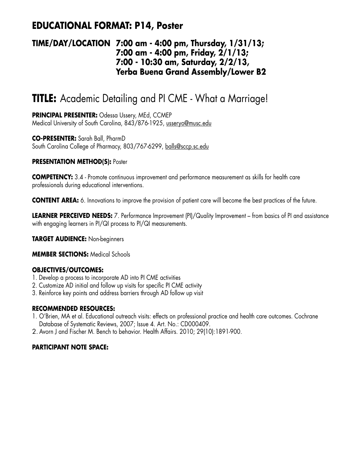## **EDUCATIONAL FORMAT: P14, Poster**

### **TIME/DAY/LOCATION 7:00 am - 4:00 pm, Thursday, 1/31/13; 7:00 am - 4:00 pm, Friday, 2/1/13; 7:00 - 10:30 am, Saturday, 2/2/13, Yerba Buena Grand Assembly/Lower B2**

# **TITLE:** Academic Detailing and PI CME - What a Marriage!

**PRINCIPAL PRESENTER:** Odessa Ussery, MEd, CCMEP Medical University of South Carolina, 843/876-1925, usseryo@musc.edu

**CO-PRESENTER:** Sarah Ball, PharmD South Carolina College of Pharmacy, 803/767-6299, balls@sccp.sc.edu

### **PRESENTATION METHOD(S):** Poster

**COMPETENCY:** 3.4 - Promote continuous improvement and performance measurement as skills for health care professionals during educational interventions.

**CONTENT AREA:** 6. Innovations to improve the provision of patient care will become the best practices of the future.

**LEARNER PERCEIVED NEEDS:** 7. Performance Improvement (PI)/Quality Improvement – from basics of PI and assistance with engaging learners in PI/QI process to PI/QI measurements.

**TARGET AUDIENCE:** Non-beginners

#### **MEMBER SECTIONS:** Medical Schools

### **OBJECTIVES/OUTCOMES:**

- 1. Develop a process to incorporate AD into PI CME activities
- 2. Customize AD initial and follow up visits for specific PI CME activity
- 3. Reinforce key points and address barriers through AD follow up visit

### **RECOMMENDED RESOURCES:**

- 1. O'Brien, MA et al. Educational outreach visits: effects on professional practice and health care outcomes. Cochrane Database of Systematic Reviews, 2007; Issue 4. Art. No.: CD000409.
- 2. Avorn J and Fischer M. Bench to behavior. Health Affairs. 2010; 29(10):1891-900.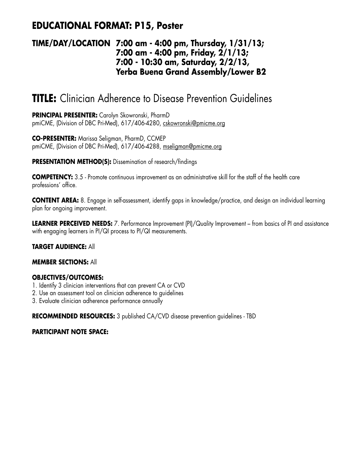## **EDUCATIONAL FORMAT: P15, Poster**

### **TIME/DAY/LOCATION 7:00 am - 4:00 pm, Thursday, 1/31/13; 7:00 am - 4:00 pm, Friday, 2/1/13; 7:00 - 10:30 am, Saturday, 2/2/13, Yerba Buena Grand Assembly/Lower B2**

# **TITLE:** Clinician Adherence to Disease Prevention Guidelines

**PRINCIPAL PRESENTER:** Carolyn Skowronski, PharmD pmiCME, (Division of DBC Pri-Med), 617/406-4280, cskowronski@pmicme.org

**CO-PRESENTER:** Marissa Seligman, PharmD, CCMEP pmiCME, (Division of DBC Pri-Med), 617/406-4288, mseligman@pmicme.org

**PRESENTATION METHOD(S):** Dissemination of research/findings

**COMPETENCY:** 3.5 - Promote continuous improvement as an administrative skill for the staff of the health care professions' office.

**CONTENT AREA:** 8. Engage in self-assessment, identify gaps in knowledge/practice, and design an individual learning plan for ongoing improvement.

**LEARNER PERCEIVED NEEDS:** 7. Performance Improvement (PI)/Quality Improvement – from basics of PI and assistance with engaging learners in PI/QI process to PI/QI measurements.

**TARGET AUDIENCE:** All

#### **MEMBER SECTIONS:** All

### **OBJECTIVES/OUTCOMES:**

- 1. Identify 3 clinician interventions that can prevent CA or CVD
- 2. Use an assessment tool on clinician adherence to guidelines
- 3. Evaluate clinician adherence performance annually

**RECOMMENDED RESOURCES:** 3 published CA/CVD disease prevention guidelines - TBD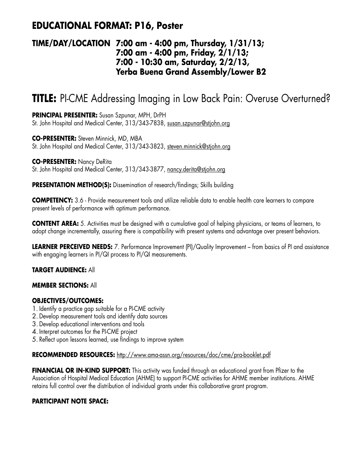## **EDUCATIONAL FORMAT: P16, Poster**

### **TIME/DAY/LOCATION 7:00 am - 4:00 pm, Thursday, 1/31/13; 7:00 am - 4:00 pm, Friday, 2/1/13; 7:00 - 10:30 am, Saturday, 2/2/13, Yerba Buena Grand Assembly/Lower B2**

# **TITLE:** PI-CME Addressing Imaging in Low Back Pain: Overuse Overturned?

**PRINCIPAL PRESENTER:** Susan Szpunar, MPH, DrPH St. John Hospital and Medical Center, 313/343-7838, susan.szpunar@stjohn.org

**CO-PRESENTER:** Steven Minnick, MD, MBA St. John Hospital and Medical Center, 313/343-3823, steven.minnick@stjohn.org

**CO-PRESENTER:** Nancy DeRita St. John Hospital and Medical Center, 313/343-3877, nancy.derita@stjohn.org

**PRESENTATION METHOD(S):** Dissemination of research/findings; Skills building

**COMPETENCY:** 3.6 - Provide measurement tools and utilize reliable data to enable health care learners to compare present levels of performance with optimum performance.

**CONTENT AREA:** 5. Activities must be designed with a cumulative goal of helping physicians, or teams of learners, to adopt change incrementally, assuring there is compatibility with present systems and advantage over present behaviors.

**LEARNER PERCEIVED NEEDS:** 7. Performance Improvement (PI)/Quality Improvement – from basics of PI and assistance with engaging learners in PI/QI process to PI/QI measurements.

### **TARGET AUDIENCE:** All

#### **MEMBER SECTIONS:** All

### **OBJECTIVES/OUTCOMES:**

- 1. Identify a practice gap suitable for a PI-CME activity
- 2. Develop measurement tools and identify data sources
- 3. Develop educational interventions and tools
- 4. Interpret outcomes for the PI-CME project
- 5. Reflect upon lessons learned, use findings to improve system

#### **RECOMMENDED RESOURCES:** http://www.ama-assn.org/resources/doc/cme/pra-booklet.pdf

**FINANCIAL OR IN-KIND SUPPORT:** This activity was funded through an educational grant from Pfizer to the Association of Hospital Medical Education (AHME) to support PI-CME activities for AHME member institutions. AHME retains full control over the distribution of individual grants under this collaborative grant program.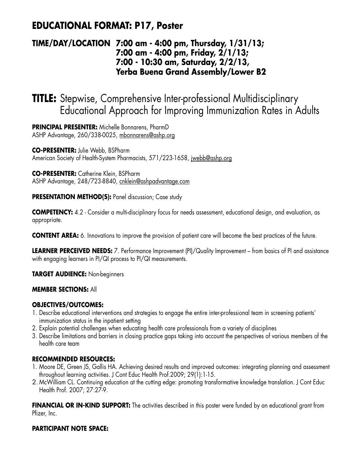## **EDUCATIONAL FORMAT: P17, Poster**

### **TIME/DAY/LOCATION 7:00 am - 4:00 pm, Thursday, 1/31/13; 7:00 am - 4:00 pm, Friday, 2/1/13; 7:00 - 10:30 am, Saturday, 2/2/13, Yerba Buena Grand Assembly/Lower B2**

# **TITLE:** Stepwise, Comprehensive Inter-professional Multidisciplinary Educational Approach for Improving Immunization Rates in Adults

**PRINCIPAL PRESENTER:** Michelle Bonnarens, PharmD ASHP Advantage, 260/338-0025, mbonnarens@ashp.org

**CO-PRESENTER:** Julie Webb, BSPharm American Society of Health-System Pharmacists, 571/223-1658, jwebb@ashp.org

**CO-PRESENTER:** Catherine Klein, BSPharm ASHP Advantage, 248/723-8840, cnklein@ashpadvantage.com

**PRESENTATION METHOD(S):** Panel discussion; Case study

**COMPETENCY:** 4.2 - Consider a multi-disciplinary focus for needs assessment, educational design, and evaluation, as appropriate.

**CONTENT AREA:** 6. Innovations to improve the provision of patient care will become the best practices of the future.

**LEARNER PERCEIVED NEEDS:** 7. Performance Improvement (PI)/Quality Improvement – from basics of PI and assistance with engaging learners in PI/QI process to PI/QI measurements.

**TARGET AUDIENCE:** Non-beginners

### **MEMBER SECTIONS:** All

### **OBJECTIVES/OUTCOMES:**

- 1. Describe educational interventions and strategies to engage the entire inter-professional team in screening patients' immunization status in the inpatient setting
- 2. Explain potential challenges when educating health care professionals from a variety of disciplines
- 3. Describe limitations and barriers in closing practice gaps taking into account the perspectives of various members of the health care team

### **RECOMMENDED RESOURCES:**

- 1. Moore DE, Green JS, Gallis HA. Achieving desired results and improved outcomes: integrating planning and assessment throughout learning activities. J Cont Educ Health Prof.2009; 29(1):1-15.
- 2. McWilliam CL. Continuing education at the cutting edge: promoting transformative knowledge translation. J Cont Educ Health Prof. 2007; 27:27-9.

**FINANCIAL OR IN-KIND SUPPORT:** The activities described in this poster were funded by an educational grant from Pfizer, Inc.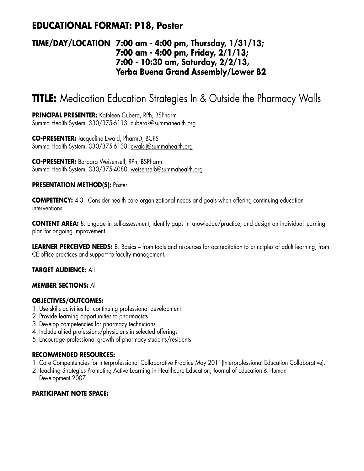## **EDUCATIONAL FORMAT: P18, Poster**

### **TIME/DAY/LOCATION 7:00 am - 4:00 pm, Thursday, 1/31/13; 7:00 am - 4:00 pm, Friday, 2/1/13; 7:00 - 10:30 am, Saturday, 2/2/13, Yerba Buena Grand Assembly/Lower B2**

# **TITLE:** Medication Education Strategies In & Outside the Pharmacy Walls

**PRINCIPAL PRESENTER:** Kathleen Cubera, RPh, BSPharm Summa Health System, 330/375-6113, cuberak@summahealth.org

**CO-PRESENTER:** Jacqueline Ewald, PharmD, BCPS Summa Health System, 330/375-6138, ewaldj@summahealth.org

**CO-PRESENTER:** Barbara Weisensell, RPh, BSPharm Summa Health System, 330/375-4080, weisenselb@summahealth.org

#### **PRESENTATION METHOD(S): Poster**

**COMPETENCY:** 4.3 - Consider health care organizational needs and goals when offering continuing education interventions.

**CONTENT AREA:** 8. Engage in self-assessment, identify gaps in knowledge/practice, and design an individual learning plan for ongoing improvement.

**LEARNER PERCEIVED NEEDS:** 8. Basics – from tools and resources for accreditation to principles of adult learning, from CE office practices and support to faculty management.

### **TARGET AUDIENCE:** All

#### **MEMBER SECTIONS:** All

### **OBJECTIVES/OUTCOMES:**

- 1. Use skills activities for continuing professional development
- 2. Provide learning opportunities to pharmacists
- 3. Develop competencies for pharmacy technicians
- 4. Include allied professions/physicians in selected offerings
- 5. Encourage professional growth of pharmacy students/residents

#### **RECOMMENDED RESOURCES:**

- 1. Core Compentencies for Interprofessional Collaborative Practice May 2011(Interprofessional Education Collaborative).
- 2. Teaching Strategies Promoting Active Learning in Healthcare Education, Journal of Education & Human Development 2007.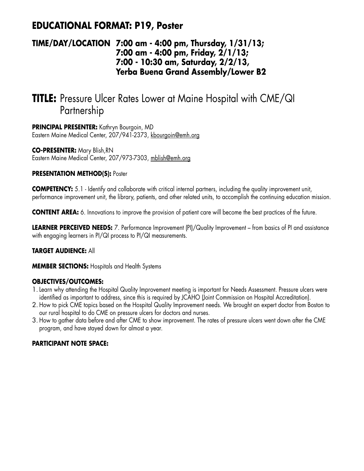## **EDUCATIONAL FORMAT: P19, Poster**

### **TIME/DAY/LOCATION 7:00 am - 4:00 pm, Thursday, 1/31/13; 7:00 am - 4:00 pm, Friday, 2/1/13; 7:00 - 10:30 am, Saturday, 2/2/13, Yerba Buena Grand Assembly/Lower B2**

# **TITLE:** Pressure Ulcer Rates Lower at Maine Hospital with CME/QI Partnership

**PRINCIPAL PRESENTER:** Kathryn Bourgoin, MD Eastern Maine Medical Center, 207/941-2373, kbourgoin@emh.org

**CO-PRESENTER:** Mary Blish,RN Eastern Maine Medical Center, 207/973-7303, mblish@emh.org

### **PRESENTATION METHOD(S):** Poster

**COMPETENCY:** 5.1 - Identify and collaborate with critical internal partners, including the quality improvement unit, performance improvement unit, the library, patients, and other related units, to accomplish the continuing education mission.

**CONTENT AREA:** 6. Innovations to improve the provision of patient care will become the best practices of the future.

**LEARNER PERCEIVED NEEDS:** 7. Performance Improvement (PI)/Quality Improvement – from basics of PI and assistance with engaging learners in PI/QI process to PI/QI measurements.

### **TARGET AUDIENCE:** All

**MEMBER SECTIONS:** Hospitals and Health Systems

### **OBJECTIVES/OUTCOMES:**

- 1.Learn why attending the Hospital Quality Improvement meeting is important for Needs Assessment. Pressure ulcers were identified as important to address, since this is required by JCAHO (Joint Commission on Hospital Accreditation).
- 2. How to pick CME topics based on the Hospital Quality Improvement needs. We brought an expert doctor from Boston to our rural hospital to do CME on pressure ulcers for doctors and nurses.
- 3. How to gather data before and after CME to show improvement. The rates of pressure ulcers went down after the CME program, and have stayed down for almost a year.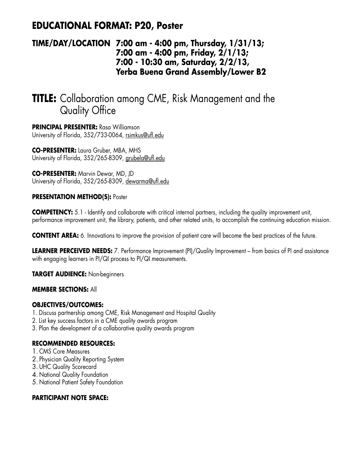## **EDUCATIONAL FORMAT: P20, Poster**

### **TIME/DAY/LOCATION 7:00 am - 4:00 pm, Thursday, 1/31/13; 7:00 am - 4:00 pm, Friday, 2/1/13; 7:00 - 10:30 am, Saturday, 2/2/13, Yerba Buena Grand Assembly/Lower B2**

# **TITLE:** Collaboration among CME, Risk Management and the Quality Office

**PRINCIPAL PRESENTER:** Rasa Williamson University of Florida, 352/733-0064, rsimkus@ufl.edu

**CO-PRESENTER:** Laura Gruber, MBA, MHS University of Florida, 352/265-8309, grubela@ufl.edu

**CO-PRESENTER:** Marvin Dewar, MD, JD University of Florida, 352/265-8309, dewarma@ufl.edu

### **PRESENTATION METHOD(S): Poster**

**COMPETENCY:** 5.1 - Identify and collaborate with critical internal partners, including the quality improvement unit, performance improvement unit, the library, patients, and other related units, to accomplish the continuing education mission.

**CONTENT AREA:** 6. Innovations to improve the provision of patient care will become the best practices of the future.

**LEARNER PERCEIVED NEEDS:** 7. Performance Improvement (PI)/Quality Improvement – from basics of PI and assistance with engaging learners in PI/QI process to PI/QI measurements.

**TARGET AUDIENCE:** Non-beginners

### **MEMBER SECTIONS:** All

### **OBJECTIVES/OUTCOMES:**

- 1. Discuss partnership among CME, Risk Management and Hospital Quality
- 2. List key success factors in a CME quality awards program
- 3. Plan the development of a collaborative quality awards program

### **RECOMMENDED RESOURCES:**

- 1. CMS Core Measures
- 2. Physician Quality Reporting System
- 3. UHC Quality Scorecard
- 4. National Quality Foundation
- 5. National Patient Safety Foundation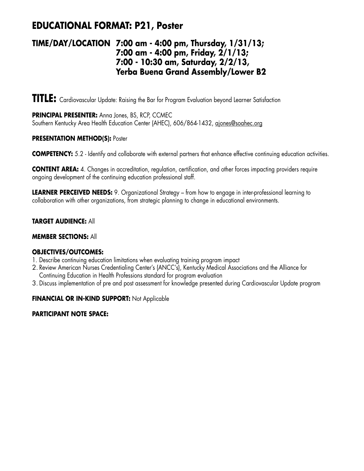## **EDUCATIONAL FORMAT: P21, Poster**

### **TIME/DAY/LOCATION 7:00 am - 4:00 pm, Thursday, 1/31/13; 7:00 am - 4:00 pm, Friday, 2/1/13; 7:00 - 10:30 am, Saturday, 2/2/13, Yerba Buena Grand Assembly/Lower B2**

**TITLE:** Cardiovascular Update: Raising the Bar for Program Evaluation beyond Learner Satisfaction

**PRINCIPAL PRESENTER:** Anna Jones, BS, RCP, CCMEC Southern Kentucky Area Health Education Center (AHEC), 606/864-1432, ajones@soahec.org

#### **PRESENTATION METHOD(S):** Poster

**COMPETENCY:** 5.2 - Identify and collaborate with external partners that enhance effective continuing education activities.

**CONTENT AREA:** 4. Changes in accreditation, regulation, certification, and other forces impacting providers require ongoing development of the continuing education professional staff.

**LEARNER PERCEIVED NEEDS:** 9. Organizational Strategy – from how to engage in inter-professional learning to collaboration with other organizations, from strategic planning to change in educational environments.

### **TARGET AUDIENCE:** All

#### **MEMBER SECTIONS:** All

### **OBJECTIVES/OUTCOMES:**

- 1. Describe continuing education limitations when evaluating training program impact
- 2. Review American Nurses Credentialing Center's (ANCC's), Kentucky Medical Associations and the Alliance for Continuing Education in Health Professions standard for program evaluation
- 3. Discuss implementation of pre and post assessment for knowledge presented during Cardiovascular Update program

### **FINANCIAL OR IN-KIND SUPPORT:** Not Applicable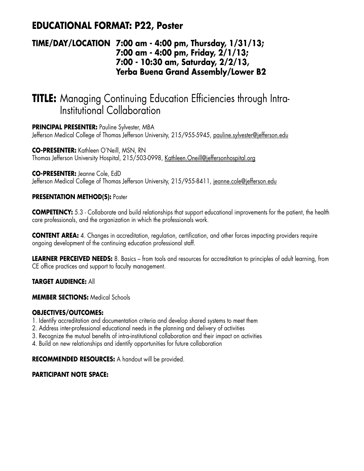## **EDUCATIONAL FORMAT: P22, Poster**

### **TIME/DAY/LOCATION 7:00 am - 4:00 pm, Thursday, 1/31/13; 7:00 am - 4:00 pm, Friday, 2/1/13; 7:00 - 10:30 am, Saturday, 2/2/13, Yerba Buena Grand Assembly/Lower B2**

# **TITLE:** Managing Continuing Education Efficiencies through Intra-Institutional Collaboration

**PRINCIPAL PRESENTER:** Pauline Sylvester, MBA

Jefferson Medical College of Thomas Jefferson University, 215/955-5945, pauline.sylvester@jefferson.edu

**CO-PRESENTER:** Kathleen O'Neill, MSN, RN Thomas Jefferson University Hospital, 215/503-0998, Kathleen.Oneill@jeffersonhospital.org

**CO-PRESENTER:** Jeanne Cole, EdD Jefferson Medical College of Thomas Jefferson University, 215/955-8411, jeanne.cole@jefferson.edu

#### **PRESENTATION METHOD(S): Poster**

**COMPETENCY:** 5.3 - Collaborate and build relationships that support educational improvements for the patient, the health care professionals, and the organization in which the professionals work.

**CONTENT AREA:** 4. Changes in accreditation, regulation, certification, and other forces impacting providers require ongoing development of the continuing education professional staff.

**LEARNER PERCEIVED NEEDS:** 8. Basics – from tools and resources for accreditation to principles of adult learning, from CE office practices and support to faculty management.

#### **TARGET AUDIENCE:** All

**MEMBER SECTIONS:** Medical Schools

#### **OBJECTIVES/OUTCOMES:**

- 1. Identify accreditation and documentation criteria and develop shared systems to meet them
- 2. Address inter-professional educational needs in the planning and delivery of activities
- 3. Recognize the mutual benefits of intra-institutional collaboration and their impact on activities
- 4. Build on new relationships and identify opportunities for future collaboration

**RECOMMENDED RESOURCES:** A handout will be provided.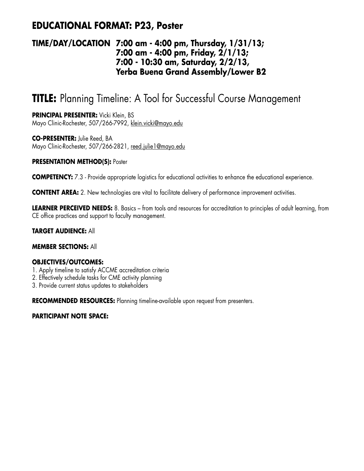## **EDUCATIONAL FORMAT: P23, Poster**

### **TIME/DAY/LOCATION 7:00 am - 4:00 pm, Thursday, 1/31/13; 7:00 am - 4:00 pm, Friday, 2/1/13; 7:00 - 10:30 am, Saturday, 2/2/13, Yerba Buena Grand Assembly/Lower B2**

# **TITLE:** Planning Timeline: A Tool for Successful Course Management

**PRINCIPAL PRESENTER:** Vicki Klein, BS Mayo Clinic-Rochester, 507/266-7992, klein.vicki@mayo.edu

**CO-PRESENTER:** Julie Reed, BA Mayo Clinic-Rochester, 507/266-2821, reed.julie1@mayo.edu

#### **PRESENTATION METHOD(S): Poster**

**COMPETENCY:** 7.3 - Provide appropriate logistics for educational activities to enhance the educational experience.

**CONTENT AREA:** 2. New technologies are vital to facilitate delivery of performance improvement activities.

**LEARNER PERCEIVED NEEDS:** 8. Basics – from tools and resources for accreditation to principles of adult learning, from CE office practices and support to faculty management.

#### **TARGET AUDIENCE:** All

#### **MEMBER SECTIONS:** All

#### **OBJECTIVES/OUTCOMES:**

- 1. Apply timeline to satisfy ACCME accreditation criteria
- 2. Effectively schedule tasks for CME activity planning
- 3. Provide current status updates to stakeholders

**RECOMMENDED RESOURCES:** Planning timeline-available upon request from presenters.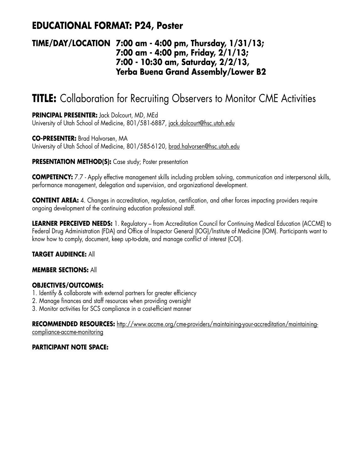## **EDUCATIONAL FORMAT: P24, Poster**

### **TIME/DAY/LOCATION 7:00 am - 4:00 pm, Thursday, 1/31/13; 7:00 am - 4:00 pm, Friday, 2/1/13; 7:00 - 10:30 am, Saturday, 2/2/13, Yerba Buena Grand Assembly/Lower B2**

# **TITLE:** Collaboration for Recruiting Observers to Monitor CME Activities

**PRINCIPAL PRESENTER:** Jack Dolcourt, MD, MEd University of Utah School of Medicine, 801/581-6887, jack.dolcourt@hsc.utah.edu

**CO-PRESENTER:** Brad Halvorsen, MA University of Utah School of Medicine, 801/585-6120, brad.halvorsen@hsc.utah.edu

#### **PRESENTATION METHOD(S):** Case study; Poster presentation

**COMPETENCY:** 7.7 - Apply effective management skills including problem solving, communication and interpersonal skills, performance management, delegation and supervision, and organizational development.

**CONTENT AREA:** 4. Changes in accreditation, regulation, certification, and other forces impacting providers require ongoing development of the continuing education professional staff.

**LEARNER PERCEIVED NEEDS:** 1. Regulatory – from Accreditation Council for Continuing Medical Education (ACCME) to Federal Drug Administration (FDA) and Office of Inspector General (IOG)/Institute of Medicine (IOM). Participants want to know how to comply, document, keep up-to-date, and manage conflict of interest (COI).

#### **TARGET AUDIENCE:** All

#### **MEMBER SECTIONS:** All

#### **OBJECTIVES/OUTCOMES:**

- 1. Identify & collaborate with external partners for greater efficiency
- 2. Manage finances and staff resources when providing oversight
- 3. Monitor activities for SCS compliance in a cost-efficient manner

**RECOMMENDED RESOURCES:** http://www.accme.org/cme-providers/maintaining-your-accreditation/maintainingcompliance-accme-monitoring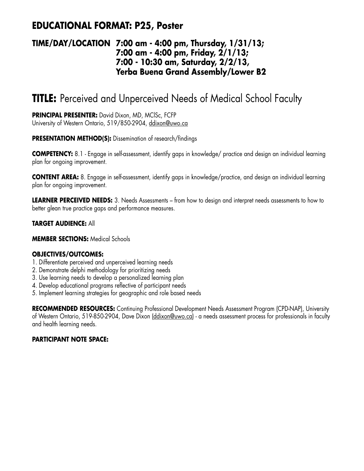## **EDUCATIONAL FORMAT: P25, Poster**

### **TIME/DAY/LOCATION 7:00 am - 4:00 pm, Thursday, 1/31/13; 7:00 am - 4:00 pm, Friday, 2/1/13; 7:00 - 10:30 am, Saturday, 2/2/13, Yerba Buena Grand Assembly/Lower B2**

# **TITLE:** Perceived and Unperceived Needs of Medical School Faculty

**PRINCIPAL PRESENTER:** David Dixon, MD, MClSc, FCFP University of Western Ontario, 519/850-2904, ddixon@uwo.ca

#### **PRESENTATION METHOD(S):** Dissemination of research/findings

**COMPETENCY:** 8.1 - Engage in self-assessment, identify gaps in knowledge/ practice and design an individual learning plan for ongoing improvement.

**CONTENT AREA:** 8. Engage in self-assessment, identify gaps in knowledge/practice, and design an individual learning plan for ongoing improvement.

**LEARNER PERCEIVED NEEDS:** 3. Needs Assessments – from how to design and interpret needs assessments to how to better glean true practice gaps and performance measures.

#### **TARGET AUDIENCE:** All

**MEMBER SECTIONS:** Medical Schools

#### **OBJECTIVES/OUTCOMES:**

- 1. Differentiate perceived and unperceived learning needs
- 2. Demonstrate delphi methodology for prioritizing needs
- 3. Use learning needs to develop a personalized learning plan
- 4. Develop educational programs reflective of participant needs
- 5. Implement learning strategies for geographic and role based needs

**RECOMMENDED RESOURCES:** Continuing Professional Development Needs Assessment Program (CPD-NAP), University of Western Ontario, 519-850-2904, Dave Dixon (ddixon@uwo.ca) - a needs assessment process for professionals in faculty and health learning needs.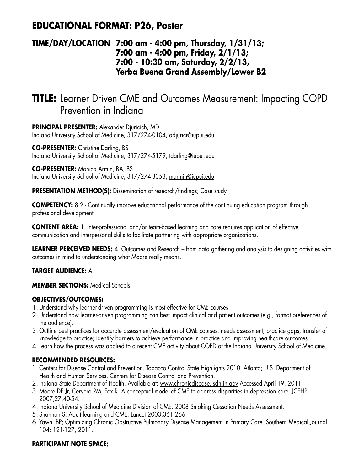## **EDUCATIONAL FORMAT: P26, Poster**

### **TIME/DAY/LOCATION 7:00 am - 4:00 pm, Thursday, 1/31/13; 7:00 am - 4:00 pm, Friday, 2/1/13; 7:00 - 10:30 am, Saturday, 2/2/13, Yerba Buena Grand Assembly/Lower B2**

# **TITLE:** Learner Driven CME and Outcomes Measurement: Impacting COPD Prevention in Indiana

**PRINCIPAL PRESENTER:** Alexander Djuricich, MD Indiana University School of Medicine, 317/274-0104, adjurici@iupui.edu

**CO-PRESENTER:** Christine Darling, BS Indiana University School of Medicine, 317/274-5179, tdarling@iupui.edu

**CO-PRESENTER:** Monica Armin, BA, BS Indiana University School of Medicine, 317/274-8353, marmin@iupui.edu

**PRESENTATION METHOD(S):** Dissemination of research/findings; Case study

**COMPETENCY:** 8.2 - Continually improve educational performance of the continuing education program through professional development.

**CONTENT AREA:** 1. Inter-professional and/or team-based learning and care requires application of effective communication and interpersonal skills to facilitate partnering with appropriate organizations.

**LEARNER PERCEIVED NEEDS:** 4. Outcomes and Research – from data gathering and analysis to designing activities with outcomes in mind to understanding what Moore really means.

#### **TARGET AUDIENCE:** All

**MEMBER SECTIONS:** Medical Schools

#### **OBJECTIVES/OUTCOMES:**

- 1. Understand why learner-driven programming is most effective for CME courses.
- 2. Understand how learner-driven programming can best impact clinical and patient outcomes (e.g., format preferences of the audience).
- 3. Outline best practices for accurate assessment/evaluation of CME courses: needs assessment; practice gaps; transfer of knowledge to practice; identify barriers to achieve performance in practice and improving healthcare outcomes.
- 4.Learn how the process was applied to a recent CME activity about COPD at the Indiana University School of Medicine.

#### **RECOMMENDED RESOURCES:**

- 1. Centers for Disease Control and Prevention. Tobacco Control State Highlights 2010. Atlanta; U.S. Department of Health and Human Services, Centers for Disease Control and Prevention.
- 2. Indiana State Department of Health. Available at: www.chronicdisease.isdh.in.gov Accessed April 19, 2011.
- 3. Moore DE Jr, Cervero RM, Fox R. A conceptual model of CME to address disparities in depression care. JCEHP 2007;27:40-54.
- 4. Indiana University School of Medicine Division of CME. 2008 Smoking Cessation Needs Assessment.
- 5. Shannon S. Adult learning and CME. Lancet 2003;361:266.
- 6. Yawn, BP; Optimizing Chronic Obstructive Pulmonary Disease Management in Primary Care. Southern Medical Journal 104: 121-127, 2011.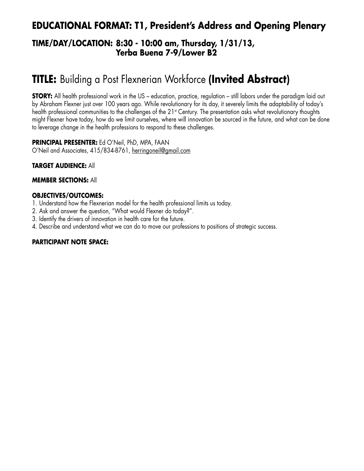## **EDUCATIONAL FORMAT: T1, President's Address and Opening Plenary**

### **TIME/DAY/LOCATION: 8:30 - 10:00 am, Thursday, 1/31/13, Yerba Buena 7-9/Lower B2**

# **TITLE:** Building a Post Flexnerian Workforce **(Invited Abstract)**

**STORY:** All health professional work in the US – education, practice, regulation – still labors under the paradigm laid out by Abraham Flexner just over 100 years ago. While revolutionary for its day, it severely limits the adaptability of today's health professional communities to the challenges of the 21<sup>st</sup> Century. The presentation asks what revolutionary thoughts might Flexner have today, how do we limit ourselves, where will innovation be sourced in the future, and what can be done to leverage change in the health professions to respond to these challenges.

**PRINCIPAL PRESENTER:** Ed O'Neil, PhD, MPA, FAAN O'Neil and Associates, 415/834-8761, herringoneil@gmail.com

#### **TARGET AUDIENCE:** All

#### **MEMBER SECTIONS:** All

#### **OBJECTIVES/OUTCOMES:**

- 1. Understand how the Flexnerian model for the health professional limits us today.
- 2. Ask and answer the question, "What would Flexner do today?".
- 3. Identify the drivers of innovation in health care for the future.
- 4. Describe and understand what we can do to move our professions to positions of strategic success.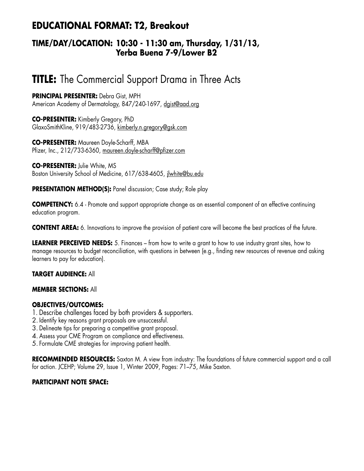## **EDUCATIONAL FORMAT: T2, Breakout**

### **TIME/DAY/LOCATION: 10:30 - 11:30 am, Thursday, 1/31/13, Yerba Buena 7-9/Lower B2**

# **TITLE:** The Commercial Support Drama in Three Acts

**PRINCIPAL PRESENTER:** Debra Gist, MPH American Academy of Dermatology, 847/240-1697, daist@aad.org

**CO-PRESENTER:** Kimberly Gregory, PhD GlaxoSmithKline, 919/483-2736, kimberly.n.gregory@gsk.com

**CO-PRESENTER:** Maureen Doyle-Scharff, MBA Pfizer, Inc., 212/733-6360, maureen.doyle-scharff@pfizer.com

**CO-PRESENTER:** Julie White, MS Boston University School of Medicine, 617/638-4605, jlwhite@bu.edu

**PRESENTATION METHOD(S):** Panel discussion; Case study; Role play

**COMPETENCY:** 6.4 - Promote and support appropriate change as an essential component of an effective continuing education program.

**CONTENT AREA:** 6. Innovations to improve the provision of patient care will become the best practices of the future.

**LEARNER PERCEIVED NEEDS:** 5. Finances – from how to write a grant to how to use industry grant sites, how to manage resources to budget reconciliation, with questions in between (e.g., finding new resources of revenue and asking learners to pay for education).

#### **TARGET AUDIENCE:** All

#### **MEMBER SECTIONS:** All

#### **OBJECTIVES/OUTCOMES:**

- 1. Describe challenges faced by both providers & supporters.
- 2. Identify key reasons grant proposals are unsuccessful.
- 3. Delineate tips for preparing a competitive grant proposal.
- 4. Assess your CME Program on compliance and effectiveness.
- 5. Formulate CME strategies for improving patient health.

**RECOMMENDED RESOURCES:** Saxton M. A view from industry: The foundations of future commercial support and a call for action. JCEHP; Volume 29, Issue 1, Winter 2009, Pages: 71–75, Mike Saxton.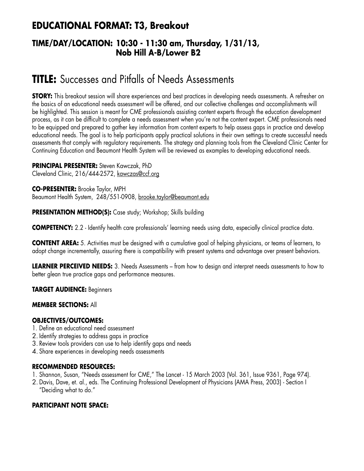## **EDUCATIONAL FORMAT: T3, Breakout**

### **TIME/DAY/LOCATION: 10:30 - 11:30 am, Thursday, 1/31/13, Nob Hill A-B/Lower B2**

# **TITLE:** Successes and Pitfalls of Needs Assessments

**STORY:** This breakout session will share experiences and best practices in developing needs assessments. A refresher on the basics of an educational needs assessment will be offered, and our collective challenges and accomplishments will be highlighted. This session is meant for CME professionals assisting content experts through the education development process, as it can be difficult to complete a needs assessment when you're not the content expert. CME professionals need to be equipped and prepared to gather key information from content experts to help assess gaps in practice and develop educational needs. The goal is to help participants apply practical solutions in their own settings to create successful needs assessments that comply with regulatory requirements. The strategy and planning tools from the Cleveland Clinic Center for Continuing Education and Beaumont Health System will be reviewed as examples to developing educational needs.

#### **PRINCIPAL PRESENTER:** Steven Kawczak, PhD

Cleveland Clinic, 216/444-2572, kawczas@ccf.org

**CO-PRESENTER:** Brooke Taylor, MPH Beaumont Health System, 248/551-0908, brooke.taylor@beaumont.edu

**PRESENTATION METHOD(S):** Case study; Workshop; Skills building

**COMPETENCY:** 2.2 - Identify health care professionals' learning needs using data, especially clinical practice data.

**CONTENT AREA:** 5. Activities must be designed with a cumulative goal of helping physicians, or teams of learners, to adopt change incrementally, assuring there is compatibility with present systems and advantage over present behaviors.

**LEARNER PERCEIVED NEEDS:** 3. Needs Assessments – from how to design and interpret needs assessments to how to better glean true practice gaps and performance measures.

**TARGET AUDIENCE:** Beginners

#### **MEMBER SECTIONS:** All

#### **OBJECTIVES/OUTCOMES:**

- 1. Define an educational need assessment
- 2. Identify strategies to address gaps in practice
- 3. Review tools providers can use to help identify gaps and needs
- 4. Share experiences in developing needs assessments

#### **RECOMMENDED RESOURCES:**

- 1. Shannon, Susan, "Needs assessment for CME," The Lancet 15 March 2003 (Vol. 361, Issue 9361, Page 974).
- 2. Davis, Dave, et. al., eds. The Continuing Professional Development of Physicians (AMA Press, 2003) Section I "Deciding what to do."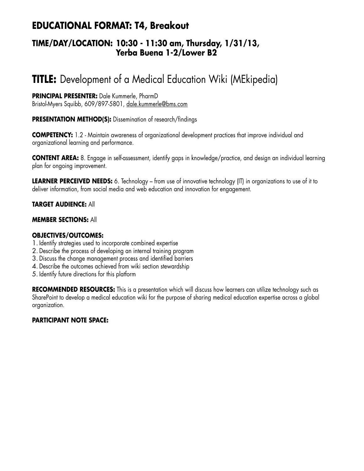## **EDUCATIONAL FORMAT: T4, Breakout**

### **TIME/DAY/LOCATION: 10:30 - 11:30 am, Thursday, 1/31/13, Yerba Buena 1-2/Lower B2**

# **TITLE:** Development of a Medical Education Wiki (MEkipedia)

#### **PRINCIPAL PRESENTER:** Dale Kummerle, PharmD Bristol-Myers Squibb, 609/897-5801, dale.kummerle@bms.com

#### **PRESENTATION METHOD(S):** Dissemination of research/findings

**COMPETENCY:** 1.2 - Maintain awareness of organizational development practices that improve individual and organizational learning and performance.

**CONTENT AREA:** 8. Engage in self-assessment, identify gaps in knowledge/practice, and design an individual learning plan for ongoing improvement.

**LEARNER PERCEIVED NEEDS:** 6. Technology – from use of innovative technology (IT) in organizations to use of it to deliver information, from social media and web education and innovation for engagement.

#### **TARGET AUDIENCE:** All

#### **MEMBER SECTIONS:** All

#### **OBJECTIVES/OUTCOMES:**

- 1. Identify strategies used to incorporate combined expertise
- 2. Describe the process of developing an internal training program
- 3. Discuss the change management process and identified barriers
- 4. Describe the outcomes achieved from wiki section stewardship
- 5. Identify future directions for this platform

**RECOMMENDED RESOURCES:** This is a presentation which will discuss how learners can utilize technology such as SharePoint to develop a medical education wiki for the purpose of sharing medical education expertise across a global organization.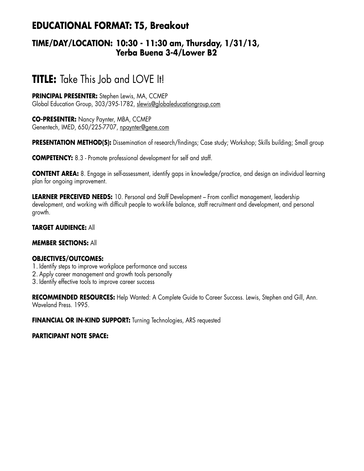## **EDUCATIONAL FORMAT: T5, Breakout**

### **TIME/DAY/LOCATION: 10:30 - 11:30 am, Thursday, 1/31/13, Yerba Buena 3-4/Lower B2**

# **TITLE:** Take This Job and LOVE It!

**PRINCIPAL PRESENTER:** Stephen Lewis, MA, CCMEP Global Education Group, 303/395-1782, slewis@globaleducationgroup.com

**CO-PRESENTER:** Nancy Paynter, MBA, CCMEP Genentech, IMED, 650/225-7707, npaynter@gene.com

**PRESENTATION METHOD(S):** Dissemination of research/findings; Case study; Workshop; Skills building; Small group

**COMPETENCY:** 8.3 - Promote professional development for self and staff.

**CONTENT AREA:** 8. Engage in self-assessment, identify gaps in knowledge/practice, and design an individual learning plan for ongoing improvement.

**LEARNER PERCEIVED NEEDS:** 10. Personal and Staff Development – From conflict management, leadership development, and working with difficult people to work-life balance, staff recruitment and development, and personal growth.

#### **TARGET AUDIENCE:** All

#### **MEMBER SECTIONS:** All

#### **OBJECTIVES/OUTCOMES:**

- 1. Identify steps to improve workplace performance and success
- 2. Apply career management and growth tools personally
- 3. Identify effective tools to improve career success

**RECOMMENDED RESOURCES:** Help Wanted: A Complete Guide to Career Success. Lewis, Stephen and Gill, Ann. Waveland Press. 1995.

**FINANCIAL OR IN-KIND SUPPORT:** Turning Technologies, ARS requested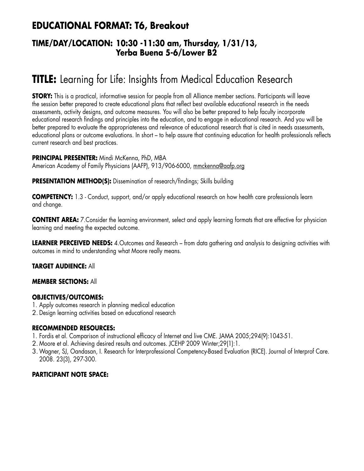## **EDUCATIONAL FORMAT: T6, Breakout**

### **TIME/DAY/LOCATION: 10:30 -11:30 am, Thursday, 1/31/13, Yerba Buena 5-6/Lower B2**

# **TITLE:** Learning for Life: Insights from Medical Education Research

**STORY:** This is a practical, informative session for people from all Alliance member sections. Participants will leave the session better prepared to create educational plans that reflect best available educational research in the needs assessments, activity designs, and outcome measures. You will also be better prepared to help faculty incorporate educational research findings and principles into the education, and to engage in educational research. And you will be better prepared to evaluate the appropriateness and relevance of educational research that is cited in needs assessments, educational plans or outcome evaluations. In short – to help assure that continuing education for health professionals reflects current research and best practices.

**PRINCIPAL PRESENTER:** Mindi McKenna, PhD, MBA American Academy of Family Physicians (AAFP), 913/906-6000, mmckenna@aafp.org

**PRESENTATION METHOD(S):** Dissemination of research/findings; Skills building

**COMPETENCY:** 1.3 - Conduct, support, and/or apply educational research on how health care professionals learn and change.

**CONTENT AREA:** 7. Consider the learning environment, select and apply learning formats that are effective for physician learning and meeting the expected outcome.

**LEARNER PERCEIVED NEEDS:** 4.Outcomes and Research – from data gathering and analysis to designing activities with outcomes in mind to understanding what Moore really means.

#### **TARGET AUDIENCE:** All

#### **MEMBER SECTIONS:** All

#### **OBJECTIVES/OUTCOMES:**

- 1. Apply outcomes research in planning medical education
- 2. Design learning activities based on educational research

#### **RECOMMENDED RESOURCES:**

- 1. Fordis et al. Comparison of instructional efficacy of Internet and live CME. JAMA 2005;294(9):1043-51.
- 2. Moore et al. Achieving desired results and outcomes. JCEHP 2009 Winter;29(1):1.
- 3.Wagner, SJ, Oandasan, I. Research for Interprofessional Competency-Based Evaluation (RICE). Journal of Interprof Care. 2008. 23(3), 297-300.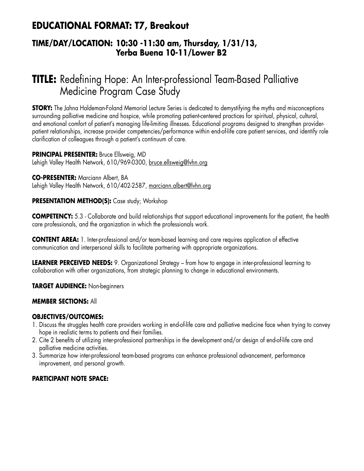## **EDUCATIONAL FORMAT: T7, Breakout**

### **TIME/DAY/LOCATION: 10:30 -11:30 am, Thursday, 1/31/13, Yerba Buena 10-11/Lower B2**

# **TITLE:** Redefining Hope: An Inter-professional Team-Based Palliative Medicine Program Case Study

**STORY:** The Jahna Haldeman-Foland Memorial Lecture Series is dedicated to demystifying the myths and misconceptions surrounding palliative medicine and hospice, while promoting patient-centered practices for spiritual, physical, cultural, and emotional comfort of patient's managing life-limiting illnesses. Educational programs designed to strengthen providerpatient relationships, increase provider competencies/performance within end-of-life care patient services, and identify role clarification of colleagues through a patient's continuum of care.

**PRINCIPAL PRESENTER:** Bruce Ellsweig, MD Lehigh Valley Health Network, 610/969-0300, bruce.ellsweig@lvhn.org

**CO-PRESENTER:** Marciann Albert, BA Lehigh Valley Health Network, 610/402-2587, marciann.albert@lvhn.org

#### **PRESENTATION METHOD(S):** Case study; Workshop

**COMPETENCY:** 5.3 - Collaborate and build relationships that support educational improvements for the patient, the health care professionals, and the organization in which the professionals work.

**CONTENT AREA:** 1. Inter-professional and/or team-based learning and care requires application of effective communication and interpersonal skills to facilitate partnering with appropriate organizations.

**LEARNER PERCEIVED NEEDS:** 9. Organizational Strategy – from how to engage in inter-professional learning to collaboration with other organizations, from strategic planning to change in educational environments.

**TARGET AUDIENCE:** Non-beginners

#### **MEMBER SECTIONS:** All

#### **OBJECTIVES/OUTCOMES:**

- 1. Discuss the struggles health care providers working in end-of-life care and palliative medicine face when trying to convey hope in realistic terms to patients and their families.
- 2. Cite 2 benefits of utilizing inter-professional partnerships in the development and/or design of end-of-life care and palliative medicine activities.
- 3. Summarize how inter-professional team-based programs can enhance professional advancement, performance improvement, and personal growth.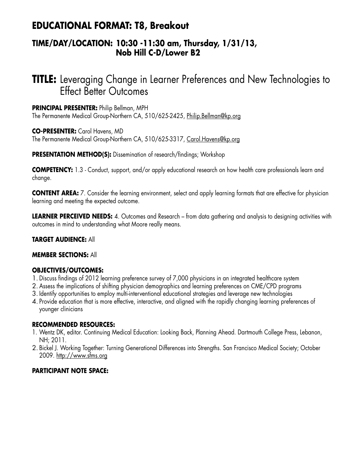## **EDUCATIONAL FORMAT: T8, Breakout**

### **TIME/DAY/LOCATION: 10:30 -11:30 am, Thursday, 1/31/13, Nob Hill C-D/Lower B2**

# **TITLE:** Leveraging Change in Learner Preferences and New Technologies to Effect Better Outcomes

**PRINCIPAL PRESENTER:** Philip Bellman, MPH The Permanente Medical Group-Northern CA, 510/625-2425, Philip.Bellman@kp.org

**CO-PRESENTER:** Carol Havens, MD The Permanente Medical Group-Northern CA, 510/625-3317, Carol.Havens@kp.org

**PRESENTATION METHOD(S):** Dissemination of research/findings; Workshop

**COMPETENCY:** 1.3 - Conduct, support, and/or apply educational research on how health care professionals learn and change.

**CONTENT AREA:** 7. Consider the learning environment, select and apply learning formats that are effective for physician learning and meeting the expected outcome.

**LEARNER PERCEIVED NEEDS:** 4. Outcomes and Research – from data gathering and analysis to designing activities with outcomes in mind to understanding what Moore really means.

#### **TARGET AUDIENCE:** All

#### **MEMBER SECTIONS:** All

#### **OBJECTIVES/OUTCOMES:**

- 1. Discuss findings of 2012 learning preference survey of 7,000 physicians in an integrated healthcare system
- 2. Assess the implications of shifting physician demographics and learning preferences on CME/CPD programs
- 3. Identify opportunities to employ multi-interventional educational strategies and leverage new technologies
- 4. Provide education that is more effective, interactive, and aligned with the rapidly changing learning preferences of younger clinicians

#### **RECOMMENDED RESOURCES:**

- 1. Wentz DK, editor. Continuing Medical Education: Looking Back, Planning Ahead. Dartmouth College Press, Lebanon, NH; 2011.
- 2. Bickel J. Working Together: Turning Generational Differences into Strengths. San Francisco Medical Society; October 2009. http://www.sfms.org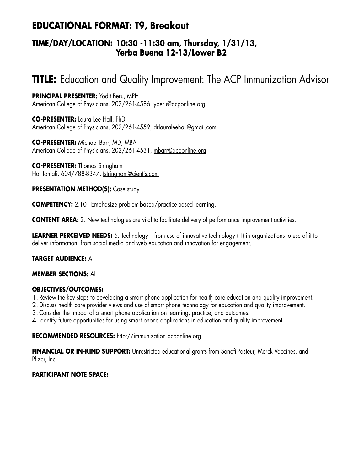## **EDUCATIONAL FORMAT: T9, Breakout**

### **TIME/DAY/LOCATION: 10:30 -11:30 am, Thursday, 1/31/13, Yerba Buena 12-13/Lower B2**

# **TITLE:** Education and Quality Improvement: The ACP Immunization Advisor

**PRINCIPAL PRESENTER:** Yodit Beru, MPH American College of Physicians, 202/261-4586, yberu@acponline.org

**CO-PRESENTER:** Laura Lee Hall, PhD American College of Physicians, 202/261-4559, drlauraleehall@gmail.com

**CO-PRESENTER:** Michael Barr, MD, MBA American College of Physicians, 202/261-4531, mbarr@acponline.org

**CO-PRESENTER:** Thomas Stringham Hot Tomali, 604/788-8347, tstringham@cientis.com

#### **PRESENTATION METHOD(S):** Case study

**COMPETENCY:** 2.10 - Emphasize problem-based/practice-based learning.

**CONTENT AREA:** 2. New technologies are vital to facilitate delivery of performance improvement activities.

**LEARNER PERCEIVED NEEDS:** 6. Technology – from use of innovative technology (IT) in organizations to use of it to deliver information, from social media and web education and innovation for engagement.

#### **TARGET AUDIENCE:** All

#### **MEMBER SECTIONS:** All

#### **OBJECTIVES/OUTCOMES:**

1. Review the key steps to developing a smart phone application for health care education and quality improvement.

- 2. Discuss health care provider views and use of smart phone technology for education and quality improvement.
- 3. Consider the impact of a smart phone application on learning, practice, and outcomes.
- 4. Identify future opportunities for using smart phone applications in education and quality improvement.

#### **RECOMMENDED RESOURCES:** http://immunization.acponline.org

**FINANCIAL OR IN-KIND SUPPORT:** Unrestricted educational grants from Sanofi-Pasteur, Merck Vaccines, and Pfizer, Inc.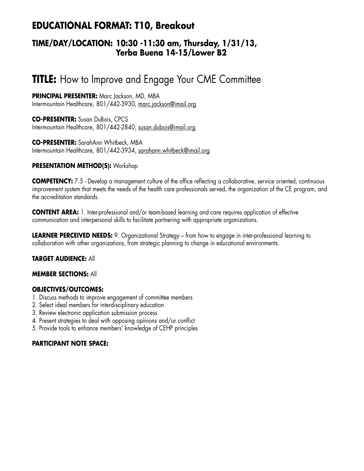## **EDUCATIONAL FORMAT: T10, Breakout**

### **TIME/DAY/LOCATION: 10:30 -11:30 am, Thursday, 1/31/13, Yerba Buena 14-15/Lower B2**

# **TITLE:** How to Improve and Engage Your CME Committee

**PRINCIPAL PRESENTER:** Marc Jackson, MD, MBA Intermountain Healthcare, 801/442-3930, marc.jackson@imail.org

**CO-PRESENTER:** Susan DuBois, CPCS Intermountain Healthcare, 801/442-2840, susan.dubois@imail.org

**CO-PRESENTER:** SarahAnn Whitbeck, MBA Intermountain Healthcare, 801/442-3934, sarahann.whitbeck@imail.org

#### **PRESENTATION METHOD(S):** Workshop

**COMPETENCY:** 7.5 - Develop a management culture of the office reflecting a collaborative, service oriented, continuous improvement system that meets the needs of the health care professionals served, the organization of the CE program, and the accreditation standards.

**CONTENT AREA:** 1. Inter-professional and/or team-based learning and care requires application of effective communication and interpersonal skills to facilitate partnering with appropriate organizations.

**LEARNER PERCEIVED NEEDS:** 9. Organizational Strategy – from how to engage in inter-professional learning to collaboration with other organizations, from strategic planning to change in educational environments.

#### **TARGET AUDIENCE:** All

#### **MEMBER SECTIONS:** All

#### **OBJECTIVES/OUTCOMES:**

- 1. Discuss methods to improve engagement of committee members
- 2. Select ideal members for interdisciplinary education
- 3. Review electronic application submission process
- 4. Present strategies to deal with opposing opinions and/or conflict
- 5. Provide tools to enhance members' knowledge of CEHP principles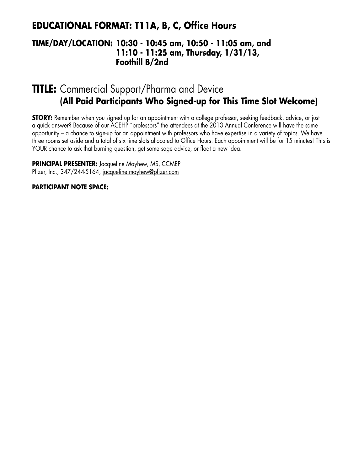## **EDUCATIONAL FORMAT: T11A, B, C, Office Hours**

### **TIME/DAY/LOCATION: 10:30 - 10:45 am, 10:50 - 11:05 am, and 11:10 - 11:25 am, Thursday, 1/31/13, Foothill B/2nd**

# **TITLE:** Commercial Support/Pharma and Device **(All Paid Participants Who Signed-up for This Time Slot Welcome)**

**STORY:** Remember when you signed up for an appointment with a college professor, seeking feedback, advice, or just a quick answer? Because of our ACEHP "professors" the attendees at the 2013 Annual Conference will have the same opportunity – a chance to sign-up for an appointment with professors who have expertise in a variety of topics. We have three rooms set aside and a total of six time slots allocated to Office Hours. Each appointment will be for 15 minutes! This is YOUR chance to ask that burning question, get some sage advice, or float a new idea.

**PRINCIPAL PRESENTER:** Jacqueline Mayhew, MS, CCMEP Pfizer, Inc., 347/244-5164, jacqueline.mayhew@pfizer.com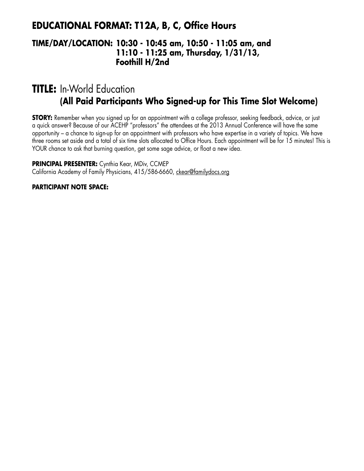### **EDUCATIONAL FORMAT: T12A, B, C, Office Hours**

### **TIME/DAY/LOCATION: 10:30 - 10:45 am, 10:50 - 11:05 am, and 11:10 - 11:25 am, Thursday, 1/31/13, Foothill H/2nd**

# **TITLE:** In-World Education **(All Paid Participants Who Signed-up for This Time Slot Welcome)**

**STORY:** Remember when you signed up for an appointment with a college professor, seeking feedback, advice, or just a quick answer? Because of our ACEHP "professors" the attendees at the 2013 Annual Conference will have the same opportunity – a chance to sign-up for an appointment with professors who have expertise in a variety of topics. We have three rooms set aside and a total of six time slots allocated to Office Hours. Each appointment will be for 15 minutes! This is YOUR chance to ask that burning question, get some sage advice, or float a new idea.

**PRINCIPAL PRESENTER:** Cynthia Kear, MDiv, CCMEP California Academy of Family Physicians, 415/586-6660, ckear@familydocs.org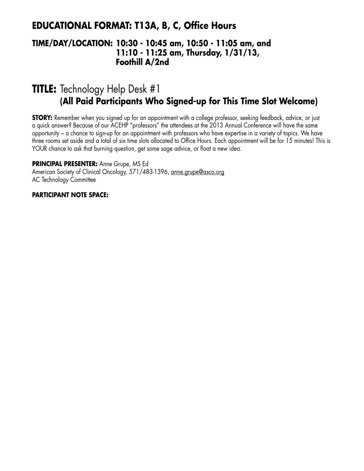### **EDUCATIONAL FORMAT: T13A, B, C, Office Hours**

### **TIME/DAY/LOCATION: 10:30 - 10:45 am, 10:50 - 11:05 am, and 11:10 - 11:25 am, Thursday, 1/31/13, Foothill A/2nd**

# **TITLE:** Technology Help Desk #1 **(All Paid Participants Who Signed-up for This Time Slot Welcome)**

**STORY:** Remember when you signed up for an appointment with a college professor, seeking feedback, advice, or just a quick answer? Because of our ACEHP "professors" the attendees at the 2013 Annual Conference will have the same opportunity – a chance to sign-up for an appointment with professors who have expertise in a variety of topics. We have three rooms set aside and a total of six time slots allocated to Office Hours. Each appointment will be for 15 minutes! This is YOUR chance to ask that burning question, get some sage advice, or float a new idea.

**PRINCIPAL PRESENTER:** Anne Grupe, MS Ed

American Society of Clinical Oncology, 571/483-1396, anne.grupe@asco.org AC Technology Committee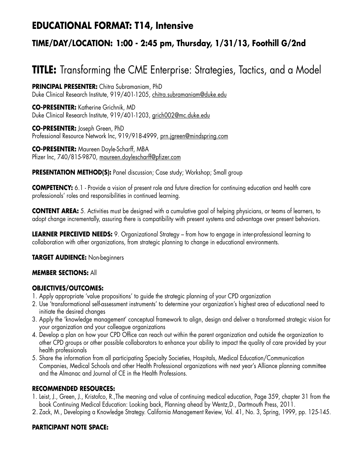## **EDUCATIONAL FORMAT: T14, Intensive**

## **TIME/DAY/LOCATION: 1:00 - 2:45 pm, Thursday, 1/31/13, Foothill G/2nd**

# **TITLE:** Transforming the CME Enterprise: Strategies, Tactics, and a Model

**PRINCIPAL PRESENTER:** Chitra Subramaniam, PhD Duke Clinical Research Institute, 919/401-1205, chitra.subramaniam@duke.edu

**CO-PRESENTER:** Katherine Grichnik, MD Duke Clinical Research Institute, 919/401-1203, grich002@mc.duke.edu

**CO-PRESENTER:** Joseph Green, PhD Professional Resource Network Inc, 919/918-4999, prn.jgreen@mindspring.com

**CO-PRESENTER:** Maureen Doyle-Scharff, MBA Pfizer Inc, 740/815-9870, maureen.doylescharff@pfizer.com

**PRESENTATION METHOD(S):** Panel discussion; Case study; Workshop; Small group

**COMPETENCY:** 6.1 - Provide a vision of present role and future direction for continuing education and health care professionals' roles and responsibilities in continued learning.

**CONTENT AREA:** 5. Activities must be designed with a cumulative goal of helping physicians, or teams of learners, to adopt change incrementally, assuring there is compatibility with present systems and advantage over present behaviors.

**LEARNER PERCEIVED NEEDS:** 9. Organizational Strategy – from how to engage in inter-professional learning to collaboration with other organizations, from strategic planning to change in educational environments.

**TARGET AUDIENCE:** Non-beginners

#### **MEMBER SECTIONS:** All

#### **OBJECTIVES/OUTCOMES:**

- 1. Apply appropriate 'value propositions' to guide the strategic planning of your CPD organization
- 2. Use 'transformational self-assessment instruments' to determine your organization's highest area of educational need to initiate the desired changes
- 3. Apply the 'knowledge management' conceptual framework to align, design and deliver a transformed strategic vision for your organization and your colleague organizations
- 4. Develop a plan on how your CPD Office can reach out within the parent organization and outside the organization to other CPD groups or other possible collaborators to enhance your ability to impact the quality of care provided by your health professionals
- 5. Share the information from all participating Specialty Societies, Hospitals, Medical Education/Communication Companies, Medical Schools and other Health Professional organizations with next year's Alliance planning committee and the Almanac and Journal of CE in the Health Professions.

#### **RECOMMENDED RESOURCES:**

- 1. Leist, J., Green, J., Kristofco, R.,The meaning and value of continuing medical education, Page 359, chapter 31 from the book Continuing Medical Education: Looking back, Planning ahead by Wentz,D., Dartmouth Press, 2011.
- 2. Zack, M., Developing a Knowledge Strategy. California Management Review, Vol. 41, No. 3, Spring, 1999, pp. 125-145.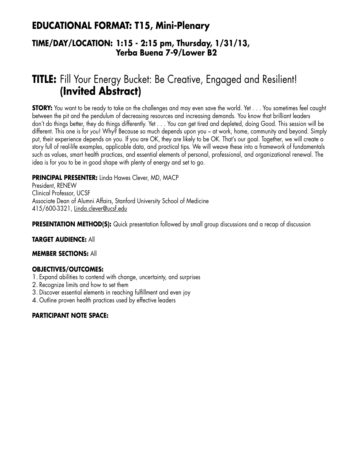## **EDUCATIONAL FORMAT: T15, Mini-Plenary**

### **TIME/DAY/LOCATION: 1:15 - 2:15 pm, Thursday, 1/31/13, Yerba Buena 7-9/Lower B2**

# **TITLE:** Fill Your Energy Bucket: Be Creative, Engaged and Resilient! **(Invited Abstract)**

**STORY:** You want to be ready to take on the challenges and may even save the world. Yet . . . You sometimes feel caught between the pit and the pendulum of decreasing resources and increasing demands. You know that brilliant leaders don't do things better, they do things differently. Yet . . . You can get tired and depleted, doing Good. This session will be different. This one is for *you*! Why? Because so much depends upon you – at work, home, community and beyond. Simply put, their experience depends on you. If you are OK, they are likely to be OK. That's our goal. Together, we will create a story full of real-life examples, applicable data, and practical tips. We will weave these into a framework of fundamentals such as values, smart health practices, and essential elements of personal, professional, and organizational renewal. The idea is for you to be in good shape with plenty of energy and set to go.

#### **PRINCIPAL PRESENTER:** Linda Hawes Clever, MD, MACP

President, RENEW Clinical Professor, UCSF Associate Dean of Alumni Affairs, Stanford University School of Medicine 415/600-3321, Linda.clever@ucsf.edu

**PRESENTATION METHOD(S):** Quick presentation followed by small group discussions and a recap of discussion

#### **TARGET AUDIENCE:** All

#### **MEMBER SECTIONS:** All

#### **OBJECTIVES/OUTCOMES:**

- 1. Expand abilities to contend with change, uncertainty, and surprises
- 2. Recognize limits and how to set them
- 3. Discover essential elements in reaching fulfillment and even joy
- 4. Outline proven health practices used by effective leaders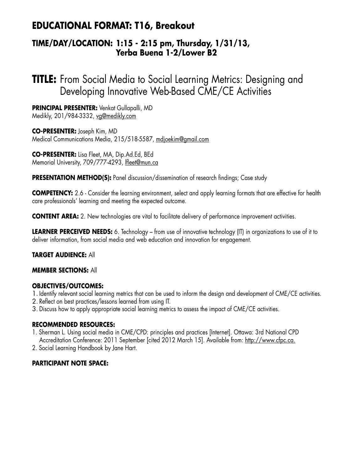## **EDUCATIONAL FORMAT: T16, Breakout**

### **TIME/DAY/LOCATION: 1:15 - 2:15 pm, Thursday, 1/31/13, Yerba Buena 1-2/Lower B2**

**TITLE:** From Social Media to Social Learning Metrics: Designing and Developing Innovative Web-Based CME/CE Activities

**PRINCIPAL PRESENTER:** Venkat Gullapalli, MD Medikly, 201/984-3332, vg@medikly.com

**CO-PRESENTER:** Joseph Kim, MD Medical Communications Media, 215/518-5587, mdjoekim@gmail.com

**CO-PRESENTER:** Lisa Fleet, MA, Dip.Ad.Ed, BEd Memorial University, 709/777-4293, lfleet@mun.ca

**PRESENTATION METHOD(S):** Panel discussion/dissemination of research findings; Case study

**COMPETENCY:** 2.6 - Consider the learning environment, select and apply learning formats that are effective for health care professionals' learning and meeting the expected outcome.

**CONTENT AREA:** 2. New technologies are vital to facilitate delivery of performance improvement activities.

**LEARNER PERCEIVED NEEDS:** 6. Technology – from use of innovative technology (IT) in organizations to use of it to deliver information, from social media and web education and innovation for engagement.

#### **TARGET AUDIENCE:** All

#### **MEMBER SECTIONS:** All

#### **OBJECTIVES/OUTCOMES:**

1. Identify relevant social learning metrics that can be used to inform the design and development of CME/CE activities.

- 2. Reflect on best practices/lessons learned from using IT.
- 3. Discuss how to apply appropriate social learning metrics to assess the impact of CME/CE activities.

#### **RECOMMENDED RESOURCES:**

- 1. Sherman L. Using social media in CME/CPD: principles and practices [Internet]. Ottawa: 3rd National CPD Accreditation Conference: 2011 September [cited 2012 March 15]. Available from: http://www.cfpc.ca.
- 2. Social Learning Handbook by Jane Hart.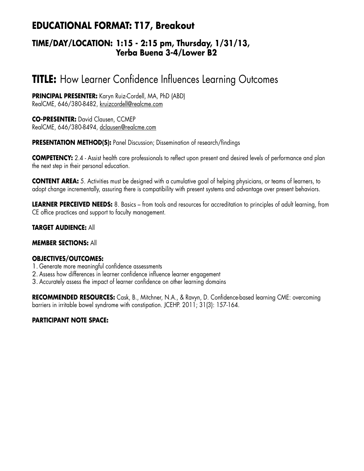## **EDUCATIONAL FORMAT: T17, Breakout**

### **TIME/DAY/LOCATION: 1:15 - 2:15 pm, Thursday, 1/31/13, Yerba Buena 3-4/Lower B2**

# **TITLE:** How Learner Confidence Influences Learning Outcomes

**PRINCIPAL PRESENTER:** Karyn Ruiz-Cordell, MA, PhD (ABD) RealCME, 646/380-8482, kruizcordell@realcme.com

**CO-PRESENTER:** David Clausen, CCMEP RealCME, 646/380-8494, dclausen@realcme.com

**PRESENTATION METHOD(S):** Panel Discussion; Dissemination of research/findings

**COMPETENCY:** 2.4 - Assist health care professionals to reflect upon present and desired levels of performance and plan the next step in their personal education.

**CONTENT AREA:** 5. Activities must be designed with a cumulative goal of helping physicians, or teams of learners, to adopt change incrementally, assuring there is compatibility with present systems and advantage over present behaviors.

**LEARNER PERCEIVED NEEDS:** 8. Basics – from tools and resources for accreditation to principles of adult learning, from CE office practices and support to faculty management.

#### **TARGET AUDIENCE:** All

#### **MEMBER SECTIONS:** All

#### **OBJECTIVES/OUTCOMES:**

- 1. Generate more meaningful confidence assessments
- 2. Assess how differences in learner confidence influence learner engagement
- 3. Accurately assess the impact of learner confidence on other learning domains

**RECOMMENDED RESOURCES:** Cask, B., Mitchner, N.A., & Ravyn, D. Confidence-based learning CME: overcoming barriers in irritable bowel syndrome with constipation. JCEHP. 2011; 31(3): 157-164.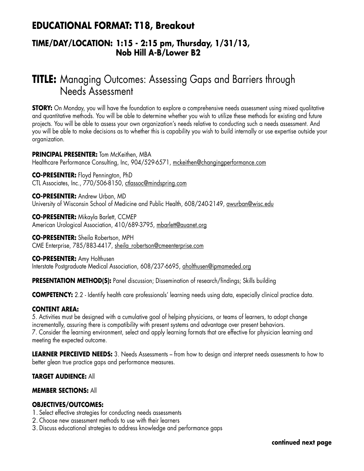## **EDUCATIONAL FORMAT: T18, Breakout**

### **TIME/DAY/LOCATION: 1:15 - 2:15 pm, Thursday, 1/31/13, Nob Hill A-B/Lower B2**

# **TITLE:** Managing Outcomes: Assessing Gaps and Barriers through Needs Assessment

**STORY:** On Monday, you will have the foundation to explore a comprehensive needs assessment using mixed qualitative and quantitative methods. You will be able to determine whether you wish to utilize these methods for existing and future projects. You will be able to assess your own organization's needs relative to conducting such a needs assessment. And you will be able to make decisions as to whether this is capability you wish to build internally or use expertise outside your organization.

**PRINCIPAL PRESENTER:** Tom McKeithen, MBA Healthcare Performance Consulting, Inc, 904/529-6571, mckeithen@changingperformance.com

**CO-PRESENTER:** Floyd Pennington, PhD CTL Associates, Inc., 770/506-8150, ctlassoc@mindspring.com

**CO-PRESENTER:** Andrew Urban, MD University of Wisconsin School of Medicine and Public Health, 608/240-2149, awurban@wisc.edu

**CO-PRESENTER:** Mikayla Barlett, CCMEP American Urological Association, 410/689-3795, mbarlett@auanet.org

**CO-PRESENTER:** Sheila Robertson, MPH CME Enterprise, 785/883-4417, sheila\_robertson@cmeenterprise.com

**CO-PRESENTER:** Amy Holthusen Interstate Postgraduate Medical Association, 608/237-6695, aholthusen@ipmameded.org

**PRESENTATION METHOD(S):** Panel discussion; Dissemination of research/findings; Skills building

**COMPETENCY:** 2.2 - Identify health care professionals' learning needs using data, especially clinical practice data.

#### **CONTENT AREA:**

5. Activities must be designed with a cumulative goal of helping physicians, or teams of learners, to adopt change incrementally, assuring there is compatibility with present systems and advantage over present behaviors. 7. Consider the learning environment, select and apply learning formats that are effective for physician learning and meeting the expected outcome.

**LEARNER PERCEIVED NEEDS:** 3. Needs Assessments – from how to design and interpret needs assessments to how to better glean true practice gaps and performance measures.

**TARGET AUDIENCE:** All

#### **MEMBER SECTIONS:** All

#### **OBJECTIVES/OUTCOMES:**

- 1. Select effective strategies for conducting needs assessments
- 2. Choose new assessment methods to use with their learners
- 3. Discuss educational strategies to address knowledge and performance gaps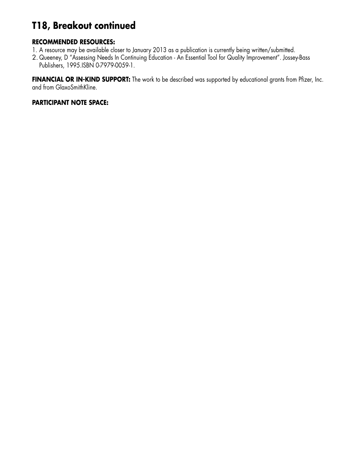# **T18, Breakout continued**

#### **RECOMMENDED RESOURCES:**

- 1. A resource may be available closer to January 2013 as a publication is currently being written/submitted.
- 2. Queeney, D "Assessing Needs In Continuing Education An Essential Tool for Quality Improvement". Jossey-Bass Publishers, 1995.ISBN 0-7979-0059-1.

**FINANCIAL OR IN-KIND SUPPORT:** The work to be described was supported by educational grants from Pfizer, Inc. and from GlaxoSmithKline.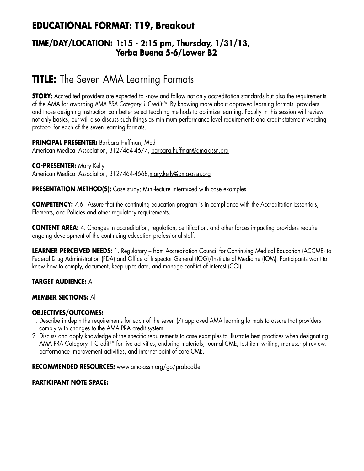## **EDUCATIONAL FORMAT: T19, Breakout**

### **TIME/DAY/LOCATION: 1:15 - 2:15 pm, Thursday, 1/31/13, Yerba Buena 5-6/Lower B2**

# **TITLE:** The Seven AMA Learning Formats

**STORY:** Accredited providers are expected to know and follow not only accreditation standards but also the requirements of the AMA for awarding AMA PRA Category 1 Credit<sup>™</sup>. By knowing more about approved learning formats, providers and those designing instruction can better select teaching methods to optimize learning. Faculty in this session will review, not only basics, but will also discuss such things as minimum performance level requirements and credit statement wording protocol for each of the seven learning formats.

**PRINCIPAL PRESENTER:** Barbara Huffman, MEd American Medical Association, 312/464-4677, barbara.huffman@ama-assn.org

**CO-PRESENTER:** Mary Kelly American Medical Association, 312/464-4668,mary.kelly@ama-assn.org

**PRESENTATION METHOD(S):** Case study; Mini-lecture intermixed with case examples

**COMPETENCY:** 7.6 - Assure that the continuing education program is in compliance with the Accreditation Essentials, Elements, and Policies and other regulatory requirements.

**CONTENT AREA:** 4. Changes in accreditation, regulation, certification, and other forces impacting providers require ongoing development of the continuing education professional staff.

**LEARNER PERCEIVED NEEDS:** 1. Regulatory – from Accreditation Council for Continuing Medical Education (ACCME) to Federal Drug Administration (FDA) and Office of Inspector General (IOG)/Institute of Medicine (IOM). Participants want to know how to comply, document, keep up-to-date, and manage conflict of interest (COI).

#### **TARGET AUDIENCE:** All

#### **MEMBER SECTIONS:** All

#### **OBJECTIVES/OUTCOMES:**

- 1. Describe in depth the requirements for each of the seven (7) approved AMA learning formats to assure that providers comply with changes to the AMA PRA credit system.
- 2. Discuss and apply knowledge of the specific requirements to case examples to illustrate best practices when designating AMA PRA Category 1 Credit™ for live activities, enduring materials, journal CME, test item writing, manuscript review, performance improvement activities, and internet point of care CME.

#### **RECOMMENDED RESOURCES:** www.ama-assn.org/go/prabooklet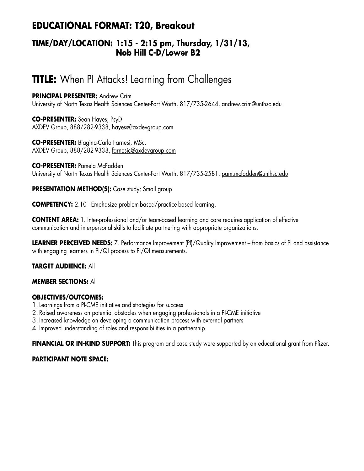## **EDUCATIONAL FORMAT: T20, Breakout**

### **TIME/DAY/LOCATION: 1:15 - 2:15 pm, Thursday, 1/31/13, Nob Hill C-D/Lower B2**

# **TITLE:** When PI Attacks! Learning from Challenges

**PRINCIPAL PRESENTER: Andrew Crim** University of North Texas Health Sciences Center-Fort Worth, 817/735-2644, andrew.crim@unthsc.edu

**CO-PRESENTER:** Sean Hayes, PsyD AXDEV Group, 888/282-9338, hayess@axdevgroup.com

**CO-PRESENTER:** Biagina-Carla Farnesi, MSc. AXDEV Group, 888/282-9338, farnesic@axdevgroup.com

**CO-PRESENTER:** Pamela McFadden University of North Texas Health Sciences Center-Fort Worth, 817/735-2581, pam.mcfadden@unthsc.edu

**PRESENTATION METHOD(S):** Case study; Small group

**COMPETENCY:** 2.10 - Emphasize problem-based/practice-based learning.

**CONTENT AREA:** 1. Inter-professional and/or team-based learning and care requires application of effective communication and interpersonal skills to facilitate partnering with appropriate organizations.

**LEARNER PERCEIVED NEEDS:** 7. Performance Improvement (PI)/Quality Improvement – from basics of PI and assistance with engaging learners in PI/QI process to PI/QI measurements.

#### **TARGET AUDIENCE:** All

#### **MEMBER SECTIONS:** All

#### **OBJECTIVES/OUTCOMES:**

- 1.Learnings from a PI-CME initiative and strategies for success
- 2. Raised awareness on potential obstacles when engaging professionals in a PI-CME initiative
- 3. Increased knowledge on developing a communication process with external partners

4. Improved understanding of roles and responsibilities in a partnership

**FINANCIAL OR IN-KIND SUPPORT:** This program and case study were supported by an educational grant from Pfizer.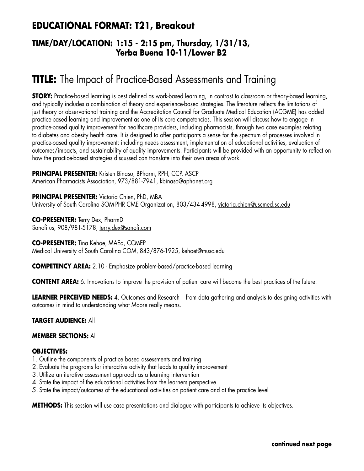## **EDUCATIONAL FORMAT: T21, Breakout**

### **TIME/DAY/LOCATION: 1:15 - 2:15 pm, Thursday, 1/31/13, Yerba Buena 10-11/Lower B2**

# **TITLE:** The Impact of Practice-Based Assessments and Training

**STORY:** Practice-based learning is best defined as work-based learning, in contrast to classroom or theory-based learning, and typically includes a combination of theory and experience-based strategies. The literature reflects the limitations of just theory or observational training and the Accreditation Council for Graduate Medical Education (ACGME) has added practice-based learning and improvement as one of its core competencies. This session will discuss how to engage in practice-based quality improvement for healthcare providers, including pharmacists, through two case examples relating to diabetes and obesity health care. It is designed to offer participants a sense for the spectrum of processes involved in practice-based quality improvement; including needs assessment, implementation of educational activities, evaluation of outcomes/impacts, and sustainability of quality improvements. Participants will be provided with an opportunity to reflect on how the practice-based strategies discussed can translate into their own areas of work.

**PRINCIPAL PRESENTER:** Kristen Binaso, BPharm, RPH, CCP, ASCP American Pharmacists Association, 973/881-7941, kbinaso@aphanet.org

**PRINCIPAL PRESENTER:** Victoria Chien, PhD, MBA University of South Carolina SOM-PHR CME Organization, 803/434-4998, victoria.chien@uscmed.sc.edu

**CO-PRESENTER:** Terry Dex, PharmD Sanofi us, 908/981-5178, terry.dex@sanofi.com

**CO-PRESENTER:** Tina Kehoe, MAEd, CCMEP Medical University of South Carolina COM, 843/876-1925, kehoet@musc.edu

**COMPETENCY AREA:** 2.10 - Emphasize problem-based/practice-based learning

**CONTENT AREA:** 6. Innovations to improve the provision of patient care will become the best practices of the future.

**LEARNER PERCEIVED NEEDS:** 4. Outcomes and Research – from data gathering and analysis to designing activities with outcomes in mind to understanding what Moore really means.

#### **TARGET AUDIENCE:** All

#### **MEMBER SECTIONS:** All

#### **OBJECTIVES:**

- 1. Outline the components of practice based assessments and training
- 2. Evaluate the programs for interactive activity that leads to quality improvement
- 3. Utilize an iterative assessment approach as a learning intervention
- 4. State the impact of the educational activities from the learners perspective
- 5. State the impact/outcomes of the educational activities on patient care and at the practice level

**METHODS:** This session will use case presentations and dialogue with participants to achieve its objectives.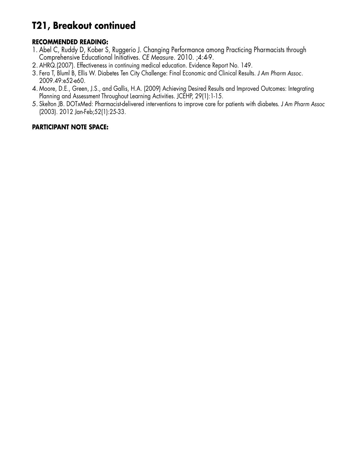# **T21, Breakout continued**

#### **RECOMMENDED READING:**

- 1. Abel C, Ruddy D, Kober S, Ruggerio J. Changing Performance among Practicing Pharmacists through Comprehensive Educational Initiatives. *CE Measure*. 2010. ;4:4-9.
- 2. AHRQ.(2007). Effectiveness in continuing medical education. Evidence Report No. 149.
- 3. Fera T, Bluml B, Ellis W. Diabetes Ten City Challenge: Final Economic and Clinical Results. *J Am Pharm Assoc*. 2009.49:e52-e60.
- 4. Moore, D.E., Green, J.S., and Gallis, H.A. (2009) Achieving Desired Results and Improved Outcomes: Integrating Planning and Assessment Throughout Learning Activities. JCEHP, 29(1):1-15.
- 5. Skelton JB. DOTxMed: Pharmacist-delivered interventions to improve care for patients with diabetes*. J Am Pharm Assoc* (2003). 2012 Jan-Feb;52(1):25-33.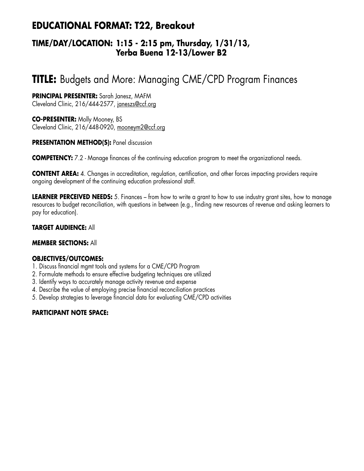## **EDUCATIONAL FORMAT: T22, Breakout**

### **TIME/DAY/LOCATION: 1:15 - 2:15 pm, Thursday, 1/31/13, Yerba Buena 12-13/Lower B2**

# **TITLE:** Budgets and More: Managing CME/CPD Program Finances

#### **PRINCIPAL PRESENTER:** Sarah Janesz, MAFM Cleveland Clinic, 216/444-2577, janeszs@ccf.org

**CO-PRESENTER:** Molly Mooney, BS Cleveland Clinic, 216/448-0920, mooneym2@ccf.org

#### **PRESENTATION METHOD(S):** Panel discussion

**COMPETENCY:** 7.2 - Manage finances of the continuing education program to meet the organizational needs.

**CONTENT AREA:** 4. Changes in accreditation, regulation, certification, and other forces impacting providers require ongoing development of the continuing education professional staff.

**LEARNER PERCEIVED NEEDS:** 5. Finances – from how to write a grant to how to use industry grant sites, how to manage resources to budget reconciliation, with questions in between (e.g., finding new resources of revenue and asking learners to pay for education).

#### **TARGET AUDIENCE:** All

#### **MEMBER SECTIONS:** All

#### **OBJECTIVES/OUTCOMES:**

- 1. Discuss financial mgmt tools and systems for a CME/CPD Program
- 2. Formulate methods to ensure effective budgeting techniques are utilized
- 3. Identify ways to accurately manage activity revenue and expense
- 4. Describe the value of employing precise financial reconciliation practices
- 5. Develop strategies to leverage financial data for evaluating CME/CPD activities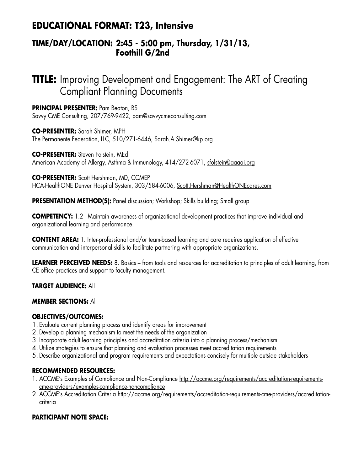## **EDUCATIONAL FORMAT: T23, Intensive**

### **TIME/DAY/LOCATION: 2:45 - 5:00 pm, Thursday, 1/31/13, Foothill G/2nd**

# **TITLE:** Improving Development and Engagement: The ART of Creating Compliant Planning Documents

**PRINCIPAL PRESENTER:** Pam Beaton, BS Savvy CME Consulting, 207/769-9422, pam@savvycmeconsulting.com

**CO-PRESENTER:** Sarah Shimer, MPH The Permanente Federation, LLC, 510/271-6446, Sarah.A.Shimer@kp.org

**CO-PRESENTER:** Steven Folstein, MEd American Academy of Allergy, Asthma & Immunology, 414/272-6071, sfolstein@aaaai.org

**CO-PRESENTER:** Scott Hershman, MD, CCMEP HCA-HealthONE Denver Hospital System, 303/584-6006, Scott.Hershman@HealthONEcares.com

**PRESENTATION METHOD(S):** Panel discussion; Workshop; Skills building; Small group

**COMPETENCY:** 1.2 - Maintain awareness of organizational development practices that improve individual and organizational learning and performance.

**CONTENT AREA:** 1. Inter-professional and/or team-based learning and care requires application of effective communication and interpersonal skills to facilitate partnering with appropriate organizations.

**LEARNER PERCEIVED NEEDS:** 8. Basics – from tools and resources for accreditation to principles of adult learning, from CE office practices and support to faculty management.

**TARGET AUDIENCE:** All

#### **MEMBER SECTIONS:** All

#### **OBJECTIVES/OUTCOMES:**

- 1. Evaluate current planning process and identify areas for improvement
- 2. Develop a planning mechanism to meet the needs of the organization
- 3. Incorporate adult learning principles and accreditation criteria into a planning process/mechanism
- 4. Utilize strategies to ensure that planning and evaluation processes meet accreditation requirements
- 5. Describe organizational and program requirements and expectations concisely for multiple outside stakeholders

#### **RECOMMENDED RESOURCES:**

- 1. ACCME's Examples of Compliance and Non-Compliance http://accme.org/requirements/accreditation-requirementscme-providers/examples-compliance-noncompliance
- 2. ACCME's Accreditation Criteria http://accme.org/requirements/accreditation-requirements-cme-providers/accreditationcriteria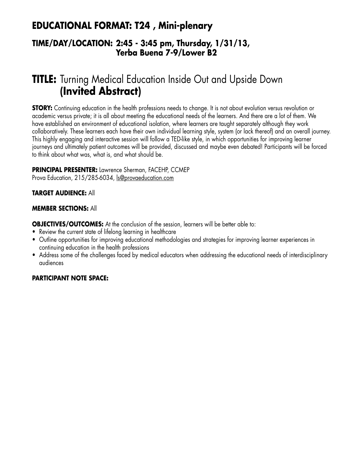## **EDUCATIONAL FORMAT: T24 , Mini-plenary**

### **TIME/DAY/LOCATION: 2:45 - 3:45 pm, Thursday, 1/31/13, Yerba Buena 7-9/Lower B2**

# **TITLE:** Turning Medical Education Inside Out and Upside Down **(Invited Abstract)**

**STORY:** Continuing education in the health professions needs to change. It is not about evolution versus revolution or academic versus private; it is all about meeting the educational needs of the learners. And there are a lot of them. We have established an environment of educational isolation, where learners are taught separately although they work collaboratively. These learners each have their own individual learning style, system (or lack thereof) and an overall journey. This highly engaging and interactive session will follow a TED-like style, in which opportunities for improving learner journeys and ultimately patient outcomes will be provided, discussed and maybe even debated! Participants will be forced to think about what was, what is, and what should be.

#### **PRINCIPAL PRESENTER:** Lawrence Sherman, FACEHP, CCMEP Prova Education, 215/285-6034, ls@provaeducation.com

#### **TARGET AUDIENCE:** All

#### **MEMBER SECTIONS:** All

**OBJECTIVES/OUTCOMES:** At the conclusion of the session, learners will be better able to:

- Review the current state of lifelong learning in healthcare
- • Outline opportunities for improving educational methodologies and strategies for improving learner experiences in continuing education in the health professions
- Address some of the challenges faced by medical educators when addressing the educational needs of interdisciplinary audiences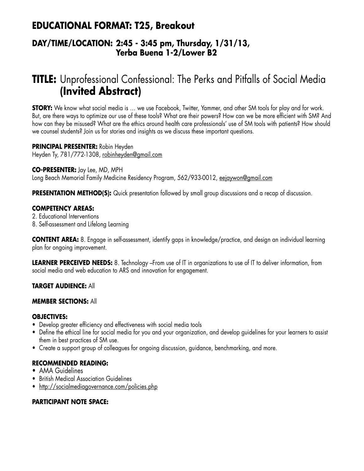## **EDUCATIONAL FORMAT: T25, Breakout**

### **DAY/TIME/LOCATION: 2:45 - 3:45 pm, Thursday, 1/31/13, Yerba Buena 1-2/Lower B2**

# **TITLE:** Unprofessional Confessional: The Perks and Pitfalls of Social Media **(Invited Abstract)**

**STORY:** We know what social media is … we use Facebook, Twitter, Yammer, and other SM tools for play and for work. But, are there ways to optimize our use of these tools? What are their powers? How can we be more efficient with SM? And how can they be misused? What are the ethics around health care professionals' use of SM tools with patients? How should we counsel students? Join us for stories and insights as we discuss these important questions.

**PRINCIPAL PRESENTER:** Robin Heyden Heyden Ty, 781/772-1308, robinheyden@gmail.com

#### **CO-PRESENTER:** Jay Lee, MD, MPH

Long Beach Memorial Family Medicine Residency Program, 562/933-0012, eejaywon@gmail.com

**PRESENTATION METHOD(S):** Quick presentation followed by small group discussions and a recap of discussion.

#### **COMPETENCY AREAS:**

2. Educational Interventions

8. Self-assessment and Lifelong Learning

**CONTENT AREA:** 8. Engage in self-assessment, identify gaps in knowledge/practice, and design an individual learning plan for ongoing improvement.

**LEARNER PERCEIVED NEEDS:** 8. Technology –From use of IT in organizations to use of IT to deliver information, from social media and web education to ARS and innovation for engagement.

#### **TARGET AUDIENCE:** All

#### **MEMBER SECTIONS:** All

#### **OBJECTIVES:**

- Develop greater efficiency and effectiveness with social media tools
- Define the ethical line for social media for you and your organization, and develop guidelines for your learners to assist them in best practices of SM use.
- Create a support group of colleagues for ongoing discussion, guidance, benchmarking, and more.

#### **RECOMMENDED READING:**

- AMA Guidelines
- **British Medical Association Guidelines**
- http://socialmediagovernance.com/policies.php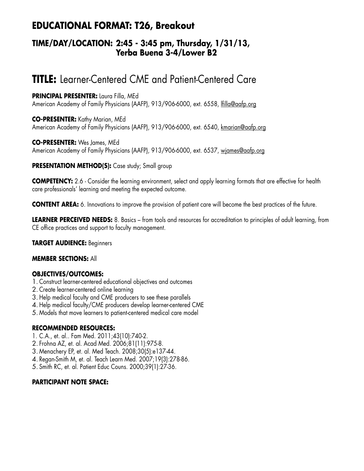## **EDUCATIONAL FORMAT: T26, Breakout**

### **TIME/DAY/LOCATION: 2:45 - 3:45 pm, Thursday, 1/31/13, Yerba Buena 3-4/Lower B2**

# **TITLE:** Learner-Centered CME and Patient-Centered Care

**PRINCIPAL PRESENTER:** Laura Filla, MEd American Academy of Family Physicians (AAFP), 913/906-6000, ext. 6558, lfilla@aafp.org

**CO-PRESENTER:** Kathy Marian, MEd American Academy of Family Physicians (AAFP), 913/906-6000, ext. 6540, kmarian@aafp.org

**CO-PRESENTER:** Wes James, MEd American Academy of Family Physicians (AAFP), 913/906-6000, ext. 6537, wjames@aafp.org

#### **PRESENTATION METHOD(S):** Case study; Small group

**COMPETENCY:** 2.6 - Consider the learning environment, select and apply learning formats that are effective for health care professionals' learning and meeting the expected outcome.

**CONTENT AREA:** 6. Innovations to improve the provision of patient care will become the best practices of the future.

**LEARNER PERCEIVED NEEDS:** 8. Basics – from tools and resources for accreditation to principles of adult learning, from CE office practices and support to faculty management.

#### **TARGET AUDIENCE:** Beginners

#### **MEMBER SECTIONS:** All

#### **OBJECTIVES/OUTCOMES:**

- 1. Construct learner-centered educational objectives and outcomes
- 2. Create learner-centered online learning
- 3. Help medical faculty and CME producers to see these parallels
- 4. Help medical faculty/CME producers develop learner-centered CME
- 5. Models that move learners to patient-centered medical care model

#### **RECOMMENDED RESOURCES:**

- 1. C.A., et. al.. Fam Med. 2011;43(10):740-2.
- 2. Frohna AZ, et. al. Acad Med. 2006;81(11):975-8.
- 3. Menachery EP, et. al. Med Teach. 2008;30(5):e137-44.
- 4. Regan-Smith M, et. al. Teach Learn Med. 2007;19(3):278-86.
- 5. Smith RC, et. al. Patient Educ Couns. 2000;39(1):27-36.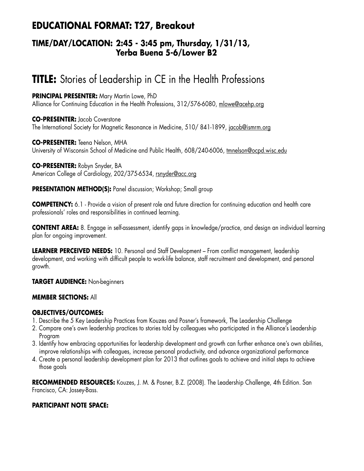## **EDUCATIONAL FORMAT: T27, Breakout**

### **TIME/DAY/LOCATION: 2:45 - 3:45 pm, Thursday, 1/31/13, Yerba Buena 5-6/Lower B2**

# **TITLE:** Stories of Leadership in CE in the Health Professions

**PRINCIPAL PRESENTER:** Mary Martin Lowe, PhD Alliance for Continuing Education in the Health Professions, 312/576-6080, mlowe@acehp.org

**CO-PRESENTER:** Jacob Coverstone The International Society for Magnetic Resonance in Medicine, 510/ 841-1899, jacob@ismrm.org

**CO-PRESENTER:** Teena Nelson, MHA University of Wisconsin School of Medicine and Public Health, 608/240-6006, tmnelson@ocpd.wisc.edu

**CO-PRESENTER:** Robyn Snyder, BA American College of Cardiology, 202/375-6534, rsnyder@acc.org

**PRESENTATION METHOD(S):** Panel discussion; Workshop; Small group

**COMPETENCY:** 6.1 - Provide a vision of present role and future direction for continuing education and health care professionals' roles and responsibilities in continued learning.

**CONTENT AREA:** 8. Engage in self-assessment, identify gaps in knowledge/practice, and design an individual learning plan for ongoing improvement.

**LEARNER PERCEIVED NEEDS:** 10. Personal and Staff Development – From conflict management, leadership development, and working with difficult people to work-life balance, staff recruitment and development, and personal growth.

**TARGET AUDIENCE:** Non-beginners

#### **MEMBER SECTIONS:** All

#### **OBJECTIVES/OUTCOMES:**

- 1. Describe the 5 Key Leadership Practices from Kouzes and Posner's framework, The Leadership Challenge
- 2. Compare one's own leadership practices to stories told by colleagues who participated in the Alliance's Leadership Program
- 3. Identify how embracing opportunities for leadership development and growth can further enhance one's own abilities, improve relationships with colleagues, increase personal productivity, and advance organizational performance
- 4. Create a personal leadership development plan for 2013 that outlines goals to achieve and initial steps to achieve those goals

**RECOMMENDED RESOURCES:** Kouzes, J. M. & Posner, B.Z. (2008). The Leadership Challenge, 4th Edition. San Francisco, CA: Jossey-Bass.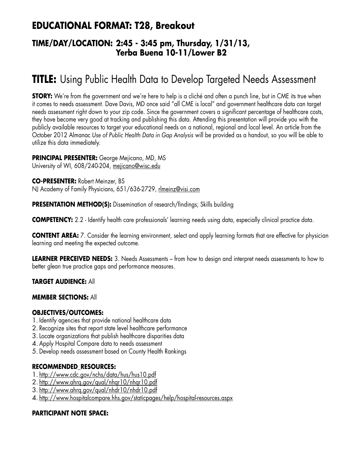## **EDUCATIONAL FORMAT: T28, Breakout**

### **TIME/DAY/LOCATION: 2:45 - 3:45 pm, Thursday, 1/31/13, Yerba Buena 10-11/Lower B2**

# **TITLE:** Using Public Health Data to Develop Targeted Needs Assessment

**STORY:** We're from the government and we're here to help is a cliché and often a punch line, but in CME its true when it comes to needs assessment. Dave Davis, MD once said "all CME is local" and government healthcare data can target needs assessment right down to your zip code. Since the government covers a significant percentage of healthcare costs, they have become very good at tracking and publishing this data. Attending this presentation will provide you with the publicly available resources to target your educational needs on a national, regional and local level. An article from the October 2012 Almanac *Use of Public Health Data in Gap Analysis* will be provided as a handout, so you will be able to utilize this data immediately.

#### **PRINCIPAL PRESENTER:** George Mejicano, MD, MS

University of WI, 608/240-204, mejicano@wisc.edu

**CO-PRESENTER:** Robert Meinzer, BS NJ Academy of Family Physicians, 651/636-2729, rlmeinz@visi.com

**PRESENTATION METHOD(S):** Dissemination of research/findings; Skills building

**COMPETENCY:** 2.2 - Identify health care professionals' learning needs using data, especially clinical practice data.

**CONTENT AREA:** 7. Consider the learning environment, select and apply learning formats that are effective for physician learning and meeting the expected outcome.

**LEARNER PERCEIVED NEEDS:** 3. Needs Assessments – from how to design and interpret needs assessments to how to better glean true practice gaps and performance measures.

#### **TARGET AUDIENCE:** All

#### **MEMBER SECTIONS:** All

#### **OBJECTIVES/OUTCOMES:**

- 1. Identify agencies that provide national healthcare data
- 2. Recognize sites that report state level healthcare performance
- 3.Locate organizations that publish healthcare disparities data
- 4. Apply Hospital Compare data to needs assessment
- 5. Develop needs assessment based on County Health Rankings

#### **RECOMMENDED\_RESOURCES:**

- 1. http://www.cdc.gov/nchs/data/hus/hus10.pdf
- 2. http://www.ahrq.gov/qual/nhqr10/nhqr10.pdf
- 3. http://www.ahrq.gov/qual/nhdr10/nhdr10.pdf
- 4. http://www.hospitalcompare.hhs.gov/staticpages/help/hospital-resources.aspx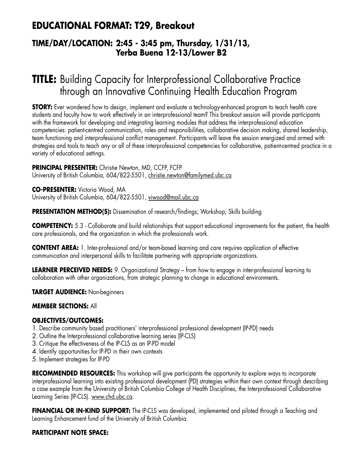## **EDUCATIONAL FORMAT: T29, Breakout**

### **TIME/DAY/LOCATION: 2:45 - 3:45 pm, Thursday, 1/31/13, Yerba Buena 12-13/Lower B2**

# **TITLE:** Building Capacity for Interprofessional Collaborative Practice through an Innovative Continuing Health Education Program

**STORY:** Ever wondered how to design, implement and evaluate a technology-enhanced program to teach health care students and faculty how to work effectively in an interprofessional team? This breakout session will provide participants with the framework for developing and integrating learning modules that address the interprofessional education competencies: patient-centred communication, roles and responsibilities, collaborative decision making, shared leadership, team functioning and interprofessional conflict management. Participants will leave the session energized and armed with strategies and tools to teach any or all of these interprofessional competencies for collaborative, patient-centred practice in a variety of educational settings.

#### **PRINCIPAL PRESENTER:** Christie Newton, MD, CCFP, FCFP

University of British Columbia, 604/822-5501, christie.newton@familymed.ubc.ca

**CO-PRESENTER:** Victoria Wood, MA University of British Columbia, 604/822-5501, viwood@mail.ubc.ca

**PRESENTATION METHOD(S):** Dissemination of research/findings; Workshop; Skills building

**COMPETENCY:** 5.3 - Collaborate and build relationships that support educational improvements for the patient, the health care professionals, and the organization in which the professionals work.

**CONTENT AREA:** 1. Inter-professional and/or team-based learning and care requires application of effective communication and interpersonal skills to facilitate partnering with appropriate organizations.

**LEARNER PERCEIVED NEEDS:** 9. Organizational Strategy – from how to engage in inter-professional learning to collaboration with other organizations, from strategic planning to change in educational environments.

**TARGET AUDIENCE:** Non-beginners

#### **MEMBER SECTIONS:** All

#### **OBJECTIVES/OUTCOMES:**

- 1. Describe community based practitioners' interprofessional professional development (IP-PD) needs
- 2. Outline the Interprofessional collaborative learning series (IP-CLS)
- 3. Critique the effectiveness of the IP-CLS as an IP-PD model
- 4. Identify opportunities for IP-PD in their own contexts
- 5. Implement strategies for IP-PD

**RECOMMENDED RESOURCES:** This workshop will give participants the opportunity to explore ways to incorporate interprofessional learning into existing professional development (PD) strategies within their own context through describing a case example from the University of British Columbia College of Health Disciplines, the Interprofessional Collaborative Learning Series (IP-CLS). www.chd.ubc.ca.

**FINANCIAL OR IN-KIND SUPPORT:** The IP-CLS was developed, implemented and piloted through a Teaching and Learning Enhancement fund of the University of British Columbia.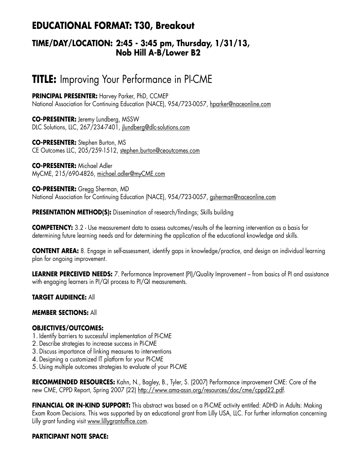## **EDUCATIONAL FORMAT: T30, Breakout**

## **TIME/DAY/LOCATION: 2:45 - 3:45 pm, Thursday, 1/31/13, Nob Hill A-B/Lower B2**

## **TITLE:** Improving Your Performance in PI-CME

**PRINCIPAL PRESENTER:** Harvey Parker, PhD, CCMEP National Association for Continuing Education (NACE), 954/723-0057, hparker@naceonline.com

**CO-PRESENTER:** Jeremy Lundberg, MSSW DLC Solutions, LLC, 267/234-7401, jlundberg@dlc-solutions.com

**CO-PRESENTER:** Stephen Burton, MS CE Outcomes LLC, 205/259-1512, stephen.burton@ceoutcomes.com

**CO-PRESENTER:** Michael Adler MyCME, 215/690-4826, michael.adler@myCME.com

**CO-PRESENTER:** Gregg Sherman, MD National Association for Continuing Education (NACE), 954/723-0057, gsherman@naceonline.com

**PRESENTATION METHOD(S):** Dissemination of research/findings; Skills building

**COMPETENCY:** 3.2 - Use measurement data to assess outcomes/results of the learning intervention as a basis for determining future learning needs and for determining the application of the educational knowledge and skills.

**CONTENT AREA:** 8. Engage in self-assessment, identify gaps in knowledge/practice, and design an individual learning plan for ongoing improvement.

**LEARNER PERCEIVED NEEDS:** 7. Performance Improvement (PI)/Quality Improvement – from basics of PI and assistance with engaging learners in PI/QI process to PI/QI measurements.

**TARGET AUDIENCE:** All

## **MEMBER SECTIONS:** All

#### **OBJECTIVES/OUTCOMES:**

- 1. Identify barriers to successful implementation of PI-CME
- 2. Describe strategies to increase success in PI-CME
- 3. Discuss importance of linking measures to interventions
- 4. Designing a customized IT platform for your PI-CME
- 5. Using multiple outcomes strategies to evaluate of your PI-CME

**RECOMMENDED RESOURCES:** Kahn, N., Bagley, B., Tyler, S. (2007) Performance improvement CME: Core of the new CME, CPPD Report, Spring 2007 (22) http://www.ama-assn.org/resources/doc/cme/cppd22.pdf.

**FINANCIAL OR IN-KIND SUPPORT:** This abstract was based on a PI-CME activity entitled: ADHD in Adults: Making Exam Room Decisions. This was supported by an educational grant from Lilly USA, LLC. For further information concerning Lilly grant funding visit www.lillygrantoffice.com.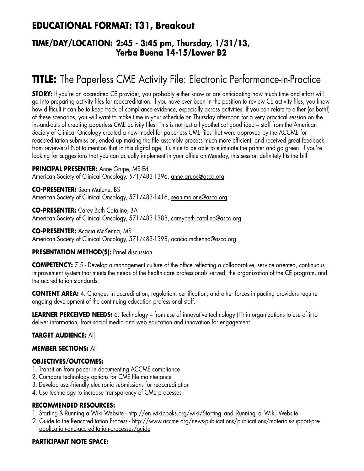## **EDUCATIONAL FORMAT: T31, Breakout**

## **TIME/DAY/LOCATION: 2:45 - 3:45 pm, Thursday, 1/31/13, Yerba Buena 14-15/Lower B2**

# **TITLE:** The Paperless CME Activity File: Electronic Performance-in-Practice

**STORY:** If you're an accredited CE provider, you probably either know or are anticipating how much time and effort will go into preparing activity files for reaccreditation. If you have ever been in the position to review CE activity files, you know how difficult it can be to keep track of compliance evidence, especially across activities. If you can relate to either (or both!) of these scenarios, you will want to make time in your schedule on Thursday afternoon for a very practical session on the ins-and-outs of creating paperless CME activity files! This is not just a hypothetical good idea – staff from the American Society of Clinical Oncology created a new model for paperless CME files that were approved by the ACCME for reaccreditation submission, ended up making the file assembly process much more efficient, and received great feedback from reviewers! Not to mention that in this digital age, it's nice to be able to eliminate the printer and go green. If you're looking for suggestions that you can actually implement in your office on Monday, this session definitely fits the bill!

**PRINCIPAL PRESENTER:** Anne Grupe, MS Ed American Society of Clinical Oncology, 571/483-1396, anne.grupe@asco.org

**CO-PRESENTER:** Sean Malone, BS American Society of Clinical Oncology, 571/483-1416, sean.malone@asco.org

**CO-PRESENTER:** Carey Beth Catalino, BA American Society of Clinical Oncology, 571/483-1388, careybeth.catalino@asco.org

**CO-PRESENTER:** Acacia McKenna, MS American Society of Clinical Oncology, 571/483-1398, acacia.mckenna@asco.org

## **PRESENTATION METHOD(S):** Panel discussion

**COMPETENCY:** 7.5 - Develop a management culture of the office reflecting a collaborative, service oriented, continuous improvement system that meets the needs of the health care professionals served, the organization of the CE program, and the accreditation standards.

**CONTENT AREA:** 4. Changes in accreditation, regulation, certification, and other forces impacting providers require ongoing development of the continuing education professional staff.

**LEARNER PERCEIVED NEEDS:** 6. Technology – from use of innovative technology (IT) in organizations to use of it to deliver information, from social media and web education and innovation for engagement.

## **TARGET AUDIENCE:** All

## **MEMBER SECTIONS:** All

## **OBJECTIVES/OUTCOMES:**

- 1. Transition from paper in documenting ACCME compliance
- 2. Compare technology options for CME file maintenance
- 3. Develop user-friendly electronic submissions for reaccreditation
- 4. Use technology to increase transparency of CME processes

## **RECOMMENDED RESOURCES:**

- 1. Starting & Running a Wiki Website http://en.wikibooks.org/wiki/Starting\_and\_Running\_a\_Wiki\_Website
- 2. Guide to the Reaccreditation Process http://www.accme.org/news-publications/publications/materials-support-preapplication-and-accreditation-processes/guide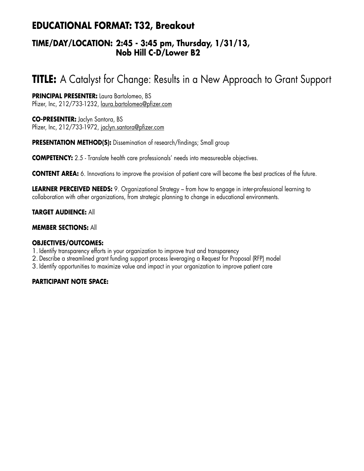## **EDUCATIONAL FORMAT: T32, Breakout**

## **TIME/DAY/LOCATION: 2:45 - 3:45 pm, Thursday, 1/31/13, Nob Hill C-D/Lower B2**

# **TITLE:** A Catalyst for Change: Results in a New Approach to Grant Support

**PRINCIPAL PRESENTER:** Laura Bartolomeo, BS Pfizer, Inc, 212/733-1232, laura.bartolomeo@pfizer.com

**CO-PRESENTER:** Jaclyn Santora, BS Pfizer, Inc, 212/733-1972, jaclyn.santora@pfizer.com

**PRESENTATION METHOD(S):** Dissemination of research/findings; Small group

**COMPETENCY:** 2.5 - Translate health care professionals' needs into measureable objectives.

**CONTENT AREA:** 6. Innovations to improve the provision of patient care will become the best practices of the future.

**LEARNER PERCEIVED NEEDS:** 9. Organizational Strategy – from how to engage in inter-professional learning to collaboration with other organizations, from strategic planning to change in educational environments.

**TARGET AUDIENCE:** All

#### **MEMBER SECTIONS:** All

#### **OBJECTIVES/OUTCOMES:**

- 1. Identify transparency efforts in your organization to improve trust and transparency
- 2. Describe a streamlined grant funding support process leveraging a Request for Proposal (RFP) model
- 3. Identify opportunities to maximize value and impact in your organization to improve patient care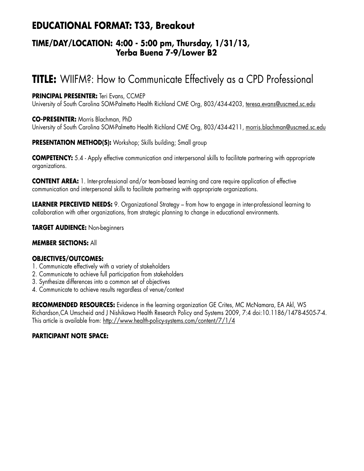## **EDUCATIONAL FORMAT: T33, Breakout**

## **TIME/DAY/LOCATION: 4:00 - 5:00 pm, Thursday, 1/31/13, Yerba Buena 7-9/Lower B2**

# **TITLE:** WIIFM?: How to Communicate Effectively as a CPD Professional

## **PRINCIPAL PRESENTER:** Teri Evans, CCMEP

University of South Carolina SOM-Palmetto Health Richland CME Org, 803/434-4203, teresa.evans@uscmed.sc.edu

## **CO-PRESENTER:** Morris Blachman, PhD

University of South Carolina SOM-Palmetto Health Richland CME Org, 803/434-4211, morris.blachman@uscmed.sc.edu

## **PRESENTATION METHOD(S):** Workshop; Skills building; Small group

**COMPETENCY:** 5.4 - Apply effective communication and interpersonal skills to facilitate partnering with appropriate organizations.

**CONTENT AREA:** 1. Inter-professional and/or team-based learning and care require application of effective communication and interpersonal skills to facilitate partnering with appropriate organizations.

**LEARNER PERCEIVED NEEDS:** 9. Organizational Strategy – from how to engage in inter-professional learning to collaboration with other organizations, from strategic planning to change in educational environments.

**TARGET AUDIENCE:** Non-beginners

## **MEMBER SECTIONS:** All

## **OBJECTIVES/OUTCOMES:**

- 1. Communicate effectively with a variety of stakeholders
- 2. Communicate to achieve full participation from stakeholders
- 3. Synthesize differences into a common set of objectives
- 4. Communicate to achieve results regardless of venue/context

**RECOMMENDED RESOURCES:** Evidence in the learning organization GE Crites, MC McNamara, EA Akl, WS Richardson,CA Umscheid and J Nishikawa Health Research Policy and Systems 2009, 7:4 doi:10.1186/1478-4505-7-4. This article is available from: http://www.health-policy-systems.com/content/7/1/4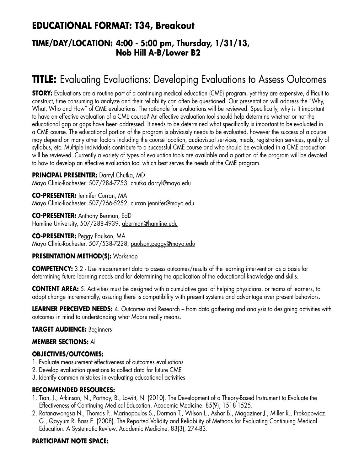## **EDUCATIONAL FORMAT: T34, Breakout**

## **TIME/DAY/LOCATION: 4:00 - 5:00 pm, Thursday, 1/31/13, Nob Hill A-B/Lower B2**

# **TITLE:** Evaluating Evaluations: Developing Evaluations to Assess Outcomes

**STORY:** Evaluations are a routine part of a continuing medical education (CME) program, yet they are expensive, difficult to construct, time consuming to analyze and their reliability can often be questioned. Our presentation will address the "Why, What, Who and How" of CME evaluations. The rationale for evaluations will be reviewed. Specifically, why is it important to have an effective evaluation of a CME course? An effective evaluation tool should help determine whether or not the educational gap or gaps have been addressed. It needs to be determined what specifically is important to be evaluated in a CME course. The educational portion of the program is obviously needs to be evaluated, however the success of a course may depend on many other factors including the course location, audiovisual services, meals, registration services, quality of syllabus, etc. Multiple individuals contribute to a successful CME course and who should be evaluated in a CME production will be reviewed. Currently a variety of types of evaluation tools are available and a portion of the program will be devoted to how to develop an effective evaluation tool which best serves the needs of the CME program.

**PRINCIPAL PRESENTER:** Darryl Chutka, MD Mayo Clinic-Rochester, 507/284-7753, chutka.darryl@mayo.edu

**CO-PRESENTER:** Jennifer Curran, MA Mayo Clinic-Rochester, 507/266-5252, curran.jennifer@mayo.edu

**CO-PRESENTER:** Anthony Berman, EdD Hamline University, 507/288-4939, aberman@hamline.edu

**CO-PRESENTER:** Peggy Paulson, MA Mayo Clinic-Rochester, 507/538-7228, paulson.peggy@mayo.edu

## **PRESENTATION METHOD(S):** Workshop

**COMPETENCY:** 3.2 - Use measurement data to assess outcomes/results of the learning intervention as a basis for determining future learning needs and for determining the application of the educational knowledge and skills.

**CONTENT AREA:** 5. Activities must be designed with a cumulative goal of helping physicians, or teams of learners, to adopt change incrementally, assuring there is compatibility with present systems and advantage over present behaviors.

**LEARNER PERCEIVED NEEDS:** 4. Outcomes and Research – from data gathering and analysis to designing activities with outcomes in mind to understanding what Moore really means.

## **TARGET AUDIENCE:** Beginners

## **MEMBER SECTIONS:** All

## **OBJECTIVES/OUTCOMES:**

- 1. Evaluate measurement effectiveness of outcomes evaluations
- 2. Develop evaluation questions to collect data for future CME
- 3. Identify common mistakes in evaluating educational activities

## **RECOMMENDED RESOURCES:**

- 1. Tian, J., Atkinson, N., Portnoy, B., Lowitt, N. (2010). The Development of a Theory-Based Instrument to Evaluate the Effectiveness of Continuing Medical Education. Academic Medicine. 85(9), 1518-1525.
- 2. Ratanawongsa N., Thomas P., Marinopoulos S., Dorman T., Wilson L., Ashar B., Magaziner J., Miller R., Prokopowicz G., Qayyum R, Bass E. (2008). The Reported Validity and Reliability of Methods for Evaluating Continuing Medical Education: A Systematic Review. Academic Medicine. 83(3), 274-83.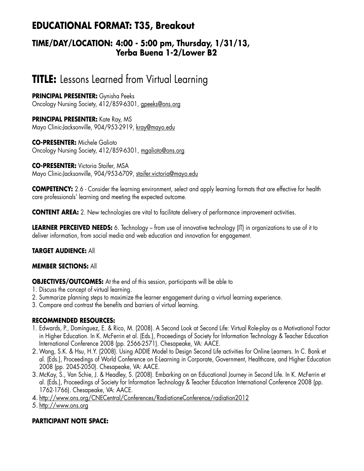## **EDUCATIONAL FORMAT: T35, Breakout**

## **TIME/DAY/LOCATION: 4:00 - 5:00 pm, Thursday, 1/31/13, Yerba Buena 1-2/Lower B2**

# **TITLE:** Lessons Learned from Virtual Learning

**PRINCIPAL PRESENTER:** Gynisha Peeks Oncology Nursing Society, 412/859-6301, gpeeks@ons.org

**PRINCIPAL PRESENTER:** Kate Ray, MS Mayo Clinic-Jacksonville, 904/953-2919, kray@mayo.edu

**CO-PRESENTER:** Michele Galioto Oncology Nursing Society, 412/859-6301, mgalioto@ons.org

**CO-PRESENTER:** Victoria Staifer, MSA Mayo Clinic-Jacksonville, 904/953-6709, staifer.victoria@mayo.edu

**COMPETENCY:** 2.6 - Consider the learning environment, select and apply learning formats that are effective for health care professionals' learning and meeting the expected outcome.

**CONTENT AREA:** 2. New technologies are vital to facilitate delivery of performance improvement activities.

**LEARNER PERCEIVED NEEDS:** 6. Technology – from use of innovative technology (IT) in organizations to use of it to deliver information, from social media and web education and innovation for engagement.

## **TARGET AUDIENCE:** All

## **MEMBER SECTIONS:** All

**OBJECTIVES/OUTCOMES:** At the end of this session, participants will be able to

- 1. Discuss the concept of virtual learning.
- 2. Summarize planning steps to maximize the learner engagement during a virtual learning experience.
- 3. Compare and contrast the benefits and barriers of virtual learning.

## **RECOMMENDED RESOURCES:**

- 1. Edwards, P., Domínguez, E. & Rico, M. (2008). A Second Look at Second Life: Virtual Role-play as a Motivational Factor in Higher Education. In K. McFerrin et al. (Eds.), Proceedings of Society for Information Technology & Teacher Education International Conference 2008 (pp. 2566-2571). Chesapeake, VA: AACE.
- 2.Wang, S.K. & Hsu, H.Y. (2008). Using ADDIE Model to Design Second Life activities for Online Learners. In C. Bonk et al. (Eds.), Proceedings of World Conference on E-Learning in Corporate, Government, Healthcare, and Higher Education 2008 (pp. 2045-2050). Chesapeake, VA: AACE.
- 3. McKay, S., Van Schie, J. & Headley, S. (2008). Embarking on an Educational Journey in Second Life. In K. McFerrin et al. (Eds.), Proceedings of Society for Information Technology & Teacher Education International Conference 2008 (pp. 1762-1766). Chesapeake, VA: AACE.
- 4. http://www.ons.org/CNECentral/Conferences/RadiationeConference/radiation2012

5. http://www.ons.org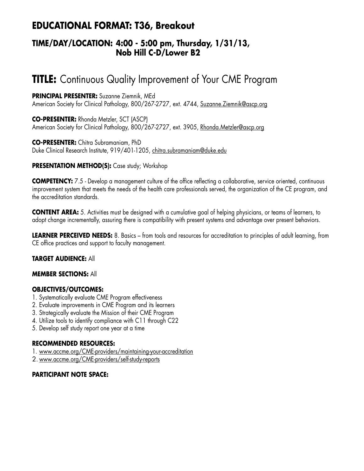## **EDUCATIONAL FORMAT: T36, Breakout**

## **TIME/DAY/LOCATION: 4:00 - 5:00 pm, Thursday, 1/31/13, Nob Hill C-D/Lower B2**

# **TITLE:** Continuous Quality Improvement of Your CME Program

**PRINCIPAL PRESENTER:** Suzanne Ziemnik, MEd American Society for Clinical Pathology, 800/267-2727, ext. 4744, Suzanne. Ziemnik@ascp.org

**CO-PRESENTER:** Rhonda Metzler, SCT (ASCP) American Society for Clinical Pathology, 800/267-2727, ext. 3905, Rhonda.Metzler@ascp.org

**CO-PRESENTER:** Chitra Subramaniam, PhD Duke Clinical Research Institute, 919/401-1205, chitra.subramaniam@duke.edu

## **PRESENTATION METHOD(S):** Case study; Workshop

**COMPETENCY:** 7.5 - Develop a management culture of the office reflecting a collaborative, service oriented, continuous improvement system that meets the needs of the health care professionals served, the organization of the CE program, and the accreditation standards.

**CONTENT AREA:** 5. Activities must be designed with a cumulative goal of helping physicians, or teams of learners, to adopt change incrementally, assuring there is compatibility with present systems and advantage over present behaviors.

**LEARNER PERCEIVED NEEDS:** 8. Basics – from tools and resources for accreditation to principles of adult learning, from CE office practices and support to faculty management.

## **TARGET AUDIENCE:** All

#### **MEMBER SECTIONS:** All

## **OBJECTIVES/OUTCOMES:**

- 1. Systematically evaluate CME Program effectiveness
- 2. Evaluate improvements in CME Program and its learners
- 3. Strategically evaluate the Mission of their CME Program
- 4. Utilize tools to identify compliance with C11 through C22
- 5. Develop self study report one year at a time

#### **RECOMMENDED RESOURCES:**

- 1. www.accme.org/CME-providers/maintaining-your-accreditation
- 2. www.accme.org/CME-providers/self-study-reports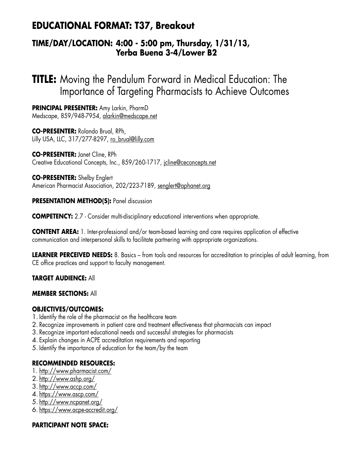## **EDUCATIONAL FORMAT: T37, Breakout**

## **TIME/DAY/LOCATION: 4:00 - 5:00 pm, Thursday, 1/31/13, Yerba Buena 3-4/Lower B2**

**TITLE:** Moving the Pendulum Forward in Medical Education: The Importance of Targeting Pharmacists to Achieve Outcomes

**PRINCIPAL PRESENTER:** Amy Larkin, PharmD Medscape, 859/948-7954, alarkin@medscape.net

**CO-PRESENTER:** Rolando Brual, RPh, Lilly USA, LLC, 317/277-8297, ro\_brual@lilly.com

**CO-PRESENTER:** Janet Cline, RPh Creative Educational Concepts, Inc., 859/260-1717, jcline@ceconcepts.net

**CO-PRESENTER:** Shelby Englert American Pharmacist Association, 202/223-7189, senglert@aphanet.org

**PRESENTATION METHOD(S):** Panel discussion

**COMPETENCY:** 2.7 - Consider multi-disciplinary educational interventions when appropriate.

**CONTENT AREA:** 1. Inter-professional and/or team-based learning and care requires application of effective communication and interpersonal skills to facilitate partnering with appropriate organizations.

**LEARNER PERCEIVED NEEDS:** 8. Basics – from tools and resources for accreditation to principles of adult learning, from CE office practices and support to faculty management.

**TARGET AUDIENCE:** All

#### **MEMBER SECTIONS:** All

## **OBJECTIVES/OUTCOMES:**

- 1. Identify the role of the pharmacist on the healthcare team
- 2. Recognize improvements in patient care and treatment effectiveness that pharmacists can impact
- 3. Recognize important educational needs and successful strategies for pharmacists
- 4. Explain changes in ACPE accreditation requirements and reporting
- 5. Identify the importance of education for the team/by the team

#### **RECOMMENDED RESOURCES:**

- 1. http://www.pharmacist.com/
- 2. http://www.ashp.org/
- 3. http://www.accp.com/
- 4. https://www.ascp.com/
- 5. http://www.ncpanet.org/
- 6. https://www.acpe-accredit.org/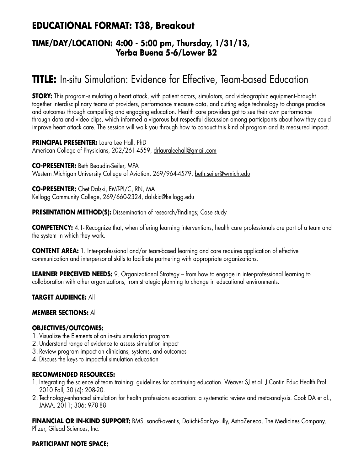## **EDUCATIONAL FORMAT: T38, Breakout**

## **TIME/DAY/LOCATION: 4:00 - 5:00 pm, Thursday, 1/31/13, Yerba Buena 5-6/Lower B2**

# **TITLE:** In-situ Simulation: Evidence for Effective, Team-based Education

**STORY:** This program-simulating a heart attack, with patient actors, simulators, and videographic equipment-brought together interdisciplinary teams of providers, performance measure data, and cutting edge technology to change practice and outcomes through compelling and engaging education. Health care providers got to see their own performance through data and video clips, which informed a vigorous but respectful discussion among participants about how they could improve heart attack care. The session will walk you through how to conduct this kind of program and its measured impact.

**PRINCIPAL PRESENTER:** Laura Lee Hall, PhD American College of Physicians, 202/261-4559, drlauraleehall@gmail.com

**CO-PRESENTER:** Beth Beaudin-Seiler, MPA Western Michigan University College of Aviation, 269/964-4579, beth.seiler@wmich.edu

**CO-PRESENTER:** Chet Dalski, EMT-PI/C, RN, MA Kellogg Community College, 269/660-2324, dalskic@kellogg.edu

**PRESENTATION METHOD(S):** Dissemination of research/findings; Case study

**COMPETENCY:** 4.1- Recognize that, when offering learning interventions, health care professionals are part of a team and the system in which they work.

**CONTENT AREA:** 1. Inter-professional and/or team-based learning and care requires application of effective communication and interpersonal skills to facilitate partnering with appropriate organizations.

**LEARNER PERCEIVED NEEDS:** 9. Organizational Strategy – from how to engage in inter-professional learning to collaboration with other organizations, from strategic planning to change in educational environments.

**TARGET AUDIENCE:** All

## **MEMBER SECTIONS:** All

## **OBJECTIVES/OUTCOMES:**

- 1. Visualize the Elements of an in-situ simulation program
- 2. Understand range of evidence to assess simulation impact
- 3. Review program impact on clinicians, systems, and outcomes
- 4. Discuss the keys to impactful simulation education

#### **RECOMMENDED RESOURCES:**

- 1. Integrating the science of team training: guidelines for continuing education. Weaver SJ et al. J Contin Educ Health Prof. 2010 Fall; 30 (4): 208-20.
- 2. Technology-enhanced simulation for health professions education: a systematic review and meta-analysis. Cook DA et al., JAMA. 2011; 306: 978-88.

**FINANCIAL OR IN-KIND SUPPORT:** BMS, sanofi-aventis, Daiichi-Sankyo-Lilly, AstraZeneca, The Medicines Company, Pfizer, Gilead Sciences, Inc.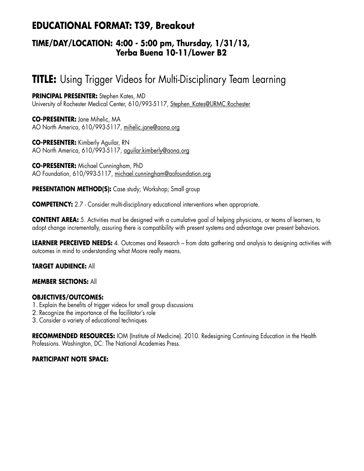## **EDUCATIONAL FORMAT: T39, Breakout**

## **TIME/DAY/LOCATION: 4:00 - 5:00 pm, Thursday, 1/31/13, Yerba Buena 10-11/Lower B2**

# **TITLE:** Using Trigger Videos for Multi-Disciplinary Team Learning

**PRINCIPAL PRESENTER:** Stephen Kates, MD University of Rochester Medical Center, 610/993-5117, Stephen\_Kates@URMC.Rochester

**CO-PRESENTER:** Jane Mihelic, MA AO North America, 610/993-5117, mihelic.jane@aona.org

**CO-PRESENTER:** Kimberly Aguilar, RN AO North America, 610/993-5117, aguilar.kimberly@aona.org

**CO-PRESENTER:** Michael Cunningham, PhD AO Foundation, 610/993-5117, michael.cunningham@aofoundation.org

**PRESENTATION METHOD(S):** Case study; Workshop; Small group

**COMPETENCY:** 2.7 - Consider multi-disciplinary educational interventions when appropriate.

**CONTENT AREA:** 5. Activities must be designed with a cumulative goal of helping physicians, or teams of learners, to adopt change incrementally, assuring there is compatibility with present systems and advantage over present behaviors.

**LEARNER PERCEIVED NEEDS:** 4. Outcomes and Research – from data gathering and analysis to designing activities with outcomes in mind to understanding what Moore really means.

## **TARGET AUDIENCE:** All

#### **MEMBER SECTIONS:** All

## **OBJECTIVES/OUTCOMES:**

- 1. Explain the benefits of trigger videos for small group discussions
- 2. Recognize the importance of the facilitator's role
- 3. Consider a variety of educational techniques

**RECOMMENDED RESOURCES:** IOM (Institute of Medicine). 2010. Redesigning Continuing Education in the Health Professions. Washington, DC: The National Academies Press.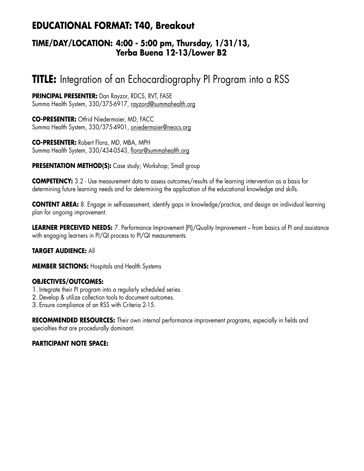## **EDUCATIONAL FORMAT: T40, Breakout**

## **TIME/DAY/LOCATION: 4:00 - 5:00 pm, Thursday, 1/31/13, Yerba Buena 12-13/Lower B2**

# **TITLE:** Integration of an Echocardiography PI Program into a RSS

**PRINCIPAL PRESENTER:** Dan Rayzor, RDCS, RVT, FASE Summa Health System, 330/375-6917, rayzord@summahealth.org

**CO-PRESENTER:** Otfrid Niedermaier, MD, FACC Summa Health System, 330/375-4901, oniedermaier@neocs.org

**CO-PRESENTER:** Robert Flora, MD, MBA, MPH Summa Health System, 330/434-0543, florar@summahealth.org

**PRESENTATION METHOD(S):** Case study; Workshop; Small group

**COMPETENCY:** 3.2 - Use measurement data to assess outcomes/results of the learning intervention as a basis for determining future learning needs and for determining the application of the educational knowledge and skills.

**CONTENT AREA:** 8. Engage in self-assessment, identify gaps in knowledge/practice, and design an individual learning plan for ongoing improvement.

**LEARNER PERCEIVED NEEDS:** 7. Performance Improvement (PI)/Quality Improvement – from basics of PI and assistance with engaging learners in PI/QI process to PI/QI measurements.

## **TARGET AUDIENCE:** All

**MEMBER SECTIONS:** Hospitals and Health Systems

## **OBJECTIVES/OUTCOMES:**

- 1. Integrate their PI program into a regularly scheduled series.
- 2. Develop & utilize collection tools to document outcomes.
- 3. Ensure compliance of an RSS with Criteria 2-15.

**RECOMMENDED RESOURCES:** Their own internal performance improvement programs, especially in fields and specialties that are procedurally dominant.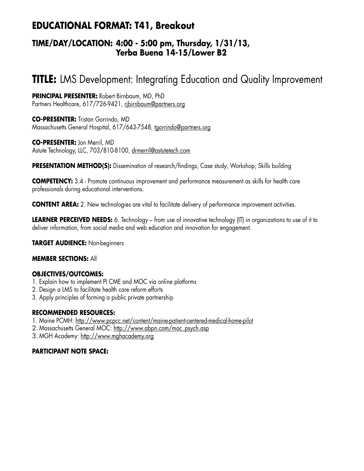## **EDUCATIONAL FORMAT: T41, Breakout**

## **TIME/DAY/LOCATION: 4:00 - 5:00 pm, Thursday, 1/31/13, Yerba Buena 14-15/Lower B2**

# **TITLE:** LMS Development: Integrating Education and Quality Improvement

**PRINCIPAL PRESENTER:** Robert Birnbaum, MD, PhD Partners Healthcare, 617/726-9421, ribirnbaum@partners.org

**CO-PRESENTER:** Tristan Gorrindo, MD Massachusetts General Hospital, 617/643-7548, tgorrindo@partners.org

**CO-PRESENTER:** Jon Merril, MD Astute Technology, LLC, 703/810-8100, drmerril@astutetech.com

**PRESENTATION METHOD(S):** Dissemination of research/findings; Case study; Workshop; Skills building

**COMPETENCY:** 3.4 - Promote continuous improvement and performance measurement as skills for health care professionals during educational interventions.

**CONTENT AREA:** 2. New technologies are vital to facilitate delivery of performance improvement activities.

**LEARNER PERCEIVED NEEDS:** 6. Technology – from use of innovative technology (IT) in organizations to use of it to deliver information, from social media and web education and innovation for engagement.

**TARGET AUDIENCE:** Non-beginners

#### **MEMBER SECTIONS:** All

## **OBJECTIVES/OUTCOMES:**

- 1. Explain how to implement PI CME and MOC via online platforms
- 2. Design a LMS to facilitate health care reform efforts
- 3. Apply principles of forming a public private partnership

## **RECOMMENDED RESOURCES:**

- 1. Maine PCMH: http://www.pcpcc.net/content/maine-patient-centered-medical-home-pilot
- 2. Massachusetts General MOC: http://www.abpn.com/moc\_psych.asp

3. MGH Academy: http://www.mghacademy.org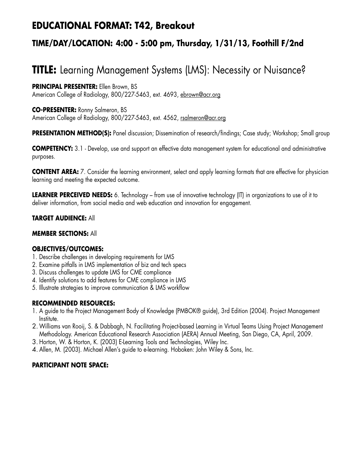## **EDUCATIONAL FORMAT: T42, Breakout**

## **TIME/DAY/LOCATION: 4:00 - 5:00 pm, Thursday, 1/31/13, Foothill F/2nd**

# **TITLE:** Learning Management Systems (LMS): Necessity or Nuisance?

## **PRINCIPAL PRESENTER:** Ellen Brown, BS

American College of Radiology, 800/227-5463, ext. 4693, ebrown@acr.org

## **CO-PRESENTER:** Ronny Salmeron, BS

American College of Radiology, 800/227-5463, ext. 4562, rsalmeron@acr.org

**PRESENTATION METHOD(S):** Panel discussion; Dissemination of research/findings; Case study; Workshop; Small group

**COMPETENCY:** 3.1 - Develop, use and support an effective data management system for educational and administrative purposes.

**CONTENT AREA:** 7. Consider the learning environment, select and apply learning formats that are effective for physician learning and meeting the expected outcome.

**LEARNER PERCEIVED NEEDS:** 6. Technology – from use of innovative technology (IT) in organizations to use of it to deliver information, from social media and web education and innovation for engagement.

## **TARGET AUDIENCE:** All

## **MEMBER SECTIONS:** All

## **OBJECTIVES/OUTCOMES:**

- 1. Describe challenges in developing requirements for LMS
- 2. Examine pitfalls in LMS implementation of biz and tech specs
- 3. Discuss challenges to update LMS for CME compliance
- 4. Identify solutions to add features for CME compliance in LMS
- 5. Illustrate strategies to improve communication & LMS workflow

## **RECOMMENDED RESOURCES:**

- 1. A guide to the Project Management Body of Knowledge (PMBOK® guide), 3rd Edition (2004). Project Management Institute.
- 2.Williams van Rooij, S. & Dabbagh, N. Facilitating Project-based Learning in Virtual Teams Using Project Management Methodology. American Educational Research Association (AERA) Annual Meeting, San Diego, CA, April, 2009.
- 3. Horton, W. & Horton, K. (2003) E-Learning Tools and Technologies, Wiley Inc.
- 4. Allen, M. (2003). Michael Allen's guide to e-learning. Hoboken: John Wiley & Sons, Inc.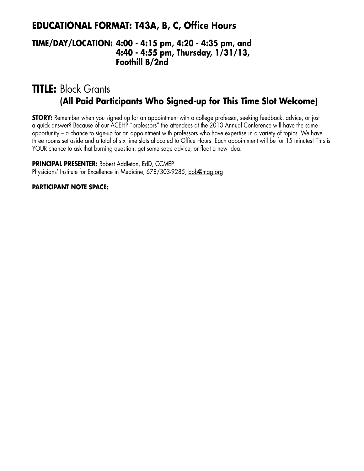## **EDUCATIONAL FORMAT: T43A, B, C, Office Hours**

## **TIME/DAY/LOCATION: 4:00 - 4:15 pm, 4:20 - 4:35 pm, and 4:40 - 4:55 pm, Thursday, 1/31/13, Foothill B/2nd**

## **TITLE:** Block Grants **(All Paid Participants Who Signed-up for This Time Slot Welcome)**

**STORY:** Remember when you signed up for an appointment with a college professor, seeking feedback, advice, or just a quick answer? Because of our ACEHP "professors" the attendees at the 2013 Annual Conference will have the same opportunity – a chance to sign-up for an appointment with professors who have expertise in a variety of topics. We have three rooms set aside and a total of six time slots allocated to Office Hours. Each appointment will be for 15 minutes! This is YOUR chance to ask that burning question, get some sage advice, or float a new idea.

**PRINCIPAL PRESENTER:** Robert Addleton, EdD, CCMEP Physicians' Institute for Excellence in Medicine, 678/303-9285, bob@mag.org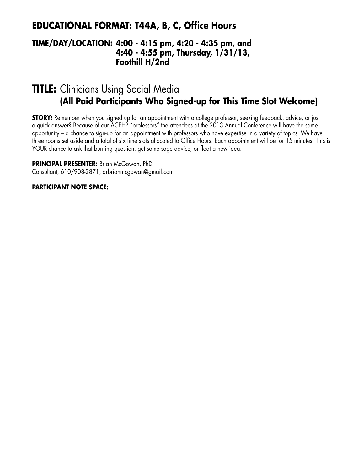## **EDUCATIONAL FORMAT: T44A, B, C, Office Hours**

## **TIME/DAY/LOCATION: 4:00 - 4:15 pm, 4:20 - 4:35 pm, and 4:40 - 4:55 pm, Thursday, 1/31/13, Foothill H/2nd**

## **TITLE:** Clinicians Using Social Media **(All Paid Participants Who Signed-up for This Time Slot Welcome)**

**STORY:** Remember when you signed up for an appointment with a college professor, seeking feedback, advice, or just a quick answer? Because of our ACEHP "professors" the attendees at the 2013 Annual Conference will have the same opportunity – a chance to sign-up for an appointment with professors who have expertise in a variety of topics. We have three rooms set aside and a total of six time slots allocated to Office Hours. Each appointment will be for 15 minutes! This is YOUR chance to ask that burning question, get some sage advice, or float a new idea.

**PRINCIPAL PRESENTER:** Brian McGowan, PhD Consultant, 610/908-2871, drbrianmcgowan@gmail.com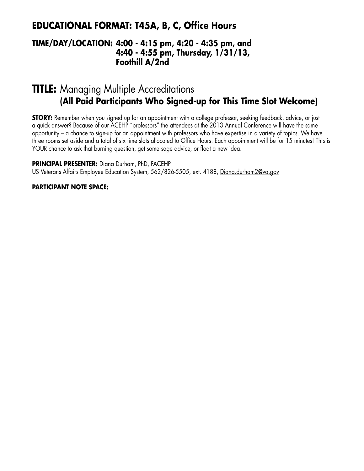## **EDUCATIONAL FORMAT: T45A, B, C, Office Hours**

## **TIME/DAY/LOCATION: 4:00 - 4:15 pm, 4:20 - 4:35 pm, and 4:40 - 4:55 pm, Thursday, 1/31/13, Foothill A/2nd**

## **TITLE:** Managing Multiple Accreditations **(All Paid Participants Who Signed-up for This Time Slot Welcome)**

**STORY:** Remember when you signed up for an appointment with a college professor, seeking feedback, advice, or just a quick answer? Because of our ACEHP "professors" the attendees at the 2013 Annual Conference will have the same opportunity – a chance to sign-up for an appointment with professors who have expertise in a variety of topics. We have three rooms set aside and a total of six time slots allocated to Office Hours. Each appointment will be for 15 minutes! This is YOUR chance to ask that burning question, get some sage advice, or float a new idea.

**PRINCIPAL PRESENTER:** Diana Durham, PhD, FACEHP

US Veterans Affairs Employee Education System, 562/826-5505, ext. 4188, Diana.durham2@va.gov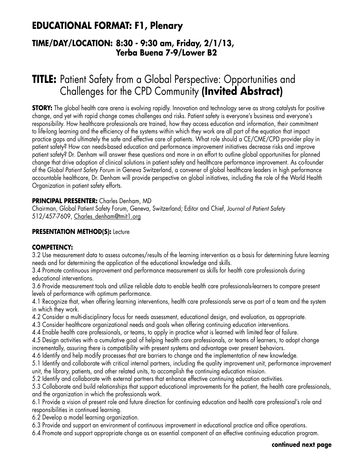## **EDUCATIONAL FORMAT: F1, Plenary**

## **TIME/DAY/LOCATION: 8:30 - 9:30 am, Friday, 2/1/13, Yerba Buena 7-9/Lower B2**

# **TITLE:** Patient Safety from a Global Perspective: Opportunities and Challenges for the CPD Community **(Invited Abstract)**

**STORY:** The global health care arena is evolving rapidly. Innovation and technology serve as strong catalysts for positive change, and yet with rapid change comes challenges and risks. Patient safety is everyone's business and everyone's responsibility. How healthcare professionals are trained, how they access education and information, their commitment to life-long learning and the efficiency of the systems within which they work are all part of the equation that impact practice gaps and ultimately the safe and effective care of patients. What role should a CE/CME/CPD provider play in patient safety? How can needs-based education and performance improvement initiatives decrease risks and improve patient safety? Dr. Denham will answer these questions and more in an effort to outline global opportunities for planned change that drive adoption of clinical solutions in patient safety and healthcare performance improvement. As co-founder of the *Global Patient Safety Forum* in Geneva Switzerland, a convener of global healthcare leaders in high performance accountable healthcare, Dr. Denham will provide perspective on global initiatives, including the role of the World Health Organization in patient safety efforts.

## **PRINCIPAL PRESENTER:** Charles Denham, MD

Chairman, Global Patient Safety Forum, Geneva, Switzerland; Editor and Chief, *Journal of Patient Safety* 512/457-7609, Charles\_denham@tmit1.org

## **PRESENTATION METHOD(S): Lecture**

## **COMPETENCY:**

3.2 Use measurement data to assess outcomes/results of the learning intervention as a basis for determining future learning needs and for determining the application of the educational knowledge and skills.

3.4 Promote continuous improvement and performance measurement as skills for health care professionals during educational interventions.

3.6 Provide measurement tools and utilize reliable data to enable health care professionals-learners to compare present levels of performance with optimum performance.

4.1 Recognize that, when offering learning interventions, health care professionals serve as part of a team and the system in which they work.

4.2 Consider a multi-disciplinary focus for needs assessment, educational design, and evaluation, as appropriate.

4.3 Consider healthcare organizational needs and goals when offering continuing education interventions.

4.4 Enable health care professionals, or teams, to apply in practice what is learned with limited fear of failure.

4.5 Design activities with a cumulative goal of helping health care professionals, or teams of learners, to adopt change incrementally, assuring there is compatibility with present systems and advantage over present behaviors.

4.6 Identify and help modify processes that are barriers to change and the implementation of new knowledge.

5.1 Identify and collaborate with critical internal partners, including the quality improvement unit, performance improvement unit, the library, patients, and other related units, to accomplish the continuing education mission.

5.2 Identify and collaborate with external partners that enhance effective continuing education activities.

5.3 Collaborate and build relationships that support educational improvements for the patient, the health care professionals, and the organization in which the professionals work.

6.1 Provide a vision of present role and future direction for continuing education and health care professional's role and responsibilities in continued learning.

6.2 Develop a model learning organization.

6.3 Provide and support an environment of continuous improvement in educational practice and office operations.

6.4 Promote and support appropriate change as an essential component of an effective continuing education program.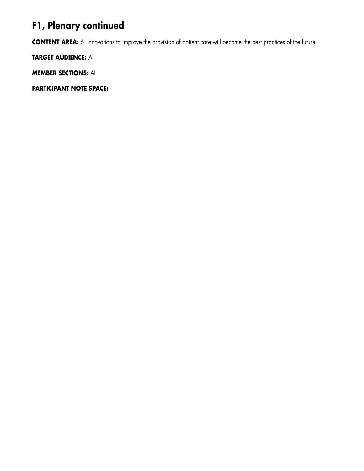# **F1, Plenary continued**

**CONTENT AREA:** 6. Innovations to improve the provision of patient care will become the best practices of the future.

**TARGET AUDIENCE:** All

**MEMBER SECTIONS:** All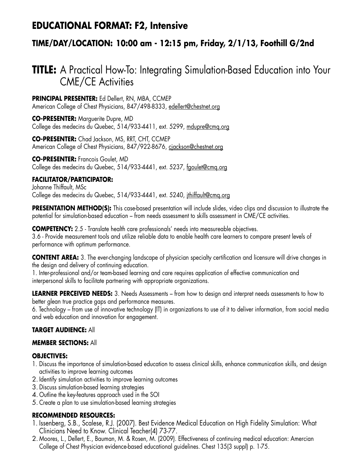## **EDUCATIONAL FORMAT: F2, Intensive**

## **TIME/DAY/LOCATION: 10:00 am - 12:15 pm, Friday, 2/1/13, Foothill G/2nd**

# **TITLE:** A Practical How-To: Integrating Simulation-Based Education into Your CME/CE Activities

**PRINCIPAL PRESENTER:** Ed Dellert, RN, MBA, CCMEP American College of Chest Physicians, 847/498-8333, edellert@chestnet.org

**CO-PRESENTER:** Marguerite Dupre, MD College des medecins du Quebec, 514/933-4411, ext. 5299, mdupre@cmq.org

**CO-PRESENTER:** Chad Jackson, MS, RRT, CHT, CCMEP American College of Chest Physicians, 847/922-8676, cjackson@chestnet.org

**CO-PRESENTER:** Francois Goulet, MD College des medecins du Quebec, 514/933-4441, ext. 5237, fgoulet@cmq.org

## **FACILITATOR/PARTICIPATOR:**

Johanne Thiffault, MSc College des medecins du Quebec, 514/933-4441, ext. 5240, jthiffault@cmq.org

PRESENTATION METHOD(S): This case-based presentation will include slides, video clips and discussion to illustrate the potential for simulation-based education – from needs assessment to skills assessment in CME/CE activities.

**COMPETENCY:** 2.5 - Translate health care professionals' needs into measureable objectives. 3.6 - Provide measurement tools and utilize reliable data to enable health care learners to compare present levels of performance with optimum performance.

**CONTENT AREA:** 3. The ever-changing landscape of physician specialty certification and licensure will drive changes in the design and delivery of continuing education.

1. Inter-professional and/or team-based learning and care requires application of effective communication and interpersonal skills to facilitate partnering with appropriate organizations.

**LEARNER PERCEIVED NEEDS:** 3. Needs Assessments – from how to design and interpret needs assessments to how to better glean true practice gaps and performance measures.

6. Technology – from use of innovative technology (IT) in organizations to use of it to deliver information, from social media and web education and innovation for engagement.

## **TARGET AUDIENCE:** All

## **MEMBER SECTIONS:** All

## **OBJECTIVES:**

- 1. Discuss the importance of simulation-based education to assess clinical skills, enhance communication skills, and design activities to improve learning outcomes
- 2. Identify simulation activities to improve learning outcomes
- 3. Discuss simulation-based learning strategies
- 4. Outline the key-features approach used in the SOI
- 5. Create a plan to use simulation-based learning strategies

## **RECOMMENDED RESOURCES:**

- 1. Issenberg, S.B., Scalese, R.J. (2007). Best Evidence Medical Education on High Fidelity Simulation: What Clinicians Need to Know. Clinical Teacher(4) 73-77.
- 2. Moores, L., Dellert, E., Bauman, M. & Rosen, M. (2009). Effectiveness of continuing medical education: Amercian College of Chest Physician evidence-based educational guidelines. Chest 135(3 suppl) p. 1-75.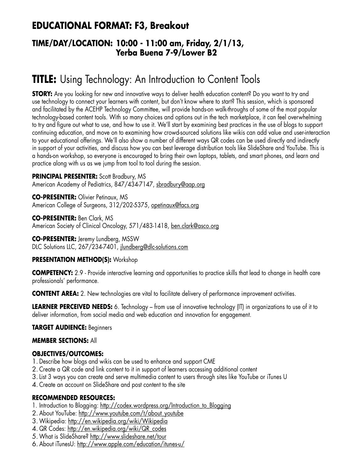## **EDUCATIONAL FORMAT: F3, Breakout**

## **TIME/DAY/LOCATION: 10:00 - 11:00 am, Friday, 2/1/13, Yerba Buena 7-9/Lower B2**

# **TITLE:** Using Technology: An Introduction to Content Tools

**STORY:** Are you looking for new and innovative ways to deliver health education content? Do you want to try and use technology to connect your learners with content, but don't know where to start? This session, which is sponsored and facilitated by the ACEHP Technology Committee, will provide hands-on walk-throughs of some of the most popular technology-based content tools. With so many choices and options out in the tech marketplace, it can feel overwhelming to try and figure out what to use, and how to use it. We'll start by examining best practices in the use of blogs to support continuing education, and move on to examining how crowd-sourced solutions like wikis can add value and user-interaction to your educational offerings. We'll also show a number of different ways QR codes can be used directly and indirectly in support of your activities, and discuss how you can best leverage distribution tools like SlideShare and YouTube. This is a hands-on workshop, so everyone is encouraged to bring their own laptops, tablets, and smart phones, and learn and practice along with us as we jump from tool to tool during the session.

## **PRINCIPAL PRESENTER:** Scott Bradbury, MS

American Academy of Pediatrics, 847/434-7147, sbradbury@aap.org

**CO-PRESENTER:** Olivier Petinaux, MS American College of Surgeons, 312/202-5375, opetinaux@facs.org

**CO-PRESENTER:** Ben Clark, MS American Society of Clinical Oncology, 571/483-1418, ben.clark@asco.org

**CO-PRESENTER:** Jeremy Lundberg, MSSW DLC Solutions LLC, 267/234-7401, jlundberg@dlc-solutions.com

## **PRESENTATION METHOD(S):** Workshop

**COMPETENCY:** 2.9 - Provide interactive learning and opportunities to practice skills that lead to change in health care professionals' performance.

**CONTENT AREA:** 2. New technologies are vital to facilitate delivery of performance improvement activities.

**LEARNER PERCEIVED NEEDS:** 6. Technology – from use of innovative technology (IT) in organizations to use of it to deliver information, from social media and web education and innovation for engagement.

## **TARGET AUDIENCE:** Beginners

## **MEMBER SECTIONS:** All

## **OBJECTIVES/OUTCOMES:**

- 1. Describe how blogs and wikis can be used to enhance and support CME
- 2. Create a QR code and link content to it in support of learners accessing additional content
- 3.List 3 ways you can create and serve multimedia content to users through sites like YouTube or iTunes U
- 4. Create an account on SlideShare and post content to the site

## **RECOMMENDED RESOURCES:**

- 1. Introduction to Blogging: http://codex.wordpress.org/Introduction to Blogging
- 2. About YouTube: http://www.youtube.com/t/about\_youtube
- 3.Wikipedia: http://en.wikipedia.org/wiki/Wikipedia
- 4. QR Codes: http://en.wikipedia.org/wiki/QR\_codes
- 5.What is SlideShare? http://www.slideshare.net/tour
- 6. About iTunesU: http://www.apple.com/education/itunes-u/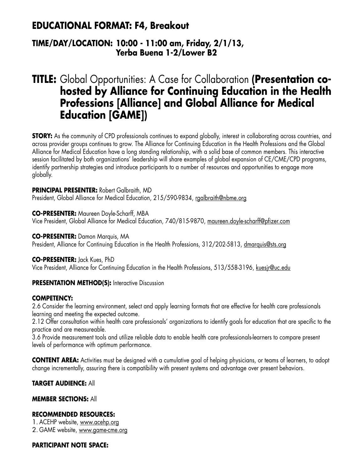## **EDUCATIONAL FORMAT: F4, Breakout**

## **TIME/DAY/LOCATION: 10:00 - 11:00 am, Friday, 2/1/13, Yerba Buena 1-2/Lower B2**

# **TITLE:** Global Opportunities: A Case for Collaboration **(Presentation cohosted by Alliance for Continuing Education in the Health Professions [Alliance] and Global Alliance for Medical Education [GAME])**

**STORY:** As the community of CPD professionals continues to expand globally, interest in collaborating across countries, and across provider groups continues to grow. The Alliance for Continuing Education in the Health Professions and the Global Alliance for Medical Education have a long standing relationship, with a solid base of common members. This interactive session facilitated by both organizations' leadership will share examples of global expansion of CE/CME/CPD programs, identify partnership strategies and introduce participants to a number of resources and opportunities to engage more globally.

**PRINCIPAL PRESENTER:** Robert Galbraith, MD

President, Global Alliance for Medical Education, 215/590-9834, rgalbraith@nbme.org

**CO-PRESENTER:** Maureen Doyle-Scharff, MBA Vice President, Global Alliance for Medical Education, 740/815-9870, maureen.doyle-scharff@pfizer.com

**CO-PRESENTER:** Damon Marquis, MA President, Alliance for Continuing Education in the Health Professions, 312/202-5813, dmarquis@sts.org

**CO-PRESENTER:** Jack Kues, PhD

Vice President, Alliance for Continuing Education in the Health Professions, 513/558-3196, kuesjr@uc.edu

**PRESENTATION METHOD(S):** Interactive Discussion

## **COMPETENCY:**

2.6 Consider the learning environment, select and apply learning formats that are effective for health care professionals learning and meeting the expected outcome.

2.12 Offer consultation within health care professionals' organizations to identify goals for education that are specific to the practice and are measureable.

3.6 Provide measurement tools and utilize reliable data to enable health care professionals-learners to compare present levels of performance with optimum performance.

**CONTENT AREA:** Activities must be designed with a cumulative goal of helping physicians, or teams of learners, to adopt change incrementally, assuring there is compatibility with present systems and advantage over present behaviors.

## **TARGET AUDIENCE:** All

## **MEMBER SECTIONS:** All

## **RECOMMENDED RESOURCES:**

1. ACEHP website, www.acehp.org

2. GAME website, www.game-cme.org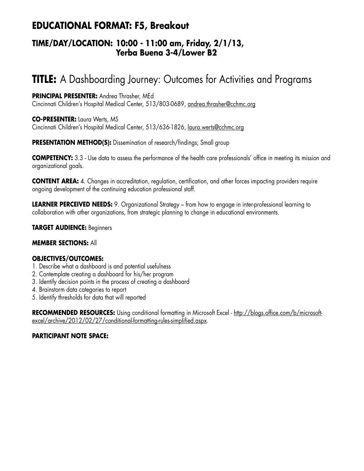## **EDUCATIONAL FORMAT: F5, Breakout**

## **TIME/DAY/LOCATION: 10:00 - 11:00 am, Friday, 2/1/13, Yerba Buena 3-4/Lower B2**

# **TITLE:** A Dashboarding Journey: Outcomes for Activities and Programs

**PRINCIPAL PRESENTER:** Andrea Thrasher, MEd Cincinnati Children's Hospital Medical Center, 513/803-0689, andrea.thrasher@cchmc.org

**CO-PRESENTER:** Laura Werts, MS Cincinnati Children's Hospital Medical Center, 513/636-1826, laura.werts@cchmc.org

**PRESENTATION METHOD(S):** Dissemination of research/findings; Small group

**COMPETENCY:** 3.3 - Use data to assess the performance of the health care professionals' office in meeting its mission and organizational goals.

**CONTENT AREA:** 4. Changes in accreditation, regulation, certification, and other forces impacting providers require ongoing development of the continuing education professional staff.

**LEARNER PERCEIVED NEEDS:** 9. Organizational Strategy – from how to engage in inter-professional learning to collaboration with other organizations, from strategic planning to change in educational environments.

**TARGET AUDIENCE:** Beginners

## **MEMBER SECTIONS:** All

## **OBJECTIVES/OUTCOMES:**

- 1. Describe what a dashboard is and potential usefulness
- 2. Contemplate creating a dashboard for his/her program
- 3. Identify decision points in the process of creating a dashboard
- 4. Brainstorm data categories to report
- 5. Identify thresholds for data that will reported

**RECOMMENDED RESOURCES:** Using conditional formatting in Microsoft Excel - http://blogs.office.com/b/microsoftexcel/archive/2012/02/27/conditional-formatting-rules-simplified.aspx.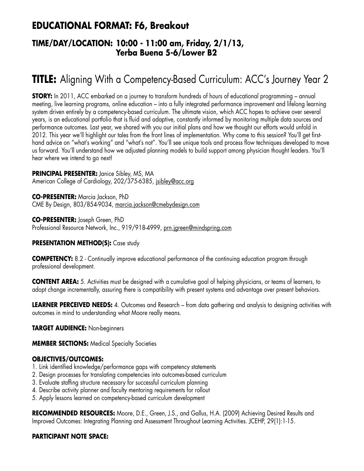## **EDUCATIONAL FORMAT: F6, Breakout**

## **TIME/DAY/LOCATION: 10:00 - 11:00 am, Friday, 2/1/13, Yerba Buena 5-6/Lower B2**

# **TITLE:** Aligning With a Competency-Based Curriculum: ACC's Journey Year 2

**STORY:** In 2011, ACC embarked on a journey to transform hundreds of hours of educational programming – annual meeting, live learning programs, online education – into a fully integrated performance improvement and lifelong learning system driven entirely by a competency-based curriculum. The ultimate vision, which ACC hopes to achieve over several years, is an educational portfolio that is fluid and adaptive, constantly informed by monitoring multiple data sources and performance outcomes. Last year, we shared with you our initial plans and how we thought our efforts would unfold in 2012. This year we'll highlight our tales from the front lines of implementation. Why come to this session? You'll get firsthand advice on "what's working" and "what's not". You'll see unique tools and process flow techniques developed to move us forward. You'll understand how we adjusted planning models to build support among physician thought leaders. You'll hear where we intend to go next!

## **PRINCIPAL PRESENTER:** Janice Sibley, MS, MA

American College of Cardiology, 202/375-6385, jsibley@acc.org

**CO-PRESENTER:** Marcia Jackson, PhD CME By Design, 803/854-9034, marcia.jackson@cmebydesign.com

**CO-PRESENTER:** Joseph Green, PhD Professional Resource Network, Inc., 919/918-4999, prn.jgreen@mindspring.com

## **PRESENTATION METHOD(S):** Case study

**COMPETENCY:** 8.2 - Continually improve educational performance of the continuing education program through professional development.

**CONTENT AREA:** 5. Activities must be designed with a cumulative goal of helping physicians, or teams of learners, to adopt change incrementally, assuring there is compatibility with present systems and advantage over present behaviors.

**LEARNER PERCEIVED NEEDS:** 4. Outcomes and Research – from data gathering and analysis to designing activities with outcomes in mind to understanding what Moore really means.

#### **TARGET AUDIENCE:** Non-beginners

**MEMBER SECTIONS: Medical Specialty Societies** 

## **OBJECTIVES/OUTCOMES:**

- 1. Link identified knowledge/performance gaps with competency statements
- 2. Design processes for translating competencies into outcomes-based curriculum
- 3. Evaluate staffing structure necessary for successful curriculum planning
- 4. Describe activity planner and faculty mentoring requirements for rollout
- 5. Apply lessons learned on competency-based curriculum development

**RECOMMENDED RESOURCES:** Moore, D.E., Green, J.S., and Gallus, H.A. (2009) Achieving Desired Results and Improved Outcomes: Integrating Planning and Assessment Throughout Learning Activities. JCEHP, 29(1):1-15.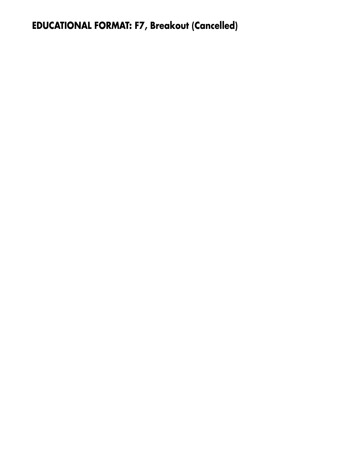**EDUCATIONAL FORMAT: F7, Breakout (Cancelled)**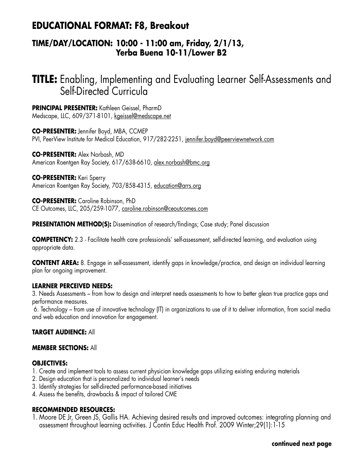## **EDUCATIONAL FORMAT: F8, Breakout**

## **TIME/DAY/LOCATION: 10:00 - 11:00 am, Friday, 2/1/13, Yerba Buena 10-11/Lower B2**

## **TITLE:** Enabling, Implementing and Evaluating Learner Self-Assessments and Self-Directed Curricula

**PRINCIPAL PRESENTER:** Kathleen Geissel, PharmD Medscape, LLC, 609/371-8101, kgeissel@medscape.net

**CO-PRESENTER:** Jennifer Boyd, MBA, CCMEP PVI, PeerView Institute for Medical Education, 917/282-2251, jennifer.boyd@peerviewnetwork.com

**CO-PRESENTER:** Alex Norbash, MD American Roentgen Ray Society, 617/638-6610, alex.norbash@bmc.org

**CO-PRESENTER:** Keri Sperry American Roentgen Ray Society, 703/858-4315, education@arrs.org

**CO-PRESENTER:** Caroline Robinson, PhD CE Outcomes, LLC, 205/259-1077, caroline.robinson@ceoutcomes.com

**PRESENTATION METHOD(S):** Dissemination of research/findings; Case study; Panel discussion

**COMPETENCY:** 2.3 - Facilitate health care professionals' self-assessment, self-directed learning, and evaluation using appropriate data.

**CONTENT AREA:** 8. Engage in self-assessment, identify gaps in knowledge/practice, and design an individual learning plan for ongoing improvement.

## **LEARNER PERCEIVED NEEDS:**

3. Needs Assessments – from how to design and interpret needs assessments to how to better glean true practice gaps and performance measures.

 6. Technology – from use of innovative technology (IT) in organizations to use of it to deliver information, from social media and web education and innovation for engagement.

## **TARGET AUDIENCE:** All

## **MEMBER SECTIONS:** All

#### **OBJECTIVES:**

- 1. Create and implement tools to assess current physician knowledge gaps utilizing existing enduring materials
- 2. Design education that is personalized to individual learner's needs
- 3. Identify strategies for self-directed performance-based initiatives
- 4. Assess the benefits, drawbacks & impact of tailored CME

## **RECOMMENDED RESOURCES:**

1. Moore DE Jr, Green JS, Gallis HA. Achieving desired results and improved outcomes: integrating planning and assessment throughout learning activities. J Contin Educ Health Prof. 2009 Winter;29(1):1-15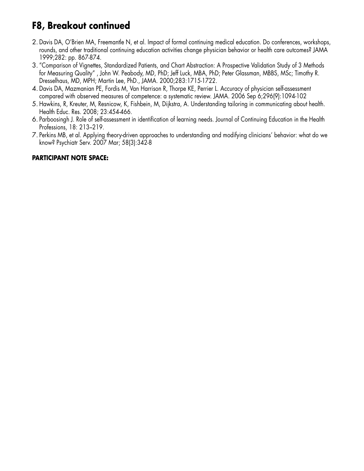## **F8, Breakout continued**

- 2. Davis DA, O'Brien MA, Freemantle N, et al. Impact of formal continuing medical education. Do conferences, workshops, rounds, and other traditional continuing education activities change physician behavior or health care outcomes? JAMA 1999;282: pp. 867-874.
- 3. "Comparison of Vignettes, Standardized Patients, and Chart Abstraction: A Prospective Validation Study of 3 Methods for Measuring Quality" , John W. Peabody, MD, PhD; Jeff Luck, MBA, PhD; Peter Glassman, MBBS, MSc; Timothy R. Dresselhaus, MD, MPH; Martin Lee, PhD., JAMA. 2000;283:1715-1722.
- 4. Davis DA, Mazmanian PE, Fordis M, Van Harrison R, Thorpe KE, Perrier L. Accuracy of physician self-assessment compared with observed measures of competence: a systematic review. JAMA. 2006 Sep 6;296(9):1094-102
- 5. Hawkins, R, Kreuter, M, Resnicow, K, Fishbein, M, Dijkstra, A. Understanding tailoring in communicating about health. Health Educ. Res. 2008; 23:454-466.
- 6. Parboosingh J. Role of self-assessment in identification of learning needs. Journal of Continuing Education in the Health Professions, 18: 213–219.
- 7. Perkins MB, et al. Applying theory-driven approaches to understanding and modifying clinicians' behavior: what do we know? Psychiatr Serv. 2007 Mar; 58(3):342-8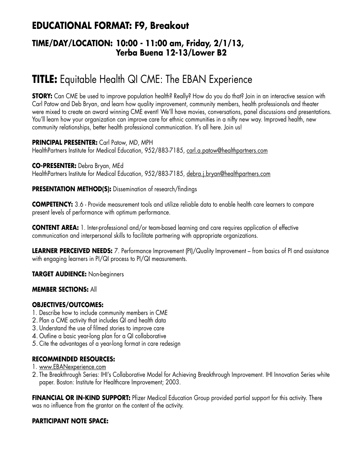## **EDUCATIONAL FORMAT: F9, Breakout**

## **TIME/DAY/LOCATION: 10:00 - 11:00 am, Friday, 2/1/13, Yerba Buena 12-13/Lower B2**

# **TITLE:** Equitable Health QI CME: The EBAN Experience

**STORY:** Can CME be used to improve population health? Really? How do you do that? Join in an interactive session with Carl Patow and Deb Bryan, and learn how quality improvement, community members, health professionals and theater were mixed to create an award winning CME event! We'll have movies, conversations, panel discussions and presentations. You'll learn how your organization can improve care for ethnic communities in a nifty new way. Improved health, new community relationships, better health professional communication. It's all here. Join us!

**PRINCIPAL PRESENTER:** Carl Patow, MD, MPH HealthPartners Institute for Medical Education, 952/883-7185, carl.a.patow@healthpartners.com

**CO-PRESENTER:** Debra Bryan, MEd HealthPartners Institute for Medical Education, 952/883-7185, debra.j.bryan@healthpartners.com

**PRESENTATION METHOD(S):** Dissemination of research/findings

**COMPETENCY:** 3.6 - Provide measurement tools and utilize reliable data to enable health care learners to compare present levels of performance with optimum performance.

**CONTENT AREA:** 1. Inter-professional and/or team-based learning and care requires application of effective communication and interpersonal skills to facilitate partnering with appropriate organizations.

**LEARNER PERCEIVED NEEDS:** 7. Performance Improvement (PI)/Quality Improvement – from basics of PI and assistance with engaging learners in PI/QI process to PI/QI measurements.

**TARGET AUDIENCE:** Non-beginners

## **MEMBER SECTIONS:** All

## **OBJECTIVES/OUTCOMES:**

- 1. Describe how to include community members in CME
- 2. Plan a CME activity that includes QI and health data
- 3. Understand the use of filmed stories to improve care
- 4. Outline a basic year-long plan for a QI collaborative
- 5. Cite the advantages of a year-long format in care redesign

## **RECOMMENDED RESOURCES:**

- 1. www.EBANexperience.com
- 2. The Breakthrough Series: IHI's Collaborative Model for Achieving Breakthrough Improvement. IHI Innovation Series white paper. Boston: Institute for Healthcare Improvement; 2003.

**FINANCIAL OR IN-KIND SUPPORT:** Pfizer Medical Education Group provided partial support for this activity. There was no influence from the grantor on the content of the activity.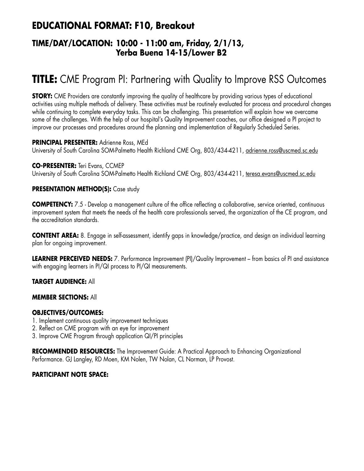## **EDUCATIONAL FORMAT: F10, Breakout**

## **TIME/DAY/LOCATION: 10:00 - 11:00 am, Friday, 2/1/13, Yerba Buena 14-15/Lower B2**

# **TITLE:** CME Program PI: Partnering with Quality to Improve RSS Outcomes

**STORY:** CME Providers are constantly improving the quality of healthcare by providing various types of educational activities using multiple methods of delivery. These activities must be routinely evaluated for process and procedural changes while continuing to complete everyday tasks. This can be challenging. This presentation will explain how we overcame some of the challenges. With the help of our hospital's Quality Improvement coaches, our office designed a PI project to improve our processes and procedures around the planning and implementation of Regularly Scheduled Series.

#### **PRINCIPAL PRESENTER:** Adrienne Ross, MEd

University of South Carolina SOM-Palmetto Health Richland CME Org, 803/434-4211, adrienne.ross@uscmed.sc.edu

#### **CO-PRESENTER:** Teri Evans, CCMEP

University of South Carolina SOM-Palmetto Health Richland CME Org, 803/434-4211, teresa.evans@uscmed.sc.edu

## **PRESENTATION METHOD(S):** Case study

**COMPETENCY:** 7.5 - Develop a management culture of the office reflecting a collaborative, service oriented, continuous improvement system that meets the needs of the health care professionals served, the organization of the CE program, and the accreditation standards.

**CONTENT AREA:** 8. Engage in self-assessment, identify gaps in knowledge/practice, and design an individual learning plan for ongoing improvement.

**LEARNER PERCEIVED NEEDS:** 7. Performance Improvement (PI)/Quality Improvement – from basics of PI and assistance with engaging learners in PI/QI process to PI/QI measurements.

## **TARGET AUDIENCE:** All

## **MEMBER SECTIONS:** All

## **OBJECTIVES/OUTCOMES:**

- 1. Implement continuous quality improvement techniques
- 2. Reflect on CME program with an eye for improvement
- 3. Improve CME Program through application QI/PI principles

**RECOMMENDED RESOURCES:** The Improvement Guide: A Practical Approach to Enhancing Organizational Performance. GJ Langley, RD Moen, KM Nolen, TW Nolan, CL Norman, LP Provost.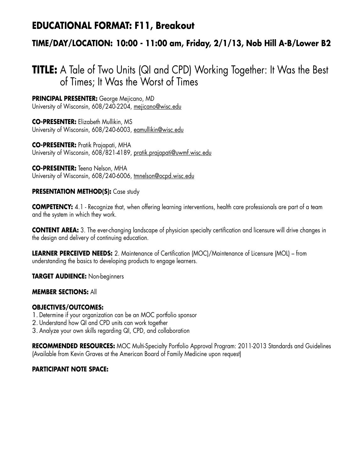## **EDUCATIONAL FORMAT: F11, Breakout**

## **TIME/DAY/LOCATION: 10:00 - 11:00 am, Friday, 2/1/13, Nob Hill A-B/Lower B2**

## **TITLE:** A Tale of Two Units (QI and CPD) Working Together: It Was the Best of Times; It Was the Worst of Times

**PRINCIPAL PRESENTER:** George Mejicano, MD University of Wisconsin, 608/240-2204, mejicano@wisc.edu

**CO-PRESENTER:** Elizabeth Mullikin, MS University of Wisconsin, 608/240-6003, eamullikin@wisc.edu

**CO-PRESENTER:** Pratik Prajapati, MHA University of Wisconsin, 608/821-4189, pratik.prajapati@uwmf.wisc.edu

**CO-PRESENTER:** Teena Nelson, MHA University of Wisconsin, 608/240-6006, tmnelson@ocpd.wisc.edu

## **PRESENTATION METHOD(S):** Case study

**COMPETENCY:** 4.1 - Recognize that, when offering learning interventions, health care professionals are part of a team and the system in which they work.

**CONTENT AREA:** 3. The ever-changing landscape of physician specialty certification and licensure will drive changes in the design and delivery of continuing education.

**LEARNER PERCEIVED NEEDS:** 2. Maintenance of Certification (MOC)/Maintenance of Licensure (MOL) – from understanding the basics to developing products to engage learners.

**TARGET AUDIENCE:** Non-beginners

## **MEMBER SECTIONS:** All

## **OBJECTIVES/OUTCOMES:**

- 1. Determine if your organization can be an MOC portfolio sponsor
- 2. Understand how QI and CPD units can work together
- 3. Analyze your own skills regarding QI, CPD, and collaboration

**RECOMMENDED RESOURCES:** MOC Multi-Specialty Portfolio Approval Program: 2011-2013 Standards and Guidelines (Available from Kevin Graves at the American Board of Family Medicine upon request)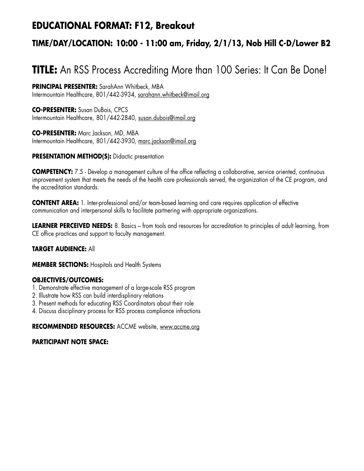## **EDUCATIONAL FORMAT: F12, Breakout**

## **TIME/DAY/LOCATION: 10:00 - 11:00 am, Friday, 2/1/13, Nob Hill C-D/Lower B2**

# **TITLE:** An RSS Process Accrediting More than 100 Series: It Can Be Done!

**PRINCIPAL PRESENTER:** SarahAnn Whitbeck, MBA Intermountain Healthcare, 801/442-3934, sarahann.whitbeck@imail.org

**CO-PRESENTER:** Susan DuBois, CPCS Intermountain Healthcare, 801/442-2840, susan.dubois@imail.org

**CO-PRESENTER:** Marc Jackson, MD, MBA Intermountain Healthcare, 801/442-3930, marc.jackson@imail.org

## **PRESENTATION METHOD(S):** Didactic presentation

**COMPETENCY:** 7.5 - Develop a management culture of the office reflecting a collaborative, service oriented, continuous improvement system that meets the needs of the health care professionals served, the organization of the CE program, and the accreditation standards.

**CONTENT AREA:** 1. Inter-professional and/or team-based learning and care requires application of effective communication and interpersonal skills to facilitate partnering with appropriate organizations.

**LEARNER PERCEIVED NEEDS:** 8. Basics – from tools and resources for accreditation to principles of adult learning, from CE office practices and support to faculty management.

## **TARGET AUDIENCE:** All

**MEMBER SECTIONS:** Hospitals and Health Systems

## **OBJECTIVES/OUTCOMES:**

- 1. Demonstrate effective management of a large-scale RSS program
- 2. Illustrate how RSS can build interdisplinary relations
- 3. Present methods for educating RSS Coordinators about their role
- 4. Discuss disciplinary process for RSS process compliance infractions

**RECOMMENDED RESOURCES:** ACCME website, www.accme.org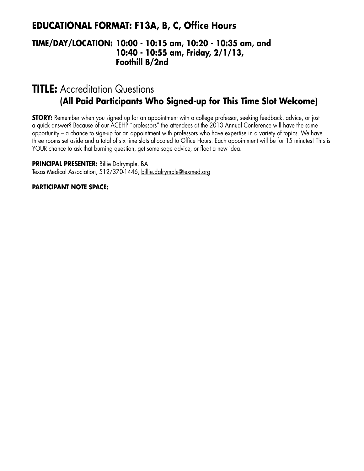## **EDUCATIONAL FORMAT: F13A, B, C, Office Hours**

## **TIME/DAY/LOCATION: 10:00 - 10:15 am, 10:20 - 10:35 am, and 10:40 - 10:55 am, Friday, 2/1/13, Foothill B/2nd**

## **TITLE:** Accreditation Questions **(All Paid Participants Who Signed-up for This Time Slot Welcome)**

**STORY:** Remember when you signed up for an appointment with a college professor, seeking feedback, advice, or just a quick answer? Because of our ACEHP "professors" the attendees at the 2013 Annual Conference will have the same opportunity – a chance to sign-up for an appointment with professors who have expertise in a variety of topics. We have three rooms set aside and a total of six time slots allocated to Office Hours. Each appointment will be for 15 minutes! This is YOUR chance to ask that burning question, get some sage advice, or float a new idea.

**PRINCIPAL PRESENTER:** Billie Dalrymple, BA Texas Medical Association, 512/370-1446, billie.dalrymple@texmed.org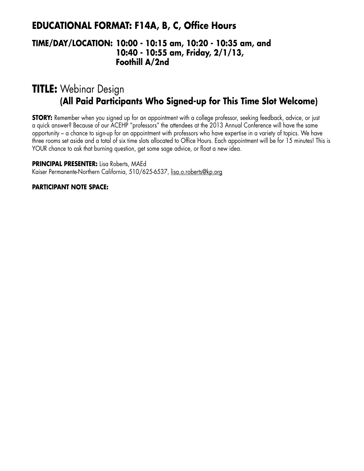## **EDUCATIONAL FORMAT: F14A, B, C, Office Hours**

## **TIME/DAY/LOCATION: 10:00 - 10:15 am, 10:20 - 10:35 am, and 10:40 - 10:55 am, Friday, 2/1/13, Foothill A/2nd**

# **TITLE:** Webinar Design **(All Paid Participants Who Signed-up for This Time Slot Welcome)**

**STORY:** Remember when you signed up for an appointment with a college professor, seeking feedback, advice, or just a quick answer? Because of our ACEHP "professors" the attendees at the 2013 Annual Conference will have the same opportunity – a chance to sign-up for an appointment with professors who have expertise in a variety of topics. We have three rooms set aside and a total of six time slots allocated to Office Hours. Each appointment will be for 15 minutes! This is YOUR chance to ask that burning question, get some sage advice, or float a new idea.

**PRINCIPAL PRESENTER:** Lisa Roberts, MAEd Kaiser Permanente-Northern California, 510/625-6537, lisa.o.roberts@kp.org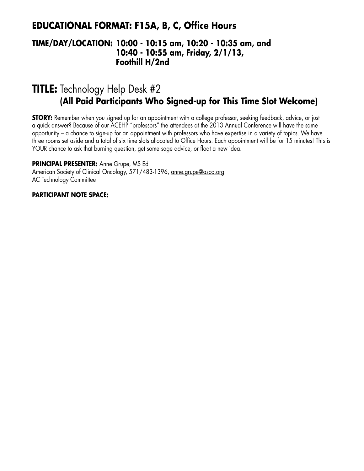## **EDUCATIONAL FORMAT: F15A, B, C, Office Hours**

## **TIME/DAY/LOCATION: 10:00 - 10:15 am, 10:20 - 10:35 am, and 10:40 - 10:55 am, Friday, 2/1/13, Foothill H/2nd**

# **TITLE:** Technology Help Desk #2 **(All Paid Participants Who Signed-up for This Time Slot Welcome)**

**STORY:** Remember when you signed up for an appointment with a college professor, seeking feedback, advice, or just a quick answer? Because of our ACEHP "professors" the attendees at the 2013 Annual Conference will have the same opportunity – a chance to sign-up for an appointment with professors who have expertise in a variety of topics. We have three rooms set aside and a total of six time slots allocated to Office Hours. Each appointment will be for 15 minutes! This is YOUR chance to ask that burning question, get some sage advice, or float a new idea.

**PRINCIPAL PRESENTER:** Anne Grupe, MS Ed

American Society of Clinical Oncology, 571/483-1396, anne.grupe@asco.org AC Technology Committee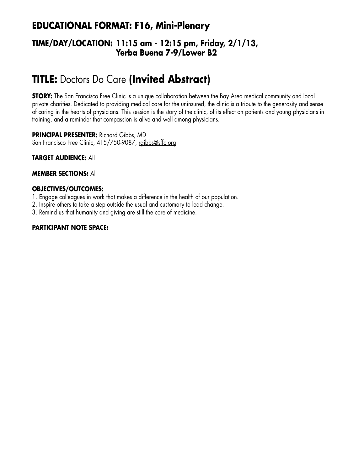## **EDUCATIONAL FORMAT: F16, Mini-Plenary**

## **TIME/DAY/LOCATION: 11:15 am - 12:15 pm, Friday, 2/1/13, Yerba Buena 7-9/Lower B2**

# **TITLE:** Doctors Do Care **(Invited Abstract)**

**STORY:** The San Francisco Free Clinic is a unique collaboration between the Bay Area medical community and local private charities. Dedicated to providing medical care for the uninsured, the clinic is a tribute to the generosity and sense of caring in the hearts of physicians. This session is the story of the clinic, of its effect on patients and young physicians in training, and a reminder that compassion is alive and well among physicians.

**PRINCIPAL PRESENTER:** Richard Gibbs, MD San Francisco Free Clinic, 415/750-9087, rgibbs@sffc.org

**TARGET AUDIENCE:** All

## **MEMBER SECTIONS:** All

## **OBJECTIVES/OUTCOMES:**

- 1. Engage colleagues in work that makes a difference in the health of our population.
- 2. Inspire others to take a step outside the usual and customary to lead change.
- 3. Remind us that humanity and giving are still the core of medicine.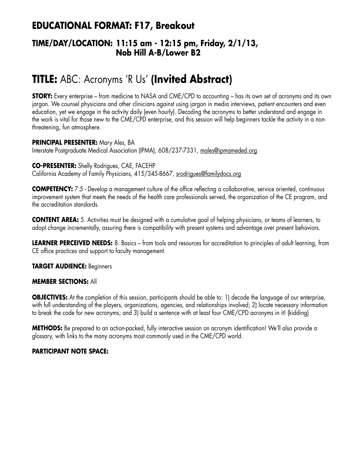## **EDUCATIONAL FORMAT: F17, Breakout**

## **TIME/DAY/LOCATION: 11:15 am - 12:15 pm, Friday, 2/1/13, Nob Hill A-B/Lower B2**

# **TITLE:** ABC: Acronyms 'R Us' **(Invited Abstract)**

**STORY:** Every enterprise – from medicine to NASA and CME/CPD to accounting – has its own set of acronyms and its own jargon. We counsel physicians and other clinicians against using jargon in media interviews, patient encounters and even education, yet we engage in the activity daily (even hourly). Decoding the acronyms to better understand and engage in the work is vital for those new to the CME/CPD enterprise, and this session will help beginners tackle the activity in a nonthreatening, fun atmosphere.

#### **PRINCIPAL PRESENTER:** Mary Ales, BA Interstate Postgraduate Medical Association (IPMA), 608/237-7331, males@ipmameded.org

**CO-PRESENTER:** Shelly Rodrigues, CAE, FACEHP California Academy of Family Physicians, 415/345-8667, srodrigues@familydocs.org

**COMPETENCY:** 7.5 - Develop a management culture of the office reflecting a collaborative, service oriented, continuous improvement system that meets the needs of the health care professionals served, the organization of the CE program, and the accreditation standards.

**CONTENT AREA:** 5. Activities must be designed with a cumulative goal of helping physicians, or teams of learners, to adopt change incrementally, assuring there is compatibility with present systems and advantage over present behaviors.

**LEARNER PERCEIVED NEEDS:** 8. Basics – from tools and resources for accreditation to principles of adult learning, from CE office practices and support to faculty management.

**TARGET AUDIENCE:** Beginners

#### **MEMBER SECTIONS:** All

**OBJECTIVES:** At the completion of this session, participants should be able to: 1) decode the language of our enterprise, with full understanding of the players, organizations, agencies, and relationships involved; 2) locate necessary information to break the code for new acronyms; and 3) build a sentence with at least four CME/CPD acronyms in it! (kidding)

**METHODS:** Be prepared to an action-packed, fully interactive session on acronym identification! We'll also provide a glossary, with links to the many acronyms most commonly used in the CME/CPD world.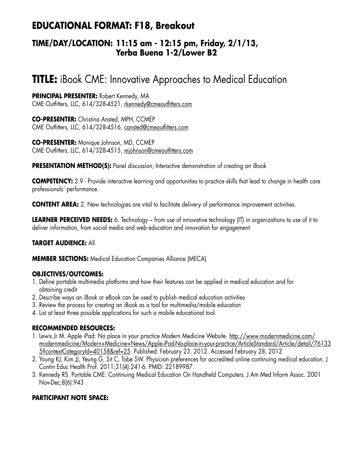## **EDUCATIONAL FORMAT: F18, Breakout**

## **TIME/DAY/LOCATION: 11:15 am - 12:15 pm, Friday, 2/1/13, Yerba Buena 1-2/Lower B2**

# **TITLE:** iBook CME: Innovative Approaches to Medical Education

**PRINCIPAL PRESENTER:** Robert Kennedy, MA CME Outfitters, LLC, 614/328-4521, rkennedy@cmeoutfitters.com

**CO-PRESENTER:** Christina Ansted, MPH, CCMEP CME Outfitters, LLC, 614/328-4516, cansted@cmeoutfitters.com

**CO-PRESENTER:** Monique Johnson, MD, CCMEP CME Outfitters, LLC, 614/328-4515, mjohnson@cmeoutfitters.com

**PRESENTATION METHOD(S):** Panel discussion; Interactive demonstration of creating an iBook

**COMPETENCY:** 2.9 - Provide interactive learning and opportunities to practice skills that lead to change in health care professionals' performance.

**CONTENT AREA:** 2. New technologies are vital to facilitate delivery of performance improvement activities.

**LEARNER PERCEIVED NEEDS:** 6. Technology – from use of innovative technology (IT) in organizations to use of it to deliver information, from social media and web education and innovation for engagement.

## **TARGET AUDIENCE:** All

**MEMBER SECTIONS:** Medical Education Companies Alliance (MECA)

## **OBJECTIVES/OUTCOMES:**

- 1. Define portable multimedia platforms and how their features can be applied in medical education and for obtaining credit
- 2. Describe ways an iBook or eBook can be used to publish medical education activities
- 3. Review the process for creating an iBook as a tool for multimedia/mobile education
- 4. List at least three possible applications for such a mobile educational tool

## **RECOMMENDED RESOURCES:**

- 1. Lewis Jr M. Apple iPad: No place in your practice Modern Medicine Website. http://www.modernmedicine.com/ modernmedicine/Modern+Medicine+News/Apple-iPad-No-place-in-your-practice/ArticleStandard/Article/detail/76133 5?contextCategoryId=40158&ref=25. Published: February 23, 2012. Accessed February 28, 2012
- 2. Young KJ, Kim JJ, Yeung G, Sit C, Tobe SW. Physician preferences for accredited online continuing medical education. J Contin Educ Health Prof. 2011;31(4):241-6. PMID: 22189987.
- 3. Kennedy RS. Portable CME: Continuing Medical Education On Handheld Computers. J Am Med Inform Assoc. 2001 Nov-Dec;8(6):943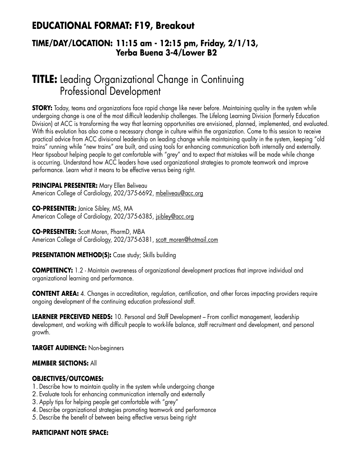## **EDUCATIONAL FORMAT: F19, Breakout**

### **TIME/DAY/LOCATION: 11:15 am - 12:15 pm, Friday, 2/1/13, Yerba Buena 3-4/Lower B2**

# **TITLE:** Leading Organizational Change in Continuing Professional Development

**STORY:** Today, teams and organizations face rapid change like never before. Maintaining quality in the system while undergoing change is one of the most difficult leadership challenges. The Lifelong Learning Division (formerly Education Division) at ACC is transforming the way that learning opportunities are envisioned, planned, implemented, and evaluated. With this evolution has also come a necessary change in culture within the organization. Come to this session to receive practical advice from ACC divisional leadership on leading change while maintaining quality in the system, keeping "old trains" running while "new trains" are built, and using tools for enhancing communication both internally and externally. Hear tipsabout helping people to get comfortable with "grey" and to expect that mistakes will be made while change is occurring. Understand how ACC leaders have used organizational strategies to promote teamwork and improve performance. Learn what it means to be effective versus being right.

#### **PRINCIPAL PRESENTER:** Mary Ellen Beliveau

American College of Cardiology, 202/375-6692, mbeliveau@acc.org

**CO-PRESENTER:** Janice Sibley, MS, MA American College of Cardiology, 202/375-6385, jsibley@acc.org

**CO-PRESENTER:** Scott Moren, PharmD, MBA American College of Cardiology, 202/375-6381, scott\_moren@hotmail.com

#### **PRESENTATION METHOD(S):** Case study; Skills building

**COMPETENCY:** 1.2 - Maintain awareness of organizational development practices that improve individual and organizational learning and performance.

**CONTENT AREA:** 4. Changes in accreditation, regulation, certification, and other forces impacting providers require ongoing development of the continuing education professional staff.

**LEARNER PERCEIVED NEEDS:** 10. Personal and Staff Development – From conflict management, leadership development, and working with difficult people to work-life balance, staff recruitment and development, and personal growth.

#### **TARGET AUDIENCE:** Non-beginners

#### **MEMBER SECTIONS:** All

#### **OBJECTIVES/OUTCOMES:**

- 1. Describe how to maintain quality in the system while undergoing change
- 2. Evaluate tools for enhancing communication internally and externally
- 3. Apply tips for helping people get comfortable with "grey"
- 4. Describe organizational strategies promoting teamwork and performance
- 5. Describe the benefit of between being effective versus being right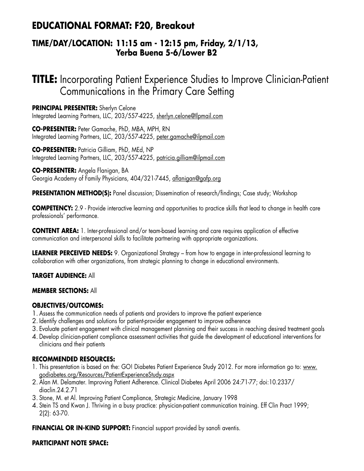## **EDUCATIONAL FORMAT: F20, Breakout**

### **TIME/DAY/LOCATION: 11:15 am - 12:15 pm, Friday, 2/1/13, Yerba Buena 5-6/Lower B2**

# **TITLE:** Incorporating Patient Experience Studies to Improve Clinician-Patient Communications in the Primary Care Setting

**PRINCIPAL PRESENTER:** Sherlyn Celone Integrated Learning Partners, LLC, 203/557-4225, sherlyn.celone@Ilpmail.com

**CO-PRESENTER:** Peter Gamache, PhD, MBA, MPH, RN Integrated Learning Partners, LLC, 203/557-4225, peter.gamache@ilpmail.com

**CO-PRESENTER:** Patricia Gilliam, PhD, MEd, NP Integrated Learning Partners, LLC, 203/557-4225, patricia.gilliam@ilpmail.com

**CO-PRESENTER:** Angela Flanigan, BA Georgia Academy of Family Physicians, 404/321-7445, aflanigan@gafp.org

**PRESENTATION METHOD(S):** Panel discussion; Dissemination of research/findings; Case study; Workshop

**COMPETENCY:** 2.9 - Provide interactive learning and opportunities to practice skills that lead to change in health care professionals' performance.

**CONTENT AREA:** 1. Inter-professional and/or team-based learning and care requires application of effective communication and interpersonal skills to facilitate partnering with appropriate organizations.

**LEARNER PERCEIVED NEEDS:** 9. Organizational Strategy – from how to engage in inter-professional learning to collaboration with other organizations, from strategic planning to change in educational environments.

**TARGET AUDIENCE:** All

#### **MEMBER SECTIONS:** All

#### **OBJECTIVES/OUTCOMES:**

- 1. Assess the communication needs of patients and providers to improve the patient experience
- 2. Identify challenges and solutions for patient-provider engagement to improve adherence
- 3. Evaluate patient engagement with clinical management planning and their success in reaching desired treatment goals
- 4. Develop clinician-patient compliance assessment activities that guide the development of educational interventions for clinicians and their patients

#### **RECOMMENDED RESOURCES:**

- 1. This presentation is based on the: GO! Diabetes Patient Experience Study 2012. For more information go to: www. godiabetes.org/Resources/PatientExperienceStudy.aspx
- 2. Alan M. Delamater. Improving Patient Adherence. Clinical Diabetes April 2006 24:71-77; doi:10.2337/ diaclin.24.2.71
- 3. Stone, M. et Al. Improving Patient Compliance, Strategic Medicine, January 1998
- 4. Stein TS and Kwan J. Thriving in a busy practice: physician-patient communication training. Eff Clin Pract 1999; 2(2): 63-70.

**FINANCIAL OR IN-KIND SUPPORT:** Financial support provided by sanofi aventis.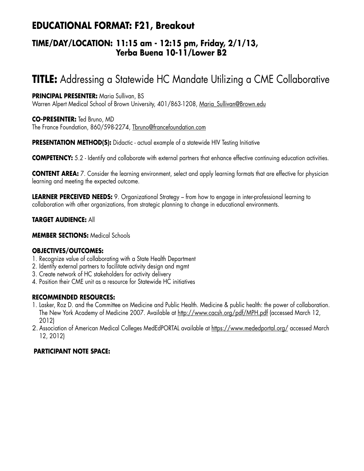## **EDUCATIONAL FORMAT: F21, Breakout**

### **TIME/DAY/LOCATION: 11:15 am - 12:15 pm, Friday, 2/1/13, Yerba Buena 10-11/Lower B2**

# **TITLE:** Addressing a Statewide HC Mandate Utilizing a CME Collaborative

#### **PRINCIPAL PRESENTER:** Maria Sullivan, BS

Warren Alpert Medical School of Brown University, 401/863-1208, Maria Sullivan@Brown.edu

**CO-PRESENTER:** Ted Bruno, MD The France Foundation, 860/598-2274, Tbruno@francefoundation.com

**PRESENTATION METHOD(S):** Didactic - actual example of a statewide HIV Testing Initiative

**COMPETENCY:** 5.2 - Identify and collaborate with external partners that enhance effective continuing education activities.

**CONTENT AREA:** 7. Consider the learning environment, select and apply learning formats that are effective for physician learning and meeting the expected outcome.

**LEARNER PERCEIVED NEEDS:** 9. Organizational Strategy – from how to engage in inter-professional learning to collaboration with other organizations, from strategic planning to change in educational environments.

**TARGET AUDIENCE:** All

**MEMBER SECTIONS:** Medical Schools

#### **OBJECTIVES/OUTCOMES:**

- 1. Recognize value of collaborating with a State Health Department
- 2. Identify external partners to facilitate activity design and mgmt
- 3. Create network of HC stakeholders for activity delivery
- 4. Position their CME unit as a resource for Statewide HC initiatives

#### **RECOMMENDED RESOURCES:**

- 1. Lasker, Roz D. and the Committee on Medicine and Public Health. Medicine & public health: the power of collaboration. The New York Academy of Medicine 2007. Available at http://www.cacsh.org/pdf/MPH.pdf (accessed March 12, 2012)
- 2. Association of American Medical Colleges MedEdPORTAL available at https://www.mededportal.org/ accessed March 12, 2012)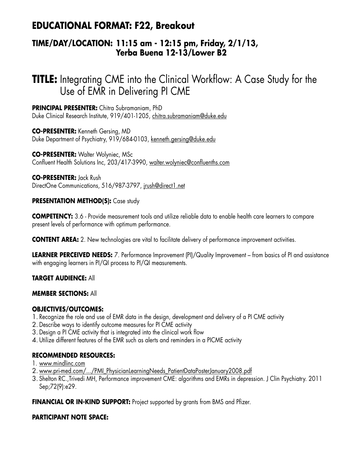## **EDUCATIONAL FORMAT: F22, Breakout**

### **TIME/DAY/LOCATION: 11:15 am - 12:15 pm, Friday, 2/1/13, Yerba Buena 12-13/Lower B2**

# **TITLE:** Integrating CME into the Clinical Workflow: A Case Study for the Use of EMR in Delivering PI CME

**PRINCIPAL PRESENTER:** Chitra Subramaniam, PhD Duke Clinical Research Institute, 919/401-1205, chitra.subramaniam@duke.edu

**CO-PRESENTER:** Kenneth Gersing, MD Duke Department of Psychiatry, 919/684-0103, kenneth.gersing@duke.edu

**CO-PRESENTER: Walter Wolyniec, MSc** Confluent Health Solutions Inc, 203/417-3990, walter.wolyniec@confluenths.com

**CO-PRESENTER:** Jack Rush DirectOne Communications, 516/987-3797, jrush@direct1.net

#### **PRESENTATION METHOD(S):** Case study

**COMPETENCY:** 3.6 - Provide measurement tools and utilize reliable data to enable health care learners to compare present levels of performance with optimum performance.

**CONTENT AREA:** 2. New technologies are vital to facilitate delivery of performance improvement activities.

**LEARNER PERCEIVED NEEDS:** 7. Performance Improvement (PI)/Quality Improvement – from basics of PI and assistance with engaging learners in PI/QI process to PI/QI measurements.

**TARGET AUDIENCE:** All

#### **MEMBER SECTIONS:** All

#### **OBJECTIVES/OUTCOMES:**

- 1. Recognize the role and use of EMR data in the design, development and delivery of a PI CME activity
- 2. Describe ways to identify outcome measures for PI CME activity
- 3. Design a PI CME activity that is integrated into the clinical work flow
- 4. Utilize different features of the EMR such as alerts and reminders in a PICME activity

#### **RECOMMENDED RESOURCES:**

1. www.mindlinc.com

- 2. www.pri-med.com/.../PMI\_PhysicianLearningNeeds\_PatientDataPosterJanuary2008.pdf
- 3. Shelton RC.,Trivedi MH, Performance improvement CME: algorithms and EMRs in depression. J Clin Psychiatry. 2011 Sep;72(9):e29.

**FINANCIAL OR IN-KIND SUPPORT:** Project supported by grants from BMS and Pfizer.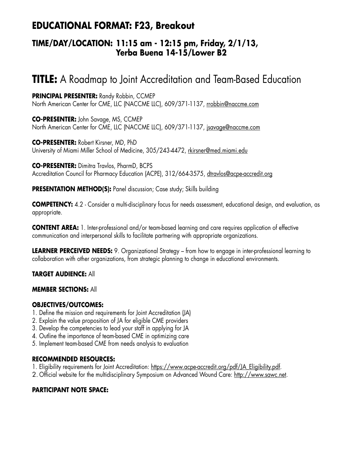## **EDUCATIONAL FORMAT: F23, Breakout**

### **TIME/DAY/LOCATION: 11:15 am - 12:15 pm, Friday, 2/1/13, Yerba Buena 14-15/Lower B2**

# **TITLE:** A Roadmap to Joint Accreditation and Team-Based Education

**PRINCIPAL PRESENTER:** Randy Robbin, CCMEP North American Center for CME, LLC (NACCME LLC), 609/371-1137, rrobbin@naccme.com

**CO-PRESENTER:** John Savage, MS, CCMEP North American Center for CME, LLC (NACCME LLC), 609/371-1137, jsavage@naccme.com

**CO-PRESENTER:** Robert Kirsner, MD, PhD University of Miami Miller School of Medicine, 305/243-4472, rkirsner@med.miami.edu

**CO-PRESENTER:** Dimitra Travlos, PharmD, BCPS Accreditation Council for Pharmacy Education (ACPE), 312/664-3575, dtravlos@acpe-accredit.org

**PRESENTATION METHOD(S):** Panel discussion; Case study; Skills building

**COMPETENCY:** 4.2 - Consider a multi-disciplinary focus for needs assessment, educational design, and evaluation, as appropriate.

**CONTENT AREA:** 1. Inter-professional and/or team-based learning and care requires application of effective communication and interpersonal skills to facilitate partnering with appropriate organizations.

**LEARNER PERCEIVED NEEDS:** 9. Organizational Strategy – from how to engage in inter-professional learning to collaboration with other organizations, from strategic planning to change in educational environments.

#### **TARGET AUDIENCE:** All

#### **MEMBER SECTIONS:** All

#### **OBJECTIVES/OUTCOMES:**

- 1. Define the mission and requirements for Joint Accreditation (JA)
- 2. Explain the value proposition of JA for eligible CME providers
- 3. Develop the competencies to lead your staff in applying for JA
- 4. Outline the importance of team-based CME in optimizing care
- 5. Implement team-based CME from needs analysis to evaluation

#### **RECOMMENDED RESOURCES:**

- 1. Eligibility requirements for Joint Accreditation: https://www.acpe-accredit.org/pdf/JA\_Eligibility.pdf.
- 2. Official website for the multidisciplinary Symposium on Advanced Wound Care: http://www.sawc.net.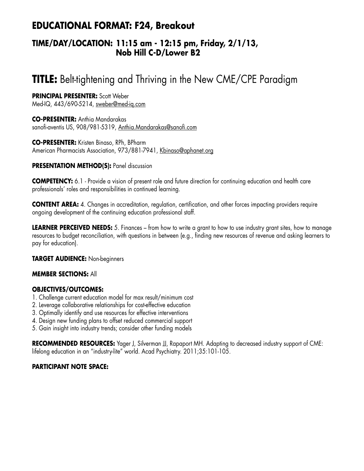## **EDUCATIONAL FORMAT: F24, Breakout**

### **TIME/DAY/LOCATION: 11:15 am - 12:15 pm, Friday, 2/1/13, Nob Hill C-D/Lower B2**

# **TITLE:** Belt-tightening and Thriving in the New CME/CPE Paradigm

**PRINCIPAL PRESENTER:** Scott Weber

Med-IQ, 443/690-5214, sweber@med-iq.com

**CO-PRESENTER:** Anthia Mandarakas sanofi-aventis US, 908/981-5319, Anthia.Mandarakas@sanofi.com

**CO-PRESENTER:** Kristen Binaso, RPh, BPharm American Pharmacists Association, 973/881-7941, Kbinaso@aphanet.org

#### **PRESENTATION METHOD(S):** Panel discussion

**COMPETENCY:** 6.1 - Provide a vision of present role and future direction for continuing education and health care professionals' roles and responsibilities in continued learning.

**CONTENT AREA:** 4. Changes in accreditation, regulation, certification, and other forces impacting providers require ongoing development of the continuing education professional staff.

**LEARNER PERCEIVED NEEDS:** 5. Finances – from how to write a grant to how to use industry grant sites, how to manage resources to budget reconciliation, with questions in between (e.g., finding new resources of revenue and asking learners to pay for education).

**TARGET AUDIENCE:** Non-beginners

#### **MEMBER SECTIONS:** All

#### **OBJECTIVES/OUTCOMES:**

- 1. Challenge current education model for max result/minimum cost
- 2. Leverage collaborative relationships for cost-effective education
- 3. Optimally identify and use resources for effective interventions
- 4. Design new funding plans to offset reduced commercial support
- 5. Gain insight into industry trends; consider other funding models

**RECOMMENDED RESOURCES:** Yager J, Silverman JJ, Rapaport MH. Adapting to decreased industry support of CME: lifelong education in an "industry-lite" world. Acad Psychiatry. 2011;35:101-105.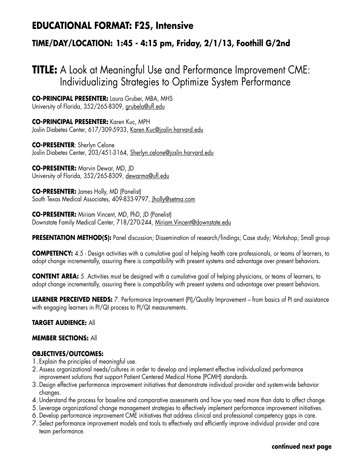### **EDUCATIONAL FORMAT: F25, Intensive**

### **TIME/DAY/LOCATION: 1:45 - 4:15 pm, Friday, 2/1/13, Foothill G/2nd**

# **TITLE:** A Look at Meaningful Use and Performance Improvement CME: Individualizing Strategies to Optimize System Performance

**CO-PRINCIPAL PRESENTER:** Laura Gruber, MBA, MHS University of Florida, 352/265-8309, grubela@ufl.edu

**CO-PRINCIPAL PRESENTER:** Karen Kuc, MPH Joslin Diabetes Center, 617/309-5933, Karen.Kuc@joslin.harvard.edu

**CO-PRESENTER**: Sherlyn Celone Joslin Diabetes Center, 203/451-3164, Sherlyn.celone@joslin.harvard.edu

**CO-PRESENTER:** Marvin Dewar, MD, JD University of Florida, 352/265-8309, dewarma@ufl.edu

**CO-PRESENTER:** James Holly, MD (Panelist) South Texas Medical Associates, 409-833-9797, Jholly@setma.com

**CO-PRESENTER:** Miriam Vincent, MD, PhD, JD (Panelist) Downstate Family Medical Center, 718/270-244, Miriam.Vincent@downstate.edu

**PRESENTATION METHOD(S):** Panel discussion; Dissemination of research/findings; Case study; Workshop; Small group

**COMPETENCY:** 4.5 - Design activities with a cumulative goal of helping health care professionals, or teams of learners, to adopt change incrementally, assuring there is compatibility with present systems and advantage over present behaviors.

**CONTENT AREA:** 5. Activities must be designed with a cumulative goal of helping physicians, or teams of learners, to adopt change incrementally, assuring there is compatibility with present systems and advantage over present behaviors.

**LEARNER PERCEIVED NEEDS:** 7. Performance Improvement (PI)/Quality Improvement – from basics of PI and assistance with engaging learners in PI/QI process to PI/QI measurements.

#### **TARGET AUDIENCE:** All

#### **MEMBER SECTIONS:** All

#### **OBJECTIVES/OUTCOMES:**

- 1. Explain the principles of meaningful use.
- 2. Assess organizational needs/cultures in order to develop and implement effective individualized performance improvement solutions that support Patient Centered Medical Home (PCMH) standards.
- 3. Design effective performance improvement initiatives that demonstrate individual provider and system-wide behavior changes.
- 4. Understand the process for baseline and comparative assessments and how you need more than data to affect change.
- 5.Leverage organizational change management strategies to effectively implement performance improvement initiatives.
- 6. Develop performance improvement CME initiatives that address clinical and professional competency gaps in care.
- 7. Select performance improvement models and tools to effectively and efficiently improve individual provider and care team performance.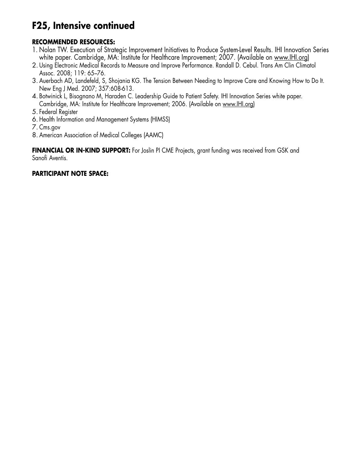# **F25, Intensive continued**

#### **RECOMMENDED RESOURCES:**

- 1. Nolan TW. Execution of Strategic Improvement Initiatives to Produce System-Level Results. IHI Innovation Series white paper. Cambridge, MA: Institute for Healthcare Improvement; 2007. (Available on www.IHI.org)
- 2. Using Electronic Medical Records to Measure and Improve Performance. Randall D. Cebul. Trans Am Clin Climatol Assoc. 2008; 119: 65–76.
- 3. Auerbach AD, Landefeld, S, Shojania KG. The Tension Between Needing to Improve Care and Knowing How to Do It. New Eng J Med. 2007; 357:608-613.
- 4. Botwinick L, Bisognano M, Haraden C. Leadership Guide to Patient Safety. IHI Innovation Series white paper. Cambridge, MA: Institute for Healthcare Improvement; 2006. (Available on www.IHI.org)

5. Federal Register

- 6. Health Information and Management Systems (HIMSS)
- 7. Cms.gov
- 8. American Association of Medical Colleges (AAMC)

**FINANCIAL OR IN-KIND SUPPORT:** For Joslin PI CME Projects, grant funding was received from GSK and Sanofi Aventis.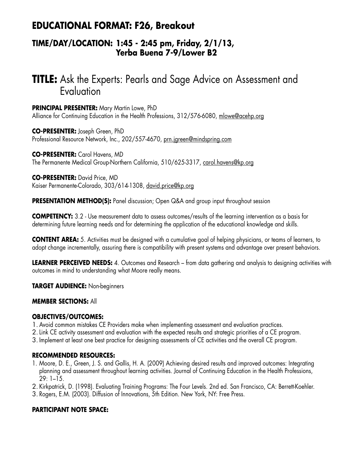## **EDUCATIONAL FORMAT: F26, Breakout**

### **TIME/DAY/LOCATION: 1:45 - 2:45 pm, Friday, 2/1/13, Yerba Buena 7-9/Lower B2**

# **TITLE:** Ask the Experts: Pearls and Sage Advice on Assessment and Evaluation

**PRINCIPAL PRESENTER:** Mary Martin Lowe, PhD Alliance for Continuing Education in the Health Professions, 312/576-6080, mlowe@acehp.org

**CO-PRESENTER:** Joseph Green, PhD Professional Resource Network, Inc., 202/557-4670, prn.jgreen@mindspring.com

**CO-PRESENTER:** Carol Havens, MD The Permanente Medical Group-Northern California, 510/625-3317, carol.havens@kp.org

**CO-PRESENTER:** David Price, MD Kaiser Permanente-Colorado, 303/614-1308, david.price@kp.org

**PRESENTATION METHOD(S):** Panel discussion; Open Q&A and group input throughout session

**COMPETENCY:** 3.2 - Use measurement data to assess outcomes/results of the learning intervention as a basis for determining future learning needs and for determining the application of the educational knowledge and skills.

**CONTENT AREA:** 5. Activities must be designed with a cumulative goal of helping physicians, or teams of learners, to adopt change incrementally, assuring there is compatibility with present systems and advantage over present behaviors.

**LEARNER PERCEIVED NEEDS:** 4. Outcomes and Research – from data gathering and analysis to designing activities with outcomes in mind to understanding what Moore really means.

**TARGET AUDIENCE:** Non-beginners

#### **MEMBER SECTIONS:** All

#### **OBJECTIVES/OUTCOMES:**

- 1. Avoid common mistakes CE Providers make when implementing assessment and evaluation practices.
- 2.Link CE activity assessment and evaluation with the expected results and strategic priorities of a CE program.
- 3. Implement at least one best practice for designing assessments of CE activities and the overall CE program.

#### **RECOMMENDED RESOURCES:**

1. Moore, D. E., Green, J. S. and Gallis, H. A. (2009) Achieving desired results and improved outcomes: Integrating planning and assessment throughout learning activities. Journal of Continuing Education in the Health Professions, 29: 1–15.

2. Kirkpatrick, D. (1998). Evaluating Training Programs: The Four Levels. 2nd ed. San Francisco, CA: Berrett-Koehler.

3. Rogers, E.M. (2003). Diffusion of Innovations, 5th Edition. New York, NY: Free Press.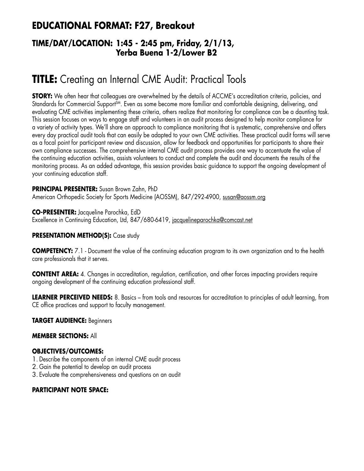## **EDUCATIONAL FORMAT: F27, Breakout**

### **TIME/DAY/LOCATION: 1:45 - 2:45 pm, Friday, 2/1/13, Yerba Buena 1-2/Lower B2**

# **TITLE:** Creating an Internal CME Audit: Practical Tools

**STORY:** We often hear that colleagues are overwhelmed by the details of ACCME's accreditation criteria, policies, and Standards for Commercial Support<sup>SM</sup>. Even as some become more familiar and comfortable designing, delivering, and evaluating CME activities implementing these criteria, others realize that monitoring for compliance can be a daunting task. This session focuses on ways to engage staff and volunteers in an audit process designed to help monitor compliance for a variety of activity types. We'll share an approach to compliance monitoring that is systematic, comprehensive and offers every day practical audit tools that can easily be adapted to your own CME activities. These practical audit forms will serve as a focal point for participant review and discussion, allow for feedback and opportunities for participants to share their own compliance successes. The comprehensive internal CME audit process provides one way to accentuate the value of the continuing education activities, assists volunteers to conduct and complete the audit and documents the results of the monitoring process. As an added advantage, this session provides basic guidance to support the ongoing development of your continuing education staff.

**PRINCIPAL PRESENTER:** Susan Brown Zahn, PhD American Orthopedic Society for Sports Medicine (AOSSM), 847/292-4900, susan@aossm.org

**CO-PRESENTER:** Jacqueline Parochka, EdD Excellence in Continuing Education, Ltd, 847/680-6419, jacquelineparochka@comcast.net

#### **PRESENTATION METHOD(S):** Case study

**COMPETENCY:** 7.1 - Document the value of the continuing education program to its own organization and to the health care professionals that it serves.

**CONTENT AREA:** 4. Changes in accreditation, regulation, certification, and other forces impacting providers require ongoing development of the continuing education professional staff.

**LEARNER PERCEIVED NEEDS:** 8. Basics – from tools and resources for accreditation to principles of adult learning, from CE office practices and support to faculty management.

#### **TARGET AUDIENCE:** Beginners

#### **MEMBER SECTIONS:** All

#### **OBJECTIVES/OUTCOMES:**

- 1. Describe the components of an internal CME audit process
- 2. Gain the potential to develop an audit process
- 3. Evaluate the comprehensiveness and questions on an audit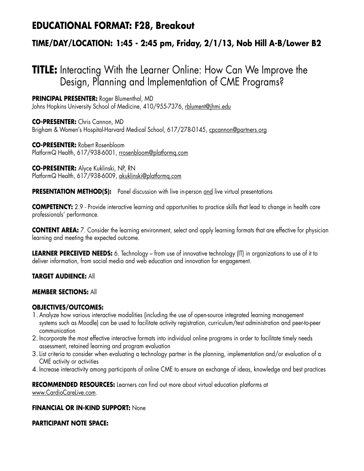## **EDUCATIONAL FORMAT: F28, Breakout**

### **TIME/DAY/LOCATION: 1:45 - 2:45 pm, Friday, 2/1/13, Nob Hill A-B/Lower B2**

# **TITLE:** Interacting With the Learner Online: How Can We Improve the Design, Planning and Implementation of CME Programs?

**PRINCIPAL PRESENTER:** Roger Blumenthal, MD Johns Hopkins University School of Medicine, 410/955-7376, rblument@jhmi.edu

**CO-PRESENTER:** Chris Cannon, MD Brigham & Women's Hospital-Harvard Medical School, 617/278-0145, cpcannon@partners.org

**CO-PRESENTER:** Robert Rosenbloom PlatformQ Health, 617/938-6001, rrosenbloom@platformq.com

**CO-PRESENTER:** Alyce Kuklinski, NP, RN PlatformQ Health, 617/938-6009, akuklinski@platformq.com

**PRESENTATION METHOD(S):** Panel discussion with live in-person and live virtual presentations

**COMPETENCY:** 2.9 - Provide interactive learning and opportunities to practice skills that lead to change in health care professionals' performance.

**CONTENT AREA:** 7. Consider the learning environment, select and apply learning formats that are effective for physician learning and meeting the expected outcome.

**LEARNER PERCEIVED NEEDS:** 6. Technology – from use of innovative technology (IT) in organizations to use of it to deliver information, from social media and web education and innovation for engagement.

**TARGET AUDIENCE:** All

#### **MEMBER SECTIONS:** All

#### **OBJECTIVES/OUTCOMES:**

- 1. Analyze how various interactive modalities (including the use of open-source integrated learning management systems such as Moodle) can be used to facilitate activity registration, curriculum/test administration and peer-to-peer communication
- 2. Incorporate the most effective interactive formats into individual online programs in order to facilitate timely needs assessment, retained learning and program evaluation
- 3.List criteria to consider when evaluating a technology partner in the planning, implementation and/or evaluation of a CME activity or activities
- 4. Increase interactivity among participants of online CME to ensure an exchange of ideas, knowledge and best practices

**RECOMMENDED RESOURCES:** Learners can find out more about virtual education platforms at www.CardioCareLive.com.

#### **FINANCIAL OR IN-KIND SUPPORT:** None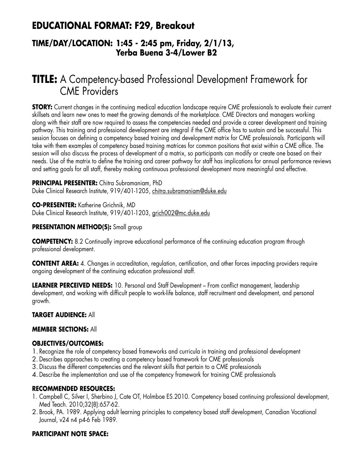## **EDUCATIONAL FORMAT: F29, Breakout**

### **TIME/DAY/LOCATION: 1:45 - 2:45 pm, Friday, 2/1/13, Yerba Buena 3-4/Lower B2**

# **TITLE:** A Competency-based Professional Development Framework for CME Providers

**STORY:** Current changes in the continuing medical education landscape require CME professionals to evaluate their current skillsets and learn new ones to meet the growing demands of the marketplace. CME Directors and managers working along with their staff are now required to assess the competencies needed and provide a career development and training pathway. This training and professional development are integral if the CME office has to sustain and be successful. This session focuses on defining a competency based training and development matrix for CME professionals. Participants will take with them examples of competency based training matrices for common positions that exist within a CME office. The session will also discuss the process of development of a matrix, so participants can modify or create one based on their needs. Use of the matrix to define the training and career pathway for staff has implications for annual performance reviews and setting goals for all staff, thereby making continuous professional development more meaningful and effective.

#### **PRINCIPAL PRESENTER:** Chitra Subramaniam, PhD

Duke Clinical Research Institute, 919/401-1205, chitra.subramaniam@duke.edu

**CO-PRESENTER:** Katherine Grichnik, MD Duke Clinical Research Institute, 919/401-1203, grich002@mc.duke.edu

#### **PRESENTATION METHOD(S):** Small group

**COMPETENCY:** 8.2 Continually improve educational performance of the continuing education program through professional development.

**CONTENT AREA:** 4. Changes in accreditation, regulation, certification, and other forces impacting providers require ongoing development of the continuing education professional staff.

**LEARNER PERCEIVED NEEDS:** 10. Personal and Staff Development – From conflict management, leadership development, and working with difficult people to work-life balance, staff recruitment and development, and personal growth.

#### **TARGET AUDIENCE:** All

#### **MEMBER SECTIONS:** All

#### **OBJECTIVES/OUTCOMES:**

- 1. Recognize the role of competency based frameworks and curricula in training and professional development
- 2. Describes approaches to creating a competency based framework for CME professionals
- 3. Discuss the different competencies and the relevant skills that pertain to a CME professionals
- 4. Describe the implementation and use of the competency framework for training CME professionals

#### **RECOMMENDED RESOURCES:**

- 1. Campbell C, Silver I, Sherbino J, Cate OT, Holmboe ES.2010. Competency based continuing professional development, Med Teach. 2010;32(8):657-62.
- 2. Brook, PA. 1989. Applying adult learning principles to competency based staff development, Canadian Vocational Journal, v24 n4 p4-6 Feb 1989.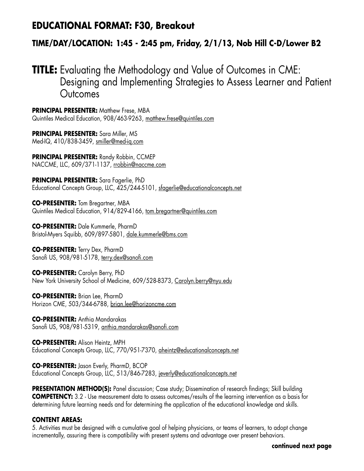### **EDUCATIONAL FORMAT: F30, Breakout**

### **TIME/DAY/LOCATION: 1:45 - 2:45 pm, Friday, 2/1/13, Nob Hill C-D/Lower B2**

## **TITLE:** Evaluating the Methodology and Value of Outcomes in CME: Designing and Implementing Strategies to Assess Learner and Patient **Outcomes**

**PRINCIPAL PRESENTER:** Matthew Frese, MBA Quintiles Medical Education, 908/463-9263, matthew.frese@quintiles.com

**PRINCIPAL PRESENTER:** Sara Miller, MS Med-IQ, 410/838-3459, smiller@med-iq.com

**PRINCIPAL PRESENTER:** Randy Robbin, CCMEP NACCME, LLC, 609/371-1137, rrobbin@naccme.com

**PRINCIPAL PRESENTER:** Sara Fagerlie, PhD Educational Concepts Group, LLC, 425/244-5101, sfagerlie@educationalconcepts.net

**CO-PRESENTER:** Tom Bregartner, MBA Quintiles Medical Education, 914/829-4166, tom.bregartner@quintiles.com

**CO-PRESENTER:** Dale Kummerle, PharmD Bristol-Myers Squibb, 609/897-5801, dale.kummerle@bms.com

**CO-PRESENTER:** Terry Dex, PharmD Sanofi US, 908/981-5178, terry.dex@sanofi.com

**CO-PRESENTER:** Carolyn Berry, PhD New York University School of Medicine, 609/528-8373, Carolyn.berry@nyu.edu

**CO-PRESENTER:** Brian Lee, PharmD Horizon CME, 503/344-6788, brian.lee@horizoncme.com

**CO-PRESENTER:** Anthia Mandarakas Sanofi US, 908/981-5319, anthia.mandarakas@sanofi.com

**CO-PRESENTER:** Alison Heintz, MPH Educational Concepts Group, LLC, 770/951-7370, aheintz@educationalconcepts.net

**CO-PRESENTER:** Jason Everly, PharmD, BCOP Educational Concepts Group, LLC, 513/846-7283, jeverly@educationalconcepts.net

**PRESENTATION METHOD(S):** Panel discussion; Case study; Dissemination of research findings; Skill building **COMPETENCY:** 3.2 - Use measurement data to assess outcomes/results of the learning intervention as a basis for determining future learning needs and for determining the application of the educational knowledge and skills.

#### **CONTENT AREAS:**

5. Activities must be designed with a cumulative goal of helping physicians, or teams of learners, to adopt change incrementally, assuring there is compatibility with present systems and advantage over present behaviors.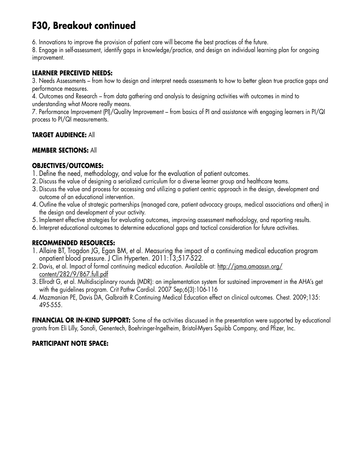# **F30, Breakout continued**

6. Innovations to improve the provision of patient care will become the best practices of the future.

8. Engage in self-assessment, identify gaps in knowledge/practice, and design an individual learning plan for ongoing improvement.

#### **LEARNER PERCEIVED NEEDS:**

3. Needs Assessments – from how to design and interpret needs assessments to how to better glean true practice gaps and performance measures.

4. Outcomes and Research – from data gathering and analysis to designing activities with outcomes in mind to understanding what Moore really means.

7. Performance Improvement (PI)/Quality Improvement – from basics of PI and assistance with engaging learners in PI/QI process to PI/QI measurements.

#### **TARGET AUDIENCE:** All

#### **MEMBER SECTIONS:** All

#### **OBJECTIVES/OUTCOMES:**

- 1. Define the need, methodology, and value for the evaluation of patient outcomes.
- 2. Discuss the value of designing a serialized curriculum for a diverse learner group and healthcare teams.
- 3. Discuss the value and process for accessing and utilizing a patient centric approach in the design, development and outcome of an educational intervention.
- 4. Outline the value of strategic partnerships (managed care, patient advocacy groups, medical associations and others) in the design and development of your activity.
- 5. Implement effective strategies for evaluating outcomes, improving assessment methodology, and reporting results.
- 6. Interpret educational outcomes to determine educational gaps and tactical consideration for future activities.

#### **RECOMMENDED RESOURCES:**

- 1. Allaire BT, Trogdon JG, Egan BM, et al. Measuring the impact of a continuing medical education program onpatient blood pressure. J Clin Hyperten. 2011:13;517-522.
- 2. Davis, et al. Impact of formal continuing medical education. Available at: http://jama.amaassn.org/ content/282/9/867.full.pdf
- 3. Ellrodt G, et al. Multidisciplinary rounds (MDR): an implementation system for sustained improvement in the AHA's get with the guidelines program. Crit Pathw Cardiol. 2007 Sep;6(3):106-116
- 4. Mazmanian PE, Davis DA, Galbraith R.Continuing Medical Education effect on clinical outcomes. Chest. 2009;135: 495-555.

**FINANCIAL OR IN-KIND SUPPORT:** Some of the activities discussed in the presentation were supported by educational grants from Eli Lilly, Sanofi, Genentech, Boehringer-Ingelheim, Bristol-Myers Squibb Company, and Pfizer, Inc.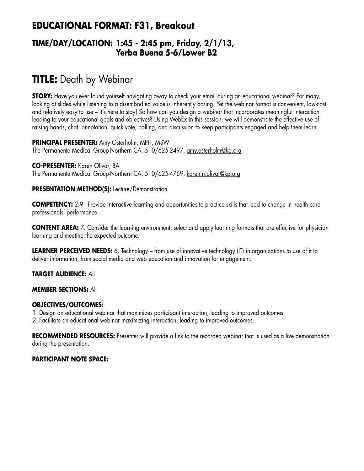## **EDUCATIONAL FORMAT: F31, Breakout**

### **TIME/DAY/LOCATION: 1:45 - 2:45 pm, Friday, 2/1/13, Yerba Buena 5-6/Lower B2**

# **TITLE:** Death by Webinar

**STORY:** Have you ever found yourself navigating away to check your email during an educational webinar? For many, looking at slides while listening to a disembodied voice is inherently boring. Yet the webinar format is convenient, low-cost, and relatively easy to use – it's here to stay! So how can you design a webinar that incorporates meaningful interaction leading to your educational goals and objectives? Using WebEx in this session, we will demonstrate the effective use of raising hands, chat, annotation, quick vote, polling, and discussion to keep participants engaged and help them learn.

**PRINCIPAL PRESENTER:** Amy Osterholm, MPH, MSW The Permanente Medical Group-Northern CA, 510/625-2497, amy.osterholm@kp.org

**CO-PRESENTER:** Karen Olivar, BA The Permanente Medical Group-Northern CA, 510/625-4769, karen.n.olivar@kp.org

#### **PRESENTATION METHOD(S):** Lecture/Demonstration

**COMPETENCY:** 2.9 - Provide interactive learning and opportunities to practice skills that lead to change in health care professionals' performance.

**CONTENT AREA:** 7. Consider the learning environment, select and apply learning formats that are effective for physician learning and meeting the expected outcome.

**LEARNER PERCEIVED NEEDS:** 6. Technology – from use of innovative technology (IT) in organizations to use of it to deliver information, from social media and web education and innovation for engagement.

#### **TARGET AUDIENCE:** All

#### **MEMBER SECTIONS:** All

#### **OBJECTIVES/OUTCOMES:**

1. Design an educational webinar that maximizes participant interaction, leading to improved outcomes.

2. Facilitate an educational webinar maximizing interaction, leading to improved outcomes.

**RECOMMENDED RESOURCES:** Presenter will provide a link to the recorded webinar that is used as a live demonstration during the presentation.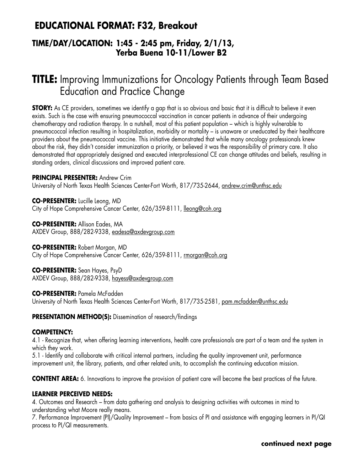### **EDUCATIONAL FORMAT: F32, Breakout**

### **TIME/DAY/LOCATION: 1:45 - 2:45 pm, Friday, 2/1/13, Yerba Buena 10-11/Lower B2**

# **TITLE:** Improving Immunizations for Oncology Patients through Team Based Education and Practice Change

**STORY:** As CE providers, sometimes we identify a gap that is so obvious and basic that it is difficult to believe it even exists. Such is the case with ensuring pneumococcal vaccination in cancer patients in advance of their undergoing chemotherapy and radiation therapy. In a nutshell, most of this patient population – which is highly vulnerable to pneumococcal infection resulting in hospitalization, morbidity or mortality – is unaware or uneducated by their healthcare providers about the pneumococcal vaccine. This initiative demonstrated that while many oncology professionals knew about the risk, they didn't consider immunization a priority, or believed it was the responsibility of primary care. It also demonstrated that appropriately designed and executed interprofessional CE can change attitudes and beliefs, resulting in standing orders, clinical discussions and improved patient care.

#### **PRINCIPAL PRESENTER:** Andrew Crim

University of North Texas Health Sciences Center-Fort Worth, 817/735-2644, andrew.crim@unthsc.edu

**CO-PRESENTER:** Lucille Leong, MD City of Hope Comprehensive Cancer Center, 626/359-8111, lleong@coh.org

**CO-PRESENTER:** Allison Eades, MA AXDEV Group, 888/282-9338, eadesa@axdevgroup.com

**CO-PRESENTER:** Robert Morgan, MD

City of Hope Comprehensive Cancer Center, 626/359-8111, rmorgan@coh.org

**CO-PRESENTER:** Sean Hayes, PsyD AXDEV Group, 888/282-9338, hayess@axdevgroup.com

#### **CO-PRESENTER:** Pamela McFadden

University of North Texas Health Sciences Center-Fort Worth, 817/735-2581, pam.mcfadden@unthsc.edu

**PRESENTATION METHOD(S):** Dissemination of research/findings

#### **COMPETENCY:**

4.1 - Recognize that, when offering learning interventions, health care professionals are part of a team and the system in which they work.

5.1 - Identify and collaborate with critical internal partners, including the quality improvement unit, performance improvement unit, the library, patients, and other related units, to accomplish the continuing education mission.

**CONTENT AREA:** 6. Innovations to improve the provision of patient care will become the best practices of the future.

#### **LEARNER PERCEIVED NEEDS:**

4. Outcomes and Research – from data gathering and analysis to designing activities with outcomes in mind to understanding what Moore really means.

7. Performance Improvement (PI)/Quality Improvement – from basics of PI and assistance with engaging learners in PI/QI process to PI/QI measurements.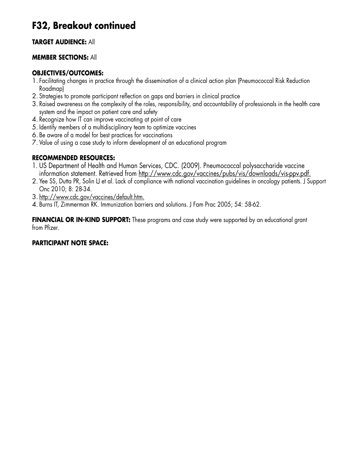## **F32, Breakout continued**

#### **TARGET AUDIENCE:** All

#### **MEMBER SECTIONS:** All

#### **OBJECTIVES/OUTCOMES:**

- 1. Facilitating changes in practice through the dissemination of a clinical action plan (Pneumococcal Risk Reduction Roadmap)
- 2. Strategies to promote participant reflection on gaps and barriers in clinical practice
- 3. Raised awareness on the complexity of the roles, responsibility, and accountability of professionals in the health care system and the impact on patient care and safety
- 4. Recognize how IT can improve vaccinating at point of care
- 5. Identify members of a multidisciplinary team to optimize vaccines
- 6. Be aware of a model for best practices for vaccinations
- 7. Value of using a case study to inform development of an educational program

#### **RECOMMENDED RESOURCES:**

- 1. US Department of Health and Human Services, CDC. (2009). Pneumococcal polysaccharide vaccine information statement. Retrieved from http://www.cdc.gov/vaccines/pubs/vis/downloads/vis-ppv.pdf.
- 2. Yee SS, Dutta PR, Solin LJ et al. Lack of compliance with national vaccination guidelines in oncology patients. J Support Onc 2010; 8: 28-34.
- 3. http://www.cdc.gov/vaccines/default.htm.
- 4. Burns IT, Zimmerman RK. Immunization barriers and solutions. J Fam Prac 2005; 54: 58-62.

**FINANCIAL OR IN-KIND SUPPORT:** These programs and case study were supported by an educational grant from Pfizer.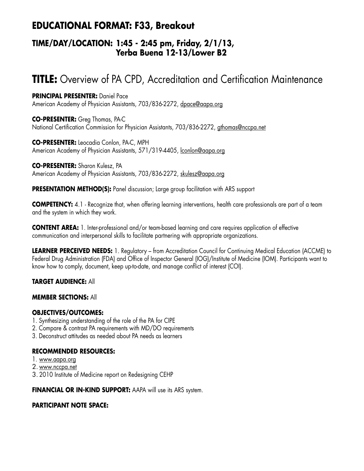## **EDUCATIONAL FORMAT: F33, Breakout**

### **TIME/DAY/LOCATION: 1:45 - 2:45 pm, Friday, 2/1/13, Yerba Buena 12-13/Lower B2**

# **TITLE:** Overview of PA CPD, Accreditation and Certification Maintenance

**PRINCIPAL PRESENTER:** Daniel Pace American Academy of Physician Assistants, 703/836-2272, dpace@aapa.org

**CO-PRESENTER:** Greg Thomas, PA-C National Certification Commission for Physician Assistants, 703/836-2272, gthomas@nccpa.net

**CO-PRESENTER:** Leocadia Conlon, PA-C, MPH American Academy of Physician Assistants, 571/319-4405, lconlon@aapa.org

**CO-PRESENTER:** Sharon Kulesz, PA American Academy of Physician Assistants, 703/836-2272, skulesz@aapa.org

**PRESENTATION METHOD(S):** Panel discussion; Large group facilitation with ARS support

**COMPETENCY:** 4.1 - Recognize that, when offering learning interventions, health care professionals are part of a team and the system in which they work.

**CONTENT AREA:** 1. Inter-professional and/or team-based learning and care requires application of effective communication and interpersonal skills to facilitate partnering with appropriate organizations.

**LEARNER PERCEIVED NEEDS:** 1. Regulatory – from Accreditation Council for Continuing Medical Education (ACCME) to Federal Drug Administration (FDA) and Office of Inspector General (IOG)/Institute of Medicine (IOM). Participants want to know how to comply, document, keep up-to-date, and manage conflict of interest (COI).

#### **TARGET AUDIENCE:** All

#### **MEMBER SECTIONS:** All

#### **OBJECTIVES/OUTCOMES:**

- 1. Synthesizing understanding of the role of the PA for CIPE
- 2. Compare & contrast PA requirements with MD/DO requirements
- 3. Deconstruct attitudes as needed about PA needs as learners

#### **RECOMMENDED RESOURCES:**

- 1. www.aapa.org
- 2. www.nccpa.net
- 3. 2010 Institute of Medicine report on Redesigning CEHP

**FINANCIAL OR IN-KIND SUPPORT:** AAPA will use its ARS system.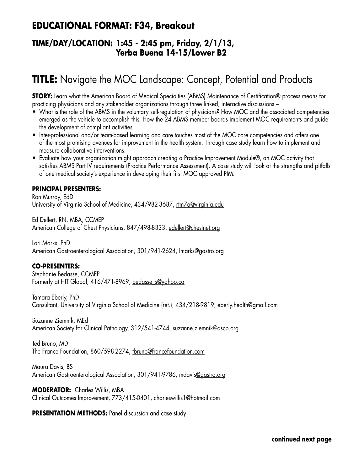### **EDUCATIONAL FORMAT: F34, Breakout**

### **TIME/DAY/LOCATION: 1:45 - 2:45 pm, Friday, 2/1/13, Yerba Buena 14-15/Lower B2**

# **TITLE:** Navigate the MOC Landscape: Concept, Potential and Products

**STORY:** Learn what the American Board of Medical Specialties (ABMS) Maintenance of Certification® process means for practicing physicians and any stakeholder organizations through three linked, interactive discussions –

- What is the role of the ABMS in the voluntary self-regulation of physicians? How MOC and the associated competencies emerged as the vehicle to accomplish this. How the 24 ABMS member boards implement MOC requirements and guide the development of compliant activities.
- Inter-professional and/or team-based learning and care touches most of the MOC core competencies and offers one of the most promising avenues for improvement in the health system. Through case study learn how to implement and measure collaborative interventions.
- • Evaluate how your organization might approach creating a Practice Improvement Module®, an MOC activity that satisfies ABMS Part IV requirements (Practice Performance Assessment). A case study will look at the strengths and pitfalls of one medical society's experience in developing their first MOC approved PIM.

#### **PRINCIPAL PRESENTERS:**

Ron Murray, EdD University of Virginia School of Medicine, 434/982-3687, rtm7a@virginia.edu

Ed Dellert, RN, MBA, CCMEP American College of Chest Physicians, 847/498-8333, edellert@chestnet.org

Lori Marks, PhD American Gastroenterological Association, 301/941-2624, Imarks@gastro.org

#### **CO-PRESENTERS:**

Stephanie Bedasse, CCMEP Formerly at HIT Global, 416/471-8969, bedasse\_s@yahoo.ca

Tamara Eberly, PhD Consultant, University of Virginia School of Medicine (ret.), 434/218-9819, eberly.health@gmail.com

Suzanne Ziemnik, MEd American Society for Clinical Pathology, 312/541-4744, suzanne.ziemnik@ascp.org

Ted Bruno, MD The France Foundation, 860/598-2274, tbruno@francefoundation.com

Maura Davis, BS American Gastroenterological Association, 301/941-9786, mdavis@gastro.org

**MODERATOR:** Charles Willis, MBA Clinical Outcomes Improvement, 773/415-0401, charleswillis1@hotmail.com

**PRESENTATION METHODS:** Panel discussion and case study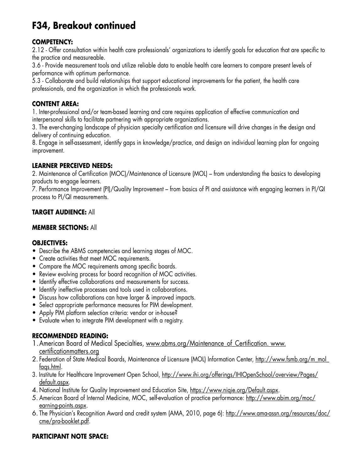# **F34, Breakout continued**

#### **COMPETENCY:**

2.12 - Offer consultation within health care professionals' organizations to identify goals for education that are specific to the practice and measureable.

3.6 - Provide measurement tools and utilize reliable data to enable health care learners to compare present levels of performance with optimum performance.

5.3 - Collaborate and build relationships that support educational improvements for the patient, the health care professionals, and the organization in which the professionals work.

#### **CONTENT AREA:**

1. Inter-professional and/or team-based learning and care requires application of effective communication and interpersonal skills to facilitate partnering with appropriate organizations.

3. The ever-changing landscape of physician specialty certification and licensure will drive changes in the design and delivery of continuing education.

8. Engage in self-assessment, identify gaps in knowledge/practice, and design an individual learning plan for ongoing improvement.

#### **LEARNER PERCEIVED NEEDS:**

2. Maintenance of Certification (MOC)/Maintenance of Licensure (MOL) – from understanding the basics to developing products to engage learners.

7. Performance Improvement (PI)/Quality Improvement – from basics of PI and assistance with engaging learners in PI/QI process to PI/QI measurements.

#### **TARGET AUDIENCE:** All

#### **MEMBER SECTIONS:** All

#### **OBJECTIVES:**

- Describe the ABMS competencies and learning stages of MOC.
- Create activities that meet MOC requirements.
- Compare the MOC requirements among specific boards.
- Review evolving process for board recognition of MOC activities.
- Identify effective collaborations and measurements for success.
- Identify ineffective processes and tools used in collaborations.
- Discuss how collaborations can have larger & improved impacts.
- Select appropriate performance measures for PIM development.
- Apply PIM platform selection criteria: vendor or in-house?
- Evaluate when to integrate PIM development with a registry.

#### **RECOMMENDED READING:**

- 1. American Board of Medical Specialties, www.abms.org/Maintenance of Certification. www. certificationmatters.org
- 2. Federation of State Medical Boards, Maintenance of Licensure (MOL) Information Center, http://www.fsmb.org/m\_mol\_ faqs.html.
- 3. Institute for Healthcare Improvement Open School, http://www.ihi.org/offerings/IHIOpenSchool/overview/Pages/ default.aspx.
- 4. National Institute for Quality Improvement and Education Site, https://www.niqie.org/Default.aspx.
- 5. American Board of Internal Medicine, MOC, self-evaluation of practice performance: http://www.abim.org/moc/ earning-points.aspx.
- 6. The Physician's Recognition Award and credit system (AMA, 2010, page 6): http://www.ama-assn.org/resources/doc/ cme/pra-booklet.pdf.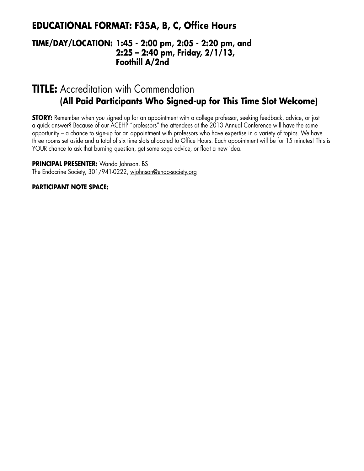### **EDUCATIONAL FORMAT: F35A, B, C, Office Hours**

### **TIME/DAY/LOCATION: 1:45 - 2:00 pm, 2:05 - 2:20 pm, and 2:25 – 2:40 pm, Friday, 2/1/13, Foothill A/2nd**

## **TITLE:** Accreditation with Commendation **(All Paid Participants Who Signed-up for This Time Slot Welcome)**

**STORY:** Remember when you signed up for an appointment with a college professor, seeking feedback, advice, or just a quick answer? Because of our ACEHP "professors" the attendees at the 2013 Annual Conference will have the same opportunity – a chance to sign-up for an appointment with professors who have expertise in a variety of topics. We have three rooms set aside and a total of six time slots allocated to Office Hours. Each appointment will be for 15 minutes! This is YOUR chance to ask that burning question, get some sage advice, or float a new idea.

**PRINCIPAL PRESENTER:** Wanda Johnson, BS The Endocrine Society, 301/941-0222, wjohnson@endo-society.org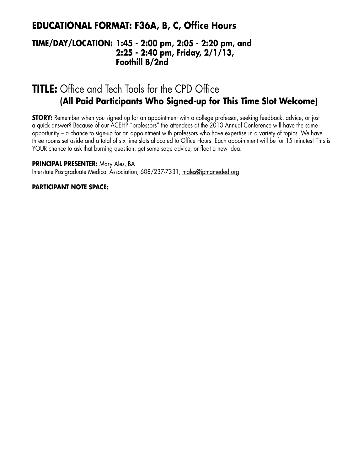### **EDUCATIONAL FORMAT: F36A, B, C, Office Hours**

### **TIME/DAY/LOCATION: 1:45 - 2:00 pm, 2:05 - 2:20 pm, and 2:25 - 2:40 pm, Friday, 2/1/13, Foothill B/2nd**

# **TITLE:** Office and Tech Tools for the CPD Office **(All Paid Participants Who Signed-up for This Time Slot Welcome)**

**STORY:** Remember when you signed up for an appointment with a college professor, seeking feedback, advice, or just a quick answer? Because of our ACEHP "professors" the attendees at the 2013 Annual Conference will have the same opportunity – a chance to sign-up for an appointment with professors who have expertise in a variety of topics. We have three rooms set aside and a total of six time slots allocated to Office Hours. Each appointment will be for 15 minutes! This is YOUR chance to ask that burning question, get some sage advice, or float a new idea.

**PRINCIPAL PRESENTER:** Mary Ales, BA

Interstate Postgraduate Medical Association, 608/237-7331, males@ipmameded.org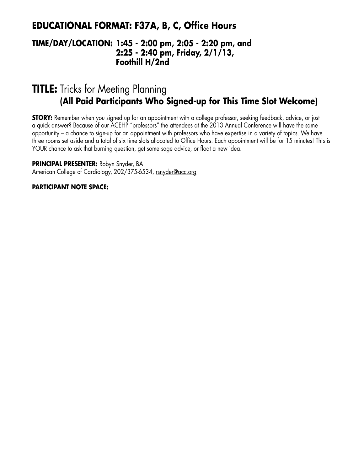### **EDUCATIONAL FORMAT: F37A, B, C, Office Hours**

### **TIME/DAY/LOCATION: 1:45 - 2:00 pm, 2:05 - 2:20 pm, and 2:25 - 2:40 pm, Friday, 2/1/13, Foothill H/2nd**

## **TITLE:** Tricks for Meeting Planning **(All Paid Participants Who Signed-up for This Time Slot Welcome)**

**STORY:** Remember when you signed up for an appointment with a college professor, seeking feedback, advice, or just a quick answer? Because of our ACEHP "professors" the attendees at the 2013 Annual Conference will have the same opportunity – a chance to sign-up for an appointment with professors who have expertise in a variety of topics. We have three rooms set aside and a total of six time slots allocated to Office Hours. Each appointment will be for 15 minutes! This is YOUR chance to ask that burning question, get some sage advice, or float a new idea.

**PRINCIPAL PRESENTER:** Robyn Snyder, BA American College of Cardiology, 202/375-6534, rsnyder@acc.org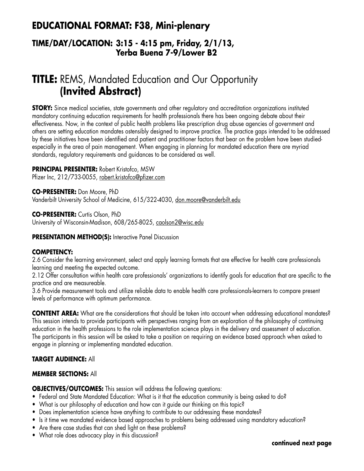## **EDUCATIONAL FORMAT: F38, Mini-plenary**

### **TIME/DAY/LOCATION: 3:15 - 4:15 pm, Friday, 2/1/13, Yerba Buena 7-9/Lower B2**

# **TITLE:** REMS, Mandated Education and Our Opportunity **(Invited Abstract)**

**STORY:** Since medical societies, state governments and other regulatory and accreditation organizations instituted mandatory continuing education requirements for health professionals there has been ongoing debate about their effectiveness. Now, in the context of public health problems like prescription drug abuse agencies of government and others are setting education mandates ostensibly designed to improve practice. The practice gaps intended to be addressed by these initiatives have been identified and patient and practitioner factors that bear on the problem have been studiedespecially in the area of pain management. When engaging in planning for mandated education there are myriad standards, regulatory requirements and guidances to be considered as well.

#### **PRINCIPAL PRESENTER:** Robert Kristofco, MSW

Pfizer Inc, 212/733-0055, robert.kristofco@pfizer.com

**CO-PRESENTER:** Don Moore, PhD Vanderbilt University School of Medicine, 615/322-4030, don.moore@vanderbilt.edu

**CO-PRESENTER:** Curtis Olson, PhD University of Wisconsin-Madison, 608/265-8025, caolson2@wisc.edu

**PRESENTATION METHOD(S):** Interactive Panel Discussion

#### **COMPETENCY:**

2.6 Consider the learning environment, select and apply learning formats that are effective for health care professionals learning and meeting the expected outcome.

2.12 Offer consultation within health care professionals' organizations to identify goals for education that are specific to the practice and are measureable.

3.6 Provide measurement tools and utilize reliable data to enable health care professionals-learners to compare present levels of performance with optimum performance.

**CONTENT AREA:** What are the considerations that should be taken into account when addressing educational mandates? This session intends to provide participants with perspectives ranging from an exploration of the philosophy of continuing education in the health professions to the role implementation science plays in the delivery and assessment of education. The participants in this session will be asked to take a position on requiring an evidence based approach when asked to engage in planning or implementing mandated education.

#### **TARGET AUDIENCE:** All

#### **MEMBER SECTIONS:** All

**OBJECTIVES/OUTCOMES:** This session will address the following questions:

- Federal and State Mandated Education: What is it that the education community is being asked to do?
- What is our philosophy of education and how can it guide our thinking on this topic?
- Does implementation science have anything to contribute to our addressing these mandates?
- Is it time we mandated evidence based approaches to problems being addressed using mandatory education?
- Are there case studies that can shed light on these problems?
- What role does advocacy play in this discussion?

#### **continued next page**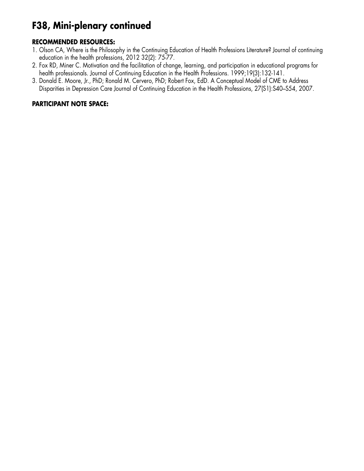# **F38, Mini-plenary continued**

#### **RECOMMENDED RESOURCES:**

- 1. Olson CA, Where is the Philosophy in the Continuing Education of Health Professions Literature? Journal of continuing education in the health professions, 2012 32(2): 75-77.
- 2. Fox RD, Miner C. Motivation and the facilitation of change, learning, and participation in educational programs for health professionals. Journal of Continuing Education in the Health Professions. 1999;19(3):132-141.
- 3. Donald E. Moore, Jr., PhD; Ronald M. Cervero, PhD; Robert Fox, EdD. A Conceptual Model of CME to Address Disparities in Depression Care Journal of Continuing Education in the Health Professions, 27(S1):S40–S54, 2007.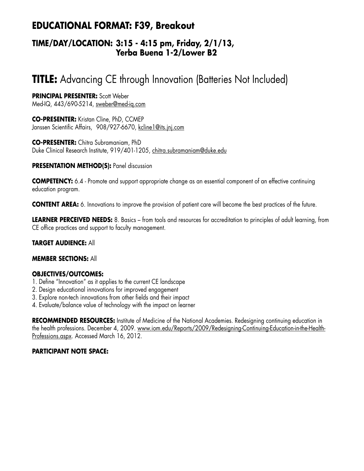## **EDUCATIONAL FORMAT: F39, Breakout**

### **TIME/DAY/LOCATION: 3:15 - 4:15 pm, Friday, 2/1/13, Yerba Buena 1-2/Lower B2**

# **TITLE:** Advancing CE through Innovation (Batteries Not Included)

#### **PRINCIPAL PRESENTER:** Scott Weber

Med-IQ, 443/690-5214, sweber@med-iq.com

**CO-PRESENTER:** Kristan Cline, PhD, CCMEP Janssen Scientific Affairs, 908/927-6670, kcline1@its.jnj.com

**CO-PRESENTER:** Chitra Subramaniam, PhD Duke Clinical Research Institute, 919/401-1205, chitra.subramaniam@duke.edu

#### **PRESENTATION METHOD(S):** Panel discussion

**COMPETENCY:** 6.4 - Promote and support appropriate change as an essential component of an effective continuing education program.

**CONTENT AREA:** 6. Innovations to improve the provision of patient care will become the best practices of the future.

**LEARNER PERCEIVED NEEDS:** 8. Basics – from tools and resources for accreditation to principles of adult learning, from CE office practices and support to faculty management.

#### **TARGET AUDIENCE:** All

#### **MEMBER SECTIONS:** All

#### **OBJECTIVES/OUTCOMES:**

- 1. Define "Innovation" as it applies to the current CE landscape
- 2. Design educational innovations for improved engagement
- 3. Explore non-tech innovations from other fields and their impact
- 4. Evaluate/balance value of technology with the impact on learner

**RECOMMENDED RESOURCES:** Institute of Medicine of the National Academies. Redesigning continuing education in the health professions. December 4, 2009. www.iom.edu/Reports/2009/Redesigning-Continuing-Education-in-the-Health-Professions.aspx. Accessed March 16, 2012.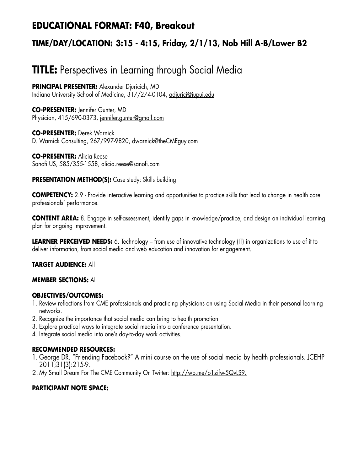## **EDUCATIONAL FORMAT: F40, Breakout**

## **TIME/DAY/LOCATION: 3:15 - 4:15, Friday, 2/1/13, Nob Hill A-B/Lower B2**

# **TITLE:** Perspectives in Learning through Social Media

**PRINCIPAL PRESENTER:** Alexander Djuricich, MD Indiana University School of Medicine, 317/274-0104, adjurici@iupui.edu

**CO-PRESENTER:** Jennifer Gunter, MD Physician, 415/690-0373, jennifer.gunter@gmail.com

**CO-PRESENTER:** Derek Warnick D. Warnick Consulting, 267/997-9820, dwarnick@theCMEguy.com

**CO-PRESENTER:** Alicia Reese Sanofi US, 585/355-1558, alicia.reese@sanofi.com

**PRESENTATION METHOD(S):** Case study; Skills building

**COMPETENCY:** 2.9 - Provide interactive learning and opportunities to practice skills that lead to change in health care professionals' performance.

**CONTENT AREA:** 8. Engage in self-assessment, identify gaps in knowledge/practice, and design an individual learning plan for ongoing improvement.

**LEARNER PERCEIVED NEEDS:** 6. Technology – from use of innovative technology (IT) in organizations to use of it to deliver information, from social media and web education and innovation for engagement.

#### **TARGET AUDIENCE:** All

#### **MEMBER SECTIONS:** All

#### **OBJECTIVES/OUTCOMES:**

- 1. Review reflections from CME professionals and practicing physicians on using Social Media in their personal learning networks.
- 2. Recognize the importance that social media can bring to health promotion.
- 3. Explore practical ways to integrate social media into a conference presentation.
- 4. Integrate social media into one's day-to-day work activities.

#### **RECOMMENDED RESOURCES:**

- 1. George DR. "Friending Facebook?" A mini course on the use of social media by health professionals. JCEHP 2011;31(3):215-9.
- 2. My Small Dream For The CME Community On Twitter: http://wp.me/p1zifw-5QvLS9.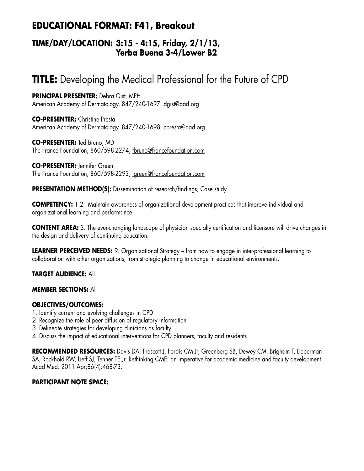## **EDUCATIONAL FORMAT: F41, Breakout**

### **TIME/DAY/LOCATION: 3:15 - 4:15, Friday, 2/1/13, Yerba Buena 3-4/Lower B2**

# **TITLE:** Developing the Medical Professional for the Future of CPD

**PRINCIPAL PRESENTER:** Debra Gist, MPH American Academy of Dermatology, 847/240-1697, dgist@aad.org

**CO-PRESENTER:** Christine Presta American Academy of Dermatology, 847/240-1698, cpresta@aad.org

**CO-PRESENTER:** Ted Bruno, MD The France Foundation, 860/598-2274, thruno@francefoundation.com

**CO-PRESENTER:** Jennifer Green The France Foundation, 860/598-2293, jgreen@francefoundation.com

**PRESENTATION METHOD(S):** Dissemination of research/findings; Case study

**COMPETENCY:** 1.2 - Maintain awareness of organizational development practices that improve individual and organizational learning and performance.

**CONTENT AREA:** 3. The ever-changing landscape of physician specialty certification and licensure will drive changes in the design and delivery of continuing education.

**LEARNER PERCEIVED NEEDS:** 9. Organizational Strategy – from how to engage in inter-professional learning to collaboration with other organizations, from strategic planning to change in educational environments.

#### **TARGET AUDIENCE:** All

#### **MEMBER SECTIONS:** All

#### **OBJECTIVES/OUTCOMES:**

- 1. Identify current and evolving challenges in CPD
- 2. Recognize the role of peer diffusion of regulatory information
- 3. Delineate strategies for developing clinicians as faculty
- 4. Discuss the impact of educational interventions for CPD planners, faculty and residents

**RECOMMENDED RESOURCES:** Davis DA, Prescott J, Fordis CM Jr, Greenberg SB, Dewey CM, Brigham T, Lieberman SA, Rockhold RW, Lieff SJ, Tenner TE Jr. Rethinking CME: an imperative for academic medicine and faculty development. Acad Med. 2011 Apr;86(4):468-73.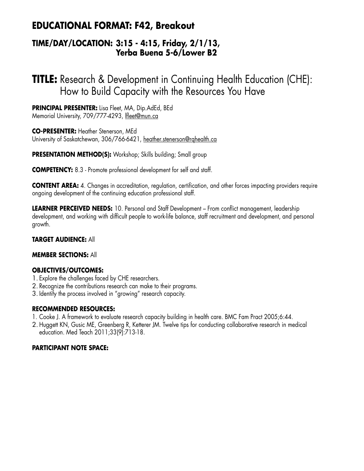## **EDUCATIONAL FORMAT: F42, Breakout**

### **TIME/DAY/LOCATION: 3:15 - 4:15, Friday, 2/1/13, Yerba Buena 5-6/Lower B2**

**TITLE:** Research & Development in Continuing Health Education (CHE): How to Build Capacity with the Resources You Have

**PRINCIPAL PRESENTER:** Lisa Fleet, MA, Dip.AdEd, BEd Memorial University, 709/777-4293, lfleet@mun.ca

**CO-PRESENTER:** Heather Stenerson, MEd University of Saskatchewan, 306/766-6421, heather.stenerson@rqhealth.ca

**PRESENTATION METHOD(S):** Workshop; Skills building; Small group

**COMPETENCY:** 8.3 - Promote professional development for self and staff.

**CONTENT AREA:** 4. Changes in accreditation, regulation, certification, and other forces impacting providers require ongoing development of the continuing education professional staff.

**LEARNER PERCEIVED NEEDS:** 10. Personal and Staff Development – From conflict management, leadership development, and working with difficult people to work-life balance, staff recruitment and development, and personal growth.

#### **TARGET AUDIENCE:** All

#### **MEMBER SECTIONS:** All

#### **OBJECTIVES/OUTCOMES:**

- 1. Explore the challenges faced by CHE researchers.
- 2. Recognize the contributions research can make to their programs.
- 3. Identify the process involved in "growing" research capacity.

#### **RECOMMENDED RESOURCES:**

- 1. Cooke J. A framework to evaluate research capacity building in health care. BMC Fam Pract 2005;6:44.
- 2. Huggett KN, Gusic ME, Greenberg R, Ketterer JM. Twelve tips for conducting collaborative research in medical education. Med Teach 2011;33(9):713-18.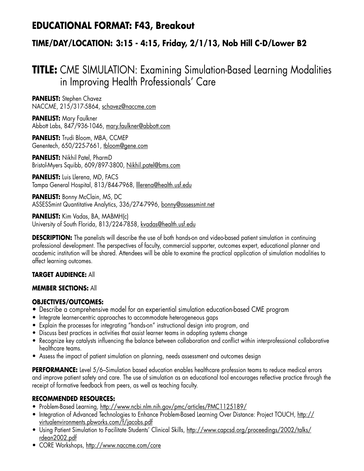## **EDUCATIONAL FORMAT: F43, Breakout**

## **TIME/DAY/LOCATION: 3:15 - 4:15, Friday, 2/1/13, Nob Hill C-D/Lower B2**

# **TITLE:** CME SIMULATION: Examining Simulation-Based Learning Modalities in Improving Health Professionals' Care

**PANELIST:** Stephen Chavez NACCME, 215/317-5864, schavez@naccme.com

**PANELIST:** Mary Faulkner Abbott Labs, 847/936-1046, mary.faulkner@abbott.com

**PANELIST:** Trudi Bloom, MBA, CCMEP Genentech, 650/225-7661, tbloom@gene.com

**PANELIST:** Nikhil Patel, PharmD Bristol-Myers Squibb, 609/897-3800, Nikhil.patel@bms.com

**PANELIST: Luis Llerena, MD, FACS** Tampa General Hospital, 813/844-7968, <u>Illerena@health.usf.edu</u>

**PANELIST: Bonny McClain, MS, DC** ASSESSmint Quantitative Analytics, 336/274-7996, bonny@assessmint.net

**PANELIST:** Kim Vadas, BA, MABMH(c) University of South Florida, 813/224-7858, kvadas@health.usf.edu

**DESCRIPTION:** The panelists will describe the use of both hands-on and video-based patient simulation in continuing professional development. The perspectives of faculty, commercial supporter, outcomes expert, educational planner and academic institution will be shared. Attendees will be able to examine the practical application of simulation modalities to affect learning outcomes.

#### **TARGET AUDIENCE:** All

#### **MEMBER SECTIONS:** All

#### **OBJECTIVES/OUTCOMES:**

- Describe a comprehensive model for an experiential simulation education-based CME program
- Integrate learner-centric approaches to accommodate heterogeneous gaps
- Explain the processes for integrating "hands-on" instructional design into program, and
- Discuss best practices in activities that assist learner teams in adopting systems change
- Recognize key catalysts influencing the balance between collaboration and conflict within interprofessional collaborative healthcare teams.
- Assess the impact of patient simulation on planning, needs assessment and outcomes design

**PERFORMANCE:** Level 5/6–Simulation based education enables healthcare profession teams to reduce medical errors and improve patient safety and care. The use of simulation as an educational tool encourages reflective practice through the receipt of formative feedback from peers, as well as teaching faculty.

#### **RECOMMENDED RESOURCES:**

- Problem-Based Learning, http://www.ncbi.nlm.nih.gov/pmc/articles/PMC1125189/
- Integration of Advanced Technologies to Enhance Problem-Based Learning Over Distance: Project TOUCH, http:// virtualenvironments.pbworks.com/f/jacobs.pdf
- Using Patient Simulation to Facilitate Students' Clinical Skills, http://www.capcsd.org/proceedings/2002/talks/ rdean2002.pdf
- CORE Workshops, http://www.naccme.com/core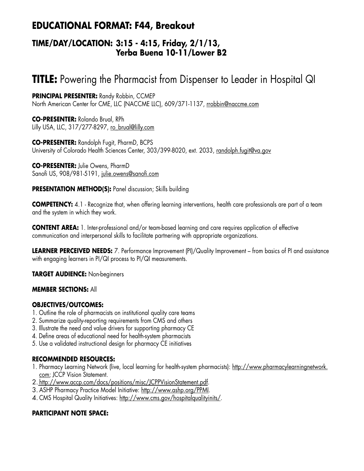## **EDUCATIONAL FORMAT: F44, Breakout**

### **TIME/DAY/LOCATION: 3:15 - 4:15, Friday, 2/1/13, Yerba Buena 10-11/Lower B2**

# **TITLE:** Powering the Pharmacist from Dispenser to Leader in Hospital QI

**PRINCIPAL PRESENTER:** Randy Robbin, CCMEP North American Center for CME, LLC (NACCME LLC), 609/371-1137, rrobbin@naccme.com

**CO-PRESENTER:** Rolando Brual, RPh Lilly USA, LLC, 317/277-8297, ro\_brual@lilly.com

**CO-PRESENTER:** Randolph Fugit, PharmD, BCPS University of Colorado Health Sciences Center, 303/399-8020, ext. 2033, randolph.fugit@va.gov

**CO-PRESENTER:** Julie Owens, PharmD Sanofi US, 908/981-5191, julie.owens@sanofi.com

#### **PRESENTATION METHOD(S):** Panel discussion; Skills building

**COMPETENCY:** 4.1 - Recognize that, when offering learning interventions, health care professionals are part of a team and the system in which they work.

**CONTENT AREA:** 1. Inter-professional and/or team-based learning and care requires application of effective communication and interpersonal skills to facilitate partnering with appropriate organizations.

**LEARNER PERCEIVED NEEDS:** 7. Performance Improvement (PI)/Quality Improvement – from basics of PI and assistance with engaging learners in PI/QI process to PI/QI measurements.

**TARGET AUDIENCE:** Non-beginners

#### **MEMBER SECTIONS:** All

#### **OBJECTIVES/OUTCOMES:**

- 1. Outline the role of pharmacists on institutional quality care teams
- 2. Summarize quality-reporting requirements from CMS and others
- 3. Illustrate the need and value drivers for supporting pharmacy CE
- 4. Define areas of educational need for health-system pharmacists
- 5. Use a validated instructional design for pharmacy CE initiatives

#### **RECOMMENDED RESOURCES:**

- 1. Pharmacy Learning Network (live, local learning for health-system pharmacists): http://www.pharmacylearningnetwork. com; JCCP Vision Statement.
- 2. http://www.accp.com/docs/positions/misc/JCPPVisionStatement.pdf.
- 3. ASHP Pharmacy Practice Model Initiative: http://www.ashp.org/PPMI.
- 4. CMS Hospital Quality Initiatives: http://www.cms.gov/hospitalqualityinits/.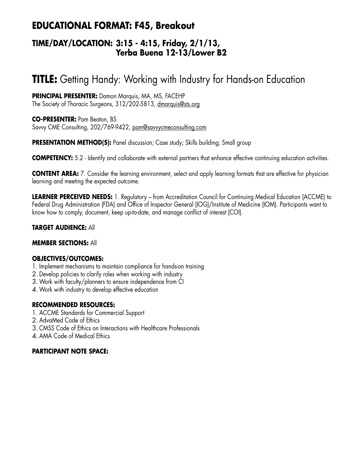## **EDUCATIONAL FORMAT: F45, Breakout**

### **TIME/DAY/LOCATION: 3:15 - 4:15, Friday, 2/1/13, Yerba Buena 12-13/Lower B2**

# **TITLE:** Getting Handy: Working with Industry for Hands-on Education

**PRINCIPAL PRESENTER:** Damon Marquis, MA, MS, FACEHP The Society of Thoracic Surgeons, 312/202-5813, dmarquis@sts.org

**CO-PRESENTER:** Pam Beaton, BS Savvy CME Consulting, 202/769-9422, pam@savvycmeconsulting.com

**PRESENTATION METHOD(S):** Panel discussion; Case study; Skills building; Small group

**COMPETENCY:** 5.2 - Identify and collaborate with external partners that enhance effective continuing education activities.

**CONTENT AREA:** 7. Consider the learning environment, select and apply learning formats that are effective for physician learning and meeting the expected outcome.

**LEARNER PERCEIVED NEEDS:** 1. Regulatory – from Accreditation Council for Continuing Medical Education (ACCME) to Federal Drug Administration (FDA) and Office of Inspector General (IOG)/Institute of Medicine (IOM). Participants want to know how to comply, document, keep up-to-date, and manage conflict of interest (COI).

#### **TARGET AUDIENCE:** All

#### **MEMBER SECTIONS:** All

#### **OBJECTIVES/OUTCOMES:**

- 1. Implement mechanisms to maintain compliance for hands-on training
- 2. Develop policies to clarify roles when working with industry
- 3.Work with faculty/planners to ensure independence from CI
- 4.Work with industry to develop effective education

#### **RECOMMENDED RESOURCES:**

- 1. ACCME Standards for Commercial Support
- 2. AdvaMed Code of Ethics
- 3. CMSS Code of Ethics on Interactions with Healthcare Professionals
- 4. AMA Code of Medical Ethics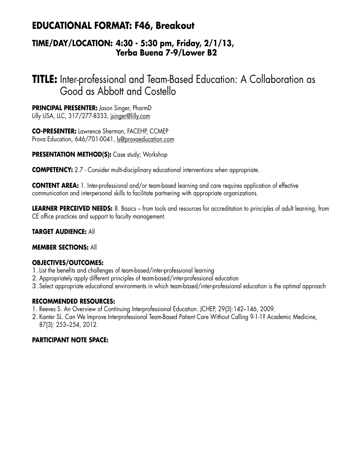## **EDUCATIONAL FORMAT: F46, Breakout**

### **TIME/DAY/LOCATION: 4:30 - 5:30 pm, Friday, 2/1/13, Yerba Buena 7-9/Lower B2**

# **TITLE:** Inter-professional and Team-Based Education: A Collaboration as Good as Abbott and Costello

**PRINCIPAL PRESENTER:** Jason Singer, PharmD Lilly USA, LLC, 317/277-8333, jsinger@lilly.com

**CO-PRESENTER:** Lawrence Sherman, FACEHP, CCMEP Prova Education, 646/701-0041, ls@provaeducation.com

**PRESENTATION METHOD(S):** Case study; Workshop

**COMPETENCY:** 2.7 - Consider multi-disciplinary educational interventions when appropriate.

**CONTENT AREA:** 1. Inter-professional and/or team-based learning and care requires application of effective communication and interpersonal skills to facilitate partnering with appropriate organizations.

**LEARNER PERCEIVED NEEDS:** 8. Basics – from tools and resources for accreditation to principles of adult learning, from CE office practices and support to faculty management.

#### **TARGET AUDIENCE:** All

#### **MEMBER SECTIONS:** All

#### **OBJECTIVES/OUTCOMES:**

- 1.List the benefits and challenges of team-based/inter-professional learning
- 2. Appropriately apply different principles of team-based/inter-professional education
- 3. Select appropriate educational environments in which team-based/inter-professional education is the optimal approach

#### **RECOMMENDED RESOURCES:**

- 1. Reeves S. An Overview of Continuing Interprofessional Education. JCHEP, 29(3):142–146, 2009.
- 2. Kanter SL. Can We Improve Interprofessional Team-Based Patient Care Without Calling 9-1-1? Academic Medicine, 87(3): 253–254, 2012.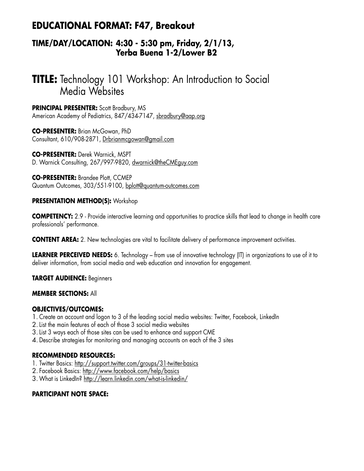## **EDUCATIONAL FORMAT: F47, Breakout**

### **TIME/DAY/LOCATION: 4:30 - 5:30 pm, Friday, 2/1/13, Yerba Buena 1-2/Lower B2**

# **TITLE:** Technology 101 Workshop: An Introduction to Social Media Websites

**PRINCIPAL PRESENTER:** Scott Bradbury, MS American Academy of Pediatrics, 847/434-7147, sbradbury@aap.ora

**CO-PRESENTER:** Brian McGowan, PhD Consultant, 610/908-2871, Drbrianmcgowan@gmail.com

**CO-PRESENTER:** Derek Warnick, MSPT D. Warnick Consulting, 267/997-9820, dwarnick@theCMEguy.com

**CO-PRESENTER:** Brandee Plott, CCMEP Quantum Outcomes, 303/551-9100, bplott@quantum-outcomes.com

#### **PRESENTATION METHOD(S):** Workshop

**COMPETENCY:** 2.9 - Provide interactive learning and opportunities to practice skills that lead to change in health care professionals' performance.

**CONTENT AREA:** 2. New technologies are vital to facilitate delivery of performance improvement activities.

**LEARNER PERCEIVED NEEDS:** 6. Technology – from use of innovative technology (IT) in organizations to use of it to deliver information, from social media and web education and innovation for engagement.

**TARGET AUDIENCE:** Beginners

#### **MEMBER SECTIONS:** All

#### **OBJECTIVES/OUTCOMES:**

- 1. Create an account and logon to 3 of the leading social media websites: Twitter, Facebook, LinkedIn
- 2.List the main features of each of those 3 social media websites
- 3.List 3 ways each of those sites can be used to enhance and support CME
- 4. Describe strategies for monitoring and managing accounts on each of the 3 sites

#### **RECOMMENDED RESOURCES:**

- 1. Twitter Basics: http://support.twitter.com/groups/31-twitter-basics
- 2. Facebook Basics: http://www.facebook.com/help/basics
- 3.What is LinkedIn? http://learn.linkedin.com/what-is-linkedin/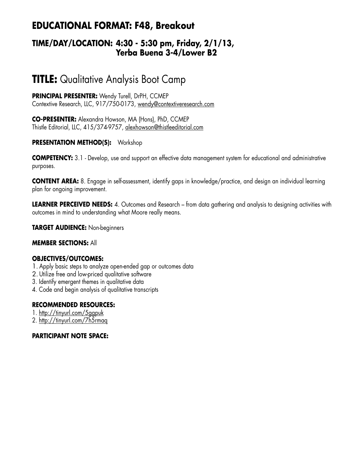## **EDUCATIONAL FORMAT: F48, Breakout**

### **TIME/DAY/LOCATION: 4:30 - 5:30 pm, Friday, 2/1/13, Yerba Buena 3-4/Lower B2**

# **TITLE:** Qualitative Analysis Boot Camp

**PRINCIPAL PRESENTER:** Wendy Turell, DrPH, CCMEP Contextive Research, LLC, 917/750-0173, wendy@contextiveresearch.com

**CO-PRESENTER:** Alexandra Howson, MA (Hons), PhD, CCMEP Thistle Editorial, LLC, 415/374-9757, alexhowson@thistleeditorial.com

#### **PRESENTATION METHOD(S):** Workshop

**COMPETENCY:** 3.1 - Develop, use and support an effective data management system for educational and administrative purposes.

**CONTENT AREA:** 8. Engage in self-assessment, identify gaps in knowledge/practice, and design an individual learning plan for ongoing improvement.

**LEARNER PERCEIVED NEEDS:** 4. Outcomes and Research – from data gathering and analysis to designing activities with outcomes in mind to understanding what Moore really means.

**TARGET AUDIENCE:** Non-beginners

#### **MEMBER SECTIONS:** All

#### **OBJECTIVES/OUTCOMES:**

- 1. Apply basic steps to analyze open-ended gap or outcomes data
- 2. Utilize free and low-priced qualitative software
- 3. Identify emergent themes in qualitative data
- 4. Code and begin analysis of qualitative transcripts

#### **RECOMMENDED RESOURCES:**

- 1. http://tinyurl.com/5ggpuk
- 2. http://tinyurl.com/7h5rmaq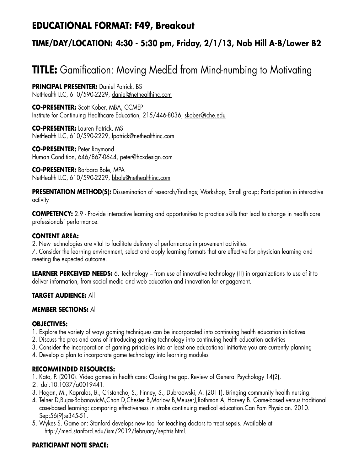## **EDUCATIONAL FORMAT: F49, Breakout**

## **TIME/DAY/LOCATION: 4:30 - 5:30 pm, Friday, 2/1/13, Nob Hill A-B/Lower B2**

# **TITLE:** Gamification: Moving MedEd from Mind-numbing to Motivating

**PRINCIPAL PRESENTER:** Daniel Patrick, BS NetHealth LLC, 610/590-2229, daniel@nethealthinc.com

**CO-PRESENTER:** Scott Kober, MBA, CCMEP Institute for Continuing Healthcare Education, 215/446-8036, skober@iche.edu

**CO-PRESENTER:** Lauren Patrick, MS NetHealth LLC, 610/590-2229, lpatrick@nethealthinc.com

**CO-PRESENTER:** Peter Raymond Human Condition, 646/867-0644, peter@hcxdesign.com

**CO-PRESENTER:** Barbara Bole, MPA NetHealth LLC, 610/590-2229, bbole@nethealthinc.com

**PRESENTATION METHOD(S):** Dissemination of research/findings; Workshop; Small group; Participation in interactive activity

**COMPETENCY:** 2.9 - Provide interactive learning and opportunities to practice skills that lead to change in health care professionals' performance.

#### **CONTENT AREA:**

2. New technologies are vital to facilitate delivery of performance improvement activities.

7. Consider the learning environment, select and apply learning formats that are effective for physician learning and meeting the expected outcome.

**LEARNER PERCEIVED NEEDS:** 6. Technology – from use of innovative technology (IT) in organizations to use of it to deliver information, from social media and web education and innovation for engagement.

#### **TARGET AUDIENCE:** All

#### **MEMBER SECTIONS:** All

#### **OBJECTIVES:**

- 1. Explore the variety of ways gaming techniques can be incorporated into continuing health education initiatives
- 2. Discuss the pros and cons of introducing gaming technology into continuing health education activities
- 3. Consider the incorporation of gaming principles into at least one educational initiative you are currently planning
- 4. Develop a plan to incorporate game technology into learning modules

#### **RECOMMENDED RESOURCES:**

- 1. Kato, P. (2010). Video games in health care: Closing the gap. Review of General Psychology 14(2),
- 2. doi:10.1037/a0019441.
- 3. Hogan, M., Kapralos, B., Cristancho, S., Finney, S., Dubroowski, A. (2011). Bringing community health nursing.
- 4. Telner D,Bujas-BobanovicM,Chan D,Chester B,Marlow B,MeuserJ,Rothman A, Harvey B. Game-based versus traditional case-based learning: comparing effectiveness in stroke continuing medical education.Can Fam Physician. 2010. Sep;56(9):e345-51.
- 5. Wykes S. Game on: Stanford develops new tool for teaching doctors to treat sepsis. Available at http://med.stanford.edu/ism/2012/february/septris.html.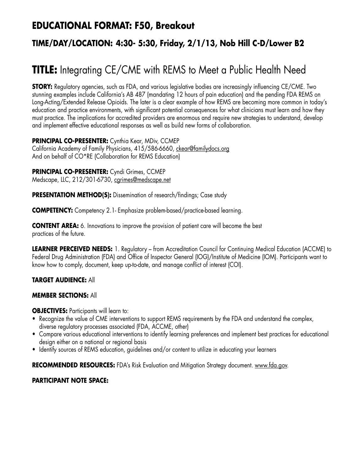## **EDUCATIONAL FORMAT: F50, Breakout**

## **TIME/DAY/LOCATION: 4:30- 5:30, Friday, 2/1/13, Nob Hill C-D/Lower B2**

# **TITLE:** Integrating CE/CME with REMS to Meet a Public Health Need

**STORY:** Regulatory agencies, such as FDA, and various legislative bodies are increasingly influencing CE/CME. Two stunning examples include California's AB 487 (mandating 12 hours of pain education) and the pending FDA REMS on Long-Acting/Extended Release Opioids. The later is a clear example of how REMS are becoming more common in today's education and practice environments, with significant potential consequences for what clinicians must learn and how they must practice. The implications for accredited providers are enormous and require new strategies to understand, develop and implement effective educational responses as well as build new forms of collaboration.

**PRINCIPAL CO-PRESENTER:** Cynthia Kear, MDiv, CCMEP

California Academy of Family Physicians, 415/586-6660, ckear@familydocs.org And on behalf of CO\*RE (Collaboration for REMS Education)

#### **PRINCIPAL CO-PRESENTER:** Cyndi Grimes, CCMEP

Medscape, LLC, 212/301-6730, cgrimes@medscape.net

**PRESENTATION METHOD(S):** Dissemination of research/findings; Case study

**COMPETENCY:** Competency 2.1- Emphasize problem-based/practice-based learning.

**CONTENT AREA:** 6. Innovations to improve the provision of patient care will become the best practices of the future.

**LEARNER PERCEIVED NEEDS:** 1. Regulatory – from Accreditation Council for Continuing Medical Education (ACCME) to Federal Drug Administration (FDA) and Office of Inspector General (IOG)/Institute of Medicine (IOM). Participants want to know how to comply, document, keep up-to-date, and manage conflict of interest (COI).

#### **TARGET AUDIENCE:** All

#### **MEMBER SECTIONS:** All

**OBJECTIVES:** Participants will learn to:

- Recognize the value of CME interventions to support REMS requirements by the FDA and understand the complex, diverse regulatory processes associated (FDA, ACCME, other)
- • Compare various educational interventions to identify learning preferences and implement best practices for educational design either on a national or regional basis
- • Identify sources of REMS education, guidelines and/or content to utilize in educating your learners

**RECOMMENDED RESOURCES:** FDA's Risk Evaluation and Mitigation Strategy document. www.fda.gov.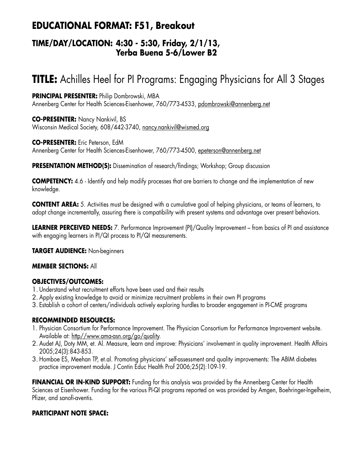## **EDUCATIONAL FORMAT: F51, Breakout**

### **TIME/DAY/LOCATION: 4:30 - 5:30, Friday, 2/1/13, Yerba Buena 5-6/Lower B2**

# **TITLE:** Achilles Heel for PI Programs: Engaging Physicians for All 3 Stages

**PRINCIPAL PRESENTER:** Philip Dombrowski, MBA Annenberg Center for Health Sciences-Eisenhower, 760/773-4533, pdombrowski@annenberg.net

**CO-PRESENTER:** Nancy Nankivil, BS Wisconsin Medical Society, 608/442-3740, nancy.nankivil@wismed.org

**CO-PRESENTER:** Eric Peterson, EdM Annenberg Center for Health Sciences-Eisenhower, 760/773-4500, epeterson@annenberg.net

**PRESENTATION METHOD(S):** Dissemination of research/findings; Workshop; Group discussion

**COMPETENCY:** 4.6 - Identify and help modify processes that are barriers to change and the implementation of new knowledge.

**CONTENT AREA:** 5. Activities must be designed with a cumulative goal of helping physicians, or teams of learners, to adopt change incrementally, assuring there is compatibility with present systems and advantage over present behaviors.

**LEARNER PERCEIVED NEEDS:** 7. Performance Improvement (PI)/Quality Improvement – from basics of PI and assistance with engaging learners in PI/QI process to PI/QI measurements.

**TARGET AUDIENCE:** Non-beginners

#### **MEMBER SECTIONS:** All

#### **OBJECTIVES/OUTCOMES:**

- 1. Understand what recruitment efforts have been used and their results
- 2. Apply existing knowledge to avoid or minimize recruitment problems in their own PI programs
- 3. Establish a cohort of centers/individuals actively exploring hurdles to broader engagement in PI-CME programs

#### **RECOMMENDED RESOURCES:**

- 1. Physician Consortium for Performance Improvement. The Physician Consortium for Performance Improvement website. Available at: http//www.ama-asn.org/go/quality.
- 2. Audet AJ, Doty MM, et. Al. Measure, learn and improve: Physicians' involvement in quality improvement. Health Affairs 2005;24(3):843-853.
- 3. Homboe ES, Meehan TP, et.al. Promoting physicians' self-assessment and quality improvements: The ABIM diabetes practice improvement module. J Contin Educ Health Prof 2006;25(2):109-19.

**FINANCIAL OR IN-KIND SUPPORT:** Funding for this analysis was provided by the Annenberg Center for Health Sciences at Eisenhower. Funding for the various PI-QI programs reported on was provided by Amgen, Boehringer-Ingelheim, Pfizer, and sanofi-aventis.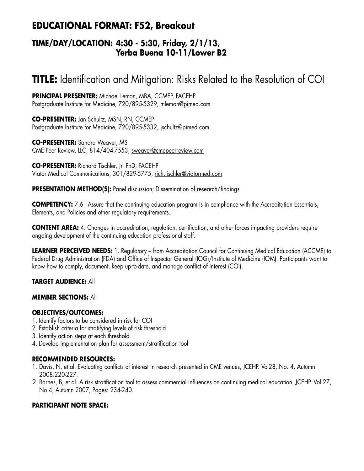## **EDUCATIONAL FORMAT: F52, Breakout**

### **TIME/DAY/LOCATION: 4:30 - 5:30, Friday, 2/1/13, Yerba Buena 10-11/Lower B2**

# **TITLE:** Identification and Mitigation: Risks Related to the Resolution of COI

**PRINCIPAL PRESENTER:** Michael Lemon, MBA, CCMEP, FACEHP Postgraduate Institute for Medicine, 720/895-5329, mlemon@pimed.com

**CO-PRESENTER:** Jan Schultz, MSN, RN, CCMEP Postgraduate Institute for Medicine, 720/895-5332, jschultz@pimed.com

**CO-PRESENTER:** Sandra Weaver, MS CME Peer Review, LLC, 814/404-7553, sweaver@cmepeerreview.com

**CO-PRESENTER:** Richard Tischler, Jr. PhD, FACEHP Viator Medical Communications, 301/829-5775, rich.tischler@viatormed.com

#### **PRESENTATION METHOD(S):** Panel discussion; Dissemination of research/findings

**COMPETENCY:** 7.6 - Assure that the continuing education program is in compliance with the Accreditation Essentials, Elements, and Policies and other regulatory requirements.

**CONTENT AREA:** 4. Changes in accreditation, regulation, certification, and other forces impacting providers require ongoing development of the continuing education professional staff.

**LEARNER PERCEIVED NEEDS:** 1. Regulatory – from Accreditation Council for Continuing Medical Education (ACCME) to Federal Drug Administration (FDA) and Office of Inspector General (IOG)/Institute of Medicine (IOM). Participants want to know how to comply, document, keep up-to-date, and manage conflict of interest (COI).

#### **TARGET AUDIENCE:** All

#### **MEMBER SECTIONS:** All

#### **OBJECTIVES/OUTCOMES:**

- 1. Identify factors to be considered in risk for COI
- 2. Establish criteria for stratifying levels of risk threshold
- 3. Identify action steps at each threshold
- 4. Develop implementation plan for assessment/stratification tool

#### **RECOMMENDED RESOURCES:**

- 1. Davis, N, et al. Evaluating conflicts of interest in research presented in CME venues, JCEHP. Vol28, No. 4, Autumn 2008:220-227.
- 2. Barnes, B, et al. A risk stratification tool to assess commercial influences on continuing medical education. JCEHP. Vol 27, No 4, Autumn 2007, Pages: 234-240.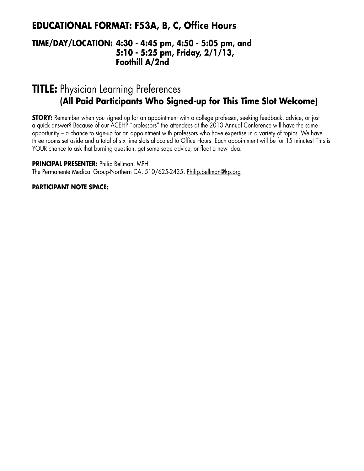## **EDUCATIONAL FORMAT: F53A, B, C, Office Hours**

### **TIME/DAY/LOCATION: 4:30 - 4:45 pm, 4:50 - 5:05 pm, and 5:10 - 5:25 pm, Friday, 2/1/13, Foothill A/2nd**

## **TITLE:** Physician Learning Preferences **(All Paid Participants Who Signed-up for This Time Slot Welcome)**

**STORY:** Remember when you signed up for an appointment with a college professor, seeking feedback, advice, or just a quick answer? Because of our ACEHP "professors" the attendees at the 2013 Annual Conference will have the same opportunity – a chance to sign-up for an appointment with professors who have expertise in a variety of topics. We have three rooms set aside and a total of six time slots allocated to Office Hours. Each appointment will be for 15 minutes! This is YOUR chance to ask that burning question, get some sage advice, or float a new idea.

**PRINCIPAL PRESENTER:** Philip Bellman, MPH

The Permanente Medical Group-Northern CA, 510/625-2425, Philip.bellman@kp.org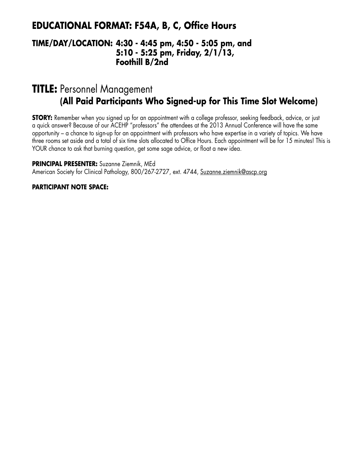## **EDUCATIONAL FORMAT: F54A, B, C, Office Hours**

### **TIME/DAY/LOCATION: 4:30 - 4:45 pm, 4:50 - 5:05 pm, and 5:10 - 5:25 pm, Friday, 2/1/13, Foothill B/2nd**

## **TITLE:** Personnel Management **(All Paid Participants Who Signed-up for This Time Slot Welcome)**

**STORY:** Remember when you signed up for an appointment with a college professor, seeking feedback, advice, or just a quick answer? Because of our ACEHP "professors" the attendees at the 2013 Annual Conference will have the same opportunity – a chance to sign-up for an appointment with professors who have expertise in a variety of topics. We have three rooms set aside and a total of six time slots allocated to Office Hours. Each appointment will be for 15 minutes! This is YOUR chance to ask that burning question, get some sage advice, or float a new idea.

**PRINCIPAL PRESENTER:** Suzanne Ziemnik, MEd

American Society for Clinical Pathology, 800/267-2727, ext. 4744, Suzanne.ziemnik@ascp.org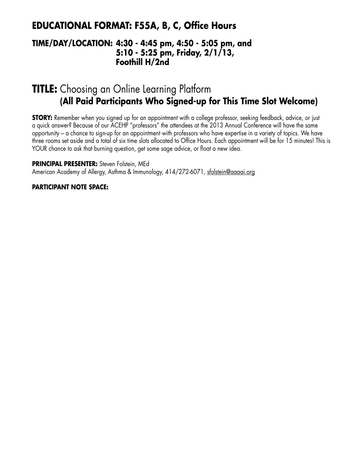## **EDUCATIONAL FORMAT: F55A, B, C, Office Hours**

### **TIME/DAY/LOCATION: 4:30 - 4:45 pm, 4:50 - 5:05 pm, and 5:10 - 5:25 pm, Friday, 2/1/13, Foothill H/2nd**

## **TITLE:** Choosing an Online Learning Platform **(All Paid Participants Who Signed-up for This Time Slot Welcome)**

**STORY:** Remember when you signed up for an appointment with a college professor, seeking feedback, advice, or just a quick answer? Because of our ACEHP "professors" the attendees at the 2013 Annual Conference will have the same opportunity – a chance to sign-up for an appointment with professors who have expertise in a variety of topics. We have three rooms set aside and a total of six time slots allocated to Office Hours. Each appointment will be for 15 minutes! This is YOUR chance to ask that burning question, get some sage advice, or float a new idea.

**PRINCIPAL PRESENTER:** Steven Folstein, MEd

American Academy of Allergy, Asthma & Immunology, 414/272-6071, sfolstein@aaaai.org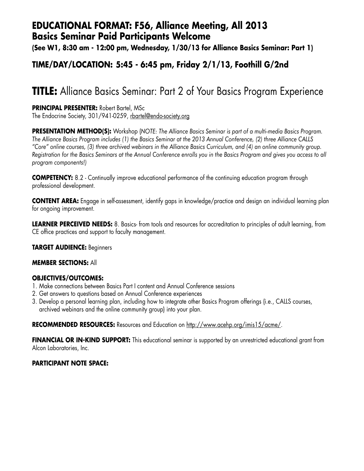## **EDUCATIONAL FORMAT: F56, Alliance Meeting, All 2013 Basics Seminar Paid Participants Welcome**

**(See W1, 8:30 am - 12:00 pm, Wednesday, 1/30/13 for Alliance Basics Seminar: Part 1)**

### **TIME/DAY/LOCATION: 5:45 - 6:45 pm, Friday 2/1/13, Foothill G/2nd**

# **TITLE:** Alliance Basics Seminar: Part 2 of Your Basics Program Experience

**PRINCIPAL PRESENTER:** Robert Bartel, MSc

The Endocrine Society, 301/941-0259, rbartel@endo-society.org

**PRESENTATION METHOD(S):** Workshop (*NOTE: The Alliance Basics Seminar is part of a multi-media Basics Program. The Alliance Basics Program includes (1) the Basics Seminar at the 2013 Annual Conference, (2) three Alliance CALLS "Core" online courses, (3) three archived webinars in the Alliance Basics Curriculum, and (4) an online community group. Registration for the Basics Seminars at the Annual Conference enrolls you in the Basics Program and gives you access to all program components!)*

**COMPETENCY:** 8.2 - Continually improve educational performance of the continuing education program through professional development.

**CONTENT AREA:** Engage in self-assessment, identify gaps in knowledge/practice and design an individual learning plan for ongoing improvement.

**LEARNER PERCEIVED NEEDS:** 8. Basics- from tools and resources for accreditation to principles of adult learning, from CE office practices and support to faculty management.

**TARGET AUDIENCE:** Beginners

#### **MEMBER SECTIONS:** All

#### **OBJECTIVES/OUTCOMES:**

- 1. Make connections between Basics Part I content and Annual Conference sessions
- 2. Get answers to questions based on Annual Conference experiences
- 3. Develop a personal learning plan, including how to integrate other Basics Program offerings (i.e., CALLS courses, archived webinars and the online community group) into your plan.

**RECOMMENDED RESOURCES:** Resources and Education on http://www.acehp.org/imis15/acme/.

**FINANCIAL OR IN-KIND SUPPORT:** This educational seminar is supported by an unrestricted educational grant from Alcon Laboratories, Inc.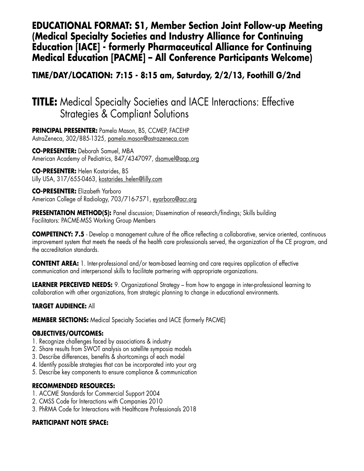### **EDUCATIONAL FORMAT: S1, Member Section Joint Follow-up Meeting (Medical Specialty Societies and Industry Alliance for Continuing Education [IACE] - formerly Pharmaceutical Alliance for Continuing Medical Education [PACME] – All Conference Participants Welcome)**

### **TIME/DAY/LOCATION: 7:15 - 8:15 am, Saturday, 2/2/13, Foothill G/2nd**

# **TITLE:** Medical Specialty Societies and IACE Interactions: Effective Strategies & Compliant Solutions

**PRINCIPAL PRESENTER:** Pamela Mason, BS, CCMEP, FACEHP AstraZeneca, 302/885-1325, pamela.mason@astrazeneca.com

**CO-PRESENTER:** Deborah Samuel, MBA American Academy of Pediatrics, 847/4347097, dsamuel@aap.org

**CO-PRESENTER:** Helen Kostarides, BS Lilly USA, 317/655-0463, kostarides helen@lilly.com

**CO-PRESENTER:** Elizabeth Yarboro American College of Radiology, 703/716-7571, eyarboro@acr.org

**PRESENTATION METHOD(S):** Panel discussion; Dissemination of research/findings; Skills building Facilitators: PACME-MSS Working Group Members

**COMPETENCY: 7.5** - Develop a management culture of the office reflecting a collaborative, service oriented, continuous improvement system that meets the needs of the health care professionals served, the organization of the CE program, and the accreditation standards.

**CONTENT AREA:** 1. Inter-professional and/or team-based learning and care requires application of effective communication and interpersonal skills to facilitate partnering with appropriate organizations.

**LEARNER PERCEIVED NEEDS:** 9. Organizational Strategy – from how to engage in inter-professional learning to collaboration with other organizations, from strategic planning to change in educational environments.

#### **TARGET AUDIENCE:** All

**MEMBER SECTIONS:** Medical Specialty Societies and IACE (formerly PACME)

#### **OBJECTIVES/OUTCOMES:**

- 1. Recognize challenges faced by associations & industry
- 2. Share results from SWOT analysis on satellite symposia models
- 3. Describe differences, benefits & shortcomings of each model
- 4. Identify possible strategies that can be incorporated into your org
- 5. Describe key components to ensure compliance & communication

#### **RECOMMENDED RESOURCES:**

- 1. ACCME Standards for Commercial Support 2004
- 2. CMSS Code for Interactions with Companies 2010
- 3. PhRMA Code for Interactions with Healthcare Professionals 2018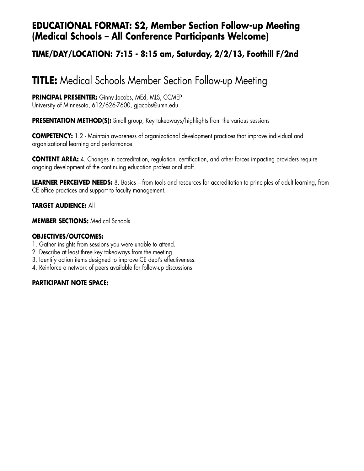## **EDUCATIONAL FORMAT: S2, Member Section Follow-up Meeting (Medical Schools – All Conference Participants Welcome)**

### **TIME/DAY/LOCATION: 7:15 - 8:15 am, Saturday, 2/2/13, Foothill F/2nd**

# **TITLE:** Medical Schools Member Section Follow-up Meeting

**PRINCIPAL PRESENTER:** Ginny Jacobs, MEd, MLS, CCMEP University of Minnesota, 612/626-7600, gjacobs@umn.edu

**PRESENTATION METHOD(S):** Small group; Key takeaways/highlights from the various sessions

**COMPETENCY:** 1.2 - Maintain awareness of organizational development practices that improve individual and organizational learning and performance.

**CONTENT AREA:** 4. Changes in accreditation, regulation, certification, and other forces impacting providers require ongoing development of the continuing education professional staff.

**LEARNER PERCEIVED NEEDS:** 8. Basics – from tools and resources for accreditation to principles of adult learning, from CE office practices and support to faculty management.

#### **TARGET AUDIENCE:** All

**MEMBER SECTIONS:** Medical Schools

#### **OBJECTIVES/OUTCOMES:**

- 1. Gather insights from sessions you were unable to attend.
- 2. Describe at least three key takeaways from the meeting.
- 3. Identify action items designed to improve CE dept's effectiveness.
- 4. Reinforce a network of peers available for follow-up discussions.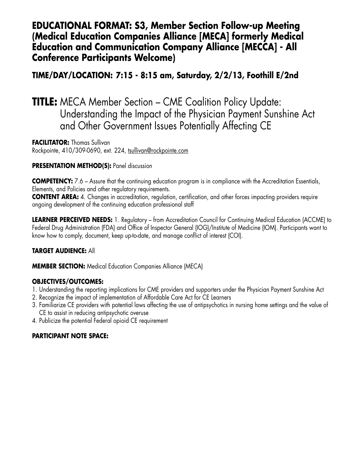### **EDUCATIONAL FORMAT: S3, Member Section Follow-up Meeting (Medical Education Companies Alliance [MECA] formerly Medical Education and Communication Company Alliance [MECCA] - All Conference Participants Welcome)**

### **TIME/DAY/LOCATION: 7:15 - 8:15 am, Saturday, 2/2/13, Foothill E/2nd**

## **TITLE:** MECA Member Section – CME Coalition Policy Update: Understanding the Impact of the Physician Payment Sunshine Act and Other Government Issues Potentially Affecting CE

**FACILITATOR: Thomas Sullivan** Rockpointe, 410/309-0690, ext. 224, tsullivan@rockpointe.com

#### **PRESENTATION METHOD(S): Panel discussion**

**COMPETENCY:** 7.6 – Assure that the continuing education program is in compliance with the Accreditation Essentials, Elements, and Policies and other regulatory requirements. **CONTENT AREA:** 4. Changes in accreditation, regulation, certification, and other forces impacting providers require

ongoing development of the continuing education professional staff

**LEARNER PERCEIVED NEEDS:** 1. Regulatory – from Accreditation Council for Continuing Medical Education (ACCME) to Federal Drug Administration (FDA) and Office of Inspector General (IOG)/Institute of Medicine (IOM). Participants want to know how to comply, document, keep up-to-date, and manage conflict of interest (COI).

#### **TARGET AUDIENCE:** All

**MEMBER SECTION:** Medical Education Companies Alliance (MECA)

#### **OBJECTIVES/OUTCOMES:**

- 1. Understanding the reporting implications for CME providers and supporters under the Physician Payment Sunshine Act
- 2. Recognize the impact of implementation of Affordable Care Act for CE Learners
- 3. Familiarize CE providers with potential laws affecting the use of antipsychotics in nursing home settings and the value of CE to assist in reducing antipsychotic overuse
- 4. Publicize the potential Federal opioid CE requirement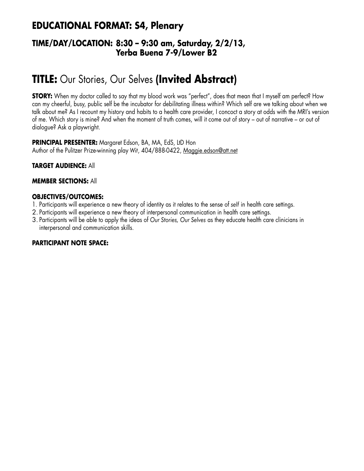## **EDUCATIONAL FORMAT: S4, Plenary**

### **TIME/DAY/LOCATION: 8:30 – 9:30 am, Saturday, 2/2/13, Yerba Buena 7-9/Lower B2**

# **TITLE:** Our Stories, Our Selves **(Invited Abstract)**

**STORY:** When my doctor called to say that my blood work was "perfect", does that mean that I myself am perfect? How can my cheerful, busy, public self be the incubator for debilitating illness within? Which self are we talking about when we talk about me? As I recount my history and habits to a health care provider, I concoct a story at odds with the MRI's version of me. Which story is mine? And when the moment of truth comes, will it come out of story – out of narrative – or out of dialogue? Ask a playwright.

**PRINCIPAL PRESENTER:** Margaret Edson, BA, MA, EdS, LtD Hon Author of the Pulitzer Prize-winning play *Wit*, 404/888-0422, Maggie.edson@att.net

**TARGET AUDIENCE:** All

#### **MEMBER SECTIONS:** All

#### **OBJECTIVES/OUTCOMES:**

- 1. Participants will experience a new theory of identity as it relates to the sense of *self* in health care settings.
- 2. Participants will experience a new theory of interpersonal communication in health care settings.
- 3. Participants will be able to apply the ideas of *Our Stories, Our Selves* as they educate health care clinicians in interpersonal and communication skills.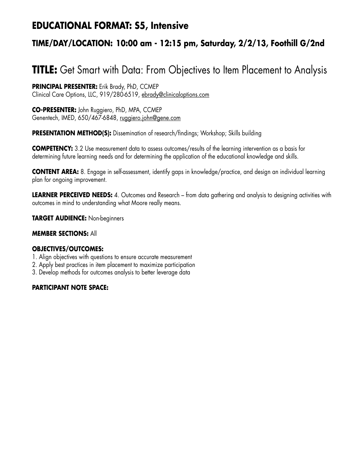## **EDUCATIONAL FORMAT: S5, Intensive**

## **TIME/DAY/LOCATION: 10:00 am - 12:15 pm, Saturday, 2/2/13, Foothill G/2nd**

# **TITLE:** Get Smart with Data: From Objectives to Item Placement to Analysis

**PRINCIPAL PRESENTER:** Erik Brady, PhD, CCMEP Clinical Care Options, LLC, 919/280-6519, ebrady@clinicaloptions.com

**CO-PRESENTER:** John Ruggiero, PhD, MPA, CCMEP Genentech, IMED, 650/467-6848, ruggiero.john@gene.com

**PRESENTATION METHOD(S):** Dissemination of research/findings; Workshop; Skills building

**COMPETENCY:** 3.2 Use measurement data to assess outcomes/results of the learning intervention as a basis for determining future learning needs and for determining the application of the educational knowledge and skills.

**CONTENT AREA:** 8. Engage in self-assessment, identify gaps in knowledge/practice, and design an individual learning plan for ongoing improvement.

**LEARNER PERCEIVED NEEDS:** 4. Outcomes and Research – from data gathering and analysis to designing activities with outcomes in mind to understanding what Moore really means.

**TARGET AUDIENCE:** Non-beginners

#### **MEMBER SECTIONS:** All

#### **OBJECTIVES/OUTCOMES:**

- 1. Align objectives with questions to ensure accurate measurement
- 2. Apply best practices in item placement to maximize participation
- 3. Develop methods for outcomes analysis to better leverage data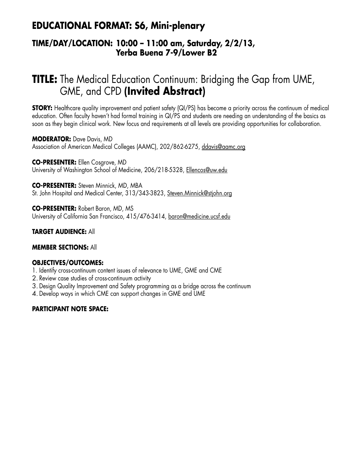## **EDUCATIONAL FORMAT: S6, Mini-plenary**

### **TIME/DAY/LOCATION: 10:00 – 11:00 am, Saturday, 2/2/13, Yerba Buena 7-9/Lower B2**

# **TITLE:** The Medical Education Continuum: Bridging the Gap from UME, GME, and CPD **(Invited Abstract)**

**STORY:** Healthcare quality improvement and patient safety (QI/PS) has become a priority across the continuum of medical education. Often faculty haven't had formal training in QI/PS and students are needing an understanding of the basics as soon as they begin clinical work. New focus and requirements at all levels are providing opportunities for collaboration.

**MODERATOR:** Dave Davis, MD Association of American Medical Colleges (AAMC), 202/862-6275, ddavis@aamc.org

**CO-PRESENTER:** Ellen Cosgrove, MD University of Washington School of Medicine, 206/218-5328, Ellencos@uw.edu

**CO-PRESENTER:** Steven Minnick, MD, MBA St. John Hospital and Medical Center, 313/343-3823, Steven.Minnick@stjohn.org

**CO-PRESENTER:** Robert Baron, MD, MS University of California San Francisco, 415/476-3414, baron@medicine.ucsf.edu

#### **TARGET AUDIENCE:** All

#### **MEMBER SECTIONS:** All

#### **OBJECTIVES/OUTCOMES:**

- 1. Identify cross-continuum content issues of relevance to UME, GME and CME
- 2. Review case studies of cross-continuum activity
- 3. Design Quality Improvement and Safety programming as a bridge across the continuum
- 4. Develop ways in which CME can support changes in GME and UME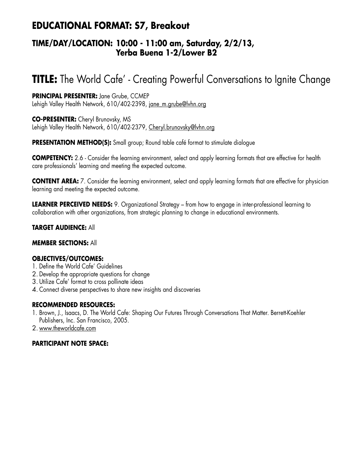## **EDUCATIONAL FORMAT: S7, Breakout**

### **TIME/DAY/LOCATION: 10:00 - 11:00 am, Saturday, 2/2/13, Yerba Buena 1-2/Lower B2**

# **TITLE:** The World Cafe' - Creating Powerful Conversations to Ignite Change

#### **PRINCIPAL PRESENTER:** Jane Grube, CCMEP

Lehigh Valley Health Network, 610/402-2398, jane\_m.grube@lvhn.org

**CO-PRESENTER:** Cheryl Brunovsky, MS Lehigh Valley Health Network, 610/402-2379, Cheryl.brunovsky@lvhn.org

**PRESENTATION METHOD(S):** Small group; Round table café format to stimulate dialogue

**COMPETENCY:** 2.6 - Consider the learning environment, select and apply learning formats that are effective for health care professionals' learning and meeting the expected outcome.

**CONTENT AREA:** 7. Consider the learning environment, select and apply learning formats that are effective for physician learning and meeting the expected outcome.

**LEARNER PERCEIVED NEEDS:** 9. Organizational Strategy – from how to engage in inter-professional learning to collaboration with other organizations, from strategic planning to change in educational environments.

#### **TARGET AUDIENCE:** All

#### **MEMBER SECTIONS:** All

#### **OBJECTIVES/OUTCOMES:**

- 1. Define the World Cafe' Guidelines
- 2. Develop the appropriate questions for change
- 3. Utilize Cafe' format to cross pollinate ideas
- 4. Connect diverse perspectives to share new insights and discoveries

#### **RECOMMENDED RESOURCES:**

- 1. Brown, J., Isaacs, D. The World Cafe: Shaping Our Futures Through Conversations That Matter. Berrett-Koehler Publishers, Inc. San Francisco, 2005.
- 2. www.theworldcafe.com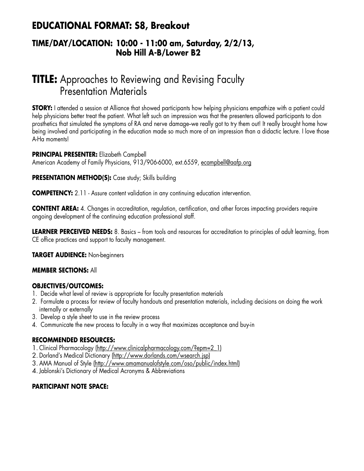## **EDUCATIONAL FORMAT: S8, Breakout**

### **TIME/DAY/LOCATION: 10:00 - 11:00 am, Saturday, 2/2/13, Nob Hill A-B/Lower B2**

# **TITLE:** Approaches to Reviewing and Revising Faculty Presentation Materials

**STORY:** I attended a session at Alliance that showed participants how helping physicians empathize with a patient could help physicians better treat the patient. What left such an impression was that the presenters allowed participants to don prosthetics that simulated the symptoms of RA and nerve damage-we really got to try them out! It really brought home how being involved and participating in the education made so much more of an impression than a didactic lecture. I love those A-Ha moments!

#### **PRINCIPAL PRESENTER:** Elizabeth Campbell American Academy of Family Physicians, 913/906-6000, ext.6559, ecampbell@aafp.org

#### **PRESENTATION METHOD(S):** Case study; Skills building

**COMPETENCY:** 2.11 - Assure content validation in any continuing education intervention.

**CONTENT AREA:** 4. Changes in accreditation, regulation, certification, and other forces impacting providers require ongoing development of the continuing education professional staff.

**LEARNER PERCEIVED NEEDS:** 8. Basics – from tools and resources for accreditation to principles of adult learning, from CE office practices and support to faculty management.

**TARGET AUDIENCE:** Non-beginners

#### **MEMBER SECTIONS:** All

#### **OBJECTIVES/OUTCOMES:**

- 1. Decide what level of review is appropriate for faculty presentation materials
- 2. Formulate a process for review of faculty handouts and presentation materials, including decisions on doing the work internally or externally
- 3. Develop a style sheet to use in the review process
- 4. Communicate the new process to faculty in a way that maximizes acceptance and buy-in

#### **RECOMMENDED RESOURCES:**

- 1. Clinical Pharmacology (http://www.clinicalpharmacology.com/?epm=2\_1)
- 2. Dorland's Medical Dictionary (http://www.dorlands.com/wsearch.jsp)
- 3. AMA Manual of Style (http://www.amamanualofstyle.com/oso/public/index.html)
- 4. Jablonski's Dictionary of Medical Acronyms & Abbreviations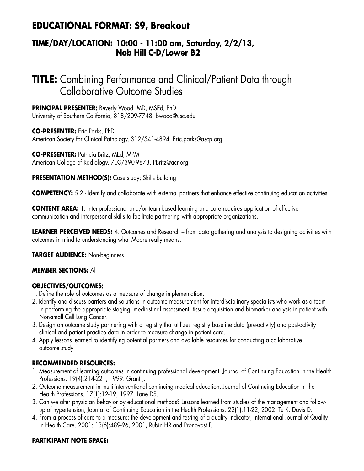## **EDUCATIONAL FORMAT: S9, Breakout**

### **TIME/DAY/LOCATION: 10:00 - 11:00 am, Saturday, 2/2/13, Nob Hill C-D/Lower B2**

# **TITLE:** Combining Performance and Clinical/Patient Data through Collaborative Outcome Studies

**PRINCIPAL PRESENTER:** Beverly Wood, MD, MSEd, PhD University of Southern California, 818/209-7748, bwood@usc.edu

**CO-PRESENTER:** Eric Parks, PhD American Society for Clinical Pathology, 312/541-4894, Eric.parks@ascp.org

**CO-PRESENTER:** Patricia Britz, MEd, MPM American College of Radiology, 703/390-9878, PBritz@acr.org

#### **PRESENTATION METHOD(S):** Case study; Skills building

**COMPETENCY:** 5.2 - Identify and collaborate with external partners that enhance effective continuing education activities.

**CONTENT AREA:** 1. Inter-professional and/or team-based learning and care requires application of effective communication and interpersonal skills to facilitate partnering with appropriate organizations.

**LEARNER PERCEIVED NEEDS:** 4. Outcomes and Research – from data gathering and analysis to designing activities with outcomes in mind to understanding what Moore really means.

**TARGET AUDIENCE:** Non-beginners

#### **MEMBER SECTIONS:** All

#### **OBJECTIVES/OUTCOMES:**

- 1. Define the role of outcomes as a measure of change implementation.
- 2. Identify and discuss barriers and solutions in outcome measurement for interdisciplinary specialists who work as a team in performing the appropriate staging, mediastinal assessment, tissue acquisition and biomarker analysis in patient with Non-small Cell Lung Cancer.
- 3. Design an outcome study partnering with a registry that utilizes registry baseline data (pre-activity) and post-activity clinical and patient practice data in order to measure change in patient care.
- 4. Apply lessons learned to identifying potential partners and available resources for conducting a collaborative outcome study

#### **RECOMMENDED RESOURCES:**

- 1. Measurement of learning outcomes in continuing professional development. Journal of Continuing Education in the Health Professions. 19(4):214-221, 1999. Grant J.
- 2. Outcome measurement in multi-interventional continuing medical education. Journal of Continuing Education in the Health Professions. 17(1):12-19, 1997. Lane DS.
- 3. Can we alter physician behavior by educational methods? Lessons learned from studies of the management and followup of hypertension, Journal of Continuing Education in the Health Professions. 22(1):11-22, 2002. Tu K. Davis D.
- 4. From a process of care to a measure: the development and testing of a quality indicator, International Journal of Quality in Health Care. 2001: 13(6):489-96, 2001, Rubin HR and Pronovost P.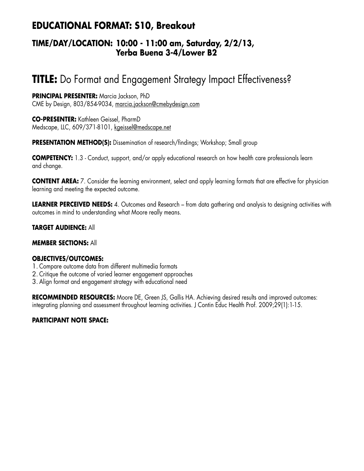## **EDUCATIONAL FORMAT: S10, Breakout**

### **TIME/DAY/LOCATION: 10:00 - 11:00 am, Saturday, 2/2/13, Yerba Buena 3-4/Lower B2**

# **TITLE:** Do Format and Engagement Strategy Impact Effectiveness?

**PRINCIPAL PRESENTER:** Marcia Jackson, PhD CME by Design, 803/854-9034, marcia.jackson@cmebydesign.com

**CO-PRESENTER:** Kathleen Geissel, PharmD Medscape, LLC, 609/371-8101, kgeissel@medscape.net

**PRESENTATION METHOD(S):** Dissemination of research/findings; Workshop; Small group

**COMPETENCY:** 1.3 - Conduct, support, and/or apply educational research on how health care professionals learn and change.

**CONTENT AREA:** 7. Consider the learning environment, select and apply learning formats that are effective for physician learning and meeting the expected outcome.

**LEARNER PERCEIVED NEEDS:** 4. Outcomes and Research – from data gathering and analysis to designing activities with outcomes in mind to understanding what Moore really means.

#### **TARGET AUDIENCE:** All

#### **MEMBER SECTIONS:** All

#### **OBJECTIVES/OUTCOMES:**

- 1. Compare outcome data from different multimedia formats
- 2. Critique the outcome of varied learner engagement approaches
- 3. Align format and engagement strategy with educational need

**RECOMMENDED RESOURCES:** Moore DE, Green JS, Gallis HA. Achieving desired results and improved outcomes: integrating planning and assessment throughout learning activities. J Contin Educ Health Prof. 2009;29(1):1-15.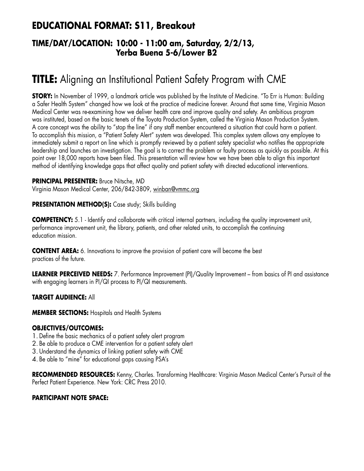## **EDUCATIONAL FORMAT: S11, Breakout**

### **TIME/DAY/LOCATION: 10:00 - 11:00 am, Saturday, 2/2/13, Yerba Buena 5-6/Lower B2**

# **TITLE:** Aligning an Institutional Patient Safety Program with CME

**STORY:** In November of 1999, a landmark article was published by the Institute of Medicine. "To Err is Human: Building a Safer Health System" changed how we look at the practice of medicine forever. Around that same time, Virginia Mason Medical Center was re-examining how we deliver health care and improve quality and safety. An ambitious program was instituted, based on the basic tenets of the Toyota Production System, called the Virginia Mason Production System. A core concept was the ability to "stop the line" if any staff member encountered a situation that could harm a patient. To accomplish this mission, a "Patient Safety Alert" system was developed. This complex system allows any employee to immediately submit a report on line which is promptly reviewed by a patient safety specialist who notifies the appropriate leadership and launches an investigation. The goal is to correct the problem or faulty process as quickly as possible. At this point over 18,000 reports have been filed. This presentation will review how we have been able to align this important method of identifying knowledge gaps that affect quality and patient safety with directed educational interventions.

**PRINCIPAL PRESENTER:** Bruce Nitsche, MD Virginia Mason Medical Center, 206/842-3809, winban@vmmc.org

**PRESENTATION METHOD(S):** Case study; Skills building

**COMPETENCY:** 5.1 - Identify and collaborate with critical internal partners, including the quality improvement unit, performance improvement unit, the library, patients, and other related units, to accomplish the continuing education mission.

**CONTENT AREA:** 6. Innovations to improve the provision of patient care will become the best practices of the future.

**LEARNER PERCEIVED NEEDS:** 7. Performance Improvement (PI)/Quality Improvement – from basics of PI and assistance with engaging learners in PI/QI process to PI/QI measurements.

#### **TARGET AUDIENCE:** All

**MEMBER SECTIONS:** Hospitals and Health Systems

#### **OBJECTIVES/OUTCOMES:**

- 1. Define the basic mechanics of a patient safety alert program
- 2. Be able to produce a CME intervention for a patient safety alert
- 3. Understand the dynamics of linking patient safety with CME
- 4. Be able to "mine" for educational gaps causing PSA's

**RECOMMENDED RESOURCES:** Kenny, Charles. Transforming Healthcare: Virginia Mason Medical Center's Pursuit of the Perfect Patient Experience. New York: CRC Press 2010.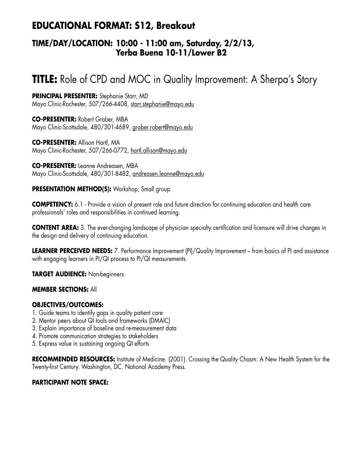## **EDUCATIONAL FORMAT: S12, Breakout**

### **TIME/DAY/LOCATION: 10:00 - 11:00 am, Saturday, 2/2/13, Yerba Buena 10-11/Lower B2**

# **TITLE:** Role of CPD and MOC in Quality Improvement: A Sherpa's Story

**PRINCIPAL PRESENTER:** Stephanie Starr, MD Mayo Clinic-Rochester, 507/266-4408, starr.stephanie@mayo.edu

**CO-PRESENTER:** Robert Graber, MBA Mayo Clinic-Scottsdale, 480/301-4689, graber.robert@mayo.edu

**CO-PRESENTER:** Allison Hartl, MA Mayo Clinic-Rochester, 507/266-0772, hartl.allison@mayo.edu

**CO-PRESENTER:** Leanne Andreasen, MBA Mayo Clinic-Scottsdale, 480/301-8482, andreasen.leanne@mayo.edu

#### **PRESENTATION METHOD(S):** Workshop; Small group

**COMPETENCY:** 6.1 - Provide a vision of present role and future direction for continuing education and health care professionals' roles and responsibilities in continued learning.

**CONTENT AREA:** 3. The ever-changing landscape of physician specialty certification and licensure will drive changes in the design and delivery of continuing education.

**LEARNER PERCEIVED NEEDS:** 7. Performance Improvement (PI)/Quality Improvement – from basics of PI and assistance with engaging learners in PI/QI process to PI/QI measurements.

**TARGET AUDIENCE:** Non-beginners

#### **MEMBER SECTIONS:** All

#### **OBJECTIVES/OUTCOMES:**

- 1. Guide teams to identify gaps in quality patient care
- 2. Mentor peers about QI tools and frameworks (DMAIC)
- 3. Explain importance of baseline and re-measurement data
- 4. Promote communication strategies to stakeholders
- 5. Express value in sustaining ongoing QI efforts

**RECOMMENDED RESOURCES:** Institute of Medicine. (2001). Crossing the Quality Chasm: A New Health System for the Twenty-first Century. Washington, DC. National Academy Press.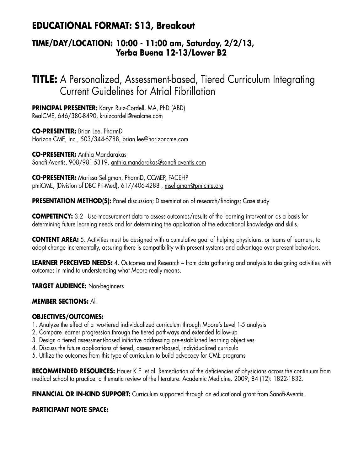## **EDUCATIONAL FORMAT: S13, Breakout**

### **TIME/DAY/LOCATION: 10:00 - 11:00 am, Saturday, 2/2/13, Yerba Buena 12-13/Lower B2**

**TITLE:** A Personalized, Assessment-based, Tiered Curriculum Integrating Current Guidelines for Atrial Fibrillation

**PRINCIPAL PRESENTER:** Karyn Ruiz-Cordell, MA, PhD (ABD) RealCME, 646/380-8490, kruizcordell@realcme.com

**CO-PRESENTER:** Brian Lee, PharmD Horizon CME, Inc., 503/344-6788, brian.lee@horizoncme.com

**CO-PRESENTER:** Anthia Mandarakas Sanofi-Aventis, 908/981-5319, anthia.mandarakas@sanofi-aventis.com

**CO-PRESENTER:** Marissa Seligman, PharmD, CCMEP, FACEHP pmiCME, (Division of DBC Pri-Med), 617/406-4288 , mseligman@pmicme.org

**PRESENTATION METHOD(S):** Panel discussion; Dissemination of research/findings; Case study

**COMPETENCY:** 3.2 - Use measurement data to assess outcomes/results of the learning intervention as a basis for determining future learning needs and for determining the application of the educational knowledge and skills.

**CONTENT AREA:** 5. Activities must be designed with a cumulative goal of helping physicians, or teams of learners, to adopt change incrementally, assuring there is compatibility with present systems and advantage over present behaviors.

**LEARNER PERCEIVED NEEDS:** 4. Outcomes and Research – from data gathering and analysis to designing activities with outcomes in mind to understanding what Moore really means.

**TARGET AUDIENCE:** Non-beginners

#### **MEMBER SECTIONS:** All

#### **OBJECTIVES/OUTCOMES:**

- 1. Analyze the effect of a two-tiered individualized curriculum through Moore's Level 1-5 analysis
- 2. Compare learner progression through the tiered pathways and extended follow-up
- 3. Design a tiered assessment-based initiative addressing pre-established learning objectives
- 4. Discuss the future applications of tiered, assessment-based, individualized curricula
- 5. Utilize the outcomes from this type of curriculum to build advocacy for CME programs

**RECOMMENDED RESOURCES:** Hauer K.E. et al. Remediation of the deficiencies of physicians across the continuum from medical school to practice: a thematic review of the literature. Academic Medicine. 2009; 84 (12): 1822-1832.

**FINANCIAL OR IN-KIND SUPPORT:** Curriculum supported through an educational grant from Sanofi-Aventis.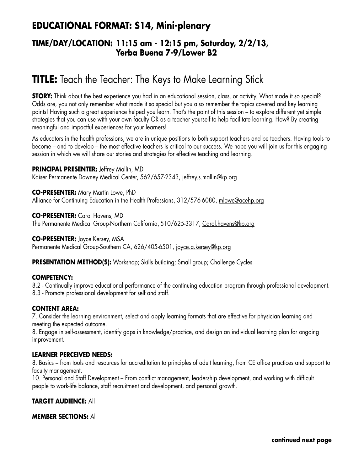## **EDUCATIONAL FORMAT: S14, Mini-plenary**

### **TIME/DAY/LOCATION: 11:15 am - 12:15 pm, Saturday, 2/2/13, Yerba Buena 7-9/Lower B2**

# **TITLE:** Teach the Teacher: The Keys to Make Learning Stick

**STORY:** Think about the best experience you had in an educational session, class, or activity. What made it so special? Odds are, you not only remember what made it so special but you also remember the topics covered and key learning points! Having such a great experience helped you learn. That's the point of this session – to explore different yet simple strategies that you can use with your own faculty OR as a teacher yourself to help facilitate learning. How? By creating meaningful and impactful experiences for your learners!

As educators in the health professions, we are in unique positions to both support teachers and be teachers. Having tools to become – and to develop – the most effective teachers is critical to our success. We hope you will join us for this engaging session in which we will share our stories and strategies for effective teaching and learning.

**PRINCIPAL PRESENTER:** Jeffrey Mallin, MD Kaiser Permanente Downey Medical Center, 562/657-2343, jeffrey.s.mallin@kp.org

**CO-PRESENTER:** Mary Martin Lowe, PhD Alliance for Continuing Education in the Health Professions, 312/576-6080, mlowe@acehp.org

**CO-PRESENTER:** Carol Havens, MD The Permanente Medical Group-Northern California, 510/625-3317, Carol.havens@kp.org

**CO-PRESENTER:** Joyce Kersey, MSA Permanente Medical Group-Southern CA, 626/405-6501, joyce.a.kersey@kp.org

**PRESENTATION METHOD(S):** Workshop; Skills building; Small group; Challenge Cycles

#### **COMPETENCY:**

8.2 - Continually improve educational performance of the continuing education program through professional development. 8.3 - Promote professional development for self and staff.

#### **CONTENT AREA:**

7. Consider the learning environment, select and apply learning formats that are effective for physician learning and meeting the expected outcome.

8. Engage in self-assessment, identify gaps in knowledge/practice, and design an individual learning plan for ongoing improvement.

#### **LEARNER PERCEIVED NEEDS:**

8. Basics – from tools and resources for accreditation to principles of adult learning, from CE office practices and support to faculty management.

10. Personal and Staff Development – From conflict management, leadership development, and working with difficult people to work-life balance, staff recruitment and development, and personal growth.

#### **TARGET AUDIENCE:** All

#### **MEMBER SECTIONS:** All

**continued next page**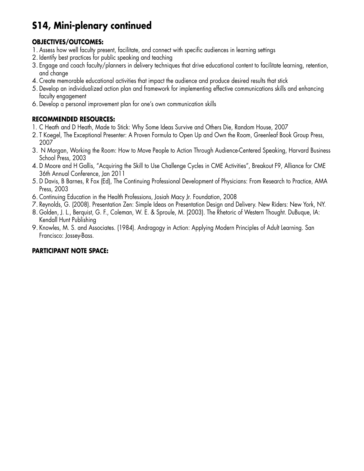# **S14, Mini-plenary continued**

### **OBJECTIVES/OUTCOMES:**

- 1. Assess how well faculty present, facilitate, and connect with specific audiences in learning settings
- 2. Identify best practices for public speaking and teaching
- 3. Engage and coach faculty/planners in delivery techniques that drive educational content to facilitate learning, retention, and change
- 4. Create memorable educational activities that impact the audience and produce desired results that stick
- 5. Develop an individualized action plan and framework for implementing effective communications skills and enhancing faculty engagement
- 6. Develop a personal improvement plan for one's own communication skills

### **RECOMMENDED RESOURCES:**

- 1. C Heath and D Heath, Made to Stick: Why Some Ideas Survive and Others Die, Random House, 2007
- 2. T Koegel, The Exceptional Presenter: A Proven Formula to Open Up and Own the Room, Greenleaf Book Group Press, 2007
- 3. N Morgan, Working the Room: How to Move People to Action Through Audience-Centered Speaking, Harvard Business School Press, 2003
- 4. D Moore and H Gallis, "Acquiring the Skill to Use Challenge Cycles in CME Activities", Breakout F9, Alliance for CME 36th Annual Conference, Jan 2011
- 5. D Davis, B Barnes, R Fox (Ed), The Continuing Professional Development of Physicians: From Research to Practice, AMA Press, 2003
- 6. Continuing Education in the Health Professions, Josiah Macy Jr. Foundation, 2008
- 7. Reynolds, G. (2008). Presentation Zen: Simple Ideas on Presentation Design and Delivery. New Riders: New York, NY.
- 8. Golden, J. L., Berquist, G. F., Coleman, W. E. & Sproule, M. (2003). The Rhetoric of Western Thought. DuBuque, IA: Kendall Hunt Publishing
- 9. Knowles, M. S. and Associates. (1984). Andragogy in Action: Applying Modern Principles of Adult Learning. San Francisco: Jossey-Bass.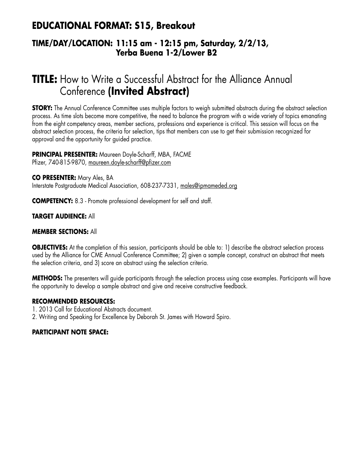## **EDUCATIONAL FORMAT: S15, Breakout**

### **TIME/DAY/LOCATION: 11:15 am - 12:15 pm, Saturday, 2/2/13, Yerba Buena 1-2/Lower B2**

# **TITLE:** How to Write a Successful Abstract for the Alliance Annual Conference **(Invited Abstract)**

**STORY:** The Annual Conference Committee uses multiple factors to weigh submitted abstracts during the abstract selection process. As time slots become more competitive, the need to balance the program with a wide variety of topics emanating from the eight competency areas, member sections, professions and experience is critical. This session will focus on the abstract selection process, the criteria for selection, tips that members can use to get their submission recognized for approval and the opportunity for guided practice.

### **PRINCIPAL PRESENTER:** Maureen Doyle-Scharff, MBA, FACME

Pfizer, 740-815-9870, maureen.doyle-scharff@pfizer.com

**CO PRESENTER:** Mary Ales, BA Interstate Postgraduate Medical Association, 608-237-7331, males@ipmameded.org

**COMPETENCY:** 8.3 - Promote professional development for self and staff.

#### **TARGET AUDIENCE:** All

#### **MEMBER SECTIONS:** All

**OBJECTIVES:** At the completion of this session, participants should be able to: 1) describe the abstract selection process used by the Alliance for CME Annual Conference Committee; 2) given a sample concept, construct an abstract that meets the selection criteria, and 3) score an abstract using the selection criteria.

**METHODS:** The presenters will guide participants through the selection process using case examples. Participants will have the opportunity to develop a sample abstract and give and receive constructive feedback.

#### **RECOMMENDED RESOURCES:**

- 1. 2013 Call for Educational Abstracts document.
- 2. Writing and Speaking for Excellence by Deborah St. James with Howard Spiro.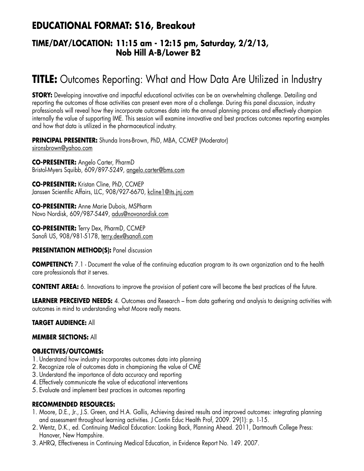## **EDUCATIONAL FORMAT: S16, Breakout**

### **TIME/DAY/LOCATION: 11:15 am - 12:15 pm, Saturday, 2/2/13, Nob Hill A-B/Lower B2**

# **TITLE:** Outcomes Reporting: What and How Data Are Utilized in Industry

**STORY:** Developing innovative and impactful educational activities can be an overwhelming challenge. Detailing and reporting the outcomes of those activities can present even more of a challenge. During this panel discussion, industry professionals will reveal how they incorporate outcomes data into the annual planning process and effectively champion internally the value of supporting IME. This session will examine innovative and best practices outcomes reporting examples and how that data is utilized in the pharmaceutical industry.

**PRINCIPAL PRESENTER:** Shunda Irons-Brown, PhD, MBA, CCMEP (Moderator) sironsbrown@yahoo.com

**CO-PRESENTER:** Angelo Carter, PharmD Bristol-Myers Squibb, 609/897-5249, angelo.carter@bms.com

**CO-PRESENTER:** Kristan Cline, PhD, CCMEP Janssen Scientific Affairs, LLC, 908/927-6670, kcline1@its.jnj.com

**CO-PRESENTER:** Anne Marie Dubois, MSPharm Novo Nordisk, 609/987-5449, adus@novonordisk.com

**CO-PRESENTER:** Terry Dex, PharmD, CCMEP Sanofi US, 908/981-5178, terry.dex@sanofi.com

**PRESENTATION METHOD(S): Panel discussion** 

**COMPETENCY:** 7.1 - Document the value of the continuing education program to its own organization and to the health care professionals that it serves.

**CONTENT AREA:** 6. Innovations to improve the provision of patient care will become the best practices of the future.

**LEARNER PERCEIVED NEEDS:** 4. Outcomes and Research – from data gathering and analysis to designing activities with outcomes in mind to understanding what Moore really means.

#### **TARGET AUDIENCE:** All

#### **MEMBER SECTIONS:** All

#### **OBJECTIVES/OUTCOMES:**

- 1. Understand how industry incorporates outcomes data into planning
- 2. Recognize role of outcomes data in championing the value of CME
- 3. Understand the importance of data accuracy and reporting
- 4. Effectively communicate the value of educational interventions
- 5. Evaluate and implement best practices in outcomes reporting

#### **RECOMMENDED RESOURCES:**

- 1. Moore, D.E., Jr., J.S. Green, and H.A. Gallis, Achieving desired results and improved outcomes: integrating planning and assessment throughout learning activities. J Contin Educ Health Prof, 2009. 29(1): p. 1-15.
- 2.Wentz, D.K., ed. Continuing Medical Education: Looking Back, Planning Ahead. 2011, Dartmouth College Press: Hanover, New Hampshire.
- 3. AHRQ, Effectiveness in Continuing Medical Education, in Evidence Report No. 149. 2007.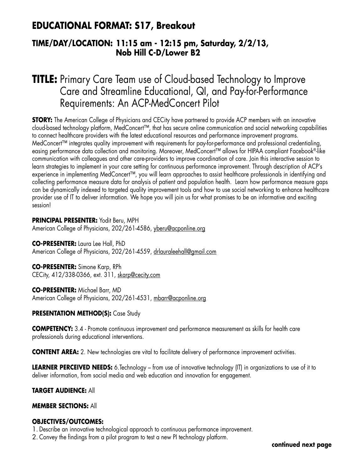### **EDUCATIONAL FORMAT: S17, Breakout**

### **TIME/DAY/LOCATION: 11:15 am - 12:15 pm, Saturday, 2/2/13, Nob Hill C-D/Lower B2**

# **TITLE:** Primary Care Team use of Cloud-based Technology to Improve Care and Streamline Educational, QI, and Pay-for-Performance Requirements: An ACP-MedConcert Pilot

**STORY:** The American College of Physicians and CECity have partnered to provide ACP members with an innovative cloud-based technology platform, MedConcert™, that has secure online communication and social networking capabilities to connect healthcare providers with the latest educational resources and performance improvement programs. MedConcert™ integrates quality improvement with requirements for pay-for-performance and professional credentialing, easing performance data collection and monitoring. Moreover, MedConcert™ allows for HIPAA compliant Facebook®-like communication with colleagues and other care-providers to improve coordination of care. Join this interactive session to learn strategies to implement in your care setting for continuous performance improvement. Through description of ACP's experience in implementing MedConcert™, you will learn approaches to assist healthcare professionals in identifying and collecting performance measure data for analysis of patient and population health. Learn how performance measure gaps can be dynamically indexed to targeted quality improvement tools and how to use social networking to enhance healthcare provider use of IT to deliver information. We hope you will join us for what promises to be an informative and exciting session!

**PRINCIPAL PRESENTER:** Yodit Beru, MPH American College of Physicians, 202/261-4586, yberu@acponline.org

**CO-PRESENTER:** Laura Lee Hall, PhD American College of Physicians, 202/261-4559, drlauraleehall@gmail.com

**CO-PRESENTER:** Simone Karp, RPh CECity, 412/338-0366, ext. 311, skarp@cecity.com

**CO-PRESENTER:** Michael Barr, MD American College of Physicians, 202/261-4531, mbarr@acponline.org

#### **PRESENTATION METHOD(S):** Case Study

**COMPETENCY:** 3.4 - Promote continuous improvement and performance measurement as skills for health care professionals during educational interventions.

**CONTENT AREA:** 2. New technologies are vital to facilitate delivery of performance improvement activities.

**LEARNER PERCEIVED NEEDS:** 6.Technology – from use of innovative technology (IT) in organizations to use of it to deliver information, from social media and web education and innovation for engagement.

#### **TARGET AUDIENCE:** All

#### **MEMBER SECTIONS:** All

#### **OBJECTIVES/OUTCOMES:**

1. Describe an innovative technological approach to continuous performance improvement.

2. Convey the findings from a pilot program to test a new PI technology platform.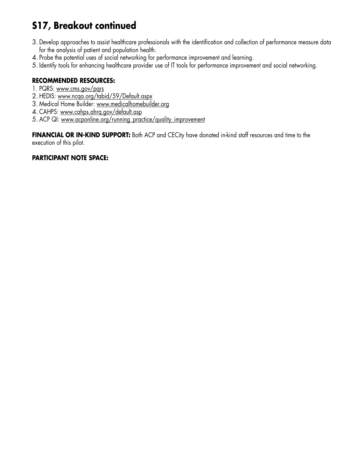# **S17, Breakout continued**

- 3. Develop approaches to assist healthcare professionals with the identification and collection of performance measure data for the analysis of patient and population health.
- 4. Probe the potential uses of social networking for performance improvement and learning.
- 5. Identify tools for enhancing healthcare provider use of IT tools for performance improvement and social networking.

#### **RECOMMENDED RESOURCES:**

- 1. PQRS: www.cms.gov/pqrs
- 2. HEDIS: www.ncqa.org/tabid/59/Default.aspx
- 3. Medical Home Builder: www.medicalhomebuilder.org
- 4. CAHPS: www.cahps.ahrq.gov/default.asp
- 5. ACP QI: www.acponline.org/running\_practice/quality\_improvement

FINANCIAL OR IN-KIND SUPPORT: Both ACP and CECity have donated in-kind staff resources and time to the execution of this pilot.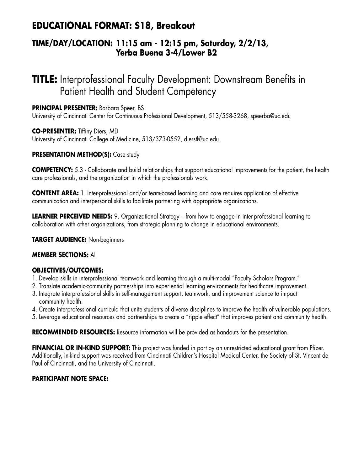## **EDUCATIONAL FORMAT: S18, Breakout**

### **TIME/DAY/LOCATION: 11:15 am - 12:15 pm, Saturday, 2/2/13, Yerba Buena 3-4/Lower B2**

# **TITLE:** Interprofessional Faculty Development: Downstream Benefits in Patient Health and Student Competency

**PRINCIPAL PRESENTER:** Barbara Speer, BS University of Cincinnati Center for Continuous Professional Development, 513/558-3268, speerba@uc.edu

**CO-PRESENTER:** Tiffiny Diers, MD University of Cincinnati College of Medicine, 513/373-0552, dierstl@uc.edu

#### **PRESENTATION METHOD(S):** Case study

**COMPETENCY:** 5.3 - Collaborate and build relationships that support educational improvements for the patient, the health care professionals, and the organization in which the professionals work.

**CONTENT AREA:** 1. Inter-professional and/or team-based learning and care requires application of effective communication and interpersonal skills to facilitate partnering with appropriate organizations.

**LEARNER PERCEIVED NEEDS:** 9. Organizational Strategy – from how to engage in inter-professional learning to collaboration with other organizations, from strategic planning to change in educational environments.

**TARGET AUDIENCE:** Non-beginners

#### **MEMBER SECTIONS:** All

#### **OBJECTIVES/OUTCOMES:**

- 1. Develop skills in interprofessional teamwork and learning through a multi-modal "Faculty Scholars Program."
- 2. Translate academic-community partnerships into experiential learning environments for healthcare improvement.
- 3. Integrate interprofessional skills in self-management support, teamwork, and improvement science to impact community health.
- 4. Create interprofessional curricula that unite students of diverse disciplines to improve the health of vulnerable populations.
- 5. Leverage educational resources and partnerships to create a "ripple effect" that improves patient and community health.

**RECOMMENDED RESOURCES:** Resource information will be provided as handouts for the presentation.

**FINANCIAL OR IN-KIND SUPPORT:** This project was funded in part by an unrestricted educational grant from Pfizer. Additionally, in-kind support was received from Cincinnati Children's Hospital Medical Center, the Society of St. Vincent de Paul of Cincinnati, and the University of Cincinnati.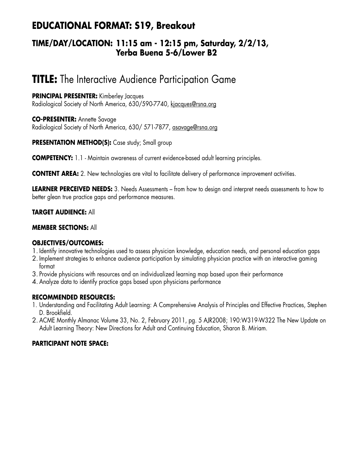## **EDUCATIONAL FORMAT: S19, Breakout**

### **TIME/DAY/LOCATION: 11:15 am - 12:15 pm, Saturday, 2/2/13, Yerba Buena 5-6/Lower B2**

# **TITLE:** The Interactive Audience Participation Game

**PRINCIPAL PRESENTER:** Kimberley Jacques Radiological Society of North America, 630/590-7740, kjacques@rsna.org

**CO-PRESENTER:** Annette Savage Radiological Society of North America, 630/ 571-7877, asavage@rsna.org

**PRESENTATION METHOD(S):** Case study; Small group

**COMPETENCY:** 1.1 - Maintain awareness of current evidence-based adult learning principles.

**CONTENT AREA:** 2. New technologies are vital to facilitate delivery of performance improvement activities.

**LEARNER PERCEIVED NEEDS:** 3. Needs Assessments – from how to design and interpret needs assessments to how to better glean true practice gaps and performance measures.

#### **TARGET AUDIENCE:** All

#### **MEMBER SECTIONS:** All

#### **OBJECTIVES/OUTCOMES:**

- 1. Identify innovative technologies used to assess physician knowledge, education needs, and personal education gaps
- 2. Implement strategies to enhance audience participation by simulating physician practice with an interactive gaming format
- 3. Provide physicians with resources and an individualized learning map based upon their performance
- 4. Analyze data to identify practice gaps based upon physicians performance

#### **RECOMMENDED RESOURCES:**

- 1. Understanding and Facilitating Adult Learning: A Comprehensive Analysis of Principles and Effective Practices, Stephen D. Brookfield.
- 2. ACME Monthly Almanac Volume 33, No. 2, February 2011, pg. 5 AJR2008; 190:W319-W322 The New Update on Adult Learning Theory: New Directions for Adult and Continuing Education, Sharon B. Miriam.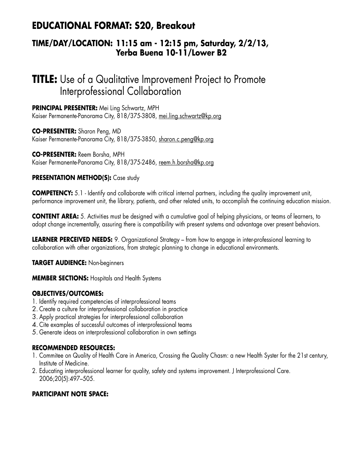## **EDUCATIONAL FORMAT: S20, Breakout**

### **TIME/DAY/LOCATION: 11:15 am - 12:15 pm, Saturday, 2/2/13, Yerba Buena 10-11/Lower B2**

## **TITLE:** Use of a Qualitative Improvement Project to Promote Interprofessional Collaboration

**PRINCIPAL PRESENTER:** Mei Ling Schwartz, MPH Kaiser Permanente-Panorama City, 818/375-3808, mei.ling.schwartz@kp.org

**CO-PRESENTER:** Sharon Peng, MD Kaiser Permanente-Panorama City, 818/375-3850, sharon.c.peng@kp.org

**CO-PRESENTER:** Reem Borsha, MPH Kaiser Permanente-Panorama City, 818/375-2486, reem.h.borsha@kp.org

#### **PRESENTATION METHOD(S):** Case study

**COMPETENCY:** 5.1 - Identify and collaborate with critical internal partners, including the quality improvement unit, performance improvement unit, the library, patients, and other related units, to accomplish the continuing education mission.

**CONTENT AREA:** 5. Activities must be designed with a cumulative goal of helping physicians, or teams of learners, to adopt change incrementally, assuring there is compatibility with present systems and advantage over present behaviors.

**LEARNER PERCEIVED NEEDS:** 9. Organizational Strategy – from how to engage in inter-professional learning to collaboration with other organizations, from strategic planning to change in educational environments.

#### **TARGET AUDIENCE:** Non-beginners

**MEMBER SECTIONS:** Hospitals and Health Systems

#### **OBJECTIVES/OUTCOMES:**

- 1. Identify required competencies of interprofessional teams
- 2. Create a culture for interprofessional collaboration in practice
- 3. Apply practical strategies for interprofessional collaboration
- 4. Cite examples of successful outcomes of interprofessional teams
- 5. Generate ideas on interprofessional collaboration in own settings

#### **RECOMMENDED RESOURCES:**

- 1. Commitee on Quality of Health Care in America, Crossing the Quality Chasm: a new Health Syster for the 21st century, Institute of Medicine.
- 2. Educating interprofessional learner for quality, safety and systems improvement. J Interprofessional Care. 2006;20(5):497–505.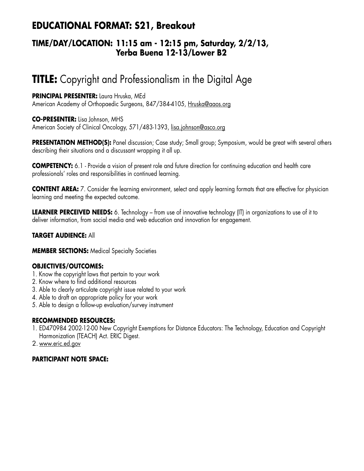## **EDUCATIONAL FORMAT: S21, Breakout**

### **TIME/DAY/LOCATION: 11:15 am - 12:15 pm, Saturday, 2/2/13, Yerba Buena 12-13/Lower B2**

# **TITLE:** Copyright and Professionalism in the Digital Age

#### **PRINCIPAL PRESENTER:** Laura Hruska, MEd

American Academy of Orthopaedic Surgeons, 847/384-4105, Hruska@aaos.org

#### **CO-PRESENTER:** Lisa Johnson, MHS

American Society of Clinical Oncology, 571/483-1393, lisa.johnson@asco.org

**PRESENTATION METHOD(S):** Panel discussion; Case study; Small group; Symposium, would be great with several others describing their situations and a discussant wrapping it all up.

**COMPETENCY:** 6.1 - Provide a vision of present role and future direction for continuing education and health care professionals' roles and responsibilities in continued learning.

**CONTENT AREA:** 7. Consider the learning environment, select and apply learning formats that are effective for physician learning and meeting the expected outcome.

**LEARNER PERCEIVED NEEDS:** 6. Technology – from use of innovative technology (IT) in organizations to use of it to deliver information, from social media and web education and innovation for engagement.

#### **TARGET AUDIENCE:** All

**MEMBER SECTIONS:** Medical Specialty Societies

#### **OBJECTIVES/OUTCOMES:**

- 1. Know the copyright laws that pertain to your work
- 2. Know where to find additional resources
- 3. Able to clearly articulate copyright issue related to your work
- 4. Able to draft an appropriate policy for your work
- 5. Able to design a follow-up evaluation/survey instrument

#### **RECOMMENDED RESOURCES:**

- 1. ED470984 2002-12-00 New Copyright Exemptions for Distance Educators: The Technology, Education and Copyright Harmonization (TEACH) Act. ERIC Digest.
- 2. www.eric.ed.gov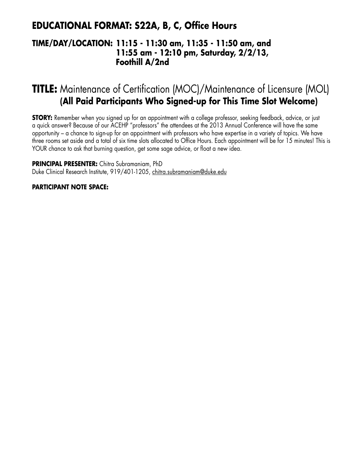## **EDUCATIONAL FORMAT: S22A, B, C, Office Hours**

### **TIME/DAY/LOCATION: 11:15 - 11:30 am, 11:35 - 11:50 am, and 11:55 am - 12:10 pm, Saturday, 2/2/13, Foothill A/2nd**

# **TITLE:** Maintenance of Certification (MOC)/Maintenance of Licensure (MOL) **(All Paid Participants Who Signed-up for This Time Slot Welcome)**

**STORY:** Remember when you signed up for an appointment with a college professor, seeking feedback, advice, or just a quick answer? Because of our ACEHP "professors" the attendees at the 2013 Annual Conference will have the same opportunity – a chance to sign-up for an appointment with professors who have expertise in a variety of topics. We have three rooms set aside and a total of six time slots allocated to Office Hours. Each appointment will be for 15 minutes! This is YOUR chance to ask that burning question, get some sage advice, or float a new idea.

**PRINCIPAL PRESENTER:** Chitra Subramaniam, PhD Duke Clinical Research Institute, 919/401-1205, chitra.subramaniam@duke.edu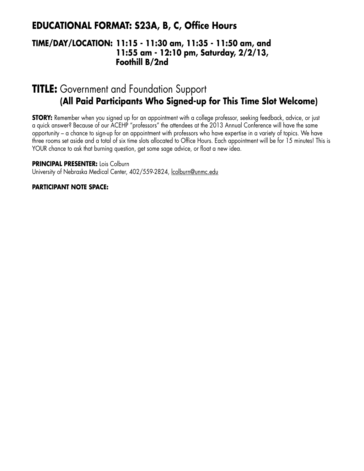## **EDUCATIONAL FORMAT: S23A, B, C, Office Hours**

### **TIME/DAY/LOCATION: 11:15 - 11:30 am, 11:35 - 11:50 am, and 11:55 am - 12:10 pm, Saturday, 2/2/13, Foothill B/2nd**

## **TITLE:** Government and Foundation Support **(All Paid Participants Who Signed-up for This Time Slot Welcome)**

**STORY:** Remember when you signed up for an appointment with a college professor, seeking feedback, advice, or just a quick answer? Because of our ACEHP "professors" the attendees at the 2013 Annual Conference will have the same opportunity – a chance to sign-up for an appointment with professors who have expertise in a variety of topics. We have three rooms set aside and a total of six time slots allocated to Office Hours. Each appointment will be for 15 minutes! This is YOUR chance to ask that burning question, get some sage advice, or float a new idea.

**PRINCIPAL PRESENTER:** Lois Colburn

University of Nebraska Medical Center, 402/559-2824, lcolburn@unmc.edu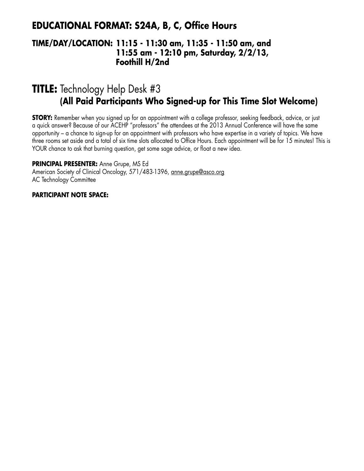### **EDUCATIONAL FORMAT: S24A, B, C, Office Hours**

### **TIME/DAY/LOCATION: 11:15 - 11:30 am, 11:35 - 11:50 am, and 11:55 am - 12:10 pm, Saturday, 2/2/13, Foothill H/2nd**

# **TITLE:** Technology Help Desk #3 **(All Paid Participants Who Signed-up for This Time Slot Welcome)**

**STORY:** Remember when you signed up for an appointment with a college professor, seeking feedback, advice, or just a quick answer? Because of our ACEHP "professors" the attendees at the 2013 Annual Conference will have the same opportunity – a chance to sign-up for an appointment with professors who have expertise in a variety of topics. We have three rooms set aside and a total of six time slots allocated to Office Hours. Each appointment will be for 15 minutes! This is YOUR chance to ask that burning question, get some sage advice, or float a new idea.

**PRINCIPAL PRESENTER:** Anne Grupe, MS Ed

American Society of Clinical Oncology, 571/483-1396, anne.grupe@asco.org AC Technology Committee